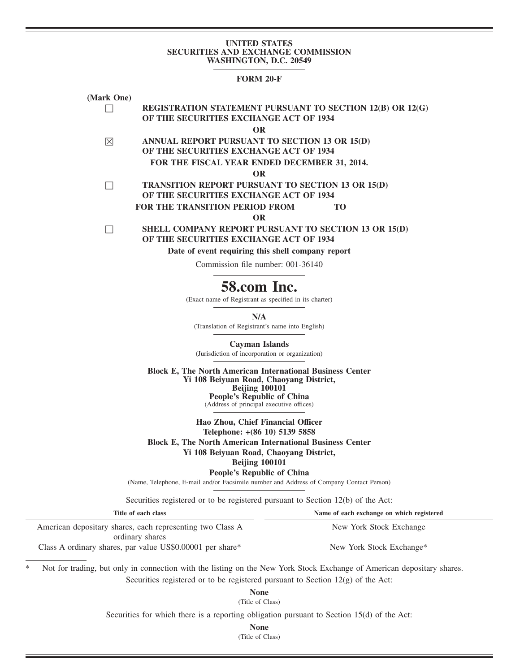#### **UNITED STATES SECURITIES AND EXCHANGE COMMISSION WASHINGTON, D.C. 20549**

#### **FORM 20-F**

| (Mark One)  |                                                                  |
|-------------|------------------------------------------------------------------|
|             | <b>REGISTRATION STATEMENT PURSUANT TO SECTION 12(B) OR 12(G)</b> |
|             | OF THE SECURITIES EXCHANGE ACT OF 1934                           |
|             | <b>OR</b>                                                        |
| $\boxtimes$ | ANNUAL REPORT PURSUANT TO SECTION 13 OR 15(D)                    |
|             | <b>OF THE SECURITIES EXCHANGE ACT OF 1934</b>                    |
|             | FOR THE FISCAL YEAR ENDED DECEMBER 31, 2014.                     |
|             | <b>OR</b>                                                        |
|             | <b>TRANSITION REPORT PURSUANT TO SECTION 13 OR 15(D)</b>         |
|             | OF THE SECURITIES EXCHANGE ACT OF 1934                           |
|             | FOR THE TRANSITION PERIOD FROM<br>то                             |
|             | <b>OR</b>                                                        |
|             | SHELL COMPANY REPORT PURSUANT TO SECTION 13 OR 15(D)             |
|             | OF THE SECURITIES EXCHANGE ACT OF 1934                           |
|             |                                                                  |

**Date of event requiring this shell company report**

Commission file number: 001-36140

# **58.com Inc.**

(Exact name of Registrant as specified in its charter)

**N/A**

(Translation of Registrant's name into English)

**Cayman Islands**

(Jurisdiction of incorporation or organization)

**Block E, The North American International Business Center Yi 108 Beiyuan Road, Chaoyang District, Beijing 100101 People's Republic of China** (Address of principal executive offices)

**Hao Zhou, Chief Financial Officer Telephone: +(86 10) 5139 5858 Block E, The North American International Business Center Yi 108 Beiyuan Road, Chaoyang District, Beijing 100101**

**People's Republic of China**

(Name, Telephone, E-mail and/or Facsimile number and Address of Company Contact Person)

Securities registered or to be registered pursuant to Section 12(b) of the Act:

**Title of each class Name of each exchange on which registered** New York Stock Exchange

American depositary shares, each representing two Class A ordinary shares Class A ordinary shares, par value US\$0.00001 per share\* New York Stock Exchange\*

Not for trading, but only in connection with the listing on the New York Stock Exchange of American depositary shares. Securities registered or to be registered pursuant to Section 12(g) of the Act:

**None**

(Title of Class)

Securities for which there is a reporting obligation pursuant to Section 15(d) of the Act:

**None** (Title of Class)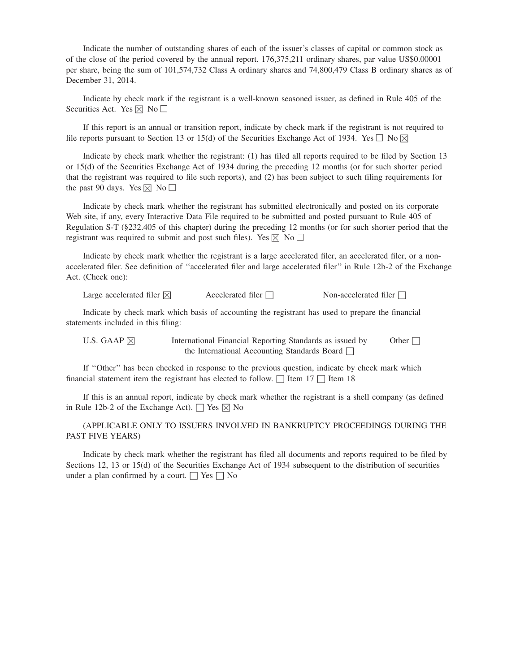Indicate the number of outstanding shares of each of the issuer's classes of capital or common stock as of the close of the period covered by the annual report. 176,375,211 ordinary shares, par value US\$0.00001 per share, being the sum of 101,574,732 Class A ordinary shares and 74,800,479 Class B ordinary shares as of December 31, 2014.

Indicate by check mark if the registrant is a well-known seasoned issuer, as defined in Rule 405 of the Securities Act. Yes  $\boxtimes$  No  $\Box$ 

If this report is an annual or transition report, indicate by check mark if the registrant is not required to file reports pursuant to Section 13 or 15(d) of the Securities Exchange Act of 1934. Yes  $\Box$  No  $\boxtimes$ 

Indicate by check mark whether the registrant: (1) has filed all reports required to be filed by Section 13 or 15(d) of the Securities Exchange Act of 1934 during the preceding 12 months (or for such shorter period that the registrant was required to file such reports), and (2) has been subject to such filing requirements for the past 90 days. Yes  $\boxtimes$  No  $\Box$ 

Indicate by check mark whether the registrant has submitted electronically and posted on its corporate Web site, if any, every Interactive Data File required to be submitted and posted pursuant to Rule 405 of Regulation S-T (§232.405 of this chapter) during the preceding 12 months (or for such shorter period that the registrant was required to submit and post such files). Yes  $\boxtimes$  No  $\Box$ 

Indicate by check mark whether the registrant is a large accelerated filer, an accelerated filer, or a nonaccelerated filer. See definition of ''accelerated filer and large accelerated filer'' in Rule 12b-2 of the Exchange Act. (Check one):

Large accelerated filer  $\Box$  Accelerated filer  $\Box$  Non-accelerated filer  $\Box$ 

Indicate by check mark which basis of accounting the registrant has used to prepare the financial statements included in this filing:

U.S. GAAP  $\boxtimes$  International Financial Reporting Standards as issued by the International Accounting Standards Board  $\Box$ Other  $\Box$ 

If ''Other'' has been checked in response to the previous question, indicate by check mark which financial statement item the registrant has elected to follow.  $\Box$  Item 17  $\Box$  Item 18

If this is an annual report, indicate by check mark whether the registrant is a shell company (as defined in Rule 12b-2 of the Exchange Act).  $\Box$  Yes  $\boxtimes$  No

(APPLICABLE ONLY TO ISSUERS INVOLVED IN BANKRUPTCY PROCEEDINGS DURING THE PAST FIVE YEARS)

Indicate by check mark whether the registrant has filed all documents and reports required to be filed by Sections 12, 13 or 15(d) of the Securities Exchange Act of 1934 subsequent to the distribution of securities under a plan confirmed by a court.  $\Box$  Yes  $\Box$  No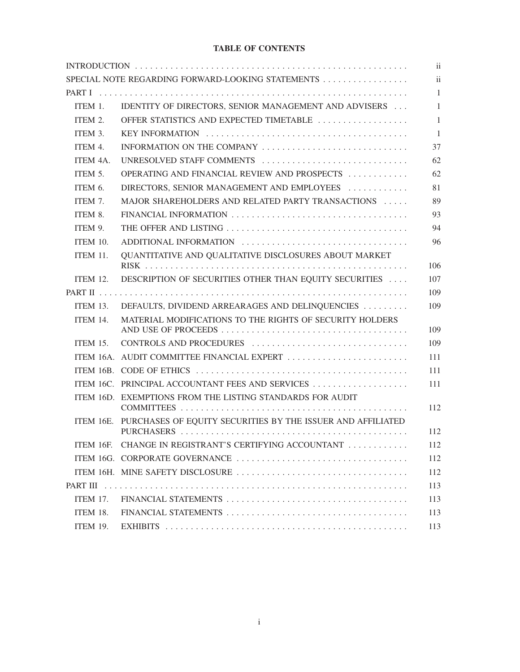# **TABLE OF CONTENTS**

|                 |                                                                       | $\overline{\mathbf{1}}$ |
|-----------------|-----------------------------------------------------------------------|-------------------------|
|                 | SPECIAL NOTE REGARDING FORWARD-LOOKING STATEMENTS                     | $\rm ii$                |
|                 |                                                                       | $\mathbf{1}$            |
| ITEM 1.         | IDENTITY OF DIRECTORS, SENIOR MANAGEMENT AND ADVISERS                 | $\mathbf{1}$            |
| ITEM 2.         | OFFER STATISTICS AND EXPECTED TIMETABLE                               | $\mathbf{1}$            |
| ITEM 3.         |                                                                       | $\mathbf{1}$            |
| ITEM 4.         | INFORMATION ON THE COMPANY                                            | 37                      |
| ITEM 4A.        | UNRESOLVED STAFF COMMENTS                                             | 62                      |
| ITEM 5.         | OPERATING AND FINANCIAL REVIEW AND PROSPECTS                          | 62                      |
| ITEM 6.         | DIRECTORS, SENIOR MANAGEMENT AND EMPLOYEES                            | 81                      |
| ITEM 7.         | MAJOR SHAREHOLDERS AND RELATED PARTY TRANSACTIONS                     | 89                      |
| ITEM 8.         |                                                                       | 93                      |
| ITEM 9.         |                                                                       | 94                      |
| <b>ITEM 10.</b> | ADDITIONAL INFORMATION                                                | 96                      |
| ITEM 11.        | QUANTITATIVE AND QUALITATIVE DISCLOSURES ABOUT MARKET                 | 106                     |
| ITEM 12.        | DESCRIPTION OF SECURITIES OTHER THAN EQUITY SECURITIES                | 107                     |
|                 |                                                                       | 109                     |
| ITEM 13.        | DEFAULTS, DIVIDEND ARREARAGES AND DELINQUENCIES                       | 109                     |
| <b>ITEM 14.</b> | MATERIAL MODIFICATIONS TO THE RIGHTS OF SECURITY HOLDERS              | 109                     |
| <b>ITEM 15.</b> | CONTROLS AND PROCEDURES                                               | 109                     |
|                 | ITEM 16A. AUDIT COMMITTEE FINANCIAL EXPERT                            | 111                     |
|                 |                                                                       | 111                     |
|                 | ITEM 16C. PRINCIPAL ACCOUNTANT FEES AND SERVICES                      | 111                     |
|                 | ITEM 16D. EXEMPTIONS FROM THE LISTING STANDARDS FOR AUDIT             | 112                     |
|                 | ITEM 16E. PURCHASES OF EQUITY SECURITIES BY THE ISSUER AND AFFILIATED | 112                     |
|                 | ITEM 16F. CHANGE IN REGISTRANT'S CERTIFYING ACCOUNTANT                | 112                     |
|                 |                                                                       | 112                     |
|                 |                                                                       | 112                     |
|                 |                                                                       | 113                     |
| <b>ITEM 17.</b> |                                                                       | 113                     |
| ITEM 18.        |                                                                       | 113                     |
| <b>ITEM 19.</b> |                                                                       | 113                     |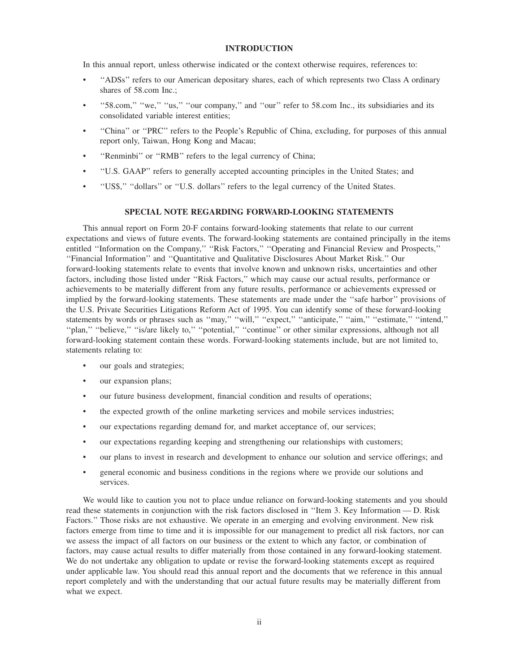#### **INTRODUCTION**

In this annual report, unless otherwise indicated or the context otherwise requires, references to:

- ''ADSs'' refers to our American depositary shares, each of which represents two Class A ordinary shares of 58.com Inc.;
- "58.com," "we," "us," "our company," and "our" refer to 58.com Inc., its subsidiaries and its consolidated variable interest entities;
- ''China'' or ''PRC'' refers to the People's Republic of China, excluding, for purposes of this annual report only, Taiwan, Hong Kong and Macau;
- "Renminbi" or "RMB" refers to the legal currency of China;
- ''U.S. GAAP'' refers to generally accepted accounting principles in the United States; and
- "US\$," "dollars" or "U.S. dollars" refers to the legal currency of the United States.

#### **SPECIAL NOTE REGARDING FORWARD-LOOKING STATEMENTS**

This annual report on Form 20-F contains forward-looking statements that relate to our current expectations and views of future events. The forward-looking statements are contained principally in the items entitled ''Information on the Company,'' ''Risk Factors,'' ''Operating and Financial Review and Prospects,'' ''Financial Information'' and ''Quantitative and Qualitative Disclosures About Market Risk.'' Our forward-looking statements relate to events that involve known and unknown risks, uncertainties and other factors, including those listed under ''Risk Factors,'' which may cause our actual results, performance or achievements to be materially different from any future results, performance or achievements expressed or implied by the forward-looking statements. These statements are made under the ''safe harbor'' provisions of the U.S. Private Securities Litigations Reform Act of 1995. You can identify some of these forward-looking statements by words or phrases such as "may," "will," "expect," "anticipate," "aim," "estimate," "intend," ''plan,'' ''believe,'' ''is/are likely to,'' ''potential,'' ''continue'' or other similar expressions, although not all forward-looking statement contain these words. Forward-looking statements include, but are not limited to, statements relating to:

- our goals and strategies;
- our expansion plans;
- our future business development, financial condition and results of operations;
- the expected growth of the online marketing services and mobile services industries;
- our expectations regarding demand for, and market acceptance of, our services;
- our expectations regarding keeping and strengthening our relationships with customers;
- our plans to invest in research and development to enhance our solution and service offerings; and
- general economic and business conditions in the regions where we provide our solutions and services.

We would like to caution you not to place undue reliance on forward-looking statements and you should read these statements in conjunction with the risk factors disclosed in ''Item 3. Key Information — D. Risk Factors.'' Those risks are not exhaustive. We operate in an emerging and evolving environment. New risk factors emerge from time to time and it is impossible for our management to predict all risk factors, nor can we assess the impact of all factors on our business or the extent to which any factor, or combination of factors, may cause actual results to differ materially from those contained in any forward-looking statement. We do not undertake any obligation to update or revise the forward-looking statements except as required under applicable law. You should read this annual report and the documents that we reference in this annual report completely and with the understanding that our actual future results may be materially different from what we expect.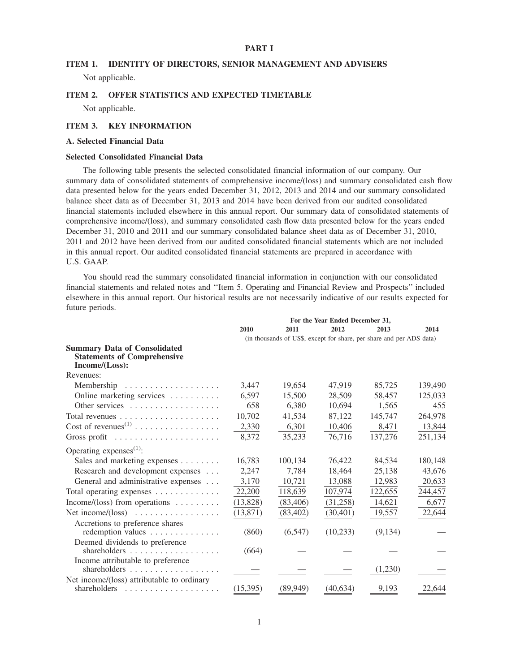#### **PART I**

#### **ITEM 1. IDENTITY OF DIRECTORS, SENIOR MANAGEMENT AND ADVISERS**

Not applicable.

#### **ITEM 2. OFFER STATISTICS AND EXPECTED TIMETABLE**

Not applicable.

#### **ITEM 3. KEY INFORMATION**

#### **A. Selected Financial Data**

#### **Selected Consolidated Financial Data**

The following table presents the selected consolidated financial information of our company. Our summary data of consolidated statements of comprehensive income/(loss) and summary consolidated cash flow data presented below for the years ended December 31, 2012, 2013 and 2014 and our summary consolidated balance sheet data as of December 31, 2013 and 2014 have been derived from our audited consolidated financial statements included elsewhere in this annual report. Our summary data of consolidated statements of comprehensive income/(loss), and summary consolidated cash flow data presented below for the years ended December 31, 2010 and 2011 and our summary consolidated balance sheet data as of December 31, 2010, 2011 and 2012 have been derived from our audited consolidated financial statements which are not included in this annual report. Our audited consolidated financial statements are prepared in accordance with U.S. GAAP.

You should read the summary consolidated financial information in conjunction with our consolidated financial statements and related notes and ''Item 5. Operating and Financial Review and Prospects'' included elsewhere in this annual report. Our historical results are not necessarily indicative of our results expected for future periods.

|                                                                                             | For the Year Ended December 31,                                      |           |           |         |         |  |
|---------------------------------------------------------------------------------------------|----------------------------------------------------------------------|-----------|-----------|---------|---------|--|
|                                                                                             | 2010                                                                 | 2011      | 2012      | 2013    | 2014    |  |
|                                                                                             | (in thousands of US\$, except for share, per share and per ADS data) |           |           |         |         |  |
| <b>Summary Data of Consolidated</b><br><b>Statements of Comprehensive</b><br>Income/(Loss): |                                                                      |           |           |         |         |  |
| Revenues:                                                                                   |                                                                      |           |           |         |         |  |
| Membership<br>.                                                                             | 3,447                                                                | 19,654    | 47,919    | 85,725  | 139,490 |  |
| Online marketing services                                                                   | 6,597                                                                | 15,500    | 28,509    | 58,457  | 125,033 |  |
| Other services                                                                              | 658                                                                  | 6,380     | 10,694    | 1,565   | 455     |  |
|                                                                                             | 10,702                                                               | 41.534    | 87,122    | 145,747 | 264,978 |  |
| Cost of revenues <sup><math>(1)</math></sup>                                                | 2,330                                                                | 6,301     | 10,406    | 8,471   | 13,844  |  |
|                                                                                             | 8,372                                                                | 35,233    | 76,716    | 137,276 | 251,134 |  |
| Operating expenses $^{(1)}$ :                                                               |                                                                      |           |           |         |         |  |
| Sales and marketing expenses                                                                | 16,783                                                               | 100,134   | 76,422    | 84,534  | 180,148 |  |
| Research and development expenses                                                           | 2,247                                                                | 7,784     | 18,464    | 25,138  | 43,676  |  |
| General and administrative expenses                                                         | 3,170                                                                | 10,721    | 13,088    | 12,983  | 20,633  |  |
| Total operating expenses                                                                    | 22,200                                                               | 118,639   | 107,974   | 122,655 | 244,457 |  |
| Income/(loss) from operations $\dots \dots$                                                 | (13,828)                                                             | (83, 406) | (31,258)  | 14,621  | 6,677   |  |
| Net income/(loss) $\dots \dots \dots \dots \dots$                                           | (13, 871)                                                            | (83, 402) | (30, 401) | 19,557  | 22,644  |  |
| Accretions to preference shares<br>redemption values                                        | (860)                                                                | (6, 547)  | (10, 233) | (9,134) |         |  |
| Deemed dividends to preference                                                              | (664)                                                                |           |           |         |         |  |
| Income attributable to preference                                                           |                                                                      |           |           | (1,230) |         |  |
| Net income/(loss) attributable to ordinary                                                  | (15, 395)                                                            | (89, 949) | (40, 634) | 9,193   | 22,644  |  |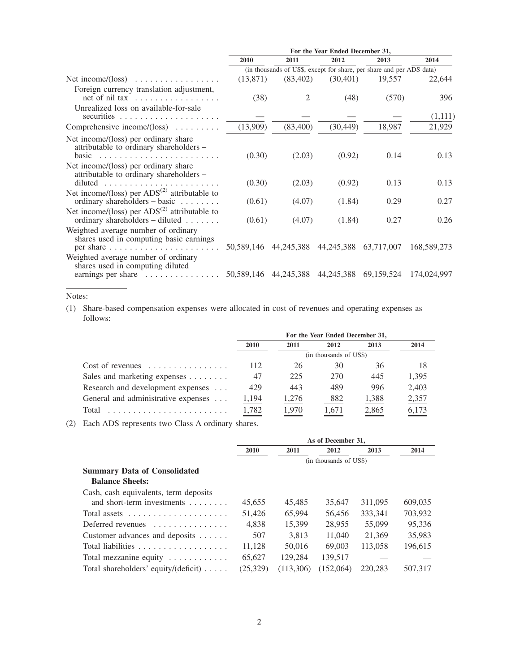|                                                                                                                                                                                      | For the Year Ended December 31, |           |                                        |                                                                      |             |
|--------------------------------------------------------------------------------------------------------------------------------------------------------------------------------------|---------------------------------|-----------|----------------------------------------|----------------------------------------------------------------------|-------------|
|                                                                                                                                                                                      | 2010                            | 2011      | 2012                                   | 2013                                                                 | 2014        |
|                                                                                                                                                                                      |                                 |           |                                        | (in thousands of US\$, except for share, per share and per ADS data) |             |
| Net income/(loss) $\dots \dots \dots \dots \dots$                                                                                                                                    | (13,871)                        | (83, 402) | (30, 401)                              | 19,557                                                               | 22,644      |
| Foreign currency translation adjustment,<br>net of nil tax $\ldots \ldots \ldots \ldots$<br>Unrealized loss on available-for-sale                                                    | (38)                            | 2         | (48)                                   | (570)                                                                | 396         |
|                                                                                                                                                                                      |                                 |           |                                        |                                                                      | (1,111)     |
| Comprehensive income/(loss) $\dots \dots$                                                                                                                                            | (13,909)                        | (83,400)  | (30, 449)                              | 18,987                                                               | 21,929      |
| Net income/(loss) per ordinary share<br>attributable to ordinary shareholders -<br>basic $\ldots \ldots \ldots \ldots \ldots \ldots \ldots$                                          | (0.30)                          | (2.03)    | (0.92)                                 | 0.14                                                                 | 0.13        |
| Net income/(loss) per ordinary share<br>attributable to ordinary shareholders -                                                                                                      | (0.30)                          | (2.03)    | (0.92)                                 | 0.13                                                                 | 0.13        |
| Net income/(loss) per $ADS^{(2)}$ attributable to<br>ordinary shareholders – basic                                                                                                   | (0.61)                          | (4.07)    | (1.84)                                 | 0.29                                                                 | 0.27        |
| Net income/(loss) per $ADS^{(2)}$ attributable to<br>ordinary shareholders – diluted                                                                                                 | (0.61)                          | (4.07)    | (1.84)                                 | 0.27                                                                 | 0.26        |
| Weighted average number of ordinary<br>shares used in computing basic earnings<br>per share $\dots \dots \dots \dots \dots \dots \dots \dots$<br>Weighted average number of ordinary | 50,589,146                      |           | 44, 245, 388 44, 245, 388 63, 717, 007 |                                                                      | 168,589,273 |
| shares used in computing diluted<br>earnings per share $\dots \dots \dots \dots$                                                                                                     | 50,589,146                      |           | 44, 245, 388 44, 245, 388 69, 159, 524 |                                                                      | 174,024,997 |

Notes:

(1) Share-based compensation expenses were allocated in cost of revenues and operating expenses as follows:

|                                     | For the Year Ended December 31, |       |                        |       |       |
|-------------------------------------|---------------------------------|-------|------------------------|-------|-------|
|                                     | 2010                            | 2011  | 2012                   | 2013  | 2014  |
|                                     |                                 |       | (in thousands of US\$) |       |       |
| $Cost of revenues$                  | 112                             | 26    | 30                     | 36    | 18    |
| Sales and marketing expenses        | 47                              | 225   | 270                    | 445   | 1,395 |
| Research and development expenses   | 429                             | 443   | 489                    | 996   | 2.403 |
| General and administrative expenses | 1,194                           | 1,276 | 882                    | 1,388 | 2,357 |
| Total                               | 1,782                           | 1,970 | 1.671                  | 2,865 | 6,173 |

(2) Each ADS represents two Class A ordinary shares.

|                                                | As of December 31,     |           |           |         |         |  |
|------------------------------------------------|------------------------|-----------|-----------|---------|---------|--|
|                                                | 2010                   | 2011      | 2012      | 2013    | 2014    |  |
|                                                | (in thousands of US\$) |           |           |         |         |  |
| <b>Summary Data of Consolidated</b>            |                        |           |           |         |         |  |
| <b>Balance Sheets:</b>                         |                        |           |           |         |         |  |
| Cash, cash equivalents, term deposits          |                        |           |           |         |         |  |
| and short-term investments                     | 45,655                 | 45,485    | 35,647    | 311,095 | 609,035 |  |
|                                                | 51,426                 | 65,994    | 56,456    | 333.341 | 703,932 |  |
| Deferred revenues                              | 4.838                  | 15.399    | 28,955    | 55,099  | 95,336  |  |
| Customer advances and deposits                 | 507                    | 3.813     | 11,040    | 21.369  | 35,983  |  |
| Total liabilities                              | 11,128                 | 50,016    | 69,003    | 113,058 | 196,615 |  |
| Total mezzanine equity                         | 65,627                 | 129,284   | 139,517   |         |         |  |
| Total shareholders' equity/ $(\text{deficit})$ | (25,329)               | (113,306) | (152.064) | 220,283 | 507.317 |  |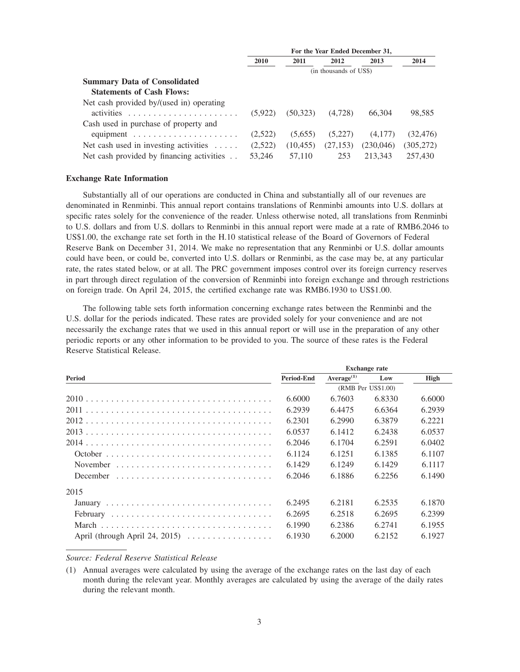|                                                       | For the Year Ended December 31, |           |           |           |            |  |
|-------------------------------------------------------|---------------------------------|-----------|-----------|-----------|------------|--|
|                                                       | 2010                            | 2011      | 2012      | 2013      | 2014       |  |
|                                                       | (in thousands of US\$)          |           |           |           |            |  |
| <b>Summary Data of Consolidated</b>                   |                                 |           |           |           |            |  |
| <b>Statements of Cash Flows:</b>                      |                                 |           |           |           |            |  |
| Net cash provided by/(used in) operating              |                                 |           |           |           |            |  |
| activities                                            | (5,922)                         | (50, 323) | (4,728)   | 66.304    | 98,585     |  |
| Cash used in purchase of property and                 |                                 |           |           |           |            |  |
| equipment $\ldots \ldots \ldots \ldots \ldots \ldots$ | (2,522)                         | (5,655)   | (5,227)   | (4,177)   | (32, 476)  |  |
| Net cash used in investing activities $\dots$         | (2,522)                         | (10, 455) | (27, 153) | (230,046) | (305, 272) |  |
| Net cash provided by financing activities             | 53,246                          | 57,110    | 253       | 213.343   | 257,430    |  |
|                                                       |                                 |           |           |           |            |  |

#### **Exchange Rate Information**

Substantially all of our operations are conducted in China and substantially all of our revenues are denominated in Renminbi. This annual report contains translations of Renminbi amounts into U.S. dollars at specific rates solely for the convenience of the reader. Unless otherwise noted, all translations from Renminbi to U.S. dollars and from U.S. dollars to Renminbi in this annual report were made at a rate of RMB6.2046 to US\$1.00, the exchange rate set forth in the H.10 statistical release of the Board of Governors of Federal Reserve Bank on December 31, 2014. We make no representation that any Renminbi or U.S. dollar amounts could have been, or could be, converted into U.S. dollars or Renminbi, as the case may be, at any particular rate, the rates stated below, or at all. The PRC government imposes control over its foreign currency reserves in part through direct regulation of the conversion of Renminbi into foreign exchange and through restrictions on foreign trade. On April 24, 2015, the certified exchange rate was RMB6.1930 to US\$1.00.

The following table sets forth information concerning exchange rates between the Renminbi and the U.S. dollar for the periods indicated. These rates are provided solely for your convenience and are not necessarily the exchange rates that we used in this annual report or will use in the preparation of any other periodic reports or any other information to be provided to you. The source of these rates is the Federal Reserve Statistical Release.

|                                                                     | <b>Exchange rate</b> |                        |        |             |  |
|---------------------------------------------------------------------|----------------------|------------------------|--------|-------------|--|
| Period                                                              | <b>Period-End</b>    | Average <sup>(1)</sup> | Low    | <b>High</b> |  |
|                                                                     | $(RMB$ Per US\$1.00) |                        |        |             |  |
|                                                                     | 6.6000               | 6.7603                 | 6.8330 | 6.6000      |  |
|                                                                     | 6.2939               | 6.4475                 | 6.6364 | 6.2939      |  |
|                                                                     | 6.2301               | 6.2990                 | 6.3879 | 6.2221      |  |
|                                                                     | 6.0537               | 6.1412                 | 6.2438 | 6.0537      |  |
|                                                                     | 6.2046               | 6.1704                 | 6.2591 | 6.0402      |  |
|                                                                     | 6.1124               | 6.1251                 | 6.1385 | 6.1107      |  |
|                                                                     | 6.1429               | 6.1249                 | 6.1429 | 6.1117      |  |
|                                                                     | 6.2046               | 6.1886                 | 6.2256 | 6.1490      |  |
| 2015                                                                |                      |                        |        |             |  |
|                                                                     | 6.2495               | 6.2181                 | 6.2535 | 6.1870      |  |
|                                                                     | 6.2695               | 6.2518                 | 6.2695 | 6.2399      |  |
|                                                                     | 6.1990               | 6.2386                 | 6.2741 | 6.1955      |  |
| April (through April 24, 2015) $\ldots \ldots \ldots \ldots \ldots$ | 6.1930               | 6.2000                 | 6.2152 | 6.1927      |  |

*Source: Federal Reserve Statistical Release*

(1) Annual averages were calculated by using the average of the exchange rates on the last day of each month during the relevant year. Monthly averages are calculated by using the average of the daily rates during the relevant month.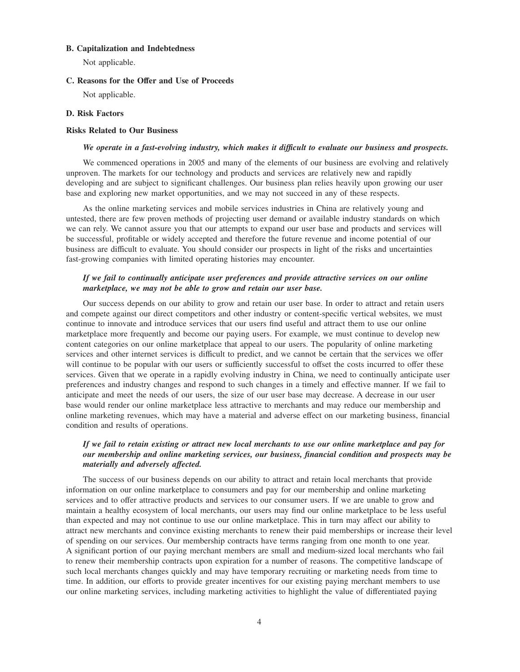#### **B. Capitalization and Indebtedness**

Not applicable.

#### **C. Reasons for the Offer and Use of Proceeds**

Not applicable.

#### **D. Risk Factors**

### **Risks Related to Our Business**

#### *We operate in a fast-evolving industry, which makes it difficult to evaluate our business and prospects.*

We commenced operations in 2005 and many of the elements of our business are evolving and relatively unproven. The markets for our technology and products and services are relatively new and rapidly developing and are subject to significant challenges. Our business plan relies heavily upon growing our user base and exploring new market opportunities, and we may not succeed in any of these respects.

As the online marketing services and mobile services industries in China are relatively young and untested, there are few proven methods of projecting user demand or available industry standards on which we can rely. We cannot assure you that our attempts to expand our user base and products and services will be successful, profitable or widely accepted and therefore the future revenue and income potential of our business are difficult to evaluate. You should consider our prospects in light of the risks and uncertainties fast-growing companies with limited operating histories may encounter.

### *If we fail to continually anticipate user preferences and provide attractive services on our online marketplace, we may not be able to grow and retain our user base.*

Our success depends on our ability to grow and retain our user base. In order to attract and retain users and compete against our direct competitors and other industry or content-specific vertical websites, we must continue to innovate and introduce services that our users find useful and attract them to use our online marketplace more frequently and become our paying users. For example, we must continue to develop new content categories on our online marketplace that appeal to our users. The popularity of online marketing services and other internet services is difficult to predict, and we cannot be certain that the services we offer will continue to be popular with our users or sufficiently successful to offset the costs incurred to offer these services. Given that we operate in a rapidly evolving industry in China, we need to continually anticipate user preferences and industry changes and respond to such changes in a timely and effective manner. If we fail to anticipate and meet the needs of our users, the size of our user base may decrease. A decrease in our user base would render our online marketplace less attractive to merchants and may reduce our membership and online marketing revenues, which may have a material and adverse effect on our marketing business, financial condition and results of operations.

# *If we fail to retain existing or attract new local merchants to use our online marketplace and pay for our membership and online marketing services, our business, financial condition and prospects may be materially and adversely affected.*

The success of our business depends on our ability to attract and retain local merchants that provide information on our online marketplace to consumers and pay for our membership and online marketing services and to offer attractive products and services to our consumer users. If we are unable to grow and maintain a healthy ecosystem of local merchants, our users may find our online marketplace to be less useful than expected and may not continue to use our online marketplace. This in turn may affect our ability to attract new merchants and convince existing merchants to renew their paid memberships or increase their level of spending on our services. Our membership contracts have terms ranging from one month to one year. A significant portion of our paying merchant members are small and medium-sized local merchants who fail to renew their membership contracts upon expiration for a number of reasons. The competitive landscape of such local merchants changes quickly and may have temporary recruiting or marketing needs from time to time. In addition, our efforts to provide greater incentives for our existing paying merchant members to use our online marketing services, including marketing activities to highlight the value of differentiated paying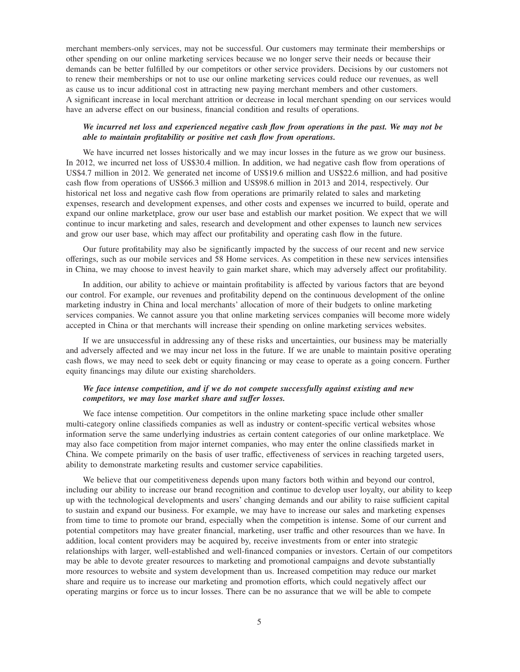merchant members-only services, may not be successful. Our customers may terminate their memberships or other spending on our online marketing services because we no longer serve their needs or because their demands can be better fulfilled by our competitors or other service providers. Decisions by our customers not to renew their memberships or not to use our online marketing services could reduce our revenues, as well as cause us to incur additional cost in attracting new paying merchant members and other customers. A significant increase in local merchant attrition or decrease in local merchant spending on our services would have an adverse effect on our business, financial condition and results of operations.

#### *We incurred net loss and experienced negative cash flow from operations in the past. We may not be able to maintain profitability or positive net cash flow from operations.*

We have incurred net losses historically and we may incur losses in the future as we grow our business. In 2012, we incurred net loss of US\$30.4 million. In addition, we had negative cash flow from operations of US\$4.7 million in 2012. We generated net income of US\$19.6 million and US\$22.6 million, and had positive cash flow from operations of US\$66.3 million and US\$98.6 million in 2013 and 2014, respectively. Our historical net loss and negative cash flow from operations are primarily related to sales and marketing expenses, research and development expenses, and other costs and expenses we incurred to build, operate and expand our online marketplace, grow our user base and establish our market position. We expect that we will continue to incur marketing and sales, research and development and other expenses to launch new services and grow our user base, which may affect our profitability and operating cash flow in the future.

Our future profitability may also be significantly impacted by the success of our recent and new service offerings, such as our mobile services and 58 Home services. As competition in these new services intensifies in China, we may choose to invest heavily to gain market share, which may adversely affect our profitability.

In addition, our ability to achieve or maintain profitability is affected by various factors that are beyond our control. For example, our revenues and profitability depend on the continuous development of the online marketing industry in China and local merchants' allocation of more of their budgets to online marketing services companies. We cannot assure you that online marketing services companies will become more widely accepted in China or that merchants will increase their spending on online marketing services websites.

If we are unsuccessful in addressing any of these risks and uncertainties, our business may be materially and adversely affected and we may incur net loss in the future. If we are unable to maintain positive operating cash flows, we may need to seek debt or equity financing or may cease to operate as a going concern. Further equity financings may dilute our existing shareholders.

### *We face intense competition, and if we do not compete successfully against existing and new competitors, we may lose market share and suffer losses.*

We face intense competition. Our competitors in the online marketing space include other smaller multi-category online classifieds companies as well as industry or content-specific vertical websites whose information serve the same underlying industries as certain content categories of our online marketplace. We may also face competition from major internet companies, who may enter the online classifieds market in China. We compete primarily on the basis of user traffic, effectiveness of services in reaching targeted users, ability to demonstrate marketing results and customer service capabilities.

We believe that our competitiveness depends upon many factors both within and beyond our control, including our ability to increase our brand recognition and continue to develop user loyalty, our ability to keep up with the technological developments and users' changing demands and our ability to raise sufficient capital to sustain and expand our business. For example, we may have to increase our sales and marketing expenses from time to time to promote our brand, especially when the competition is intense. Some of our current and potential competitors may have greater financial, marketing, user traffic and other resources than we have. In addition, local content providers may be acquired by, receive investments from or enter into strategic relationships with larger, well-established and well-financed companies or investors. Certain of our competitors may be able to devote greater resources to marketing and promotional campaigns and devote substantially more resources to website and system development than us. Increased competition may reduce our market share and require us to increase our marketing and promotion efforts, which could negatively affect our operating margins or force us to incur losses. There can be no assurance that we will be able to compete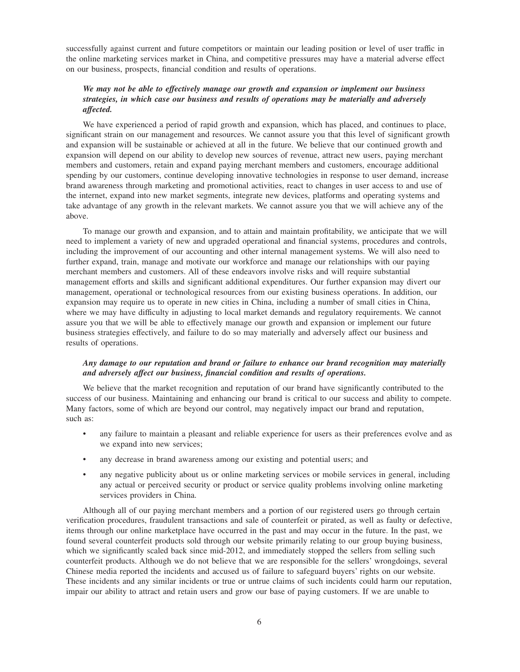successfully against current and future competitors or maintain our leading position or level of user traffic in the online marketing services market in China, and competitive pressures may have a material adverse effect on our business, prospects, financial condition and results of operations.

# *We may not be able to effectively manage our growth and expansion or implement our business strategies, in which case our business and results of operations may be materially and adversely affected.*

We have experienced a period of rapid growth and expansion, which has placed, and continues to place, significant strain on our management and resources. We cannot assure you that this level of significant growth and expansion will be sustainable or achieved at all in the future. We believe that our continued growth and expansion will depend on our ability to develop new sources of revenue, attract new users, paying merchant members and customers, retain and expand paying merchant members and customers, encourage additional spending by our customers, continue developing innovative technologies in response to user demand, increase brand awareness through marketing and promotional activities, react to changes in user access to and use of the internet, expand into new market segments, integrate new devices, platforms and operating systems and take advantage of any growth in the relevant markets. We cannot assure you that we will achieve any of the above.

To manage our growth and expansion, and to attain and maintain profitability, we anticipate that we will need to implement a variety of new and upgraded operational and financial systems, procedures and controls, including the improvement of our accounting and other internal management systems. We will also need to further expand, train, manage and motivate our workforce and manage our relationships with our paying merchant members and customers. All of these endeavors involve risks and will require substantial management efforts and skills and significant additional expenditures. Our further expansion may divert our management, operational or technological resources from our existing business operations. In addition, our expansion may require us to operate in new cities in China, including a number of small cities in China, where we may have difficulty in adjusting to local market demands and regulatory requirements. We cannot assure you that we will be able to effectively manage our growth and expansion or implement our future business strategies effectively, and failure to do so may materially and adversely affect our business and results of operations.

### *Any damage to our reputation and brand or failure to enhance our brand recognition may materially and adversely affect our business, financial condition and results of operations.*

We believe that the market recognition and reputation of our brand have significantly contributed to the success of our business. Maintaining and enhancing our brand is critical to our success and ability to compete. Many factors, some of which are beyond our control, may negatively impact our brand and reputation, such as:

- any failure to maintain a pleasant and reliable experience for users as their preferences evolve and as we expand into new services;
- any decrease in brand awareness among our existing and potential users; and
- any negative publicity about us or online marketing services or mobile services in general, including any actual or perceived security or product or service quality problems involving online marketing services providers in China.

Although all of our paying merchant members and a portion of our registered users go through certain verification procedures, fraudulent transactions and sale of counterfeit or pirated, as well as faulty or defective, items through our online marketplace have occurred in the past and may occur in the future. In the past, we found several counterfeit products sold through our website primarily relating to our group buying business, which we significantly scaled back since mid-2012, and immediately stopped the sellers from selling such counterfeit products. Although we do not believe that we are responsible for the sellers' wrongdoings, several Chinese media reported the incidents and accused us of failure to safeguard buyers' rights on our website. These incidents and any similar incidents or true or untrue claims of such incidents could harm our reputation, impair our ability to attract and retain users and grow our base of paying customers. If we are unable to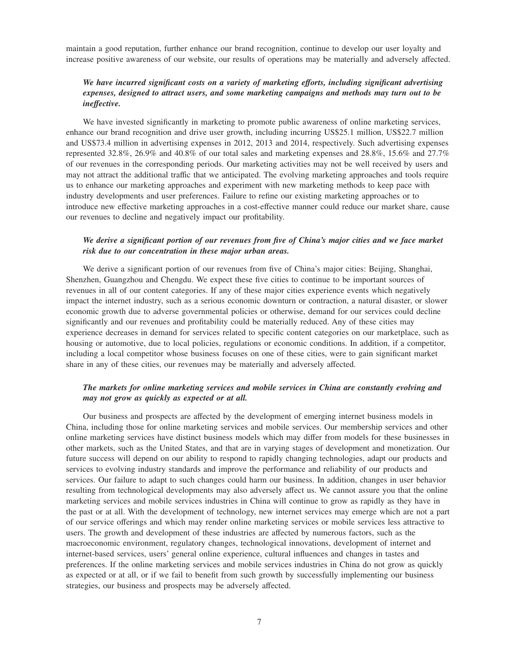maintain a good reputation, further enhance our brand recognition, continue to develop our user loyalty and increase positive awareness of our website, our results of operations may be materially and adversely affected.

# *We have incurred significant costs on a variety of marketing efforts, including significant advertising expenses, designed to attract users, and some marketing campaigns and methods may turn out to be ineffective.*

We have invested significantly in marketing to promote public awareness of online marketing services, enhance our brand recognition and drive user growth, including incurring US\$25.1 million, US\$22.7 million and US\$73.4 million in advertising expenses in 2012, 2013 and 2014, respectively. Such advertising expenses represented 32.8%, 26.9% and 40.8% of our total sales and marketing expenses and 28.8%, 15.6% and 27.7% of our revenues in the corresponding periods. Our marketing activities may not be well received by users and may not attract the additional traffic that we anticipated. The evolving marketing approaches and tools require us to enhance our marketing approaches and experiment with new marketing methods to keep pace with industry developments and user preferences. Failure to refine our existing marketing approaches or to introduce new effective marketing approaches in a cost-effective manner could reduce our market share, cause our revenues to decline and negatively impact our profitability.

### *We derive a significant portion of our revenues from five of China's major cities and we face market risk due to our concentration in these major urban areas.*

We derive a significant portion of our revenues from five of China's major cities: Beijing, Shanghai, Shenzhen, Guangzhou and Chengdu. We expect these five cities to continue to be important sources of revenues in all of our content categories. If any of these major cities experience events which negatively impact the internet industry, such as a serious economic downturn or contraction, a natural disaster, or slower economic growth due to adverse governmental policies or otherwise, demand for our services could decline significantly and our revenues and profitability could be materially reduced. Any of these cities may experience decreases in demand for services related to specific content categories on our marketplace, such as housing or automotive, due to local policies, regulations or economic conditions. In addition, if a competitor, including a local competitor whose business focuses on one of these cities, were to gain significant market share in any of these cities, our revenues may be materially and adversely affected.

### *The markets for online marketing services and mobile services in China are constantly evolving and may not grow as quickly as expected or at all.*

Our business and prospects are affected by the development of emerging internet business models in China, including those for online marketing services and mobile services. Our membership services and other online marketing services have distinct business models which may differ from models for these businesses in other markets, such as the United States, and that are in varying stages of development and monetization. Our future success will depend on our ability to respond to rapidly changing technologies, adapt our products and services to evolving industry standards and improve the performance and reliability of our products and services. Our failure to adapt to such changes could harm our business. In addition, changes in user behavior resulting from technological developments may also adversely affect us. We cannot assure you that the online marketing services and mobile services industries in China will continue to grow as rapidly as they have in the past or at all. With the development of technology, new internet services may emerge which are not a part of our service offerings and which may render online marketing services or mobile services less attractive to users. The growth and development of these industries are affected by numerous factors, such as the macroeconomic environment, regulatory changes, technological innovations, development of internet and internet-based services, users' general online experience, cultural influences and changes in tastes and preferences. If the online marketing services and mobile services industries in China do not grow as quickly as expected or at all, or if we fail to benefit from such growth by successfully implementing our business strategies, our business and prospects may be adversely affected.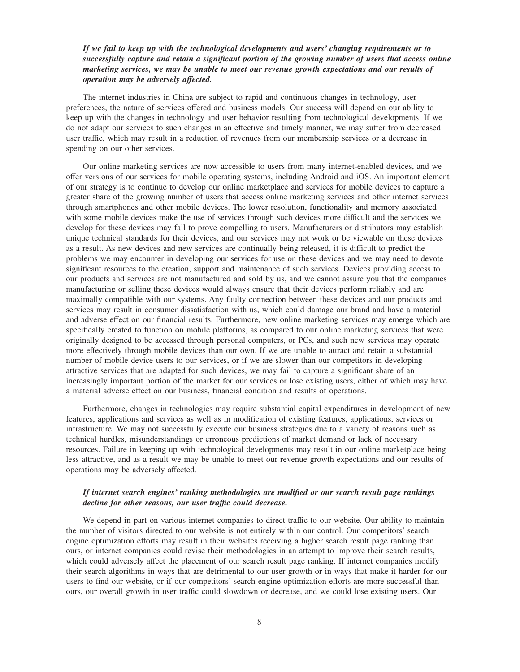### *If we fail to keep up with the technological developments and users' changing requirements or to successfully capture and retain a significant portion of the growing number of users that access online marketing services, we may be unable to meet our revenue growth expectations and our results of operation may be adversely affected.*

The internet industries in China are subject to rapid and continuous changes in technology, user preferences, the nature of services offered and business models. Our success will depend on our ability to keep up with the changes in technology and user behavior resulting from technological developments. If we do not adapt our services to such changes in an effective and timely manner, we may suffer from decreased user traffic, which may result in a reduction of revenues from our membership services or a decrease in spending on our other services.

Our online marketing services are now accessible to users from many internet-enabled devices, and we offer versions of our services for mobile operating systems, including Android and iOS. An important element of our strategy is to continue to develop our online marketplace and services for mobile devices to capture a greater share of the growing number of users that access online marketing services and other internet services through smartphones and other mobile devices. The lower resolution, functionality and memory associated with some mobile devices make the use of services through such devices more difficult and the services we develop for these devices may fail to prove compelling to users. Manufacturers or distributors may establish unique technical standards for their devices, and our services may not work or be viewable on these devices as a result. As new devices and new services are continually being released, it is difficult to predict the problems we may encounter in developing our services for use on these devices and we may need to devote significant resources to the creation, support and maintenance of such services. Devices providing access to our products and services are not manufactured and sold by us, and we cannot assure you that the companies manufacturing or selling these devices would always ensure that their devices perform reliably and are maximally compatible with our systems. Any faulty connection between these devices and our products and services may result in consumer dissatisfaction with us, which could damage our brand and have a material and adverse effect on our financial results. Furthermore, new online marketing services may emerge which are specifically created to function on mobile platforms, as compared to our online marketing services that were originally designed to be accessed through personal computers, or PCs, and such new services may operate more effectively through mobile devices than our own. If we are unable to attract and retain a substantial number of mobile device users to our services, or if we are slower than our competitors in developing attractive services that are adapted for such devices, we may fail to capture a significant share of an increasingly important portion of the market for our services or lose existing users, either of which may have a material adverse effect on our business, financial condition and results of operations.

Furthermore, changes in technologies may require substantial capital expenditures in development of new features, applications and services as well as in modification of existing features, applications, services or infrastructure. We may not successfully execute our business strategies due to a variety of reasons such as technical hurdles, misunderstandings or erroneous predictions of market demand or lack of necessary resources. Failure in keeping up with technological developments may result in our online marketplace being less attractive, and as a result we may be unable to meet our revenue growth expectations and our results of operations may be adversely affected.

#### *If internet search engines' ranking methodologies are modified or our search result page rankings decline for other reasons, our user traffic could decrease.*

We depend in part on various internet companies to direct traffic to our website. Our ability to maintain the number of visitors directed to our website is not entirely within our control. Our competitors' search engine optimization efforts may result in their websites receiving a higher search result page ranking than ours, or internet companies could revise their methodologies in an attempt to improve their search results, which could adversely affect the placement of our search result page ranking. If internet companies modify their search algorithms in ways that are detrimental to our user growth or in ways that make it harder for our users to find our website, or if our competitors' search engine optimization efforts are more successful than ours, our overall growth in user traffic could slowdown or decrease, and we could lose existing users. Our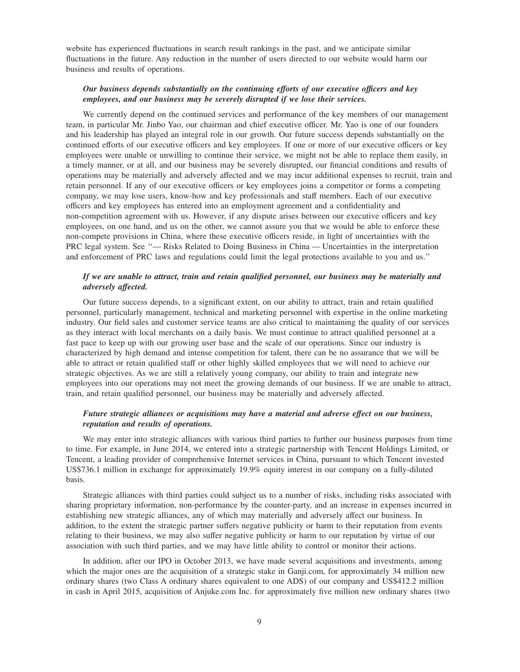website has experienced fluctuations in search result rankings in the past, and we anticipate similar fluctuations in the future. Any reduction in the number of users directed to our website would harm our business and results of operations.

### *Our business depends substantially on the continuing efforts of our executive officers and key employees, and our business may be severely disrupted if we lose their services.*

We currently depend on the continued services and performance of the key members of our management team, in particular Mr. Jinbo Yao, our chairman and chief executive officer. Mr. Yao is one of our founders and his leadership has played an integral role in our growth. Our future success depends substantially on the continued efforts of our executive officers and key employees. If one or more of our executive officers or key employees were unable or unwilling to continue their service, we might not be able to replace them easily, in a timely manner, or at all, and our business may be severely disrupted, our financial conditions and results of operations may be materially and adversely affected and we may incur additional expenses to recruit, train and retain personnel. If any of our executive officers or key employees joins a competitor or forms a competing company, we may lose users, know-how and key professionals and staff members. Each of our executive officers and key employees has entered into an employment agreement and a confidentiality and non-competition agreement with us. However, if any dispute arises between our executive officers and key employees, on one hand, and us on the other, we cannot assure you that we would be able to enforce these non-compete provisions in China, where these executive officers reside, in light of uncertainties with the PRC legal system. See "- Risks Related to Doing Business in China - Uncertainties in the interpretation and enforcement of PRC laws and regulations could limit the legal protections available to you and us.''

#### *If we are unable to attract, train and retain qualified personnel, our business may be materially and adversely affected.*

Our future success depends, to a significant extent, on our ability to attract, train and retain qualified personnel, particularly management, technical and marketing personnel with expertise in the online marketing industry. Our field sales and customer service teams are also critical to maintaining the quality of our services as they interact with local merchants on a daily basis. We must continue to attract qualified personnel at a fast pace to keep up with our growing user base and the scale of our operations. Since our industry is characterized by high demand and intense competition for talent, there can be no assurance that we will be able to attract or retain qualified staff or other highly skilled employees that we will need to achieve our strategic objectives. As we are still a relatively young company, our ability to train and integrate new employees into our operations may not meet the growing demands of our business. If we are unable to attract, train, and retain qualified personnel, our business may be materially and adversely affected.

#### *Future strategic alliances or acquisitions may have a material and adverse effect on our business, reputation and results of operations.*

We may enter into strategic alliances with various third parties to further our business purposes from time to time. For example, in June 2014, we entered into a strategic partnership with Tencent Holdings Limited, or Tencent, a leading provider of comprehensive Internet services in China, pursuant to which Tencent invested US\$736.1 million in exchange for approximately 19.9% equity interest in our company on a fully-diluted basis.

Strategic alliances with third parties could subject us to a number of risks, including risks associated with sharing proprietary information, non-performance by the counter-party, and an increase in expenses incurred in establishing new strategic alliances, any of which may materially and adversely affect our business. In addition, to the extent the strategic partner suffers negative publicity or harm to their reputation from events relating to their business, we may also suffer negative publicity or harm to our reputation by virtue of our association with such third parties, and we may have little ability to control or monitor their actions.

In addition, after our IPO in October 2013, we have made several acquisitions and investments, among which the major ones are the acquisition of a strategic stake in Ganji.com, for approximately 34 million new ordinary shares (two Class A ordinary shares equivalent to one ADS) of our company and US\$412.2 million in cash in April 2015, acquisition of Anjuke.com Inc. for approximately five million new ordinary shares (two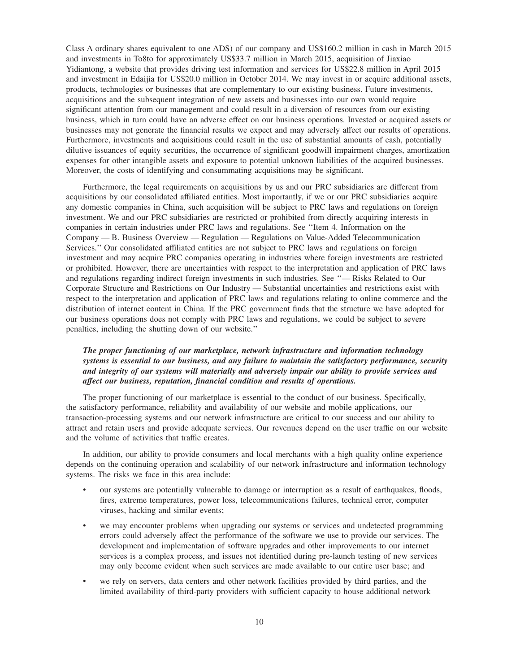Class A ordinary shares equivalent to one ADS) of our company and US\$160.2 million in cash in March 2015 and investments in To8to for approximately US\$33.7 million in March 2015, acquisition of Jiaxiao Yidiantong, a website that provides driving test information and services for US\$22.8 million in April 2015 and investment in Edaijia for US\$20.0 million in October 2014. We may invest in or acquire additional assets, products, technologies or businesses that are complementary to our existing business. Future investments, acquisitions and the subsequent integration of new assets and businesses into our own would require significant attention from our management and could result in a diversion of resources from our existing business, which in turn could have an adverse effect on our business operations. Invested or acquired assets or businesses may not generate the financial results we expect and may adversely affect our results of operations. Furthermore, investments and acquisitions could result in the use of substantial amounts of cash, potentially dilutive issuances of equity securities, the occurrence of significant goodwill impairment charges, amortization expenses for other intangible assets and exposure to potential unknown liabilities of the acquired businesses. Moreover, the costs of identifying and consummating acquisitions may be significant.

Furthermore, the legal requirements on acquisitions by us and our PRC subsidiaries are different from acquisitions by our consolidated affiliated entities. Most importantly, if we or our PRC subsidiaries acquire any domestic companies in China, such acquisition will be subject to PRC laws and regulations on foreign investment. We and our PRC subsidiaries are restricted or prohibited from directly acquiring interests in companies in certain industries under PRC laws and regulations. See ''Item 4. Information on the Company — B. Business Overview — Regulation — Regulations on Value-Added Telecommunication Services.'' Our consolidated affiliated entities are not subject to PRC laws and regulations on foreign investment and may acquire PRC companies operating in industries where foreign investments are restricted or prohibited. However, there are uncertainties with respect to the interpretation and application of PRC laws and regulations regarding indirect foreign investments in such industries. See ''— Risks Related to Our Corporate Structure and Restrictions on Our Industry — Substantial uncertainties and restrictions exist with respect to the interpretation and application of PRC laws and regulations relating to online commerce and the distribution of internet content in China. If the PRC government finds that the structure we have adopted for our business operations does not comply with PRC laws and regulations, we could be subject to severe penalties, including the shutting down of our website.''

### *The proper functioning of our marketplace, network infrastructure and information technology systems is essential to our business, and any failure to maintain the satisfactory performance, security and integrity of our systems will materially and adversely impair our ability to provide services and affect our business, reputation, financial condition and results of operations.*

The proper functioning of our marketplace is essential to the conduct of our business. Specifically, the satisfactory performance, reliability and availability of our website and mobile applications, our transaction-processing systems and our network infrastructure are critical to our success and our ability to attract and retain users and provide adequate services. Our revenues depend on the user traffic on our website and the volume of activities that traffic creates.

In addition, our ability to provide consumers and local merchants with a high quality online experience depends on the continuing operation and scalability of our network infrastructure and information technology systems. The risks we face in this area include:

- our systems are potentially vulnerable to damage or interruption as a result of earthquakes, floods, fires, extreme temperatures, power loss, telecommunications failures, technical error, computer viruses, hacking and similar events;
- we may encounter problems when upgrading our systems or services and undetected programming errors could adversely affect the performance of the software we use to provide our services. The development and implementation of software upgrades and other improvements to our internet services is a complex process, and issues not identified during pre-launch testing of new services may only become evident when such services are made available to our entire user base; and
- we rely on servers, data centers and other network facilities provided by third parties, and the limited availability of third-party providers with sufficient capacity to house additional network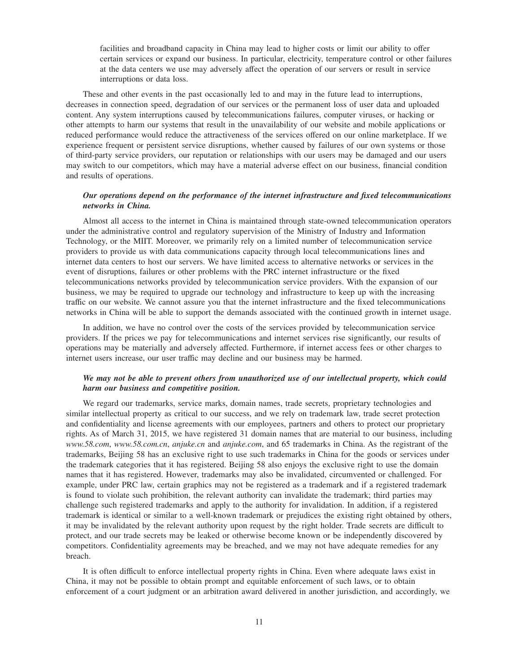facilities and broadband capacity in China may lead to higher costs or limit our ability to offer certain services or expand our business. In particular, electricity, temperature control or other failures at the data centers we use may adversely affect the operation of our servers or result in service interruptions or data loss.

These and other events in the past occasionally led to and may in the future lead to interruptions, decreases in connection speed, degradation of our services or the permanent loss of user data and uploaded content. Any system interruptions caused by telecommunications failures, computer viruses, or hacking or other attempts to harm our systems that result in the unavailability of our website and mobile applications or reduced performance would reduce the attractiveness of the services offered on our online marketplace. If we experience frequent or persistent service disruptions, whether caused by failures of our own systems or those of third-party service providers, our reputation or relationships with our users may be damaged and our users may switch to our competitors, which may have a material adverse effect on our business, financial condition and results of operations.

#### *Our operations depend on the performance of the internet infrastructure and fixed telecommunications networks in China.*

Almost all access to the internet in China is maintained through state-owned telecommunication operators under the administrative control and regulatory supervision of the Ministry of Industry and Information Technology, or the MIIT. Moreover, we primarily rely on a limited number of telecommunication service providers to provide us with data communications capacity through local telecommunications lines and internet data centers to host our servers. We have limited access to alternative networks or services in the event of disruptions, failures or other problems with the PRC internet infrastructure or the fixed telecommunications networks provided by telecommunication service providers. With the expansion of our business, we may be required to upgrade our technology and infrastructure to keep up with the increasing traffic on our website. We cannot assure you that the internet infrastructure and the fixed telecommunications networks in China will be able to support the demands associated with the continued growth in internet usage.

In addition, we have no control over the costs of the services provided by telecommunication service providers. If the prices we pay for telecommunications and internet services rise significantly, our results of operations may be materially and adversely affected. Furthermore, if internet access fees or other charges to internet users increase, our user traffic may decline and our business may be harmed.

#### *We may not be able to prevent others from unauthorized use of our intellectual property, which could harm our business and competitive position.*

We regard our trademarks, service marks, domain names, trade secrets, proprietary technologies and similar intellectual property as critical to our success, and we rely on trademark law, trade secret protection and confidentiality and license agreements with our employees, partners and others to protect our proprietary rights. As of March 31, 2015, we have registered 31 domain names that are material to our business, including *www.58.com*, *www.58.com.cn*, *anjuke.cn* and *anjuke.com*, and 65 trademarks in China. As the registrant of the trademarks, Beijing 58 has an exclusive right to use such trademarks in China for the goods or services under the trademark categories that it has registered. Beijing 58 also enjoys the exclusive right to use the domain names that it has registered. However, trademarks may also be invalidated, circumvented or challenged. For example, under PRC law, certain graphics may not be registered as a trademark and if a registered trademark is found to violate such prohibition, the relevant authority can invalidate the trademark; third parties may challenge such registered trademarks and apply to the authority for invalidation. In addition, if a registered trademark is identical or similar to a well-known trademark or prejudices the existing right obtained by others, it may be invalidated by the relevant authority upon request by the right holder. Trade secrets are difficult to protect, and our trade secrets may be leaked or otherwise become known or be independently discovered by competitors. Confidentiality agreements may be breached, and we may not have adequate remedies for any breach.

It is often difficult to enforce intellectual property rights in China. Even where adequate laws exist in China, it may not be possible to obtain prompt and equitable enforcement of such laws, or to obtain enforcement of a court judgment or an arbitration award delivered in another jurisdiction, and accordingly, we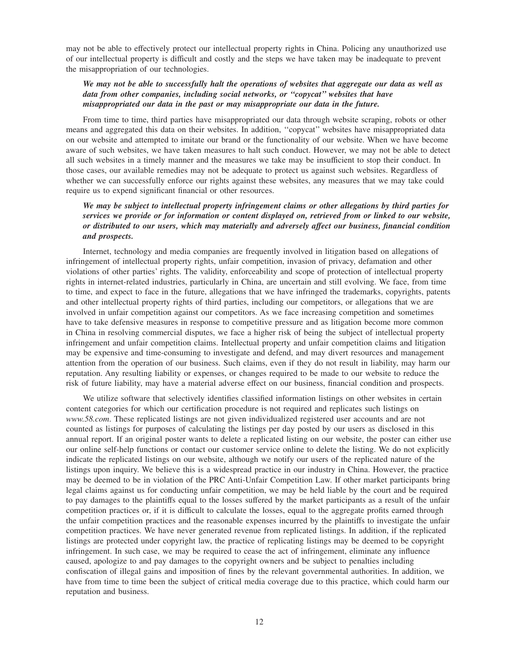may not be able to effectively protect our intellectual property rights in China. Policing any unauthorized use of our intellectual property is difficult and costly and the steps we have taken may be inadequate to prevent the misappropriation of our technologies.

### *We may not be able to successfully halt the operations of websites that aggregate our data as well as data from other companies, including social networks, or ''copycat'' websites that have misappropriated our data in the past or may misappropriate our data in the future.*

From time to time, third parties have misappropriated our data through website scraping, robots or other means and aggregated this data on their websites. In addition, ''copycat'' websites have misappropriated data on our website and attempted to imitate our brand or the functionality of our website. When we have become aware of such websites, we have taken measures to halt such conduct. However, we may not be able to detect all such websites in a timely manner and the measures we take may be insufficient to stop their conduct. In those cases, our available remedies may not be adequate to protect us against such websites. Regardless of whether we can successfully enforce our rights against these websites, any measures that we may take could require us to expend significant financial or other resources.

# *We may be subject to intellectual property infringement claims or other allegations by third parties for services we provide or for information or content displayed on, retrieved from or linked to our website, or distributed to our users, which may materially and adversely affect our business, financial condition and prospects.*

Internet, technology and media companies are frequently involved in litigation based on allegations of infringement of intellectual property rights, unfair competition, invasion of privacy, defamation and other violations of other parties' rights. The validity, enforceability and scope of protection of intellectual property rights in internet-related industries, particularly in China, are uncertain and still evolving. We face, from time to time, and expect to face in the future, allegations that we have infringed the trademarks, copyrights, patents and other intellectual property rights of third parties, including our competitors, or allegations that we are involved in unfair competition against our competitors. As we face increasing competition and sometimes have to take defensive measures in response to competitive pressure and as litigation become more common in China in resolving commercial disputes, we face a higher risk of being the subject of intellectual property infringement and unfair competition claims. Intellectual property and unfair competition claims and litigation may be expensive and time-consuming to investigate and defend, and may divert resources and management attention from the operation of our business. Such claims, even if they do not result in liability, may harm our reputation. Any resulting liability or expenses, or changes required to be made to our website to reduce the risk of future liability, may have a material adverse effect on our business, financial condition and prospects.

We utilize software that selectively identifies classified information listings on other websites in certain content categories for which our certification procedure is not required and replicates such listings on *www.58.com*. These replicated listings are not given individualized registered user accounts and are not counted as listings for purposes of calculating the listings per day posted by our users as disclosed in this annual report. If an original poster wants to delete a replicated listing on our website, the poster can either use our online self-help functions or contact our customer service online to delete the listing. We do not explicitly indicate the replicated listings on our website, although we notify our users of the replicated nature of the listings upon inquiry. We believe this is a widespread practice in our industry in China. However, the practice may be deemed to be in violation of the PRC Anti-Unfair Competition Law. If other market participants bring legal claims against us for conducting unfair competition, we may be held liable by the court and be required to pay damages to the plaintiffs equal to the losses suffered by the market participants as a result of the unfair competition practices or, if it is difficult to calculate the losses, equal to the aggregate profits earned through the unfair competition practices and the reasonable expenses incurred by the plaintiffs to investigate the unfair competition practices. We have never generated revenue from replicated listings. In addition, if the replicated listings are protected under copyright law, the practice of replicating listings may be deemed to be copyright infringement. In such case, we may be required to cease the act of infringement, eliminate any influence caused, apologize to and pay damages to the copyright owners and be subject to penalties including confiscation of illegal gains and imposition of fines by the relevant governmental authorities. In addition, we have from time to time been the subject of critical media coverage due to this practice, which could harm our reputation and business.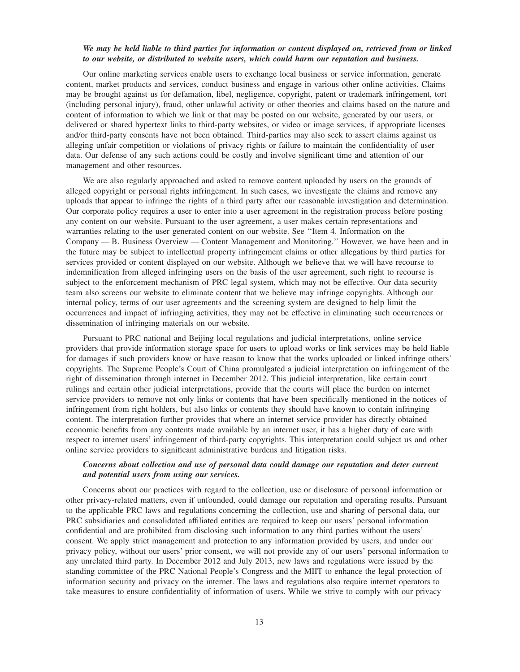#### *We may be held liable to third parties for information or content displayed on, retrieved from or linked to our website, or distributed to website users, which could harm our reputation and business.*

Our online marketing services enable users to exchange local business or service information, generate content, market products and services, conduct business and engage in various other online activities. Claims may be brought against us for defamation, libel, negligence, copyright, patent or trademark infringement, tort (including personal injury), fraud, other unlawful activity or other theories and claims based on the nature and content of information to which we link or that may be posted on our website, generated by our users, or delivered or shared hypertext links to third-party websites, or video or image services, if appropriate licenses and/or third-party consents have not been obtained. Third-parties may also seek to assert claims against us alleging unfair competition or violations of privacy rights or failure to maintain the confidentiality of user data. Our defense of any such actions could be costly and involve significant time and attention of our management and other resources.

We are also regularly approached and asked to remove content uploaded by users on the grounds of alleged copyright or personal rights infringement. In such cases, we investigate the claims and remove any uploads that appear to infringe the rights of a third party after our reasonable investigation and determination. Our corporate policy requires a user to enter into a user agreement in the registration process before posting any content on our website. Pursuant to the user agreement, a user makes certain representations and warranties relating to the user generated content on our website. See ''Item 4. Information on the Company — B. Business Overview — Content Management and Monitoring.'' However, we have been and in the future may be subject to intellectual property infringement claims or other allegations by third parties for services provided or content displayed on our website. Although we believe that we will have recourse to indemnification from alleged infringing users on the basis of the user agreement, such right to recourse is subject to the enforcement mechanism of PRC legal system, which may not be effective. Our data security team also screens our website to eliminate content that we believe may infringe copyrights. Although our internal policy, terms of our user agreements and the screening system are designed to help limit the occurrences and impact of infringing activities, they may not be effective in eliminating such occurrences or dissemination of infringing materials on our website.

Pursuant to PRC national and Beijing local regulations and judicial interpretations, online service providers that provide information storage space for users to upload works or link services may be held liable for damages if such providers know or have reason to know that the works uploaded or linked infringe others' copyrights. The Supreme People's Court of China promulgated a judicial interpretation on infringement of the right of dissemination through internet in December 2012. This judicial interpretation, like certain court rulings and certain other judicial interpretations, provide that the courts will place the burden on internet service providers to remove not only links or contents that have been specifically mentioned in the notices of infringement from right holders, but also links or contents they should have known to contain infringing content. The interpretation further provides that where an internet service provider has directly obtained economic benefits from any contents made available by an internet user, it has a higher duty of care with respect to internet users' infringement of third-party copyrights. This interpretation could subject us and other online service providers to significant administrative burdens and litigation risks.

### *Concerns about collection and use of personal data could damage our reputation and deter current and potential users from using our services.*

Concerns about our practices with regard to the collection, use or disclosure of personal information or other privacy-related matters, even if unfounded, could damage our reputation and operating results. Pursuant to the applicable PRC laws and regulations concerning the collection, use and sharing of personal data, our PRC subsidiaries and consolidated affiliated entities are required to keep our users' personal information confidential and are prohibited from disclosing such information to any third parties without the users' consent. We apply strict management and protection to any information provided by users, and under our privacy policy, without our users' prior consent, we will not provide any of our users' personal information to any unrelated third party. In December 2012 and July 2013, new laws and regulations were issued by the standing committee of the PRC National People's Congress and the MIIT to enhance the legal protection of information security and privacy on the internet. The laws and regulations also require internet operators to take measures to ensure confidentiality of information of users. While we strive to comply with our privacy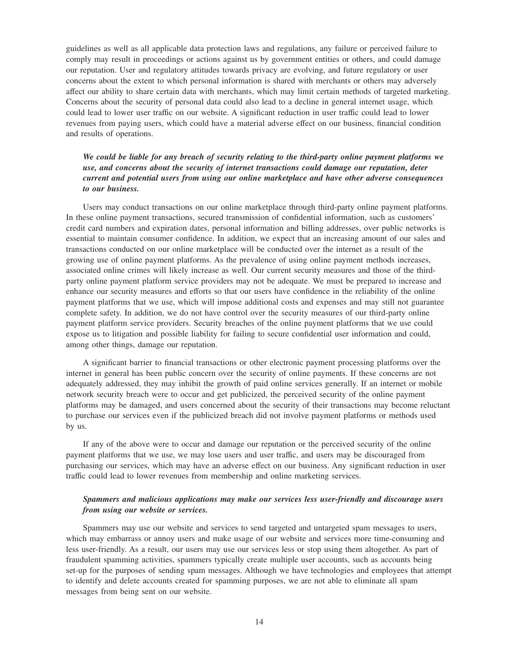guidelines as well as all applicable data protection laws and regulations, any failure or perceived failure to comply may result in proceedings or actions against us by government entities or others, and could damage our reputation. User and regulatory attitudes towards privacy are evolving, and future regulatory or user concerns about the extent to which personal information is shared with merchants or others may adversely affect our ability to share certain data with merchants, which may limit certain methods of targeted marketing. Concerns about the security of personal data could also lead to a decline in general internet usage, which could lead to lower user traffic on our website. A significant reduction in user traffic could lead to lower revenues from paying users, which could have a material adverse effect on our business, financial condition and results of operations.

# *We could be liable for any breach of security relating to the third-party online payment platforms we use, and concerns about the security of internet transactions could damage our reputation, deter current and potential users from using our online marketplace and have other adverse consequences to our business.*

Users may conduct transactions on our online marketplace through third-party online payment platforms. In these online payment transactions, secured transmission of confidential information, such as customers' credit card numbers and expiration dates, personal information and billing addresses, over public networks is essential to maintain consumer confidence. In addition, we expect that an increasing amount of our sales and transactions conducted on our online marketplace will be conducted over the internet as a result of the growing use of online payment platforms. As the prevalence of using online payment methods increases, associated online crimes will likely increase as well. Our current security measures and those of the thirdparty online payment platform service providers may not be adequate. We must be prepared to increase and enhance our security measures and efforts so that our users have confidence in the reliability of the online payment platforms that we use, which will impose additional costs and expenses and may still not guarantee complete safety. In addition, we do not have control over the security measures of our third-party online payment platform service providers. Security breaches of the online payment platforms that we use could expose us to litigation and possible liability for failing to secure confidential user information and could, among other things, damage our reputation.

A significant barrier to financial transactions or other electronic payment processing platforms over the internet in general has been public concern over the security of online payments. If these concerns are not adequately addressed, they may inhibit the growth of paid online services generally. If an internet or mobile network security breach were to occur and get publicized, the perceived security of the online payment platforms may be damaged, and users concerned about the security of their transactions may become reluctant to purchase our services even if the publicized breach did not involve payment platforms or methods used by us.

If any of the above were to occur and damage our reputation or the perceived security of the online payment platforms that we use, we may lose users and user traffic, and users may be discouraged from purchasing our services, which may have an adverse effect on our business. Any significant reduction in user traffic could lead to lower revenues from membership and online marketing services.

### *Spammers and malicious applications may make our services less user-friendly and discourage users from using our website or services.*

Spammers may use our website and services to send targeted and untargeted spam messages to users, which may embarrass or annoy users and make usage of our website and services more time-consuming and less user-friendly. As a result, our users may use our services less or stop using them altogether. As part of fraudulent spamming activities, spammers typically create multiple user accounts, such as accounts being set-up for the purposes of sending spam messages. Although we have technologies and employees that attempt to identify and delete accounts created for spamming purposes, we are not able to eliminate all spam messages from being sent on our website.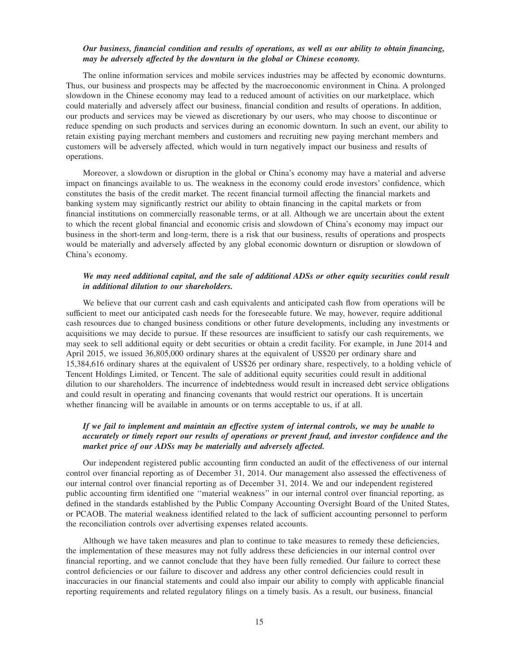#### *Our business, financial condition and results of operations, as well as our ability to obtain financing, may be adversely affected by the downturn in the global or Chinese economy.*

The online information services and mobile services industries may be affected by economic downturns. Thus, our business and prospects may be affected by the macroeconomic environment in China. A prolonged slowdown in the Chinese economy may lead to a reduced amount of activities on our marketplace, which could materially and adversely affect our business, financial condition and results of operations. In addition, our products and services may be viewed as discretionary by our users, who may choose to discontinue or reduce spending on such products and services during an economic downturn. In such an event, our ability to retain existing paying merchant members and customers and recruiting new paying merchant members and customers will be adversely affected, which would in turn negatively impact our business and results of operations.

Moreover, a slowdown or disruption in the global or China's economy may have a material and adverse impact on financings available to us. The weakness in the economy could erode investors' confidence, which constitutes the basis of the credit market. The recent financial turmoil affecting the financial markets and banking system may significantly restrict our ability to obtain financing in the capital markets or from financial institutions on commercially reasonable terms, or at all. Although we are uncertain about the extent to which the recent global financial and economic crisis and slowdown of China's economy may impact our business in the short-term and long-term, there is a risk that our business, results of operations and prospects would be materially and adversely affected by any global economic downturn or disruption or slowdown of China's economy.

#### *We may need additional capital, and the sale of additional ADSs or other equity securities could result in additional dilution to our shareholders.*

We believe that our current cash and cash equivalents and anticipated cash flow from operations will be sufficient to meet our anticipated cash needs for the foreseeable future. We may, however, require additional cash resources due to changed business conditions or other future developments, including any investments or acquisitions we may decide to pursue. If these resources are insufficient to satisfy our cash requirements, we may seek to sell additional equity or debt securities or obtain a credit facility. For example, in June 2014 and April 2015, we issued 36,805,000 ordinary shares at the equivalent of US\$20 per ordinary share and 15,384,616 ordinary shares at the equivalent of US\$26 per ordinary share, respectively, to a holding vehicle of Tencent Holdings Limited, or Tencent. The sale of additional equity securities could result in additional dilution to our shareholders. The incurrence of indebtedness would result in increased debt service obligations and could result in operating and financing covenants that would restrict our operations. It is uncertain whether financing will be available in amounts or on terms acceptable to us, if at all.

# *If we fail to implement and maintain an effective system of internal controls, we may be unable to accurately or timely report our results of operations or prevent fraud, and investor confidence and the market price of our ADSs may be materially and adversely affected.*

Our independent registered public accounting firm conducted an audit of the effectiveness of our internal control over financial reporting as of December 31, 2014. Our management also assessed the effectiveness of our internal control over financial reporting as of December 31, 2014. We and our independent registered public accounting firm identified one ''material weakness'' in our internal control over financial reporting, as defined in the standards established by the Public Company Accounting Oversight Board of the United States, or PCAOB. The material weakness identified related to the lack of sufficient accounting personnel to perform the reconciliation controls over advertising expenses related accounts.

Although we have taken measures and plan to continue to take measures to remedy these deficiencies, the implementation of these measures may not fully address these deficiencies in our internal control over financial reporting, and we cannot conclude that they have been fully remedied. Our failure to correct these control deficiencies or our failure to discover and address any other control deficiencies could result in inaccuracies in our financial statements and could also impair our ability to comply with applicable financial reporting requirements and related regulatory filings on a timely basis. As a result, our business, financial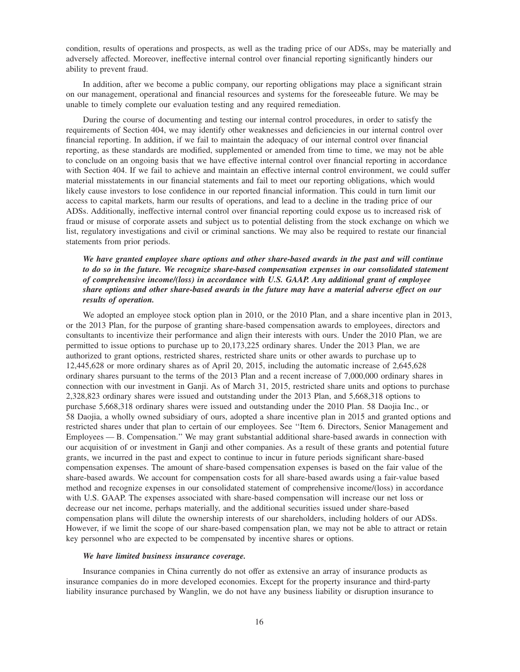condition, results of operations and prospects, as well as the trading price of our ADSs, may be materially and adversely affected. Moreover, ineffective internal control over financial reporting significantly hinders our ability to prevent fraud.

In addition, after we become a public company, our reporting obligations may place a significant strain on our management, operational and financial resources and systems for the foreseeable future. We may be unable to timely complete our evaluation testing and any required remediation.

During the course of documenting and testing our internal control procedures, in order to satisfy the requirements of Section 404, we may identify other weaknesses and deficiencies in our internal control over financial reporting. In addition, if we fail to maintain the adequacy of our internal control over financial reporting, as these standards are modified, supplemented or amended from time to time, we may not be able to conclude on an ongoing basis that we have effective internal control over financial reporting in accordance with Section 404. If we fail to achieve and maintain an effective internal control environment, we could suffer material misstatements in our financial statements and fail to meet our reporting obligations, which would likely cause investors to lose confidence in our reported financial information. This could in turn limit our access to capital markets, harm our results of operations, and lead to a decline in the trading price of our ADSs. Additionally, ineffective internal control over financial reporting could expose us to increased risk of fraud or misuse of corporate assets and subject us to potential delisting from the stock exchange on which we list, regulatory investigations and civil or criminal sanctions. We may also be required to restate our financial statements from prior periods.

### *We have granted employee share options and other share-based awards in the past and will continue to do so in the future. We recognize share-based compensation expenses in our consolidated statement of comprehensive income/(loss) in accordance with U.S. GAAP. Any additional grant of employee share options and other share-based awards in the future may have a material adverse effect on our results of operation.*

We adopted an employee stock option plan in 2010, or the 2010 Plan, and a share incentive plan in 2013, or the 2013 Plan, for the purpose of granting share-based compensation awards to employees, directors and consultants to incentivize their performance and align their interests with ours. Under the 2010 Plan, we are permitted to issue options to purchase up to 20,173,225 ordinary shares. Under the 2013 Plan, we are authorized to grant options, restricted shares, restricted share units or other awards to purchase up to 12,445,628 or more ordinary shares as of April 20, 2015, including the automatic increase of 2,645,628 ordinary shares pursuant to the terms of the 2013 Plan and a recent increase of 7,000,000 ordinary shares in connection with our investment in Ganji. As of March 31, 2015, restricted share units and options to purchase 2,328,823 ordinary shares were issued and outstanding under the 2013 Plan, and 5,668,318 options to purchase 5,668,318 ordinary shares were issued and outstanding under the 2010 Plan. 58 Daojia Inc., or 58 Daojia, a wholly owned subsidiary of ours, adopted a share incentive plan in 2015 and granted options and restricted shares under that plan to certain of our employees. See ''Item 6. Directors, Senior Management and Employees — B. Compensation.'' We may grant substantial additional share-based awards in connection with our acquisition of or investment in Ganji and other companies. As a result of these grants and potential future grants, we incurred in the past and expect to continue to incur in future periods significant share-based compensation expenses. The amount of share-based compensation expenses is based on the fair value of the share-based awards. We account for compensation costs for all share-based awards using a fair-value based method and recognize expenses in our consolidated statement of comprehensive income/(loss) in accordance with U.S. GAAP. The expenses associated with share-based compensation will increase our net loss or decrease our net income, perhaps materially, and the additional securities issued under share-based compensation plans will dilute the ownership interests of our shareholders, including holders of our ADSs. However, if we limit the scope of our share-based compensation plan, we may not be able to attract or retain key personnel who are expected to be compensated by incentive shares or options.

#### *We have limited business insurance coverage.*

Insurance companies in China currently do not offer as extensive an array of insurance products as insurance companies do in more developed economies. Except for the property insurance and third-party liability insurance purchased by Wanglin, we do not have any business liability or disruption insurance to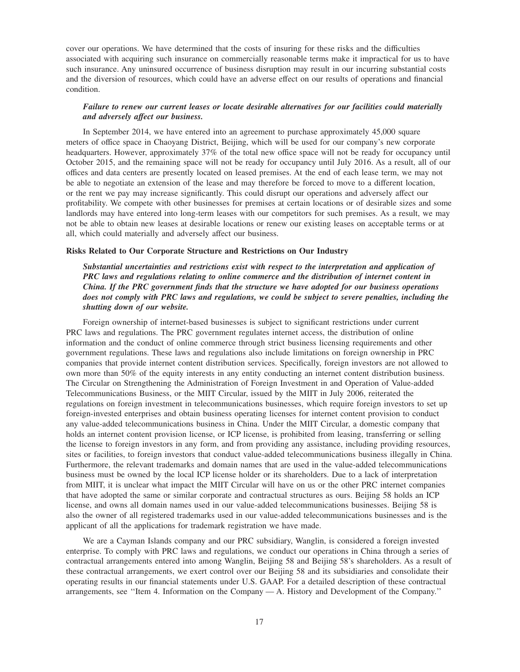cover our operations. We have determined that the costs of insuring for these risks and the difficulties associated with acquiring such insurance on commercially reasonable terms make it impractical for us to have such insurance. Any uninsured occurrence of business disruption may result in our incurring substantial costs and the diversion of resources, which could have an adverse effect on our results of operations and financial condition.

### *Failure to renew our current leases or locate desirable alternatives for our facilities could materially and adversely affect our business.*

In September 2014, we have entered into an agreement to purchase approximately 45,000 square meters of office space in Chaoyang District, Beijing, which will be used for our company's new corporate headquarters. However, approximately 37% of the total new office space will not be ready for occupancy until October 2015, and the remaining space will not be ready for occupancy until July 2016. As a result, all of our offices and data centers are presently located on leased premises. At the end of each lease term, we may not be able to negotiate an extension of the lease and may therefore be forced to move to a different location, or the rent we pay may increase significantly. This could disrupt our operations and adversely affect our profitability. We compete with other businesses for premises at certain locations or of desirable sizes and some landlords may have entered into long-term leases with our competitors for such premises. As a result, we may not be able to obtain new leases at desirable locations or renew our existing leases on acceptable terms or at all, which could materially and adversely affect our business.

#### **Risks Related to Our Corporate Structure and Restrictions on Our Industry**

*Substantial uncertainties and restrictions exist with respect to the interpretation and application of PRC laws and regulations relating to online commerce and the distribution of internet content in China. If the PRC government finds that the structure we have adopted for our business operations does not comply with PRC laws and regulations, we could be subject to severe penalties, including the shutting down of our website.*

Foreign ownership of internet-based businesses is subject to significant restrictions under current PRC laws and regulations. The PRC government regulates internet access, the distribution of online information and the conduct of online commerce through strict business licensing requirements and other government regulations. These laws and regulations also include limitations on foreign ownership in PRC companies that provide internet content distribution services. Specifically, foreign investors are not allowed to own more than 50% of the equity interests in any entity conducting an internet content distribution business. The Circular on Strengthening the Administration of Foreign Investment in and Operation of Value-added Telecommunications Business, or the MIIT Circular, issued by the MIIT in July 2006, reiterated the regulations on foreign investment in telecommunications businesses, which require foreign investors to set up foreign-invested enterprises and obtain business operating licenses for internet content provision to conduct any value-added telecommunications business in China. Under the MIIT Circular, a domestic company that holds an internet content provision license, or ICP license, is prohibited from leasing, transferring or selling the license to foreign investors in any form, and from providing any assistance, including providing resources, sites or facilities, to foreign investors that conduct value-added telecommunications business illegally in China. Furthermore, the relevant trademarks and domain names that are used in the value-added telecommunications business must be owned by the local ICP license holder or its shareholders. Due to a lack of interpretation from MIIT, it is unclear what impact the MIIT Circular will have on us or the other PRC internet companies that have adopted the same or similar corporate and contractual structures as ours. Beijing 58 holds an ICP license, and owns all domain names used in our value-added telecommunications businesses. Beijing 58 is also the owner of all registered trademarks used in our value-added telecommunications businesses and is the applicant of all the applications for trademark registration we have made.

We are a Cayman Islands company and our PRC subsidiary, Wanglin, is considered a foreign invested enterprise. To comply with PRC laws and regulations, we conduct our operations in China through a series of contractual arrangements entered into among Wanglin, Beijing 58 and Beijing 58's shareholders. As a result of these contractual arrangements, we exert control over our Beijing 58 and its subsidiaries and consolidate their operating results in our financial statements under U.S. GAAP. For a detailed description of these contractual arrangements, see ''Item 4. Information on the Company — A. History and Development of the Company.''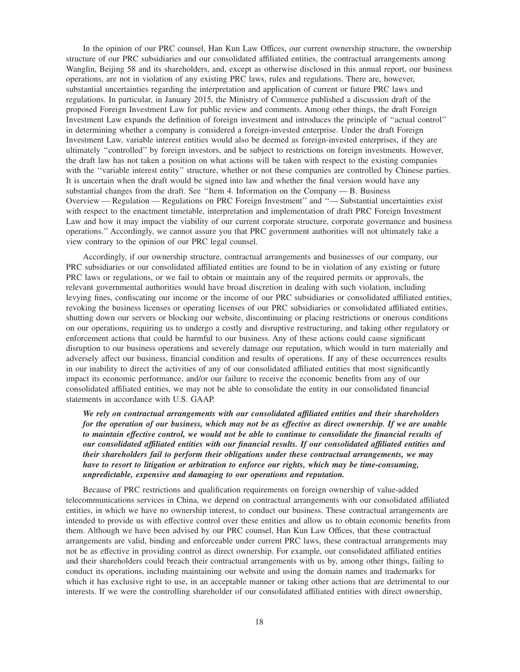In the opinion of our PRC counsel, Han Kun Law Offices, our current ownership structure, the ownership structure of our PRC subsidiaries and our consolidated affiliated entities, the contractual arrangements among Wanglin, Beijing 58 and its shareholders, and, except as otherwise disclosed in this annual report, our business operations, are not in violation of any existing PRC laws, rules and regulations. There are, however, substantial uncertainties regarding the interpretation and application of current or future PRC laws and regulations. In particular, in January 2015, the Ministry of Commerce published a discussion draft of the proposed Foreign Investment Law for public review and comments. Among other things, the draft Foreign Investment Law expands the definition of foreign investment and introduces the principle of ''actual control'' in determining whether a company is considered a foreign-invested enterprise. Under the draft Foreign Investment Law, variable interest entities would also be deemed as foreign-invested enterprises, if they are ultimately ''controlled'' by foreign investors, and be subject to restrictions on foreign investments. However, the draft law has not taken a position on what actions will be taken with respect to the existing companies with the "variable interest entity" structure, whether or not these companies are controlled by Chinese parties. It is uncertain when the draft would be signed into law and whether the final version would have any substantial changes from the draft. See ''Item 4. Information on the Company — B. Business Overview — Regulation — Regulations on PRC Foreign Investment'' and ''— Substantial uncertainties exist with respect to the enactment timetable, interpretation and implementation of draft PRC Foreign Investment Law and how it may impact the viability of our current corporate structure, corporate governance and business operations.'' Accordingly, we cannot assure you that PRC government authorities will not ultimately take a view contrary to the opinion of our PRC legal counsel.

Accordingly, if our ownership structure, contractual arrangements and businesses of our company, our PRC subsidiaries or our consolidated affiliated entities are found to be in violation of any existing or future PRC laws or regulations, or we fail to obtain or maintain any of the required permits or approvals, the relevant governmental authorities would have broad discretion in dealing with such violation, including levying fines, confiscating our income or the income of our PRC subsidiaries or consolidated affiliated entities, revoking the business licenses or operating licenses of our PRC subsidiaries or consolidated affiliated entities, shutting down our servers or blocking our website, discontinuing or placing restrictions or onerous conditions on our operations, requiring us to undergo a costly and disruptive restructuring, and taking other regulatory or enforcement actions that could be harmful to our business. Any of these actions could cause significant disruption to our business operations and severely damage our reputation, which would in turn materially and adversely affect our business, financial condition and results of operations. If any of these occurrences results in our inability to direct the activities of any of our consolidated affiliated entities that most significantly impact its economic performance, and/or our failure to receive the economic benefits from any of our consolidated affiliated entities, we may not be able to consolidate the entity in our consolidated financial statements in accordance with U.S. GAAP.

*We rely on contractual arrangements with our consolidated affiliated entities and their shareholders for the operation of our business, which may not be as effective as direct ownership. If we are unable to maintain effective control, we would not be able to continue to consolidate the financial results of our consolidated affiliated entities with our financial results. If our consolidated affiliated entities and their shareholders fail to perform their obligations under these contractual arrangements, we may have to resort to litigation or arbitration to enforce our rights, which may be time-consuming, unpredictable, expensive and damaging to our operations and reputation.*

Because of PRC restrictions and qualification requirements on foreign ownership of value-added telecommunications services in China, we depend on contractual arrangements with our consolidated affiliated entities, in which we have no ownership interest, to conduct our business. These contractual arrangements are intended to provide us with effective control over these entities and allow us to obtain economic benefits from them. Although we have been advised by our PRC counsel, Han Kun Law Offices, that these contractual arrangements are valid, binding and enforceable under current PRC laws, these contractual arrangements may not be as effective in providing control as direct ownership. For example, our consolidated affiliated entities and their shareholders could breach their contractual arrangements with us by, among other things, failing to conduct its operations, including maintaining our website and using the domain names and trademarks for which it has exclusive right to use, in an acceptable manner or taking other actions that are detrimental to our interests. If we were the controlling shareholder of our consolidated affiliated entities with direct ownership,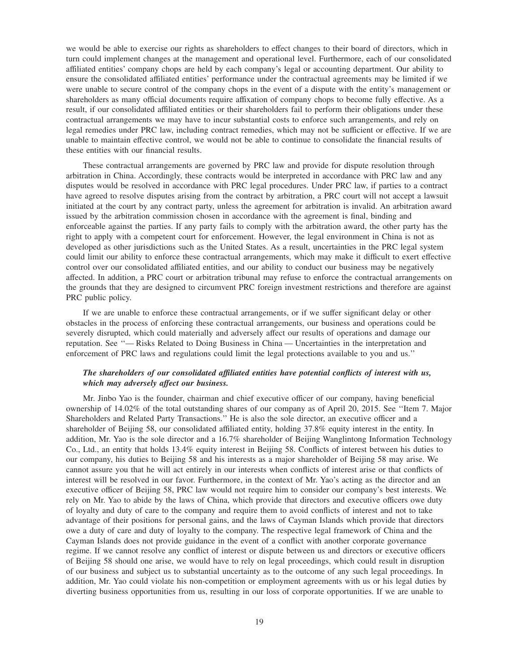we would be able to exercise our rights as shareholders to effect changes to their board of directors, which in turn could implement changes at the management and operational level. Furthermore, each of our consolidated affiliated entities' company chops are held by each company's legal or accounting department. Our ability to ensure the consolidated affiliated entities' performance under the contractual agreements may be limited if we were unable to secure control of the company chops in the event of a dispute with the entity's management or shareholders as many official documents require affixation of company chops to become fully effective. As a result, if our consolidated affiliated entities or their shareholders fail to perform their obligations under these contractual arrangements we may have to incur substantial costs to enforce such arrangements, and rely on legal remedies under PRC law, including contract remedies, which may not be sufficient or effective. If we are unable to maintain effective control, we would not be able to continue to consolidate the financial results of these entities with our financial results.

These contractual arrangements are governed by PRC law and provide for dispute resolution through arbitration in China. Accordingly, these contracts would be interpreted in accordance with PRC law and any disputes would be resolved in accordance with PRC legal procedures. Under PRC law, if parties to a contract have agreed to resolve disputes arising from the contract by arbitration, a PRC court will not accept a lawsuit initiated at the court by any contract party, unless the agreement for arbitration is invalid. An arbitration award issued by the arbitration commission chosen in accordance with the agreement is final, binding and enforceable against the parties. If any party fails to comply with the arbitration award, the other party has the right to apply with a competent court for enforcement. However, the legal environment in China is not as developed as other jurisdictions such as the United States. As a result, uncertainties in the PRC legal system could limit our ability to enforce these contractual arrangements, which may make it difficult to exert effective control over our consolidated affiliated entities, and our ability to conduct our business may be negatively affected. In addition, a PRC court or arbitration tribunal may refuse to enforce the contractual arrangements on the grounds that they are designed to circumvent PRC foreign investment restrictions and therefore are against PRC public policy.

If we are unable to enforce these contractual arrangements, or if we suffer significant delay or other obstacles in the process of enforcing these contractual arrangements, our business and operations could be severely disrupted, which could materially and adversely affect our results of operations and damage our reputation. See ''— Risks Related to Doing Business in China — Uncertainties in the interpretation and enforcement of PRC laws and regulations could limit the legal protections available to you and us.''

### *The shareholders of our consolidated affiliated entities have potential conflicts of interest with us, which may adversely affect our business.*

Mr. Jinbo Yao is the founder, chairman and chief executive officer of our company, having beneficial ownership of 14.02% of the total outstanding shares of our company as of April 20, 2015. See ''Item 7. Major Shareholders and Related Party Transactions.'' He is also the sole director, an executive officer and a shareholder of Beijing 58, our consolidated affiliated entity, holding 37.8% equity interest in the entity. In addition, Mr. Yao is the sole director and a 16.7% shareholder of Beijing Wanglintong Information Technology Co., Ltd., an entity that holds 13.4% equity interest in Beijing 58. Conflicts of interest between his duties to our company, his duties to Beijing 58 and his interests as a major shareholder of Beijing 58 may arise. We cannot assure you that he will act entirely in our interests when conflicts of interest arise or that conflicts of interest will be resolved in our favor. Furthermore, in the context of Mr. Yao's acting as the director and an executive officer of Beijing 58, PRC law would not require him to consider our company's best interests. We rely on Mr. Yao to abide by the laws of China, which provide that directors and executive officers owe duty of loyalty and duty of care to the company and require them to avoid conflicts of interest and not to take advantage of their positions for personal gains, and the laws of Cayman Islands which provide that directors owe a duty of care and duty of loyalty to the company. The respective legal framework of China and the Cayman Islands does not provide guidance in the event of a conflict with another corporate governance regime. If we cannot resolve any conflict of interest or dispute between us and directors or executive officers of Beijing 58 should one arise, we would have to rely on legal proceedings, which could result in disruption of our business and subject us to substantial uncertainty as to the outcome of any such legal proceedings. In addition, Mr. Yao could violate his non-competition or employment agreements with us or his legal duties by diverting business opportunities from us, resulting in our loss of corporate opportunities. If we are unable to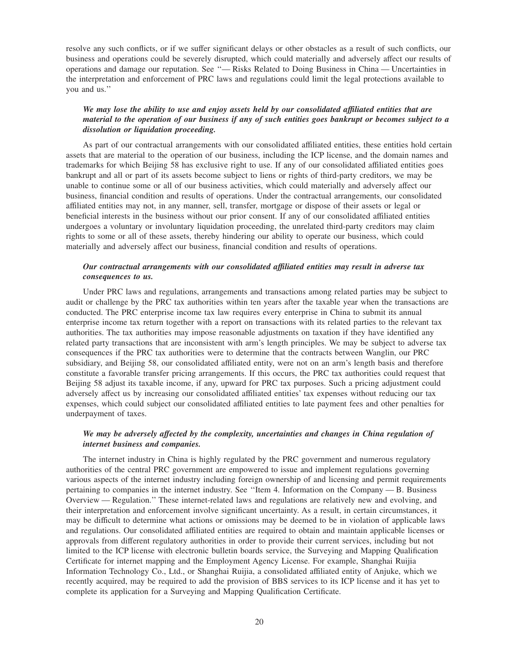resolve any such conflicts, or if we suffer significant delays or other obstacles as a result of such conflicts, our business and operations could be severely disrupted, which could materially and adversely affect our results of operations and damage our reputation. See ''— Risks Related to Doing Business in China — Uncertainties in the interpretation and enforcement of PRC laws and regulations could limit the legal protections available to you and us.''

#### *We may lose the ability to use and enjoy assets held by our consolidated affiliated entities that are material to the operation of our business if any of such entities goes bankrupt or becomes subject to a dissolution or liquidation proceeding.*

As part of our contractual arrangements with our consolidated affiliated entities, these entities hold certain assets that are material to the operation of our business, including the ICP license, and the domain names and trademarks for which Beijing 58 has exclusive right to use. If any of our consolidated affiliated entities goes bankrupt and all or part of its assets become subject to liens or rights of third-party creditors, we may be unable to continue some or all of our business activities, which could materially and adversely affect our business, financial condition and results of operations. Under the contractual arrangements, our consolidated affiliated entities may not, in any manner, sell, transfer, mortgage or dispose of their assets or legal or beneficial interests in the business without our prior consent. If any of our consolidated affiliated entities undergoes a voluntary or involuntary liquidation proceeding, the unrelated third-party creditors may claim rights to some or all of these assets, thereby hindering our ability to operate our business, which could materially and adversely affect our business, financial condition and results of operations.

#### *Our contractual arrangements with our consolidated affiliated entities may result in adverse tax consequences to us.*

Under PRC laws and regulations, arrangements and transactions among related parties may be subject to audit or challenge by the PRC tax authorities within ten years after the taxable year when the transactions are conducted. The PRC enterprise income tax law requires every enterprise in China to submit its annual enterprise income tax return together with a report on transactions with its related parties to the relevant tax authorities. The tax authorities may impose reasonable adjustments on taxation if they have identified any related party transactions that are inconsistent with arm's length principles. We may be subject to adverse tax consequences if the PRC tax authorities were to determine that the contracts between Wanglin, our PRC subsidiary, and Beijing 58, our consolidated affiliated entity, were not on an arm's length basis and therefore constitute a favorable transfer pricing arrangements. If this occurs, the PRC tax authorities could request that Beijing 58 adjust its taxable income, if any, upward for PRC tax purposes. Such a pricing adjustment could adversely affect us by increasing our consolidated affiliated entities' tax expenses without reducing our tax expenses, which could subject our consolidated affiliated entities to late payment fees and other penalties for underpayment of taxes.

### *We may be adversely affected by the complexity, uncertainties and changes in China regulation of internet business and companies.*

The internet industry in China is highly regulated by the PRC government and numerous regulatory authorities of the central PRC government are empowered to issue and implement regulations governing various aspects of the internet industry including foreign ownership of and licensing and permit requirements pertaining to companies in the internet industry. See ''Item 4. Information on the Company — B. Business Overview — Regulation.'' These internet-related laws and regulations are relatively new and evolving, and their interpretation and enforcement involve significant uncertainty. As a result, in certain circumstances, it may be difficult to determine what actions or omissions may be deemed to be in violation of applicable laws and regulations. Our consolidated affiliated entities are required to obtain and maintain applicable licenses or approvals from different regulatory authorities in order to provide their current services, including but not limited to the ICP license with electronic bulletin boards service, the Surveying and Mapping Qualification Certificate for internet mapping and the Employment Agency License. For example, Shanghai Ruijia Information Technology Co., Ltd., or Shanghai Ruijia, a consolidated affiliated entity of Anjuke, which we recently acquired, may be required to add the provision of BBS services to its ICP license and it has yet to complete its application for a Surveying and Mapping Qualification Certificate.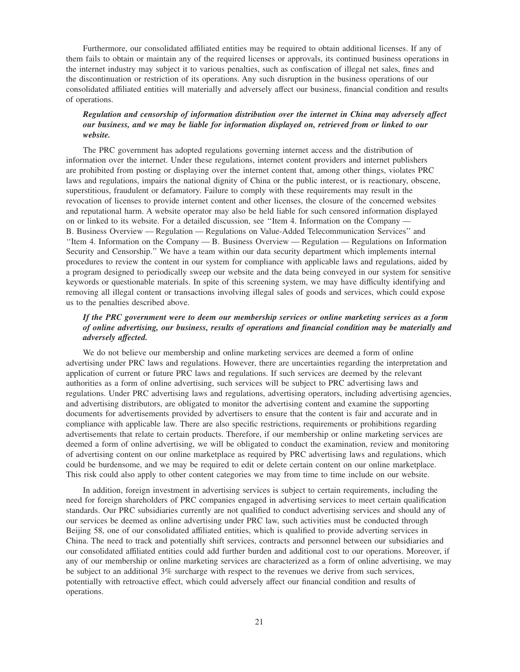Furthermore, our consolidated affiliated entities may be required to obtain additional licenses. If any of them fails to obtain or maintain any of the required licenses or approvals, its continued business operations in the internet industry may subject it to various penalties, such as confiscation of illegal net sales, fines and the discontinuation or restriction of its operations. Any such disruption in the business operations of our consolidated affiliated entities will materially and adversely affect our business, financial condition and results of operations.

### *Regulation and censorship of information distribution over the internet in China may adversely affect our business, and we may be liable for information displayed on, retrieved from or linked to our website.*

The PRC government has adopted regulations governing internet access and the distribution of information over the internet. Under these regulations, internet content providers and internet publishers are prohibited from posting or displaying over the internet content that, among other things, violates PRC laws and regulations, impairs the national dignity of China or the public interest, or is reactionary, obscene, superstitious, fraudulent or defamatory. Failure to comply with these requirements may result in the revocation of licenses to provide internet content and other licenses, the closure of the concerned websites and reputational harm. A website operator may also be held liable for such censored information displayed on or linked to its website. For a detailed discussion, see ''Item 4. Information on the Company — B. Business Overview — Regulation — Regulations on Value-Added Telecommunication Services'' and ''Item 4. Information on the Company — B. Business Overview — Regulation — Regulations on Information Security and Censorship.'' We have a team within our data security department which implements internal procedures to review the content in our system for compliance with applicable laws and regulations, aided by a program designed to periodically sweep our website and the data being conveyed in our system for sensitive keywords or questionable materials. In spite of this screening system, we may have difficulty identifying and removing all illegal content or transactions involving illegal sales of goods and services, which could expose us to the penalties described above.

# *If the PRC government were to deem our membership services or online marketing services as a form of online advertising, our business, results of operations and financial condition may be materially and adversely affected.*

We do not believe our membership and online marketing services are deemed a form of online advertising under PRC laws and regulations. However, there are uncertainties regarding the interpretation and application of current or future PRC laws and regulations. If such services are deemed by the relevant authorities as a form of online advertising, such services will be subject to PRC advertising laws and regulations. Under PRC advertising laws and regulations, advertising operators, including advertising agencies, and advertising distributors, are obligated to monitor the advertising content and examine the supporting documents for advertisements provided by advertisers to ensure that the content is fair and accurate and in compliance with applicable law. There are also specific restrictions, requirements or prohibitions regarding advertisements that relate to certain products. Therefore, if our membership or online marketing services are deemed a form of online advertising, we will be obligated to conduct the examination, review and monitoring of advertising content on our online marketplace as required by PRC advertising laws and regulations, which could be burdensome, and we may be required to edit or delete certain content on our online marketplace. This risk could also apply to other content categories we may from time to time include on our website.

In addition, foreign investment in advertising services is subject to certain requirements, including the need for foreign shareholders of PRC companies engaged in advertising services to meet certain qualification standards. Our PRC subsidiaries currently are not qualified to conduct advertising services and should any of our services be deemed as online advertising under PRC law, such activities must be conducted through Beijing 58, one of our consolidated affiliated entities, which is qualified to provide adverting services in China. The need to track and potentially shift services, contracts and personnel between our subsidiaries and our consolidated affiliated entities could add further burden and additional cost to our operations. Moreover, if any of our membership or online marketing services are characterized as a form of online advertising, we may be subject to an additional 3% surcharge with respect to the revenues we derive from such services, potentially with retroactive effect, which could adversely affect our financial condition and results of operations.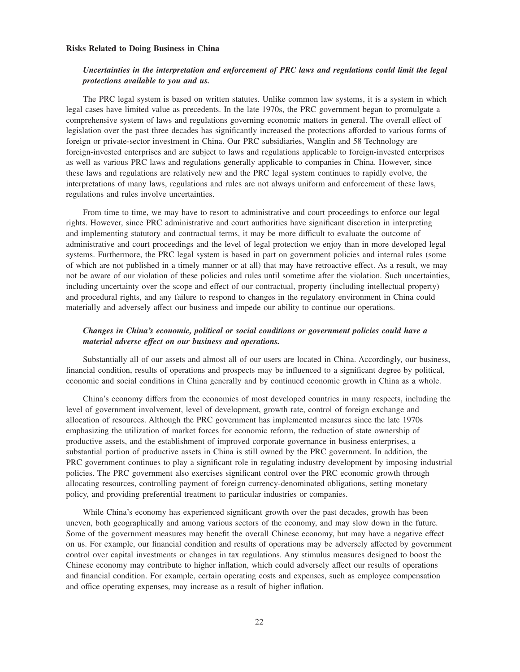#### **Risks Related to Doing Business in China**

### *Uncertainties in the interpretation and enforcement of PRC laws and regulations could limit the legal protections available to you and us.*

The PRC legal system is based on written statutes. Unlike common law systems, it is a system in which legal cases have limited value as precedents. In the late 1970s, the PRC government began to promulgate a comprehensive system of laws and regulations governing economic matters in general. The overall effect of legislation over the past three decades has significantly increased the protections afforded to various forms of foreign or private-sector investment in China. Our PRC subsidiaries, Wanglin and 58 Technology are foreign-invested enterprises and are subject to laws and regulations applicable to foreign-invested enterprises as well as various PRC laws and regulations generally applicable to companies in China. However, since these laws and regulations are relatively new and the PRC legal system continues to rapidly evolve, the interpretations of many laws, regulations and rules are not always uniform and enforcement of these laws, regulations and rules involve uncertainties.

From time to time, we may have to resort to administrative and court proceedings to enforce our legal rights. However, since PRC administrative and court authorities have significant discretion in interpreting and implementing statutory and contractual terms, it may be more difficult to evaluate the outcome of administrative and court proceedings and the level of legal protection we enjoy than in more developed legal systems. Furthermore, the PRC legal system is based in part on government policies and internal rules (some of which are not published in a timely manner or at all) that may have retroactive effect. As a result, we may not be aware of our violation of these policies and rules until sometime after the violation. Such uncertainties, including uncertainty over the scope and effect of our contractual, property (including intellectual property) and procedural rights, and any failure to respond to changes in the regulatory environment in China could materially and adversely affect our business and impede our ability to continue our operations.

# *Changes in China's economic, political or social conditions or government policies could have a material adverse effect on our business and operations.*

Substantially all of our assets and almost all of our users are located in China. Accordingly, our business, financial condition, results of operations and prospects may be influenced to a significant degree by political, economic and social conditions in China generally and by continued economic growth in China as a whole.

China's economy differs from the economies of most developed countries in many respects, including the level of government involvement, level of development, growth rate, control of foreign exchange and allocation of resources. Although the PRC government has implemented measures since the late 1970s emphasizing the utilization of market forces for economic reform, the reduction of state ownership of productive assets, and the establishment of improved corporate governance in business enterprises, a substantial portion of productive assets in China is still owned by the PRC government. In addition, the PRC government continues to play a significant role in regulating industry development by imposing industrial policies. The PRC government also exercises significant control over the PRC economic growth through allocating resources, controlling payment of foreign currency-denominated obligations, setting monetary policy, and providing preferential treatment to particular industries or companies.

While China's economy has experienced significant growth over the past decades, growth has been uneven, both geographically and among various sectors of the economy, and may slow down in the future. Some of the government measures may benefit the overall Chinese economy, but may have a negative effect on us. For example, our financial condition and results of operations may be adversely affected by government control over capital investments or changes in tax regulations. Any stimulus measures designed to boost the Chinese economy may contribute to higher inflation, which could adversely affect our results of operations and financial condition. For example, certain operating costs and expenses, such as employee compensation and office operating expenses, may increase as a result of higher inflation.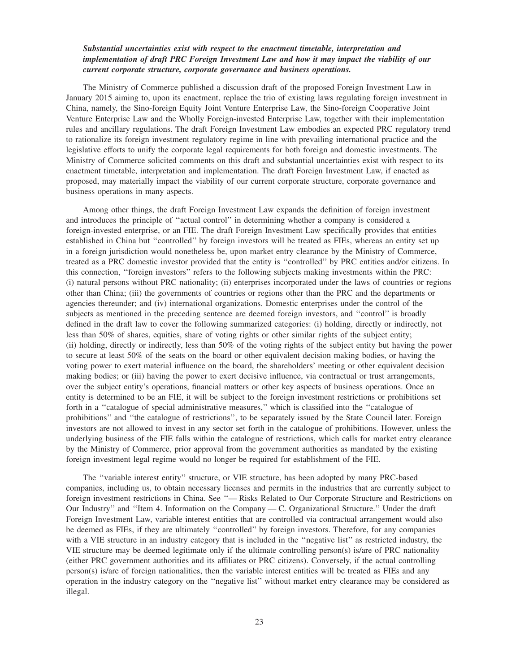### *Substantial uncertainties exist with respect to the enactment timetable, interpretation and implementation of draft PRC Foreign Investment Law and how it may impact the viability of our current corporate structure, corporate governance and business operations.*

The Ministry of Commerce published a discussion draft of the proposed Foreign Investment Law in January 2015 aiming to, upon its enactment, replace the trio of existing laws regulating foreign investment in China, namely, the Sino-foreign Equity Joint Venture Enterprise Law, the Sino-foreign Cooperative Joint Venture Enterprise Law and the Wholly Foreign-invested Enterprise Law, together with their implementation rules and ancillary regulations. The draft Foreign Investment Law embodies an expected PRC regulatory trend to rationalize its foreign investment regulatory regime in line with prevailing international practice and the legislative efforts to unify the corporate legal requirements for both foreign and domestic investments. The Ministry of Commerce solicited comments on this draft and substantial uncertainties exist with respect to its enactment timetable, interpretation and implementation. The draft Foreign Investment Law, if enacted as proposed, may materially impact the viability of our current corporate structure, corporate governance and business operations in many aspects.

Among other things, the draft Foreign Investment Law expands the definition of foreign investment and introduces the principle of ''actual control'' in determining whether a company is considered a foreign-invested enterprise, or an FIE. The draft Foreign Investment Law specifically provides that entities established in China but ''controlled'' by foreign investors will be treated as FIEs, whereas an entity set up in a foreign jurisdiction would nonetheless be, upon market entry clearance by the Ministry of Commerce, treated as a PRC domestic investor provided that the entity is ''controlled'' by PRC entities and/or citizens. In this connection, ''foreign investors'' refers to the following subjects making investments within the PRC: (i) natural persons without PRC nationality; (ii) enterprises incorporated under the laws of countries or regions other than China; (iii) the governments of countries or regions other than the PRC and the departments or agencies thereunder; and (iv) international organizations. Domestic enterprises under the control of the subjects as mentioned in the preceding sentence are deemed foreign investors, and ''control'' is broadly defined in the draft law to cover the following summarized categories: (i) holding, directly or indirectly, not less than 50% of shares, equities, share of voting rights or other similar rights of the subject entity; (ii) holding, directly or indirectly, less than 50% of the voting rights of the subject entity but having the power to secure at least 50% of the seats on the board or other equivalent decision making bodies, or having the voting power to exert material influence on the board, the shareholders' meeting or other equivalent decision making bodies; or (iii) having the power to exert decisive influence, via contractual or trust arrangements, over the subject entity's operations, financial matters or other key aspects of business operations. Once an entity is determined to be an FIE, it will be subject to the foreign investment restrictions or prohibitions set forth in a ''catalogue of special administrative measures,'' which is classified into the ''catalogue of prohibitions'' and ''the catalogue of restrictions'', to be separately issued by the State Council later. Foreign investors are not allowed to invest in any sector set forth in the catalogue of prohibitions. However, unless the underlying business of the FIE falls within the catalogue of restrictions, which calls for market entry clearance by the Ministry of Commerce, prior approval from the government authorities as mandated by the existing foreign investment legal regime would no longer be required for establishment of the FIE.

The ''variable interest entity'' structure, or VIE structure, has been adopted by many PRC-based companies, including us, to obtain necessary licenses and permits in the industries that are currently subject to foreign investment restrictions in China. See ''— Risks Related to Our Corporate Structure and Restrictions on Our Industry'' and ''Item 4. Information on the Company — C. Organizational Structure.'' Under the draft Foreign Investment Law, variable interest entities that are controlled via contractual arrangement would also be deemed as FIEs, if they are ultimately ''controlled'' by foreign investors. Therefore, for any companies with a VIE structure in an industry category that is included in the "negative list" as restricted industry, the VIE structure may be deemed legitimate only if the ultimate controlling person(s) is/are of PRC nationality (either PRC government authorities and its affiliates or PRC citizens). Conversely, if the actual controlling person(s) is/are of foreign nationalities, then the variable interest entities will be treated as FIEs and any operation in the industry category on the ''negative list'' without market entry clearance may be considered as illegal.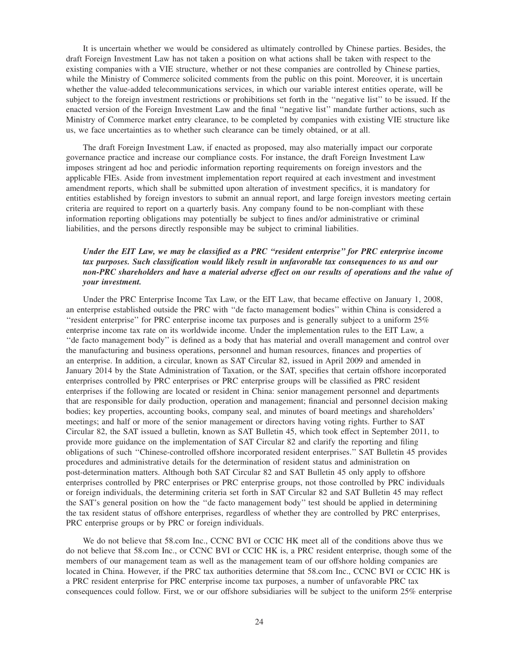It is uncertain whether we would be considered as ultimately controlled by Chinese parties. Besides, the draft Foreign Investment Law has not taken a position on what actions shall be taken with respect to the existing companies with a VIE structure, whether or not these companies are controlled by Chinese parties, while the Ministry of Commerce solicited comments from the public on this point. Moreover, it is uncertain whether the value-added telecommunications services, in which our variable interest entities operate, will be subject to the foreign investment restrictions or prohibitions set forth in the ''negative list'' to be issued. If the enacted version of the Foreign Investment Law and the final ''negative list'' mandate further actions, such as Ministry of Commerce market entry clearance, to be completed by companies with existing VIE structure like us, we face uncertainties as to whether such clearance can be timely obtained, or at all.

The draft Foreign Investment Law, if enacted as proposed, may also materially impact our corporate governance practice and increase our compliance costs. For instance, the draft Foreign Investment Law imposes stringent ad hoc and periodic information reporting requirements on foreign investors and the applicable FIEs. Aside from investment implementation report required at each investment and investment amendment reports, which shall be submitted upon alteration of investment specifics, it is mandatory for entities established by foreign investors to submit an annual report, and large foreign investors meeting certain criteria are required to report on a quarterly basis. Any company found to be non-compliant with these information reporting obligations may potentially be subject to fines and/or administrative or criminal liabilities, and the persons directly responsible may be subject to criminal liabilities.

# *Under the EIT Law, we may be classified as a PRC ''resident enterprise'' for PRC enterprise income tax purposes. Such classification would likely result in unfavorable tax consequences to us and our non-PRC shareholders and have a material adverse effect on our results of operations and the value of your investment.*

Under the PRC Enterprise Income Tax Law, or the EIT Law, that became effective on January 1, 2008, an enterprise established outside the PRC with ''de facto management bodies'' within China is considered a ''resident enterprise'' for PRC enterprise income tax purposes and is generally subject to a uniform 25% enterprise income tax rate on its worldwide income. Under the implementation rules to the EIT Law, a ''de facto management body'' is defined as a body that has material and overall management and control over the manufacturing and business operations, personnel and human resources, finances and properties of an enterprise. In addition, a circular, known as SAT Circular 82, issued in April 2009 and amended in January 2014 by the State Administration of Taxation, or the SAT, specifies that certain offshore incorporated enterprises controlled by PRC enterprises or PRC enterprise groups will be classified as PRC resident enterprises if the following are located or resident in China: senior management personnel and departments that are responsible for daily production, operation and management; financial and personnel decision making bodies; key properties, accounting books, company seal, and minutes of board meetings and shareholders' meetings; and half or more of the senior management or directors having voting rights. Further to SAT Circular 82, the SAT issued a bulletin, known as SAT Bulletin 45, which took effect in September 2011, to provide more guidance on the implementation of SAT Circular 82 and clarify the reporting and filing obligations of such ''Chinese-controlled offshore incorporated resident enterprises.'' SAT Bulletin 45 provides procedures and administrative details for the determination of resident status and administration on post-determination matters. Although both SAT Circular 82 and SAT Bulletin 45 only apply to offshore enterprises controlled by PRC enterprises or PRC enterprise groups, not those controlled by PRC individuals or foreign individuals, the determining criteria set forth in SAT Circular 82 and SAT Bulletin 45 may reflect the SAT's general position on how the ''de facto management body'' test should be applied in determining the tax resident status of offshore enterprises, regardless of whether they are controlled by PRC enterprises, PRC enterprise groups or by PRC or foreign individuals.

We do not believe that 58.com Inc., CCNC BVI or CCIC HK meet all of the conditions above thus we do not believe that 58.com Inc., or CCNC BVI or CCIC HK is, a PRC resident enterprise, though some of the members of our management team as well as the management team of our offshore holding companies are located in China. However, if the PRC tax authorities determine that 58.com Inc., CCNC BVI or CCIC HK is a PRC resident enterprise for PRC enterprise income tax purposes, a number of unfavorable PRC tax consequences could follow. First, we or our offshore subsidiaries will be subject to the uniform 25% enterprise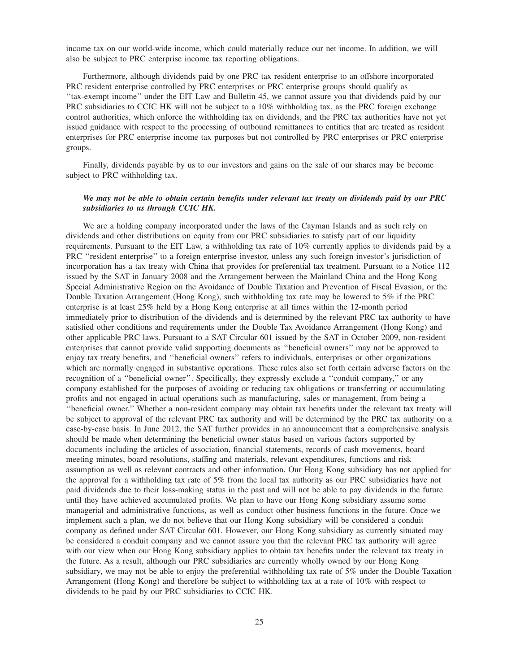income tax on our world-wide income, which could materially reduce our net income. In addition, we will also be subject to PRC enterprise income tax reporting obligations.

Furthermore, although dividends paid by one PRC tax resident enterprise to an offshore incorporated PRC resident enterprise controlled by PRC enterprises or PRC enterprise groups should qualify as ''tax-exempt income'' under the EIT Law and Bulletin 45, we cannot assure you that dividends paid by our PRC subsidiaries to CCIC HK will not be subject to a 10% withholding tax, as the PRC foreign exchange control authorities, which enforce the withholding tax on dividends, and the PRC tax authorities have not yet issued guidance with respect to the processing of outbound remittances to entities that are treated as resident enterprises for PRC enterprise income tax purposes but not controlled by PRC enterprises or PRC enterprise groups.

Finally, dividends payable by us to our investors and gains on the sale of our shares may be become subject to PRC withholding tax.

#### *We may not be able to obtain certain benefits under relevant tax treaty on dividends paid by our PRC subsidiaries to us through CCIC HK.*

We are a holding company incorporated under the laws of the Cayman Islands and as such rely on dividends and other distributions on equity from our PRC subsidiaries to satisfy part of our liquidity requirements. Pursuant to the EIT Law, a withholding tax rate of 10% currently applies to dividends paid by a PRC "resident enterprise" to a foreign enterprise investor, unless any such foreign investor's jurisdiction of incorporation has a tax treaty with China that provides for preferential tax treatment. Pursuant to a Notice 112 issued by the SAT in January 2008 and the Arrangement between the Mainland China and the Hong Kong Special Administrative Region on the Avoidance of Double Taxation and Prevention of Fiscal Evasion, or the Double Taxation Arrangement (Hong Kong), such withholding tax rate may be lowered to 5% if the PRC enterprise is at least 25% held by a Hong Kong enterprise at all times within the 12-month period immediately prior to distribution of the dividends and is determined by the relevant PRC tax authority to have satisfied other conditions and requirements under the Double Tax Avoidance Arrangement (Hong Kong) and other applicable PRC laws. Pursuant to a SAT Circular 601 issued by the SAT in October 2009, non-resident enterprises that cannot provide valid supporting documents as ''beneficial owners'' may not be approved to enjoy tax treaty benefits, and ''beneficial owners'' refers to individuals, enterprises or other organizations which are normally engaged in substantive operations. These rules also set forth certain adverse factors on the recognition of a ''beneficial owner''. Specifically, they expressly exclude a ''conduit company,'' or any company established for the purposes of avoiding or reducing tax obligations or transferring or accumulating profits and not engaged in actual operations such as manufacturing, sales or management, from being a ''beneficial owner.'' Whether a non-resident company may obtain tax benefits under the relevant tax treaty will be subject to approval of the relevant PRC tax authority and will be determined by the PRC tax authority on a case-by-case basis. In June 2012, the SAT further provides in an announcement that a comprehensive analysis should be made when determining the beneficial owner status based on various factors supported by documents including the articles of association, financial statements, records of cash movements, board meeting minutes, board resolutions, staffing and materials, relevant expenditures, functions and risk assumption as well as relevant contracts and other information. Our Hong Kong subsidiary has not applied for the approval for a withholding tax rate of 5% from the local tax authority as our PRC subsidiaries have not paid dividends due to their loss-making status in the past and will not be able to pay dividends in the future until they have achieved accumulated profits. We plan to have our Hong Kong subsidiary assume some managerial and administrative functions, as well as conduct other business functions in the future. Once we implement such a plan, we do not believe that our Hong Kong subsidiary will be considered a conduit company as defined under SAT Circular 601. However, our Hong Kong subsidiary as currently situated may be considered a conduit company and we cannot assure you that the relevant PRC tax authority will agree with our view when our Hong Kong subsidiary applies to obtain tax benefits under the relevant tax treaty in the future. As a result, although our PRC subsidiaries are currently wholly owned by our Hong Kong subsidiary, we may not be able to enjoy the preferential withholding tax rate of 5% under the Double Taxation Arrangement (Hong Kong) and therefore be subject to withholding tax at a rate of 10% with respect to dividends to be paid by our PRC subsidiaries to CCIC HK.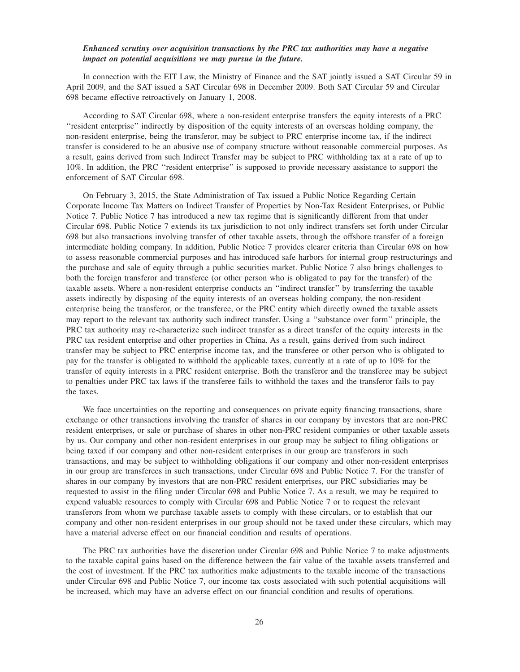#### *Enhanced scrutiny over acquisition transactions by the PRC tax authorities may have a negative impact on potential acquisitions we may pursue in the future.*

In connection with the EIT Law, the Ministry of Finance and the SAT jointly issued a SAT Circular 59 in April 2009, and the SAT issued a SAT Circular 698 in December 2009. Both SAT Circular 59 and Circular 698 became effective retroactively on January 1, 2008.

According to SAT Circular 698, where a non-resident enterprise transfers the equity interests of a PRC ''resident enterprise'' indirectly by disposition of the equity interests of an overseas holding company, the non-resident enterprise, being the transferor, may be subject to PRC enterprise income tax, if the indirect transfer is considered to be an abusive use of company structure without reasonable commercial purposes. As a result, gains derived from such Indirect Transfer may be subject to PRC withholding tax at a rate of up to 10%. In addition, the PRC ''resident enterprise'' is supposed to provide necessary assistance to support the enforcement of SAT Circular 698.

On February 3, 2015, the State Administration of Tax issued a Public Notice Regarding Certain Corporate Income Tax Matters on Indirect Transfer of Properties by Non-Tax Resident Enterprises, or Public Notice 7. Public Notice 7 has introduced a new tax regime that is significantly different from that under Circular 698. Public Notice 7 extends its tax jurisdiction to not only indirect transfers set forth under Circular 698 but also transactions involving transfer of other taxable assets, through the offshore transfer of a foreign intermediate holding company. In addition, Public Notice 7 provides clearer criteria than Circular 698 on how to assess reasonable commercial purposes and has introduced safe harbors for internal group restructurings and the purchase and sale of equity through a public securities market. Public Notice 7 also brings challenges to both the foreign transferor and transferee (or other person who is obligated to pay for the transfer) of the taxable assets. Where a non-resident enterprise conducts an ''indirect transfer'' by transferring the taxable assets indirectly by disposing of the equity interests of an overseas holding company, the non-resident enterprise being the transferor, or the transferee, or the PRC entity which directly owned the taxable assets may report to the relevant tax authority such indirect transfer. Using a ''substance over form'' principle, the PRC tax authority may re-characterize such indirect transfer as a direct transfer of the equity interests in the PRC tax resident enterprise and other properties in China. As a result, gains derived from such indirect transfer may be subject to PRC enterprise income tax, and the transferee or other person who is obligated to pay for the transfer is obligated to withhold the applicable taxes, currently at a rate of up to 10% for the transfer of equity interests in a PRC resident enterprise. Both the transferor and the transferee may be subject to penalties under PRC tax laws if the transferee fails to withhold the taxes and the transferor fails to pay the taxes.

We face uncertainties on the reporting and consequences on private equity financing transactions, share exchange or other transactions involving the transfer of shares in our company by investors that are non-PRC resident enterprises, or sale or purchase of shares in other non-PRC resident companies or other taxable assets by us. Our company and other non-resident enterprises in our group may be subject to filing obligations or being taxed if our company and other non-resident enterprises in our group are transferors in such transactions, and may be subject to withholding obligations if our company and other non-resident enterprises in our group are transferees in such transactions, under Circular 698 and Public Notice 7. For the transfer of shares in our company by investors that are non-PRC resident enterprises, our PRC subsidiaries may be requested to assist in the filing under Circular 698 and Public Notice 7. As a result, we may be required to expend valuable resources to comply with Circular 698 and Public Notice 7 or to request the relevant transferors from whom we purchase taxable assets to comply with these circulars, or to establish that our company and other non-resident enterprises in our group should not be taxed under these circulars, which may have a material adverse effect on our financial condition and results of operations.

The PRC tax authorities have the discretion under Circular 698 and Public Notice 7 to make adjustments to the taxable capital gains based on the difference between the fair value of the taxable assets transferred and the cost of investment. If the PRC tax authorities make adjustments to the taxable income of the transactions under Circular 698 and Public Notice 7, our income tax costs associated with such potential acquisitions will be increased, which may have an adverse effect on our financial condition and results of operations.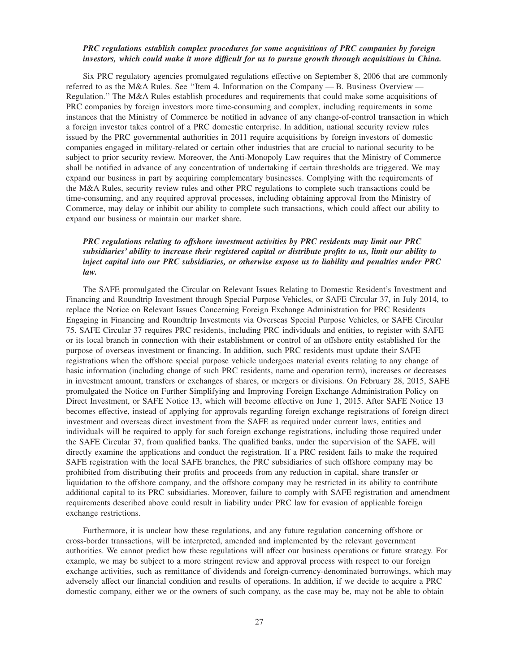#### *PRC regulations establish complex procedures for some acquisitions of PRC companies by foreign investors, which could make it more difficult for us to pursue growth through acquisitions in China.*

Six PRC regulatory agencies promulgated regulations effective on September 8, 2006 that are commonly referred to as the M&A Rules. See ''Item 4. Information on the Company — B. Business Overview — Regulation.'' The M&A Rules establish procedures and requirements that could make some acquisitions of PRC companies by foreign investors more time-consuming and complex, including requirements in some instances that the Ministry of Commerce be notified in advance of any change-of-control transaction in which a foreign investor takes control of a PRC domestic enterprise. In addition, national security review rules issued by the PRC governmental authorities in 2011 require acquisitions by foreign investors of domestic companies engaged in military-related or certain other industries that are crucial to national security to be subject to prior security review. Moreover, the Anti-Monopoly Law requires that the Ministry of Commerce shall be notified in advance of any concentration of undertaking if certain thresholds are triggered. We may expand our business in part by acquiring complementary businesses. Complying with the requirements of the M&A Rules, security review rules and other PRC regulations to complete such transactions could be time-consuming, and any required approval processes, including obtaining approval from the Ministry of Commerce, may delay or inhibit our ability to complete such transactions, which could affect our ability to expand our business or maintain our market share.

# *PRC regulations relating to offshore investment activities by PRC residents may limit our PRC subsidiaries' ability to increase their registered capital or distribute profits to us, limit our ability to inject capital into our PRC subsidiaries, or otherwise expose us to liability and penalties under PRC law.*

The SAFE promulgated the Circular on Relevant Issues Relating to Domestic Resident's Investment and Financing and Roundtrip Investment through Special Purpose Vehicles, or SAFE Circular 37, in July 2014, to replace the Notice on Relevant Issues Concerning Foreign Exchange Administration for PRC Residents Engaging in Financing and Roundtrip Investments via Overseas Special Purpose Vehicles, or SAFE Circular 75. SAFE Circular 37 requires PRC residents, including PRC individuals and entities, to register with SAFE or its local branch in connection with their establishment or control of an offshore entity established for the purpose of overseas investment or financing. In addition, such PRC residents must update their SAFE registrations when the offshore special purpose vehicle undergoes material events relating to any change of basic information (including change of such PRC residents, name and operation term), increases or decreases in investment amount, transfers or exchanges of shares, or mergers or divisions. On February 28, 2015, SAFE promulgated the Notice on Further Simplifying and Improving Foreign Exchange Administration Policy on Direct Investment, or SAFE Notice 13, which will become effective on June 1, 2015. After SAFE Notice 13 becomes effective, instead of applying for approvals regarding foreign exchange registrations of foreign direct investment and overseas direct investment from the SAFE as required under current laws, entities and individuals will be required to apply for such foreign exchange registrations, including those required under the SAFE Circular 37, from qualified banks. The qualified banks, under the supervision of the SAFE, will directly examine the applications and conduct the registration. If a PRC resident fails to make the required SAFE registration with the local SAFE branches, the PRC subsidiaries of such offshore company may be prohibited from distributing their profits and proceeds from any reduction in capital, share transfer or liquidation to the offshore company, and the offshore company may be restricted in its ability to contribute additional capital to its PRC subsidiaries. Moreover, failure to comply with SAFE registration and amendment requirements described above could result in liability under PRC law for evasion of applicable foreign exchange restrictions.

Furthermore, it is unclear how these regulations, and any future regulation concerning offshore or cross-border transactions, will be interpreted, amended and implemented by the relevant government authorities. We cannot predict how these regulations will affect our business operations or future strategy. For example, we may be subject to a more stringent review and approval process with respect to our foreign exchange activities, such as remittance of dividends and foreign-currency-denominated borrowings, which may adversely affect our financial condition and results of operations. In addition, if we decide to acquire a PRC domestic company, either we or the owners of such company, as the case may be, may not be able to obtain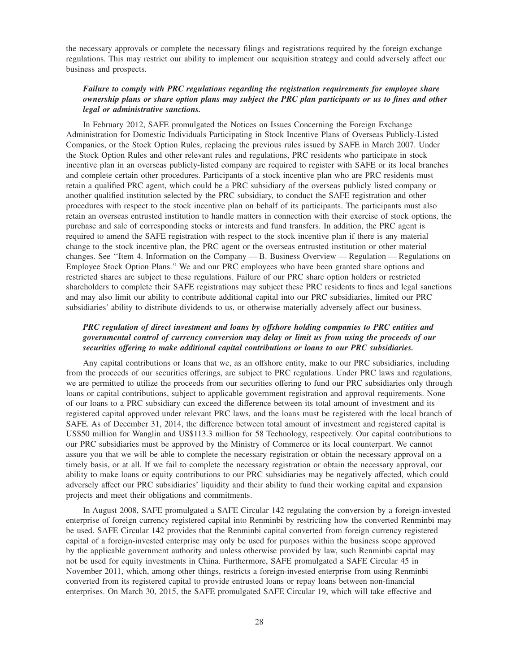the necessary approvals or complete the necessary filings and registrations required by the foreign exchange regulations. This may restrict our ability to implement our acquisition strategy and could adversely affect our business and prospects.

### *Failure to comply with PRC regulations regarding the registration requirements for employee share ownership plans or share option plans may subject the PRC plan participants or us to fines and other legal or administrative sanctions.*

In February 2012, SAFE promulgated the Notices on Issues Concerning the Foreign Exchange Administration for Domestic Individuals Participating in Stock Incentive Plans of Overseas Publicly-Listed Companies, or the Stock Option Rules, replacing the previous rules issued by SAFE in March 2007. Under the Stock Option Rules and other relevant rules and regulations, PRC residents who participate in stock incentive plan in an overseas publicly-listed company are required to register with SAFE or its local branches and complete certain other procedures. Participants of a stock incentive plan who are PRC residents must retain a qualified PRC agent, which could be a PRC subsidiary of the overseas publicly listed company or another qualified institution selected by the PRC subsidiary, to conduct the SAFE registration and other procedures with respect to the stock incentive plan on behalf of its participants. The participants must also retain an overseas entrusted institution to handle matters in connection with their exercise of stock options, the purchase and sale of corresponding stocks or interests and fund transfers. In addition, the PRC agent is required to amend the SAFE registration with respect to the stock incentive plan if there is any material change to the stock incentive plan, the PRC agent or the overseas entrusted institution or other material changes. See ''Item 4. Information on the Company — B. Business Overview — Regulation — Regulations on Employee Stock Option Plans.'' We and our PRC employees who have been granted share options and restricted shares are subject to these regulations. Failure of our PRC share option holders or restricted shareholders to complete their SAFE registrations may subject these PRC residents to fines and legal sanctions and may also limit our ability to contribute additional capital into our PRC subsidiaries, limited our PRC subsidiaries' ability to distribute dividends to us, or otherwise materially adversely affect our business.

### *PRC regulation of direct investment and loans by offshore holding companies to PRC entities and governmental control of currency conversion may delay or limit us from using the proceeds of our securities offering to make additional capital contributions or loans to our PRC subsidiaries.*

Any capital contributions or loans that we, as an offshore entity, make to our PRC subsidiaries, including from the proceeds of our securities offerings, are subject to PRC regulations. Under PRC laws and regulations, we are permitted to utilize the proceeds from our securities offering to fund our PRC subsidiaries only through loans or capital contributions, subject to applicable government registration and approval requirements. None of our loans to a PRC subsidiary can exceed the difference between its total amount of investment and its registered capital approved under relevant PRC laws, and the loans must be registered with the local branch of SAFE. As of December 31, 2014, the difference between total amount of investment and registered capital is US\$50 million for Wanglin and US\$113.3 million for 58 Technology, respectively. Our capital contributions to our PRC subsidiaries must be approved by the Ministry of Commerce or its local counterpart. We cannot assure you that we will be able to complete the necessary registration or obtain the necessary approval on a timely basis, or at all. If we fail to complete the necessary registration or obtain the necessary approval, our ability to make loans or equity contributions to our PRC subsidiaries may be negatively affected, which could adversely affect our PRC subsidiaries' liquidity and their ability to fund their working capital and expansion projects and meet their obligations and commitments.

In August 2008, SAFE promulgated a SAFE Circular 142 regulating the conversion by a foreign-invested enterprise of foreign currency registered capital into Renminbi by restricting how the converted Renminbi may be used. SAFE Circular 142 provides that the Renminbi capital converted from foreign currency registered capital of a foreign-invested enterprise may only be used for purposes within the business scope approved by the applicable government authority and unless otherwise provided by law, such Renminbi capital may not be used for equity investments in China. Furthermore, SAFE promulgated a SAFE Circular 45 in November 2011, which, among other things, restricts a foreign-invested enterprise from using Renminbi converted from its registered capital to provide entrusted loans or repay loans between non-financial enterprises. On March 30, 2015, the SAFE promulgated SAFE Circular 19, which will take effective and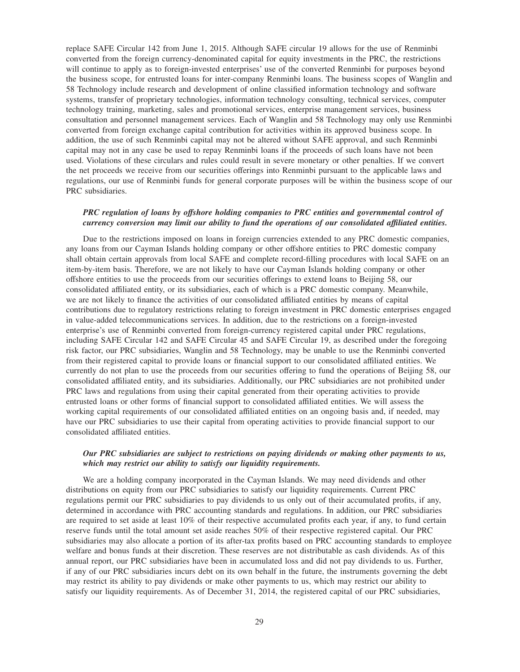replace SAFE Circular 142 from June 1, 2015. Although SAFE circular 19 allows for the use of Renminbi converted from the foreign currency-denominated capital for equity investments in the PRC, the restrictions will continue to apply as to foreign-invested enterprises' use of the converted Renminbi for purposes beyond the business scope, for entrusted loans for inter-company Renminbi loans. The business scopes of Wanglin and 58 Technology include research and development of online classified information technology and software systems, transfer of proprietary technologies, information technology consulting, technical services, computer technology training, marketing, sales and promotional services, enterprise management services, business consultation and personnel management services. Each of Wanglin and 58 Technology may only use Renminbi converted from foreign exchange capital contribution for activities within its approved business scope. In addition, the use of such Renminbi capital may not be altered without SAFE approval, and such Renminbi capital may not in any case be used to repay Renminbi loans if the proceeds of such loans have not been used. Violations of these circulars and rules could result in severe monetary or other penalties. If we convert the net proceeds we receive from our securities offerings into Renminbi pursuant to the applicable laws and regulations, our use of Renminbi funds for general corporate purposes will be within the business scope of our PRC subsidiaries.

#### *PRC regulation of loans by offshore holding companies to PRC entities and governmental control of currency conversion may limit our ability to fund the operations of our consolidated affiliated entities.*

Due to the restrictions imposed on loans in foreign currencies extended to any PRC domestic companies, any loans from our Cayman Islands holding company or other offshore entities to PRC domestic company shall obtain certain approvals from local SAFE and complete record-filling procedures with local SAFE on an item-by-item basis. Therefore, we are not likely to have our Cayman Islands holding company or other offshore entities to use the proceeds from our securities offerings to extend loans to Beijing 58, our consolidated affiliated entity, or its subsidiaries, each of which is a PRC domestic company. Meanwhile, we are not likely to finance the activities of our consolidated affiliated entities by means of capital contributions due to regulatory restrictions relating to foreign investment in PRC domestic enterprises engaged in value-added telecommunications services. In addition, due to the restrictions on a foreign-invested enterprise's use of Renminbi converted from foreign-currency registered capital under PRC regulations, including SAFE Circular 142 and SAFE Circular 45 and SAFE Circular 19, as described under the foregoing risk factor, our PRC subsidiaries, Wanglin and 58 Technology, may be unable to use the Renminbi converted from their registered capital to provide loans or financial support to our consolidated affiliated entities. We currently do not plan to use the proceeds from our securities offering to fund the operations of Beijing 58, our consolidated affiliated entity, and its subsidiaries. Additionally, our PRC subsidiaries are not prohibited under PRC laws and regulations from using their capital generated from their operating activities to provide entrusted loans or other forms of financial support to consolidated affiliated entities. We will assess the working capital requirements of our consolidated affiliated entities on an ongoing basis and, if needed, may have our PRC subsidiaries to use their capital from operating activities to provide financial support to our consolidated affiliated entities.

### *Our PRC subsidiaries are subject to restrictions on paying dividends or making other payments to us, which may restrict our ability to satisfy our liquidity requirements.*

We are a holding company incorporated in the Cayman Islands. We may need dividends and other distributions on equity from our PRC subsidiaries to satisfy our liquidity requirements. Current PRC regulations permit our PRC subsidiaries to pay dividends to us only out of their accumulated profits, if any, determined in accordance with PRC accounting standards and regulations. In addition, our PRC subsidiaries are required to set aside at least 10% of their respective accumulated profits each year, if any, to fund certain reserve funds until the total amount set aside reaches 50% of their respective registered capital. Our PRC subsidiaries may also allocate a portion of its after-tax profits based on PRC accounting standards to employee welfare and bonus funds at their discretion. These reserves are not distributable as cash dividends. As of this annual report, our PRC subsidiaries have been in accumulated loss and did not pay dividends to us. Further, if any of our PRC subsidiaries incurs debt on its own behalf in the future, the instruments governing the debt may restrict its ability to pay dividends or make other payments to us, which may restrict our ability to satisfy our liquidity requirements. As of December 31, 2014, the registered capital of our PRC subsidiaries,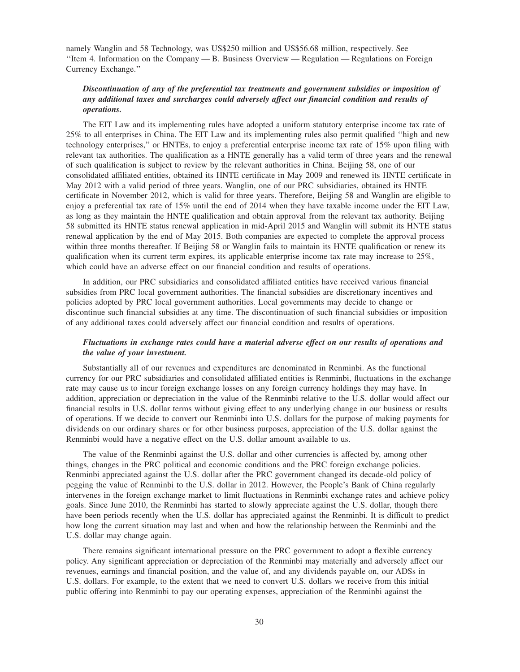namely Wanglin and 58 Technology, was US\$250 million and US\$56.68 million, respectively. See ''Item 4. Information on the Company — B. Business Overview — Regulation — Regulations on Foreign Currency Exchange.''

# *Discontinuation of any of the preferential tax treatments and government subsidies or imposition of any additional taxes and surcharges could adversely affect our financial condition and results of operations.*

The EIT Law and its implementing rules have adopted a uniform statutory enterprise income tax rate of 25% to all enterprises in China. The EIT Law and its implementing rules also permit qualified ''high and new technology enterprises,'' or HNTEs, to enjoy a preferential enterprise income tax rate of 15% upon filing with relevant tax authorities. The qualification as a HNTE generally has a valid term of three years and the renewal of such qualification is subject to review by the relevant authorities in China. Beijing 58, one of our consolidated affiliated entities, obtained its HNTE certificate in May 2009 and renewed its HNTE certificate in May 2012 with a valid period of three years. Wanglin, one of our PRC subsidiaries, obtained its HNTE certificate in November 2012, which is valid for three years. Therefore, Beijing 58 and Wanglin are eligible to enjoy a preferential tax rate of 15% until the end of 2014 when they have taxable income under the EIT Law, as long as they maintain the HNTE qualification and obtain approval from the relevant tax authority. Beijing 58 submitted its HNTE status renewal application in mid-April 2015 and Wanglin will submit its HNTE status renewal application by the end of May 2015. Both companies are expected to complete the approval process within three months thereafter. If Beijing 58 or Wanglin fails to maintain its HNTE qualification or renew its qualification when its current term expires, its applicable enterprise income tax rate may increase to 25%, which could have an adverse effect on our financial condition and results of operations.

In addition, our PRC subsidiaries and consolidated affiliated entities have received various financial subsidies from PRC local government authorities. The financial subsidies are discretionary incentives and policies adopted by PRC local government authorities. Local governments may decide to change or discontinue such financial subsidies at any time. The discontinuation of such financial subsidies or imposition of any additional taxes could adversely affect our financial condition and results of operations.

### *Fluctuations in exchange rates could have a material adverse effect on our results of operations and the value of your investment.*

Substantially all of our revenues and expenditures are denominated in Renminbi. As the functional currency for our PRC subsidiaries and consolidated affiliated entities is Renminbi, fluctuations in the exchange rate may cause us to incur foreign exchange losses on any foreign currency holdings they may have. In addition, appreciation or depreciation in the value of the Renminbi relative to the U.S. dollar would affect our financial results in U.S. dollar terms without giving effect to any underlying change in our business or results of operations. If we decide to convert our Renminbi into U.S. dollars for the purpose of making payments for dividends on our ordinary shares or for other business purposes, appreciation of the U.S. dollar against the Renminbi would have a negative effect on the U.S. dollar amount available to us.

The value of the Renminbi against the U.S. dollar and other currencies is affected by, among other things, changes in the PRC political and economic conditions and the PRC foreign exchange policies. Renminbi appreciated against the U.S. dollar after the PRC government changed its decade-old policy of pegging the value of Renminbi to the U.S. dollar in 2012. However, the People's Bank of China regularly intervenes in the foreign exchange market to limit fluctuations in Renminbi exchange rates and achieve policy goals. Since June 2010, the Renminbi has started to slowly appreciate against the U.S. dollar, though there have been periods recently when the U.S. dollar has appreciated against the Renminbi. It is difficult to predict how long the current situation may last and when and how the relationship between the Renminbi and the U.S. dollar may change again.

There remains significant international pressure on the PRC government to adopt a flexible currency policy. Any significant appreciation or depreciation of the Renminbi may materially and adversely affect our revenues, earnings and financial position, and the value of, and any dividends payable on, our ADSs in U.S. dollars. For example, to the extent that we need to convert U.S. dollars we receive from this initial public offering into Renminbi to pay our operating expenses, appreciation of the Renminbi against the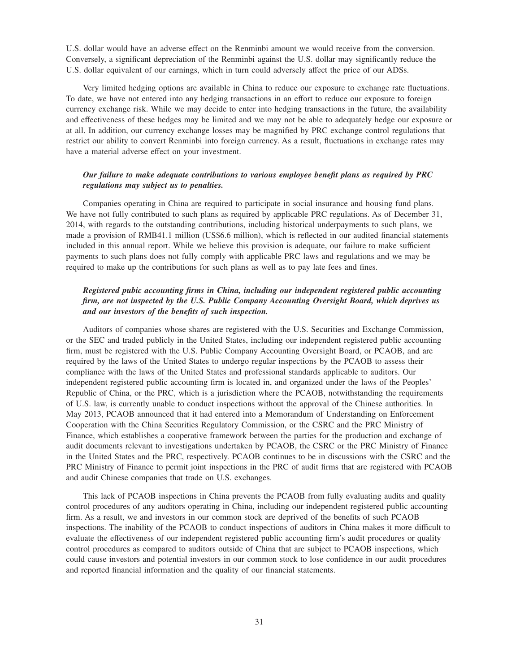U.S. dollar would have an adverse effect on the Renminbi amount we would receive from the conversion. Conversely, a significant depreciation of the Renminbi against the U.S. dollar may significantly reduce the U.S. dollar equivalent of our earnings, which in turn could adversely affect the price of our ADSs.

Very limited hedging options are available in China to reduce our exposure to exchange rate fluctuations. To date, we have not entered into any hedging transactions in an effort to reduce our exposure to foreign currency exchange risk. While we may decide to enter into hedging transactions in the future, the availability and effectiveness of these hedges may be limited and we may not be able to adequately hedge our exposure or at all. In addition, our currency exchange losses may be magnified by PRC exchange control regulations that restrict our ability to convert Renminbi into foreign currency. As a result, fluctuations in exchange rates may have a material adverse effect on your investment.

# *Our failure to make adequate contributions to various employee benefit plans as required by PRC regulations may subject us to penalties.*

Companies operating in China are required to participate in social insurance and housing fund plans. We have not fully contributed to such plans as required by applicable PRC regulations. As of December 31, 2014, with regards to the outstanding contributions, including historical underpayments to such plans, we made a provision of RMB41.1 million (US\$6.6 million), which is reflected in our audited financial statements included in this annual report. While we believe this provision is adequate, our failure to make sufficient payments to such plans does not fully comply with applicable PRC laws and regulations and we may be required to make up the contributions for such plans as well as to pay late fees and fines.

# *Registered pubic accounting firms in China, including our independent registered public accounting firm, are not inspected by the U.S. Public Company Accounting Oversight Board, which deprives us and our investors of the benefits of such inspection.*

Auditors of companies whose shares are registered with the U.S. Securities and Exchange Commission, or the SEC and traded publicly in the United States, including our independent registered public accounting firm, must be registered with the U.S. Public Company Accounting Oversight Board, or PCAOB, and are required by the laws of the United States to undergo regular inspections by the PCAOB to assess their compliance with the laws of the United States and professional standards applicable to auditors. Our independent registered public accounting firm is located in, and organized under the laws of the Peoples' Republic of China, or the PRC, which is a jurisdiction where the PCAOB, notwithstanding the requirements of U.S. law, is currently unable to conduct inspections without the approval of the Chinese authorities. In May 2013, PCAOB announced that it had entered into a Memorandum of Understanding on Enforcement Cooperation with the China Securities Regulatory Commission, or the CSRC and the PRC Ministry of Finance, which establishes a cooperative framework between the parties for the production and exchange of audit documents relevant to investigations undertaken by PCAOB, the CSRC or the PRC Ministry of Finance in the United States and the PRC, respectively. PCAOB continues to be in discussions with the CSRC and the PRC Ministry of Finance to permit joint inspections in the PRC of audit firms that are registered with PCAOB and audit Chinese companies that trade on U.S. exchanges.

This lack of PCAOB inspections in China prevents the PCAOB from fully evaluating audits and quality control procedures of any auditors operating in China, including our independent registered public accounting firm. As a result, we and investors in our common stock are deprived of the benefits of such PCAOB inspections. The inability of the PCAOB to conduct inspections of auditors in China makes it more difficult to evaluate the effectiveness of our independent registered public accounting firm's audit procedures or quality control procedures as compared to auditors outside of China that are subject to PCAOB inspections, which could cause investors and potential investors in our common stock to lose confidence in our audit procedures and reported financial information and the quality of our financial statements.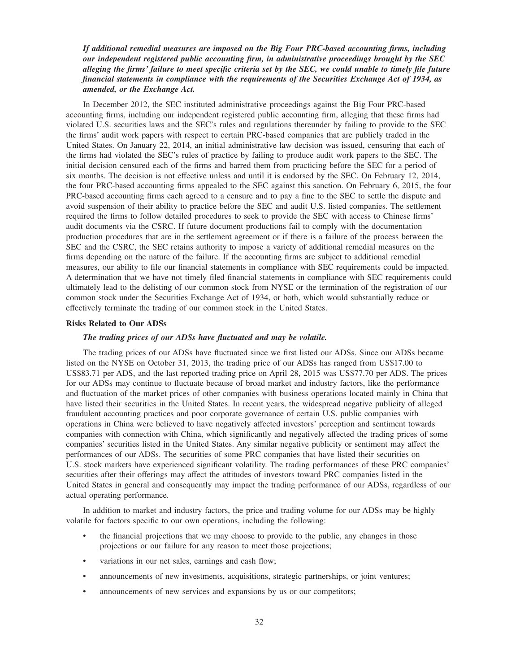### *If additional remedial measures are imposed on the Big Four PRC-based accounting firms, including our independent registered public accounting firm, in administrative proceedings brought by the SEC alleging the firms' failure to meet specific criteria set by the SEC, we could unable to timely file future financial statements in compliance with the requirements of the Securities Exchange Act of 1934, as amended, or the Exchange Act.*

In December 2012, the SEC instituted administrative proceedings against the Big Four PRC-based accounting firms, including our independent registered public accounting firm, alleging that these firms had violated U.S. securities laws and the SEC's rules and regulations thereunder by failing to provide to the SEC the firms' audit work papers with respect to certain PRC-based companies that are publicly traded in the United States. On January 22, 2014, an initial administrative law decision was issued, censuring that each of the firms had violated the SEC's rules of practice by failing to produce audit work papers to the SEC. The initial decision censured each of the firms and barred them from practicing before the SEC for a period of six months. The decision is not effective unless and until it is endorsed by the SEC. On February 12, 2014, the four PRC-based accounting firms appealed to the SEC against this sanction. On February 6, 2015, the four PRC-based accounting firms each agreed to a censure and to pay a fine to the SEC to settle the dispute and avoid suspension of their ability to practice before the SEC and audit U.S. listed companies. The settlement required the firms to follow detailed procedures to seek to provide the SEC with access to Chinese firms' audit documents via the CSRC. If future document productions fail to comply with the documentation production procedures that are in the settlement agreement or if there is a failure of the process between the SEC and the CSRC, the SEC retains authority to impose a variety of additional remedial measures on the firms depending on the nature of the failure. If the accounting firms are subject to additional remedial measures, our ability to file our financial statements in compliance with SEC requirements could be impacted. A determination that we have not timely filed financial statements in compliance with SEC requirements could ultimately lead to the delisting of our common stock from NYSE or the termination of the registration of our common stock under the Securities Exchange Act of 1934, or both, which would substantially reduce or effectively terminate the trading of our common stock in the United States.

#### **Risks Related to Our ADSs**

#### *The trading prices of our ADSs have fluctuated and may be volatile.*

The trading prices of our ADSs have fluctuated since we first listed our ADSs. Since our ADSs became listed on the NYSE on October 31, 2013, the trading price of our ADSs has ranged from US\$17.00 to US\$83.71 per ADS, and the last reported trading price on April 28, 2015 was US\$77.70 per ADS. The prices for our ADSs may continue to fluctuate because of broad market and industry factors, like the performance and fluctuation of the market prices of other companies with business operations located mainly in China that have listed their securities in the United States. In recent years, the widespread negative publicity of alleged fraudulent accounting practices and poor corporate governance of certain U.S. public companies with operations in China were believed to have negatively affected investors' perception and sentiment towards companies with connection with China, which significantly and negatively affected the trading prices of some companies' securities listed in the United States. Any similar negative publicity or sentiment may affect the performances of our ADSs. The securities of some PRC companies that have listed their securities on U.S. stock markets have experienced significant volatility. The trading performances of these PRC companies' securities after their offerings may affect the attitudes of investors toward PRC companies listed in the United States in general and consequently may impact the trading performance of our ADSs, regardless of our actual operating performance.

In addition to market and industry factors, the price and trading volume for our ADSs may be highly volatile for factors specific to our own operations, including the following:

- the financial projections that we may choose to provide to the public, any changes in those projections or our failure for any reason to meet those projections;
- variations in our net sales, earnings and cash flow;
- announcements of new investments, acquisitions, strategic partnerships, or joint ventures;
- announcements of new services and expansions by us or our competitors;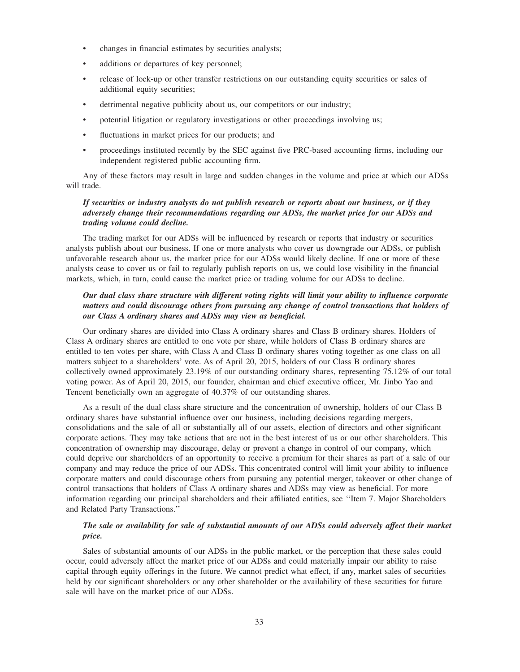- changes in financial estimates by securities analysts;
- additions or departures of key personnel;
- release of lock-up or other transfer restrictions on our outstanding equity securities or sales of additional equity securities;
- detrimental negative publicity about us, our competitors or our industry;
- potential litigation or regulatory investigations or other proceedings involving us;
- fluctuations in market prices for our products; and
- proceedings instituted recently by the SEC against five PRC-based accounting firms, including our independent registered public accounting firm.

Any of these factors may result in large and sudden changes in the volume and price at which our ADSs will trade.

# *If securities or industry analysts do not publish research or reports about our business, or if they adversely change their recommendations regarding our ADSs, the market price for our ADSs and trading volume could decline.*

The trading market for our ADSs will be influenced by research or reports that industry or securities analysts publish about our business. If one or more analysts who cover us downgrade our ADSs, or publish unfavorable research about us, the market price for our ADSs would likely decline. If one or more of these analysts cease to cover us or fail to regularly publish reports on us, we could lose visibility in the financial markets, which, in turn, could cause the market price or trading volume for our ADSs to decline.

# *Our dual class share structure with different voting rights will limit your ability to influence corporate matters and could discourage others from pursuing any change of control transactions that holders of our Class A ordinary shares and ADSs may view as beneficial.*

Our ordinary shares are divided into Class A ordinary shares and Class B ordinary shares. Holders of Class A ordinary shares are entitled to one vote per share, while holders of Class B ordinary shares are entitled to ten votes per share, with Class A and Class B ordinary shares voting together as one class on all matters subject to a shareholders' vote. As of April 20, 2015, holders of our Class B ordinary shares collectively owned approximately 23.19% of our outstanding ordinary shares, representing 75.12% of our total voting power. As of April 20, 2015, our founder, chairman and chief executive officer, Mr. Jinbo Yao and Tencent beneficially own an aggregate of 40.37% of our outstanding shares.

As a result of the dual class share structure and the concentration of ownership, holders of our Class B ordinary shares have substantial influence over our business, including decisions regarding mergers, consolidations and the sale of all or substantially all of our assets, election of directors and other significant corporate actions. They may take actions that are not in the best interest of us or our other shareholders. This concentration of ownership may discourage, delay or prevent a change in control of our company, which could deprive our shareholders of an opportunity to receive a premium for their shares as part of a sale of our company and may reduce the price of our ADSs. This concentrated control will limit your ability to influence corporate matters and could discourage others from pursuing any potential merger, takeover or other change of control transactions that holders of Class A ordinary shares and ADSs may view as beneficial. For more information regarding our principal shareholders and their affiliated entities, see ''Item 7. Major Shareholders and Related Party Transactions.''

# *The sale or availability for sale of substantial amounts of our ADSs could adversely affect their market price.*

Sales of substantial amounts of our ADSs in the public market, or the perception that these sales could occur, could adversely affect the market price of our ADSs and could materially impair our ability to raise capital through equity offerings in the future. We cannot predict what effect, if any, market sales of securities held by our significant shareholders or any other shareholder or the availability of these securities for future sale will have on the market price of our ADSs.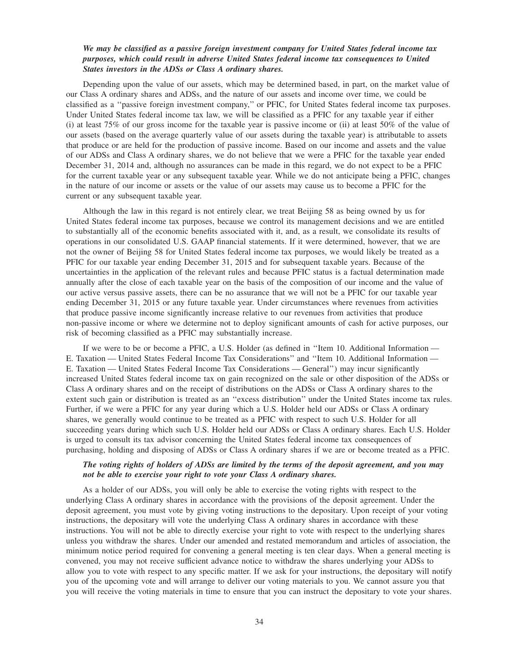# *We may be classified as a passive foreign investment company for United States federal income tax purposes, which could result in adverse United States federal income tax consequences to United States investors in the ADSs or Class A ordinary shares.*

Depending upon the value of our assets, which may be determined based, in part, on the market value of our Class A ordinary shares and ADSs, and the nature of our assets and income over time, we could be classified as a ''passive foreign investment company,'' or PFIC, for United States federal income tax purposes. Under United States federal income tax law, we will be classified as a PFIC for any taxable year if either (i) at least 75% of our gross income for the taxable year is passive income or (ii) at least 50% of the value of our assets (based on the average quarterly value of our assets during the taxable year) is attributable to assets that produce or are held for the production of passive income. Based on our income and assets and the value of our ADSs and Class A ordinary shares, we do not believe that we were a PFIC for the taxable year ended December 31, 2014 and, although no assurances can be made in this regard, we do not expect to be a PFIC for the current taxable year or any subsequent taxable year. While we do not anticipate being a PFIC, changes in the nature of our income or assets or the value of our assets may cause us to become a PFIC for the current or any subsequent taxable year.

Although the law in this regard is not entirely clear, we treat Beijing 58 as being owned by us for United States federal income tax purposes, because we control its management decisions and we are entitled to substantially all of the economic benefits associated with it, and, as a result, we consolidate its results of operations in our consolidated U.S. GAAP financial statements. If it were determined, however, that we are not the owner of Beijing 58 for United States federal income tax purposes, we would likely be treated as a PFIC for our taxable year ending December 31, 2015 and for subsequent taxable years. Because of the uncertainties in the application of the relevant rules and because PFIC status is a factual determination made annually after the close of each taxable year on the basis of the composition of our income and the value of our active versus passive assets, there can be no assurance that we will not be a PFIC for our taxable year ending December 31, 2015 or any future taxable year. Under circumstances where revenues from activities that produce passive income significantly increase relative to our revenues from activities that produce non-passive income or where we determine not to deploy significant amounts of cash for active purposes, our risk of becoming classified as a PFIC may substantially increase.

If we were to be or become a PFIC, a U.S. Holder (as defined in ''Item 10. Additional Information — E. Taxation — United States Federal Income Tax Considerations'' and ''Item 10. Additional Information — E. Taxation — United States Federal Income Tax Considerations — General'') may incur significantly increased United States federal income tax on gain recognized on the sale or other disposition of the ADSs or Class A ordinary shares and on the receipt of distributions on the ADSs or Class A ordinary shares to the extent such gain or distribution is treated as an ''excess distribution'' under the United States income tax rules. Further, if we were a PFIC for any year during which a U.S. Holder held our ADSs or Class A ordinary shares, we generally would continue to be treated as a PFIC with respect to such U.S. Holder for all succeeding years during which such U.S. Holder held our ADSs or Class A ordinary shares. Each U.S. Holder is urged to consult its tax advisor concerning the United States federal income tax consequences of purchasing, holding and disposing of ADSs or Class A ordinary shares if we are or become treated as a PFIC.

# *The voting rights of holders of ADSs are limited by the terms of the deposit agreement, and you may not be able to exercise your right to vote your Class A ordinary shares.*

As a holder of our ADSs, you will only be able to exercise the voting rights with respect to the underlying Class A ordinary shares in accordance with the provisions of the deposit agreement. Under the deposit agreement, you must vote by giving voting instructions to the depositary. Upon receipt of your voting instructions, the depositary will vote the underlying Class A ordinary shares in accordance with these instructions. You will not be able to directly exercise your right to vote with respect to the underlying shares unless you withdraw the shares. Under our amended and restated memorandum and articles of association, the minimum notice period required for convening a general meeting is ten clear days. When a general meeting is convened, you may not receive sufficient advance notice to withdraw the shares underlying your ADSs to allow you to vote with respect to any specific matter. If we ask for your instructions, the depositary will notify you of the upcoming vote and will arrange to deliver our voting materials to you. We cannot assure you that you will receive the voting materials in time to ensure that you can instruct the depositary to vote your shares.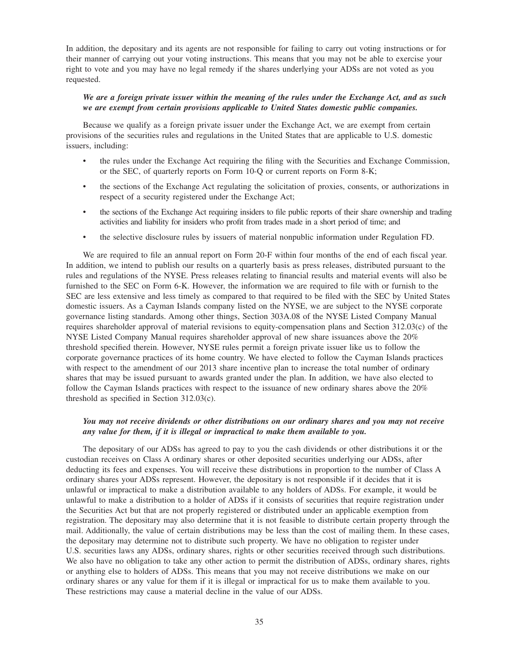In addition, the depositary and its agents are not responsible for failing to carry out voting instructions or for their manner of carrying out your voting instructions. This means that you may not be able to exercise your right to vote and you may have no legal remedy if the shares underlying your ADSs are not voted as you requested.

## *We are a foreign private issuer within the meaning of the rules under the Exchange Act, and as such we are exempt from certain provisions applicable to United States domestic public companies.*

Because we qualify as a foreign private issuer under the Exchange Act, we are exempt from certain provisions of the securities rules and regulations in the United States that are applicable to U.S. domestic issuers, including:

- the rules under the Exchange Act requiring the filing with the Securities and Exchange Commission, or the SEC, of quarterly reports on Form 10-Q or current reports on Form 8-K;
- the sections of the Exchange Act regulating the solicitation of proxies, consents, or authorizations in respect of a security registered under the Exchange Act;
- the sections of the Exchange Act requiring insiders to file public reports of their share ownership and trading activities and liability for insiders who profit from trades made in a short period of time; and
- the selective disclosure rules by issuers of material nonpublic information under Regulation FD.

We are required to file an annual report on Form 20-F within four months of the end of each fiscal year. In addition, we intend to publish our results on a quarterly basis as press releases, distributed pursuant to the rules and regulations of the NYSE. Press releases relating to financial results and material events will also be furnished to the SEC on Form 6-K. However, the information we are required to file with or furnish to the SEC are less extensive and less timely as compared to that required to be filed with the SEC by United States domestic issuers. As a Cayman Islands company listed on the NYSE, we are subject to the NYSE corporate governance listing standards. Among other things, Section 303A.08 of the NYSE Listed Company Manual requires shareholder approval of material revisions to equity-compensation plans and Section 312.03(c) of the NYSE Listed Company Manual requires shareholder approval of new share issuances above the 20% threshold specified therein. However, NYSE rules permit a foreign private issuer like us to follow the corporate governance practices of its home country. We have elected to follow the Cayman Islands practices with respect to the amendment of our 2013 share incentive plan to increase the total number of ordinary shares that may be issued pursuant to awards granted under the plan. In addition, we have also elected to follow the Cayman Islands practices with respect to the issuance of new ordinary shares above the 20% threshold as specified in Section 312.03(c).

## *You may not receive dividends or other distributions on our ordinary shares and you may not receive any value for them, if it is illegal or impractical to make them available to you.*

The depositary of our ADSs has agreed to pay to you the cash dividends or other distributions it or the custodian receives on Class A ordinary shares or other deposited securities underlying our ADSs, after deducting its fees and expenses. You will receive these distributions in proportion to the number of Class A ordinary shares your ADSs represent. However, the depositary is not responsible if it decides that it is unlawful or impractical to make a distribution available to any holders of ADSs. For example, it would be unlawful to make a distribution to a holder of ADSs if it consists of securities that require registration under the Securities Act but that are not properly registered or distributed under an applicable exemption from registration. The depositary may also determine that it is not feasible to distribute certain property through the mail. Additionally, the value of certain distributions may be less than the cost of mailing them. In these cases, the depositary may determine not to distribute such property. We have no obligation to register under U.S. securities laws any ADSs, ordinary shares, rights or other securities received through such distributions. We also have no obligation to take any other action to permit the distribution of ADSs, ordinary shares, rights or anything else to holders of ADSs. This means that you may not receive distributions we make on our ordinary shares or any value for them if it is illegal or impractical for us to make them available to you. These restrictions may cause a material decline in the value of our ADSs.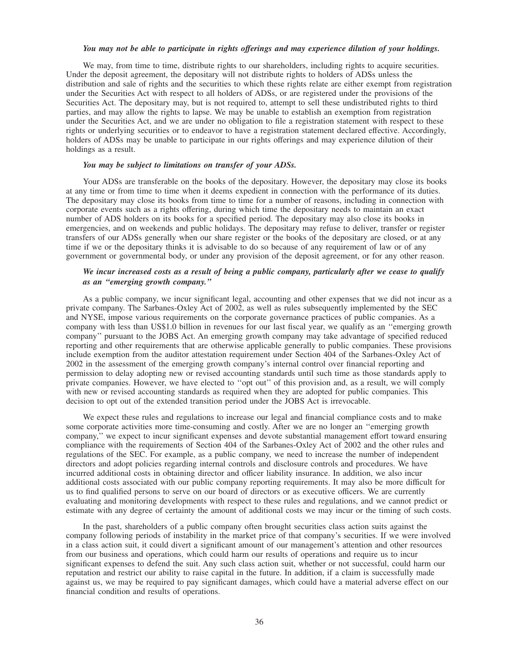## *You may not be able to participate in rights offerings and may experience dilution of your holdings.*

We may, from time to time, distribute rights to our shareholders, including rights to acquire securities. Under the deposit agreement, the depositary will not distribute rights to holders of ADSs unless the distribution and sale of rights and the securities to which these rights relate are either exempt from registration under the Securities Act with respect to all holders of ADSs, or are registered under the provisions of the Securities Act. The depositary may, but is not required to, attempt to sell these undistributed rights to third parties, and may allow the rights to lapse. We may be unable to establish an exemption from registration under the Securities Act, and we are under no obligation to file a registration statement with respect to these rights or underlying securities or to endeavor to have a registration statement declared effective. Accordingly, holders of ADSs may be unable to participate in our rights offerings and may experience dilution of their holdings as a result.

## *You may be subject to limitations on transfer of your ADSs.*

Your ADSs are transferable on the books of the depositary. However, the depositary may close its books at any time or from time to time when it deems expedient in connection with the performance of its duties. The depositary may close its books from time to time for a number of reasons, including in connection with corporate events such as a rights offering, during which time the depositary needs to maintain an exact number of ADS holders on its books for a specified period. The depositary may also close its books in emergencies, and on weekends and public holidays. The depositary may refuse to deliver, transfer or register transfers of our ADSs generally when our share register or the books of the depositary are closed, or at any time if we or the depositary thinks it is advisable to do so because of any requirement of law or of any government or governmental body, or under any provision of the deposit agreement, or for any other reason.

# *We incur increased costs as a result of being a public company, particularly after we cease to qualify as an ''emerging growth company.''*

As a public company, we incur significant legal, accounting and other expenses that we did not incur as a private company. The Sarbanes-Oxley Act of 2002, as well as rules subsequently implemented by the SEC and NYSE, impose various requirements on the corporate governance practices of public companies. As a company with less than US\$1.0 billion in revenues for our last fiscal year, we qualify as an ''emerging growth company'' pursuant to the JOBS Act. An emerging growth company may take advantage of specified reduced reporting and other requirements that are otherwise applicable generally to public companies. These provisions include exemption from the auditor attestation requirement under Section 404 of the Sarbanes-Oxley Act of 2002 in the assessment of the emerging growth company's internal control over financial reporting and permission to delay adopting new or revised accounting standards until such time as those standards apply to private companies. However, we have elected to ''opt out'' of this provision and, as a result, we will comply with new or revised accounting standards as required when they are adopted for public companies. This decision to opt out of the extended transition period under the JOBS Act is irrevocable.

We expect these rules and regulations to increase our legal and financial compliance costs and to make some corporate activities more time-consuming and costly. After we are no longer an ''emerging growth company,'' we expect to incur significant expenses and devote substantial management effort toward ensuring compliance with the requirements of Section 404 of the Sarbanes-Oxley Act of 2002 and the other rules and regulations of the SEC. For example, as a public company, we need to increase the number of independent directors and adopt policies regarding internal controls and disclosure controls and procedures. We have incurred additional costs in obtaining director and officer liability insurance. In addition, we also incur additional costs associated with our public company reporting requirements. It may also be more difficult for us to find qualified persons to serve on our board of directors or as executive officers. We are currently evaluating and monitoring developments with respect to these rules and regulations, and we cannot predict or estimate with any degree of certainty the amount of additional costs we may incur or the timing of such costs.

In the past, shareholders of a public company often brought securities class action suits against the company following periods of instability in the market price of that company's securities. If we were involved in a class action suit, it could divert a significant amount of our management's attention and other resources from our business and operations, which could harm our results of operations and require us to incur significant expenses to defend the suit. Any such class action suit, whether or not successful, could harm our reputation and restrict our ability to raise capital in the future. In addition, if a claim is successfully made against us, we may be required to pay significant damages, which could have a material adverse effect on our financial condition and results of operations.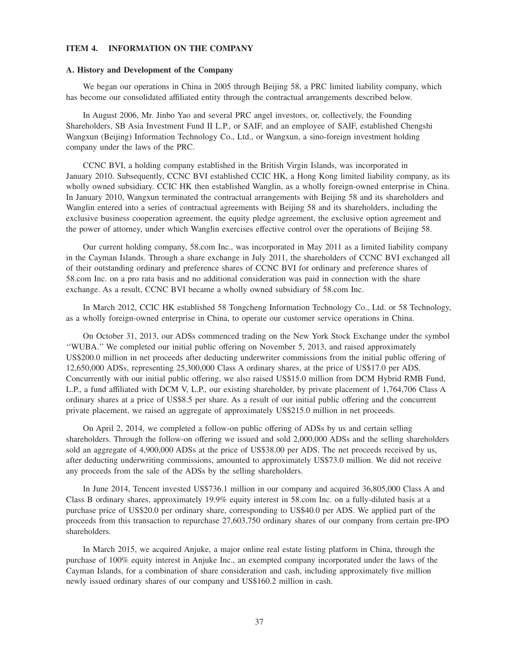## **ITEM 4. INFORMATION ON THE COMPANY**

## **A. History and Development of the Company**

We began our operations in China in 2005 through Beijing 58, a PRC limited liability company, which has become our consolidated affiliated entity through the contractual arrangements described below.

In August 2006, Mr. Jinbo Yao and several PRC angel investors, or, collectively, the Founding Shareholders, SB Asia Investment Fund II L.P., or SAIF, and an employee of SAIF, established Chengshi Wangxun (Beijing) Information Technology Co., Ltd., or Wangxun, a sino-foreign investment holding company under the laws of the PRC.

CCNC BVI, a holding company established in the British Virgin Islands, was incorporated in January 2010. Subsequently, CCNC BVI established CCIC HK, a Hong Kong limited liability company, as its wholly owned subsidiary. CCIC HK then established Wanglin, as a wholly foreign-owned enterprise in China. In January 2010, Wangxun terminated the contractual arrangements with Beijing 58 and its shareholders and Wanglin entered into a series of contractual agreements with Beijing 58 and its shareholders, including the exclusive business cooperation agreement, the equity pledge agreement, the exclusive option agreement and the power of attorney, under which Wanglin exercises effective control over the operations of Beijing 58.

Our current holding company, 58.com Inc., was incorporated in May 2011 as a limited liability company in the Cayman Islands. Through a share exchange in July 2011, the shareholders of CCNC BVI exchanged all of their outstanding ordinary and preference shares of CCNC BVI for ordinary and preference shares of 58.com Inc. on a pro rata basis and no additional consideration was paid in connection with the share exchange. As a result, CCNC BVI became a wholly owned subsidiary of 58.com Inc.

In March 2012, CCIC HK established 58 Tongcheng Information Technology Co., Ltd. or 58 Technology, as a wholly foreign-owned enterprise in China, to operate our customer service operations in China.

On October 31, 2013, our ADSs commenced trading on the New York Stock Exchange under the symbol ''WUBA.'' We completed our initial public offering on November 5, 2013, and raised approximately US\$200.0 million in net proceeds after deducting underwriter commissions from the initial public offering of 12,650,000 ADSs, representing 25,300,000 Class A ordinary shares, at the price of US\$17.0 per ADS. Concurrently with our initial public offering, we also raised US\$15.0 million from DCM Hybrid RMB Fund, L.P., a fund affiliated with DCM V, L.P., our existing shareholder, by private placement of 1,764,706 Class A ordinary shares at a price of US\$8.5 per share. As a result of our initial public offering and the concurrent private placement, we raised an aggregate of approximately US\$215.0 million in net proceeds.

On April 2, 2014, we completed a follow-on public offering of ADSs by us and certain selling shareholders. Through the follow-on offering we issued and sold 2,000,000 ADSs and the selling shareholders sold an aggregate of 4,900,000 ADSs at the price of US\$38.00 per ADS. The net proceeds received by us, after deducting underwriting commissions, amounted to approximately US\$73.0 million. We did not receive any proceeds from the sale of the ADSs by the selling shareholders.

In June 2014, Tencent invested US\$736.1 million in our company and acquired 36,805,000 Class A and Class B ordinary shares, approximately 19.9% equity interest in 58.com Inc. on a fully-diluted basis at a purchase price of US\$20.0 per ordinary share, corresponding to US\$40.0 per ADS. We applied part of the proceeds from this transaction to repurchase 27,603,750 ordinary shares of our company from certain pre-IPO shareholders.

In March 2015, we acquired Anjuke, a major online real estate listing platform in China, through the purchase of 100% equity interest in Anjuke Inc., an exempted company incorporated under the laws of the Cayman Islands, for a combination of share consideration and cash, including approximately five million newly issued ordinary shares of our company and US\$160.2 million in cash.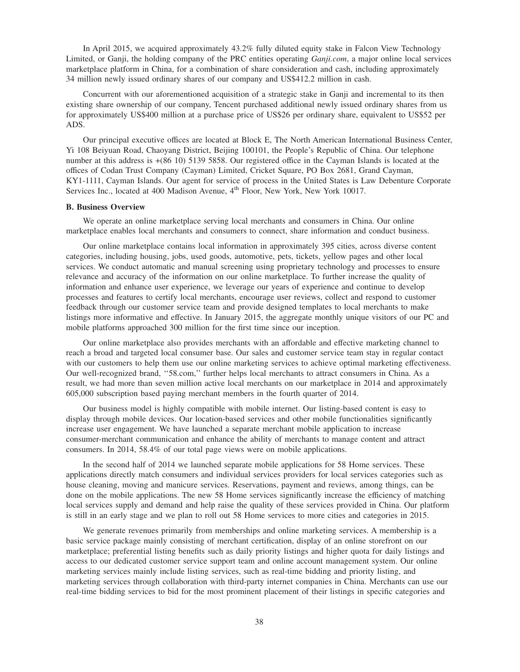In April 2015, we acquired approximately 43.2% fully diluted equity stake in Falcon View Technology Limited, or Ganji, the holding company of the PRC entities operating *Ganji.com*, a major online local services marketplace platform in China, for a combination of share consideration and cash, including approximately 34 million newly issued ordinary shares of our company and US\$412.2 million in cash.

Concurrent with our aforementioned acquisition of a strategic stake in Ganji and incremental to its then existing share ownership of our company, Tencent purchased additional newly issued ordinary shares from us for approximately US\$400 million at a purchase price of US\$26 per ordinary share, equivalent to US\$52 per ADS.

Our principal executive offices are located at Block E, The North American International Business Center, Yi 108 Beiyuan Road, Chaoyang District, Beijing 100101, the People's Republic of China. Our telephone number at this address is +(86 10) 5139 5858. Our registered office in the Cayman Islands is located at the offices of Codan Trust Company (Cayman) Limited, Cricket Square, PO Box 2681, Grand Cayman, KY1-1111, Cayman Islands. Our agent for service of process in the United States is Law Debenture Corporate Services Inc., located at 400 Madison Avenue, 4<sup>th</sup> Floor, New York, New York 10017.

#### **B. Business Overview**

We operate an online marketplace serving local merchants and consumers in China. Our online marketplace enables local merchants and consumers to connect, share information and conduct business.

Our online marketplace contains local information in approximately 395 cities, across diverse content categories, including housing, jobs, used goods, automotive, pets, tickets, yellow pages and other local services. We conduct automatic and manual screening using proprietary technology and processes to ensure relevance and accuracy of the information on our online marketplace. To further increase the quality of information and enhance user experience, we leverage our years of experience and continue to develop processes and features to certify local merchants, encourage user reviews, collect and respond to customer feedback through our customer service team and provide designed templates to local merchants to make listings more informative and effective. In January 2015, the aggregate monthly unique visitors of our PC and mobile platforms approached 300 million for the first time since our inception.

Our online marketplace also provides merchants with an affordable and effective marketing channel to reach a broad and targeted local consumer base. Our sales and customer service team stay in regular contact with our customers to help them use our online marketing services to achieve optimal marketing effectiveness. Our well-recognized brand, ''58.com,'' further helps local merchants to attract consumers in China. As a result, we had more than seven million active local merchants on our marketplace in 2014 and approximately 605,000 subscription based paying merchant members in the fourth quarter of 2014.

Our business model is highly compatible with mobile internet. Our listing-based content is easy to display through mobile devices. Our location-based services and other mobile functionalities significantly increase user engagement. We have launched a separate merchant mobile application to increase consumer-merchant communication and enhance the ability of merchants to manage content and attract consumers. In 2014, 58.4% of our total page views were on mobile applications.

In the second half of 2014 we launched separate mobile applications for 58 Home services. These applications directly match consumers and individual services providers for local services categories such as house cleaning, moving and manicure services. Reservations, payment and reviews, among things, can be done on the mobile applications. The new 58 Home services significantly increase the efficiency of matching local services supply and demand and help raise the quality of these services provided in China. Our platform is still in an early stage and we plan to roll out 58 Home services to more cities and categories in 2015.

We generate revenues primarily from memberships and online marketing services. A membership is a basic service package mainly consisting of merchant certification, display of an online storefront on our marketplace; preferential listing benefits such as daily priority listings and higher quota for daily listings and access to our dedicated customer service support team and online account management system. Our online marketing services mainly include listing services, such as real-time bidding and priority listing, and marketing services through collaboration with third-party internet companies in China. Merchants can use our real-time bidding services to bid for the most prominent placement of their listings in specific categories and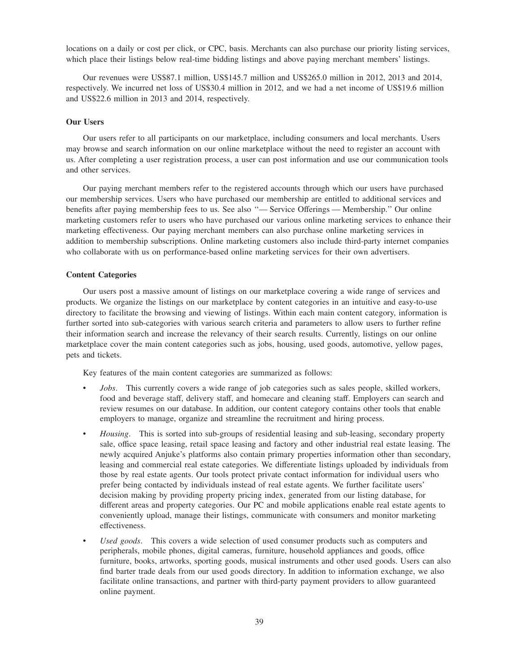locations on a daily or cost per click, or CPC, basis. Merchants can also purchase our priority listing services, which place their listings below real-time bidding listings and above paying merchant members' listings.

Our revenues were US\$87.1 million, US\$145.7 million and US\$265.0 million in 2012, 2013 and 2014, respectively. We incurred net loss of US\$30.4 million in 2012, and we had a net income of US\$19.6 million and US\$22.6 million in 2013 and 2014, respectively.

# **Our Users**

Our users refer to all participants on our marketplace, including consumers and local merchants. Users may browse and search information on our online marketplace without the need to register an account with us. After completing a user registration process, a user can post information and use our communication tools and other services.

Our paying merchant members refer to the registered accounts through which our users have purchased our membership services. Users who have purchased our membership are entitled to additional services and benefits after paying membership fees to us. See also ''— Service Offerings — Membership.'' Our online marketing customers refer to users who have purchased our various online marketing services to enhance their marketing effectiveness. Our paying merchant members can also purchase online marketing services in addition to membership subscriptions. Online marketing customers also include third-party internet companies who collaborate with us on performance-based online marketing services for their own advertisers.

### **Content Categories**

Our users post a massive amount of listings on our marketplace covering a wide range of services and products. We organize the listings on our marketplace by content categories in an intuitive and easy-to-use directory to facilitate the browsing and viewing of listings. Within each main content category, information is further sorted into sub-categories with various search criteria and parameters to allow users to further refine their information search and increase the relevancy of their search results. Currently, listings on our online marketplace cover the main content categories such as jobs, housing, used goods, automotive, yellow pages, pets and tickets.

Key features of the main content categories are summarized as follows:

- *Jobs*. This currently covers a wide range of job categories such as sales people, skilled workers, food and beverage staff, delivery staff, and homecare and cleaning staff. Employers can search and review resumes on our database. In addition, our content category contains other tools that enable employers to manage, organize and streamline the recruitment and hiring process.
- *Housing*. This is sorted into sub-groups of residential leasing and sub-leasing, secondary property sale, office space leasing, retail space leasing and factory and other industrial real estate leasing. The newly acquired Anjuke's platforms also contain primary properties information other than secondary, leasing and commercial real estate categories. We differentiate listings uploaded by individuals from those by real estate agents. Our tools protect private contact information for individual users who prefer being contacted by individuals instead of real estate agents. We further facilitate users' decision making by providing property pricing index, generated from our listing database, for different areas and property categories. Our PC and mobile applications enable real estate agents to conveniently upload, manage their listings, communicate with consumers and monitor marketing effectiveness.
- *Used goods*. This covers a wide selection of used consumer products such as computers and peripherals, mobile phones, digital cameras, furniture, household appliances and goods, office furniture, books, artworks, sporting goods, musical instruments and other used goods. Users can also find barter trade deals from our used goods directory. In addition to information exchange, we also facilitate online transactions, and partner with third-party payment providers to allow guaranteed online payment.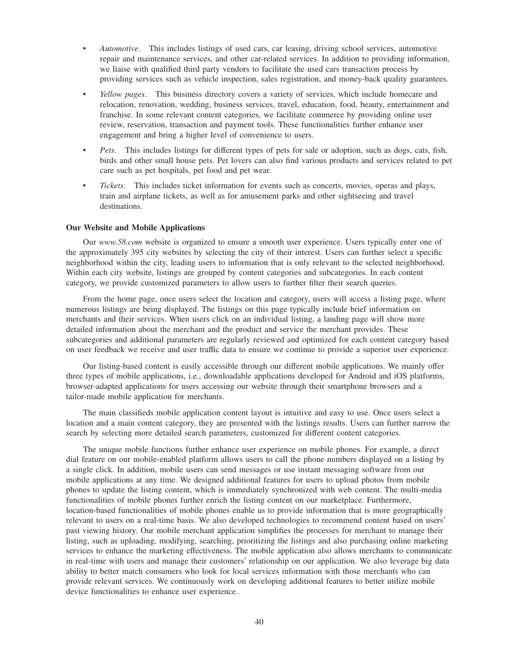- *Automotive*. This includes listings of used cars, car leasing, driving school services, automotive repair and maintenance services, and other car-related services. In addition to providing information, we liaise with qualified third party vendors to facilitate the used cars transaction process by providing services such as vehicle inspection, sales registration, and money-back quality guarantees.
- *Yellow pages*. This business directory covers a variety of services, which include homecare and relocation, renovation, wedding, business services, travel, education, food, beauty, entertainment and franchise. In some relevant content categories, we facilitate commerce by providing online user review, reservation, transaction and payment tools. These functionalities further enhance user engagement and bring a higher level of convenience to users.
- *Pets*. This includes listings for different types of pets for sale or adoption, such as dogs, cats, fish, birds and other small house pets. Pet lovers can also find various products and services related to pet care such as pet hospitals, pet food and pet wear.
- *Tickets*. This includes ticket information for events such as concerts, movies, operas and plays, train and airplane tickets, as well as for amusement parks and other sightseeing and travel destinations.

## **Our Website and Mobile Applications**

Our *www.58.com* website is organized to ensure a smooth user experience. Users typically enter one of the approximately 395 city websites by selecting the city of their interest. Users can further select a specific neighborhood within the city, leading users to information that is only relevant to the selected neighborhood. Within each city website, listings are grouped by content categories and subcategories. In each content category, we provide customized parameters to allow users to further filter their search queries.

From the home page, once users select the location and category, users will access a listing page, where numerous listings are being displayed. The listings on this page typically include brief information on merchants and their services. When users click on an individual listing, a landing page will show more detailed information about the merchant and the product and service the merchant provides. These subcategories and additional parameters are regularly reviewed and optimized for each content category based on user feedback we receive and user traffic data to ensure we continue to provide a superior user experience.

Our listing-based content is easily accessible through our different mobile applications. We mainly offer three types of mobile applications, i.e., downloadable applications developed for Android and iOS platforms, browser-adapted applications for users accessing our website through their smartphone browsers and a tailor-made mobile application for merchants.

The main classifieds mobile application content layout is intuitive and easy to use. Once users select a location and a main content category, they are presented with the listings results. Users can further narrow the search by selecting more detailed search parameters, customized for different content categories.

The unique mobile functions further enhance user experience on mobile phones. For example, a direct dial feature on our mobile-enabled platform allows users to call the phone numbers displayed on a listing by a single click. In addition, mobile users can send messages or use instant messaging software from our mobile applications at any time. We designed additional features for users to upload photos from mobile phones to update the listing content, which is immediately synchronized with web content. The multi-media functionalities of mobile phones further enrich the listing content on our marketplace. Furthermore, location-based functionalities of mobile phones enable us to provide information that is more geographically relevant to users on a real-time basis. We also developed technologies to recommend content based on users' past viewing history. Our mobile merchant application simplifies the processes for merchant to manage their listing, such as uploading, modifying, searching, prioritizing the listings and also purchasing online marketing services to enhance the marketing effectiveness. The mobile application also allows merchants to communicate in real-time with users and manage their customers' relationship on our application. We also leverage big data ability to better match consumers who look for local services information with those merchants who can provide relevant services. We continuously work on developing additional features to better utilize mobile device functionalities to enhance user experience.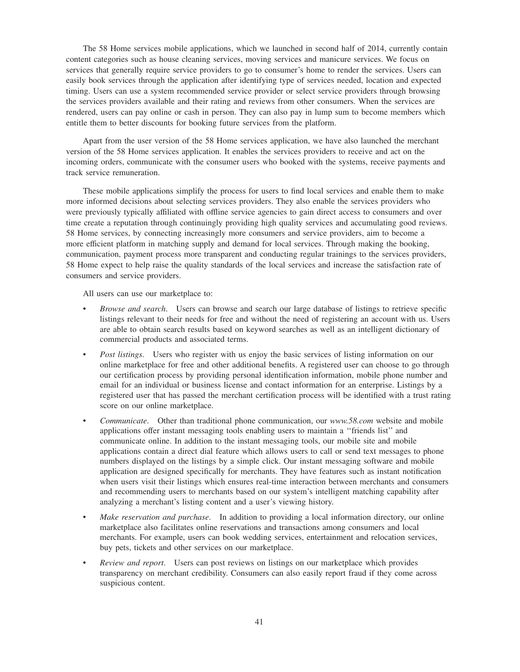The 58 Home services mobile applications, which we launched in second half of 2014, currently contain content categories such as house cleaning services, moving services and manicure services. We focus on services that generally require service providers to go to consumer's home to render the services. Users can easily book services through the application after identifying type of services needed, location and expected timing. Users can use a system recommended service provider or select service providers through browsing the services providers available and their rating and reviews from other consumers. When the services are rendered, users can pay online or cash in person. They can also pay in lump sum to become members which entitle them to better discounts for booking future services from the platform.

Apart from the user version of the 58 Home services application, we have also launched the merchant version of the 58 Home services application. It enables the services providers to receive and act on the incoming orders, communicate with the consumer users who booked with the systems, receive payments and track service remuneration.

These mobile applications simplify the process for users to find local services and enable them to make more informed decisions about selecting services providers. They also enable the services providers who were previously typically affiliated with offline service agencies to gain direct access to consumers and over time create a reputation through continuingly providing high quality services and accumulating good reviews. 58 Home services, by connecting increasingly more consumers and service providers, aim to become a more efficient platform in matching supply and demand for local services. Through making the booking, communication, payment process more transparent and conducting regular trainings to the services providers, 58 Home expect to help raise the quality standards of the local services and increase the satisfaction rate of consumers and service providers.

All users can use our marketplace to:

- *Browse and search*. Users can browse and search our large database of listings to retrieve specific listings relevant to their needs for free and without the need of registering an account with us. Users are able to obtain search results based on keyword searches as well as an intelligent dictionary of commercial products and associated terms.
- *Post listings*. Users who register with us enjoy the basic services of listing information on our online marketplace for free and other additional benefits. A registered user can choose to go through our certification process by providing personal identification information, mobile phone number and email for an individual or business license and contact information for an enterprise. Listings by a registered user that has passed the merchant certification process will be identified with a trust rating score on our online marketplace.
- *Communicate*. Other than traditional phone communication, our *www.58.com* website and mobile applications offer instant messaging tools enabling users to maintain a ''friends list'' and communicate online. In addition to the instant messaging tools, our mobile site and mobile applications contain a direct dial feature which allows users to call or send text messages to phone numbers displayed on the listings by a simple click. Our instant messaging software and mobile application are designed specifically for merchants. They have features such as instant notification when users visit their listings which ensures real-time interaction between merchants and consumers and recommending users to merchants based on our system's intelligent matching capability after analyzing a merchant's listing content and a user's viewing history.
- *Make reservation and purchase*. In addition to providing a local information directory, our online marketplace also facilitates online reservations and transactions among consumers and local merchants. For example, users can book wedding services, entertainment and relocation services, buy pets, tickets and other services on our marketplace.
- *Review and report*. Users can post reviews on listings on our marketplace which provides transparency on merchant credibility. Consumers can also easily report fraud if they come across suspicious content.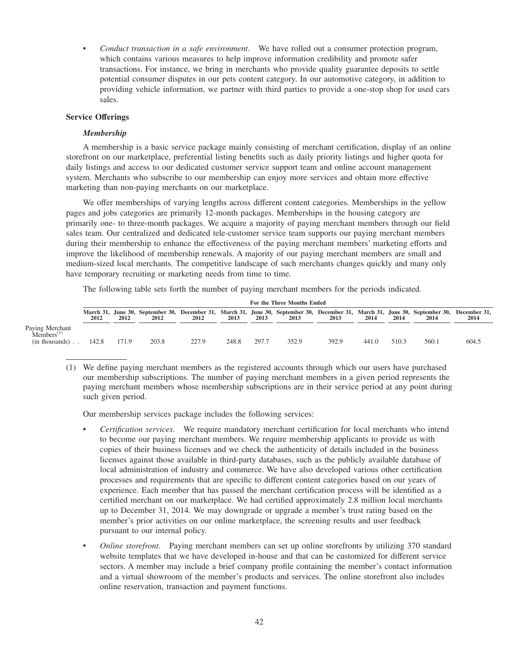• *Conduct transaction in a safe environment*. We have rolled out a consumer protection program, which contains various measures to help improve information credibility and promote safer transactions. For instance, we bring in merchants who provide quality guarantee deposits to settle potential consumer disputes in our pets content category. In our automotive category, in addition to providing vehicle information, we partner with third parties to provide a one-stop shop for used cars sales.

# **Service Offerings**

### *Membership*

A membership is a basic service package mainly consisting of merchant certification, display of an online storefront on our marketplace, preferential listing benefits such as daily priority listings and higher quota for daily listings and access to our dedicated customer service support team and online account management system. Merchants who subscribe to our membership can enjoy more services and obtain more effective marketing than non-paying merchants on our marketplace.

We offer memberships of varying lengths across different content categories. Memberships in the yellow pages and jobs categories are primarily 12-month packages. Memberships in the housing category are primarily one- to three-month packages. We acquire a majority of paying merchant members through our field sales team. Our centralized and dedicated tele-customer service team supports our paying merchant members during their membership to enhance the effectiveness of the paying merchant members' marketing efforts and improve the likelihood of membership renewals. A majority of our paying merchant members are small and medium-sized local merchants. The competitive landscape of such merchants changes quickly and many only have temporary recruiting or marketing needs from time to time.

The following table sets forth the number of paying merchant members for the periods indicated.

|                                                             | For the Three Months Ended |       |       |       |       |       |                                                                                                                                      |       |       |       |       |                      |
|-------------------------------------------------------------|----------------------------|-------|-------|-------|-------|-------|--------------------------------------------------------------------------------------------------------------------------------------|-------|-------|-------|-------|----------------------|
|                                                             | 2012                       | 2012  | 2012  | 2012  | 2013  | 2013  | March 31, June 30, September 30, December 31, March 31, June 30, September 30, December 31, March 31, June 30, September 30,<br>2013 | 2013  | 2014  | 2014  | 2014  | December 31,<br>2014 |
| Paying Merchant<br>Members <sup>(1)</sup><br>(in thousands) | 142.8                      | 171.9 | 203.8 | 227.9 | 248.8 | 297.7 | 352.9                                                                                                                                | 392.9 | 441.0 | 510.3 | 560.1 | 604.5                |

(1) We define paying merchant members as the registered accounts through which our users have purchased our membership subscriptions. The number of paying merchant members in a given period represents the paying merchant members whose membership subscriptions are in their service period at any point during such given period.

Our membership services package includes the following services:

- *Certification services*. We require mandatory merchant certification for local merchants who intend to become our paying merchant members. We require membership applicants to provide us with copies of their business licenses and we check the authenticity of details included in the business licenses against those available in third-party databases, such as the publicly available database of local administration of industry and commerce. We have also developed various other certification processes and requirements that are specific to different content categories based on our years of experience. Each member that has passed the merchant certification process will be identified as a certified merchant on our marketplace. We had certified approximately 2.8 million local merchants up to December 31, 2014. We may downgrade or upgrade a member's trust rating based on the member's prior activities on our online marketplace, the screening results and user feedback pursuant to our internal policy.
- *Online storefront*. Paying merchant members can set up online storefronts by utilizing 370 standard website templates that we have developed in-house and that can be customized for different service sectors. A member may include a brief company profile containing the member's contact information and a virtual showroom of the member's products and services. The online storefront also includes online reservation, transaction and payment functions.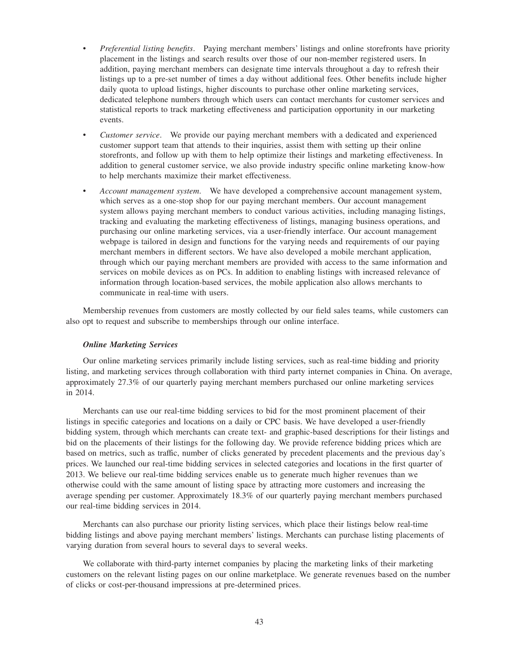- *Preferential listing benefits*. Paying merchant members' listings and online storefronts have priority placement in the listings and search results over those of our non-member registered users. In addition, paying merchant members can designate time intervals throughout a day to refresh their listings up to a pre-set number of times a day without additional fees. Other benefits include higher daily quota to upload listings, higher discounts to purchase other online marketing services, dedicated telephone numbers through which users can contact merchants for customer services and statistical reports to track marketing effectiveness and participation opportunity in our marketing events.
- *Customer service*. We provide our paying merchant members with a dedicated and experienced customer support team that attends to their inquiries, assist them with setting up their online storefronts, and follow up with them to help optimize their listings and marketing effectiveness. In addition to general customer service, we also provide industry specific online marketing know-how to help merchants maximize their market effectiveness.
- *Account management system*. We have developed a comprehensive account management system, which serves as a one-stop shop for our paying merchant members. Our account management system allows paying merchant members to conduct various activities, including managing listings, tracking and evaluating the marketing effectiveness of listings, managing business operations, and purchasing our online marketing services, via a user-friendly interface. Our account management webpage is tailored in design and functions for the varying needs and requirements of our paying merchant members in different sectors. We have also developed a mobile merchant application, through which our paying merchant members are provided with access to the same information and services on mobile devices as on PCs. In addition to enabling listings with increased relevance of information through location-based services, the mobile application also allows merchants to communicate in real-time with users.

Membership revenues from customers are mostly collected by our field sales teams, while customers can also opt to request and subscribe to memberships through our online interface.

## *Online Marketing Services*

Our online marketing services primarily include listing services, such as real-time bidding and priority listing, and marketing services through collaboration with third party internet companies in China. On average, approximately 27.3% of our quarterly paying merchant members purchased our online marketing services in 2014.

Merchants can use our real-time bidding services to bid for the most prominent placement of their listings in specific categories and locations on a daily or CPC basis. We have developed a user-friendly bidding system, through which merchants can create text- and graphic-based descriptions for their listings and bid on the placements of their listings for the following day. We provide reference bidding prices which are based on metrics, such as traffic, number of clicks generated by precedent placements and the previous day's prices. We launched our real-time bidding services in selected categories and locations in the first quarter of 2013. We believe our real-time bidding services enable us to generate much higher revenues than we otherwise could with the same amount of listing space by attracting more customers and increasing the average spending per customer. Approximately 18.3% of our quarterly paying merchant members purchased our real-time bidding services in 2014.

Merchants can also purchase our priority listing services, which place their listings below real-time bidding listings and above paying merchant members' listings. Merchants can purchase listing placements of varying duration from several hours to several days to several weeks.

We collaborate with third-party internet companies by placing the marketing links of their marketing customers on the relevant listing pages on our online marketplace. We generate revenues based on the number of clicks or cost-per-thousand impressions at pre-determined prices.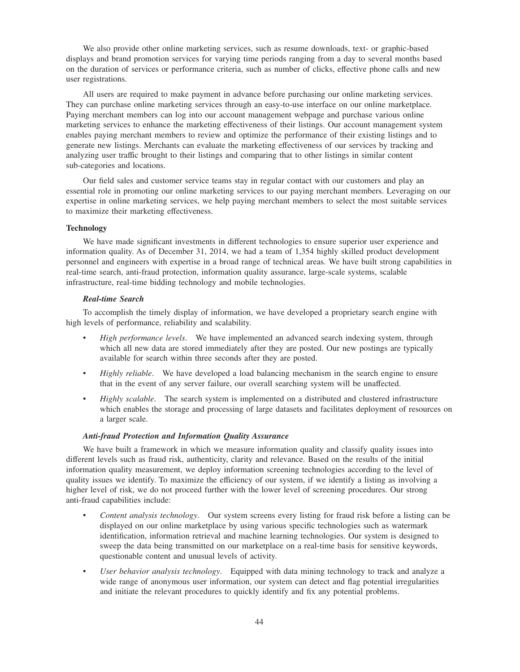We also provide other online marketing services, such as resume downloads, text- or graphic-based displays and brand promotion services for varying time periods ranging from a day to several months based on the duration of services or performance criteria, such as number of clicks, effective phone calls and new user registrations.

All users are required to make payment in advance before purchasing our online marketing services. They can purchase online marketing services through an easy-to-use interface on our online marketplace. Paying merchant members can log into our account management webpage and purchase various online marketing services to enhance the marketing effectiveness of their listings. Our account management system enables paying merchant members to review and optimize the performance of their existing listings and to generate new listings. Merchants can evaluate the marketing effectiveness of our services by tracking and analyzing user traffic brought to their listings and comparing that to other listings in similar content sub-categories and locations.

Our field sales and customer service teams stay in regular contact with our customers and play an essential role in promoting our online marketing services to our paying merchant members. Leveraging on our expertise in online marketing services, we help paying merchant members to select the most suitable services to maximize their marketing effectiveness.

## **Technology**

We have made significant investments in different technologies to ensure superior user experience and information quality. As of December 31, 2014, we had a team of 1,354 highly skilled product development personnel and engineers with expertise in a broad range of technical areas. We have built strong capabilities in real-time search, anti-fraud protection, information quality assurance, large-scale systems, scalable infrastructure, real-time bidding technology and mobile technologies.

## *Real-time Search*

To accomplish the timely display of information, we have developed a proprietary search engine with high levels of performance, reliability and scalability.

- *High performance levels*. We have implemented an advanced search indexing system, through which all new data are stored immediately after they are posted. Our new postings are typically available for search within three seconds after they are posted.
- *Highly reliable*. We have developed a load balancing mechanism in the search engine to ensure that in the event of any server failure, our overall searching system will be unaffected.
- *Highly scalable*. The search system is implemented on a distributed and clustered infrastructure which enables the storage and processing of large datasets and facilitates deployment of resources on a larger scale.

## *Anti-fraud Protection and Information Quality Assurance*

We have built a framework in which we measure information quality and classify quality issues into different levels such as fraud risk, authenticity, clarity and relevance. Based on the results of the initial information quality measurement, we deploy information screening technologies according to the level of quality issues we identify. To maximize the efficiency of our system, if we identify a listing as involving a higher level of risk, we do not proceed further with the lower level of screening procedures. Our strong anti-fraud capabilities include:

- *Content analysis technology*. Our system screens every listing for fraud risk before a listing can be displayed on our online marketplace by using various specific technologies such as watermark identification, information retrieval and machine learning technologies. Our system is designed to sweep the data being transmitted on our marketplace on a real-time basis for sensitive keywords, questionable content and unusual levels of activity.
- *User behavior analysis technology*. Equipped with data mining technology to track and analyze a wide range of anonymous user information, our system can detect and flag potential irregularities and initiate the relevant procedures to quickly identify and fix any potential problems.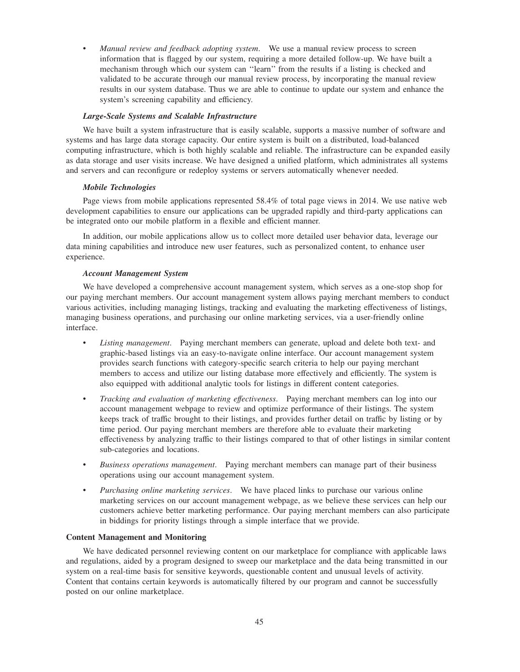• *Manual review and feedback adopting system*. We use a manual review process to screen information that is flagged by our system, requiring a more detailed follow-up. We have built a mechanism through which our system can ''learn'' from the results if a listing is checked and validated to be accurate through our manual review process, by incorporating the manual review results in our system database. Thus we are able to continue to update our system and enhance the system's screening capability and efficiency.

## *Large-Scale Systems and Scalable Infrastructure*

We have built a system infrastructure that is easily scalable, supports a massive number of software and systems and has large data storage capacity. Our entire system is built on a distributed, load-balanced computing infrastructure, which is both highly scalable and reliable. The infrastructure can be expanded easily as data storage and user visits increase. We have designed a unified platform, which administrates all systems and servers and can reconfigure or redeploy systems or servers automatically whenever needed.

## *Mobile Technologies*

Page views from mobile applications represented 58.4% of total page views in 2014. We use native web development capabilities to ensure our applications can be upgraded rapidly and third-party applications can be integrated onto our mobile platform in a flexible and efficient manner.

In addition, our mobile applications allow us to collect more detailed user behavior data, leverage our data mining capabilities and introduce new user features, such as personalized content, to enhance user experience.

## *Account Management System*

We have developed a comprehensive account management system, which serves as a one-stop shop for our paying merchant members. Our account management system allows paying merchant members to conduct various activities, including managing listings, tracking and evaluating the marketing effectiveness of listings, managing business operations, and purchasing our online marketing services, via a user-friendly online interface.

- *Listing management*. Paying merchant members can generate, upload and delete both text- and graphic-based listings via an easy-to-navigate online interface. Our account management system provides search functions with category-specific search criteria to help our paying merchant members to access and utilize our listing database more effectively and efficiently. The system is also equipped with additional analytic tools for listings in different content categories.
- *Tracking and evaluation of marketing effectiveness*. Paying merchant members can log into our account management webpage to review and optimize performance of their listings. The system keeps track of traffic brought to their listings, and provides further detail on traffic by listing or by time period. Our paying merchant members are therefore able to evaluate their marketing effectiveness by analyzing traffic to their listings compared to that of other listings in similar content sub-categories and locations.
- *Business operations management*. Paying merchant members can manage part of their business operations using our account management system.
- *Purchasing online marketing services*. We have placed links to purchase our various online marketing services on our account management webpage, as we believe these services can help our customers achieve better marketing performance. Our paying merchant members can also participate in biddings for priority listings through a simple interface that we provide.

## **Content Management and Monitoring**

We have dedicated personnel reviewing content on our marketplace for compliance with applicable laws and regulations, aided by a program designed to sweep our marketplace and the data being transmitted in our system on a real-time basis for sensitive keywords, questionable content and unusual levels of activity. Content that contains certain keywords is automatically filtered by our program and cannot be successfully posted on our online marketplace.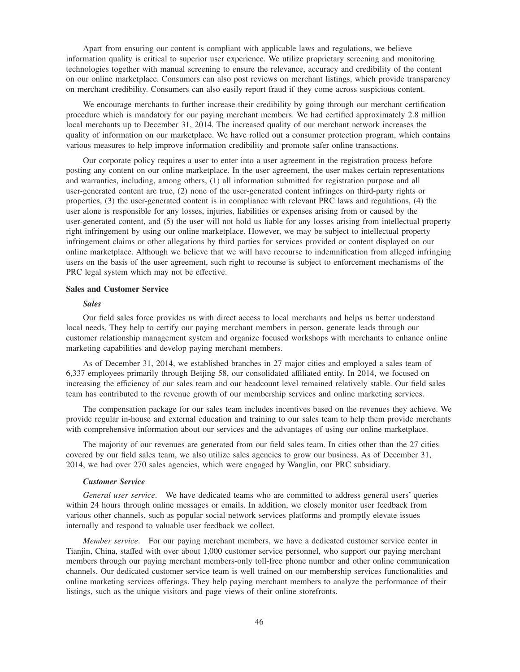Apart from ensuring our content is compliant with applicable laws and regulations, we believe information quality is critical to superior user experience. We utilize proprietary screening and monitoring technologies together with manual screening to ensure the relevance, accuracy and credibility of the content on our online marketplace. Consumers can also post reviews on merchant listings, which provide transparency on merchant credibility. Consumers can also easily report fraud if they come across suspicious content.

We encourage merchants to further increase their credibility by going through our merchant certification procedure which is mandatory for our paying merchant members. We had certified approximately 2.8 million local merchants up to December 31, 2014. The increased quality of our merchant network increases the quality of information on our marketplace. We have rolled out a consumer protection program, which contains various measures to help improve information credibility and promote safer online transactions.

Our corporate policy requires a user to enter into a user agreement in the registration process before posting any content on our online marketplace. In the user agreement, the user makes certain representations and warranties, including, among others, (1) all information submitted for registration purpose and all user-generated content are true, (2) none of the user-generated content infringes on third-party rights or properties, (3) the user-generated content is in compliance with relevant PRC laws and regulations, (4) the user alone is responsible for any losses, injuries, liabilities or expenses arising from or caused by the user-generated content, and (5) the user will not hold us liable for any losses arising from intellectual property right infringement by using our online marketplace. However, we may be subject to intellectual property infringement claims or other allegations by third parties for services provided or content displayed on our online marketplace. Although we believe that we will have recourse to indemnification from alleged infringing users on the basis of the user agreement, such right to recourse is subject to enforcement mechanisms of the PRC legal system which may not be effective.

### **Sales and Customer Service**

#### *Sales*

Our field sales force provides us with direct access to local merchants and helps us better understand local needs. They help to certify our paying merchant members in person, generate leads through our customer relationship management system and organize focused workshops with merchants to enhance online marketing capabilities and develop paying merchant members.

As of December 31, 2014, we established branches in 27 major cities and employed a sales team of 6,337 employees primarily through Beijing 58, our consolidated affiliated entity. In 2014, we focused on increasing the efficiency of our sales team and our headcount level remained relatively stable. Our field sales team has contributed to the revenue growth of our membership services and online marketing services.

The compensation package for our sales team includes incentives based on the revenues they achieve. We provide regular in-house and external education and training to our sales team to help them provide merchants with comprehensive information about our services and the advantages of using our online marketplace.

The majority of our revenues are generated from our field sales team. In cities other than the 27 cities covered by our field sales team, we also utilize sales agencies to grow our business. As of December 31, 2014, we had over 270 sales agencies, which were engaged by Wanglin, our PRC subsidiary.

### *Customer Service*

*General user service*. We have dedicated teams who are committed to address general users' queries within 24 hours through online messages or emails. In addition, we closely monitor user feedback from various other channels, such as popular social network services platforms and promptly elevate issues internally and respond to valuable user feedback we collect.

*Member service*. For our paying merchant members, we have a dedicated customer service center in Tianjin, China, staffed with over about 1,000 customer service personnel, who support our paying merchant members through our paying merchant members-only toll-free phone number and other online communication channels. Our dedicated customer service team is well trained on our membership services functionalities and online marketing services offerings. They help paying merchant members to analyze the performance of their listings, such as the unique visitors and page views of their online storefronts.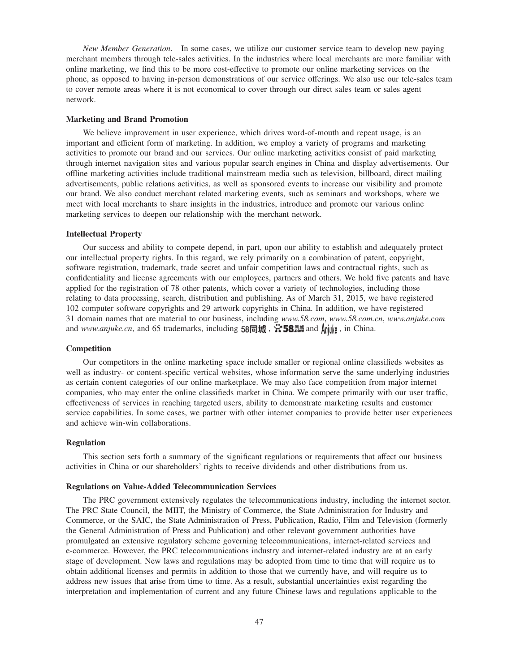*New Member Generation*. In some cases, we utilize our customer service team to develop new paying merchant members through tele-sales activities. In the industries where local merchants are more familiar with online marketing, we find this to be more cost-effective to promote our online marketing services on the phone, as opposed to having in-person demonstrations of our service offerings. We also use our tele-sales team to cover remote areas where it is not economical to cover through our direct sales team or sales agent network.

#### **Marketing and Brand Promotion**

We believe improvement in user experience, which drives word-of-mouth and repeat usage, is an important and efficient form of marketing. In addition, we employ a variety of programs and marketing activities to promote our brand and our services. Our online marketing activities consist of paid marketing through internet navigation sites and various popular search engines in China and display advertisements. Our offline marketing activities include traditional mainstream media such as television, billboard, direct mailing advertisements, public relations activities, as well as sponsored events to increase our visibility and promote our brand. We also conduct merchant related marketing events, such as seminars and workshops, where we meet with local merchants to share insights in the industries, introduce and promote our various online marketing services to deepen our relationship with the merchant network.

#### **Intellectual Property**

Our success and ability to compete depend, in part, upon our ability to establish and adequately protect our intellectual property rights. In this regard, we rely primarily on a combination of patent, copyright, software registration, trademark, trade secret and unfair competition laws and contractual rights, such as confidentiality and license agreements with our employees, partners and others. We hold five patents and have applied for the registration of 78 other patents, which cover a variety of technologies, including those relating to data processing, search, distribution and publishing. As of March 31, 2015, we have registered 102 computer software copyrights and 29 artwork copyrights in China. In addition, we have registered 31 domain names that are material to our business, including *www.58.com*, *www.58.com.cn*, *www.anjuke.com* and *www.anjuke.cn*, and 65 trademarks, including 58同城, **充58.** and Anjuke, in China.

## **Competition**

Our competitors in the online marketing space include smaller or regional online classifieds websites as well as industry- or content-specific vertical websites, whose information serve the same underlying industries as certain content categories of our online marketplace. We may also face competition from major internet companies, who may enter the online classifieds market in China. We compete primarily with our user traffic, effectiveness of services in reaching targeted users, ability to demonstrate marketing results and customer service capabilities. In some cases, we partner with other internet companies to provide better user experiences and achieve win-win collaborations.

## **Regulation**

This section sets forth a summary of the significant regulations or requirements that affect our business activities in China or our shareholders' rights to receive dividends and other distributions from us.

### **Regulations on Value-Added Telecommunication Services**

The PRC government extensively regulates the telecommunications industry, including the internet sector. The PRC State Council, the MIIT, the Ministry of Commerce, the State Administration for Industry and Commerce, or the SAIC, the State Administration of Press, Publication, Radio, Film and Television (formerly the General Administration of Press and Publication) and other relevant government authorities have promulgated an extensive regulatory scheme governing telecommunications, internet-related services and e-commerce. However, the PRC telecommunications industry and internet-related industry are at an early stage of development. New laws and regulations may be adopted from time to time that will require us to obtain additional licenses and permits in addition to those that we currently have, and will require us to address new issues that arise from time to time. As a result, substantial uncertainties exist regarding the interpretation and implementation of current and any future Chinese laws and regulations applicable to the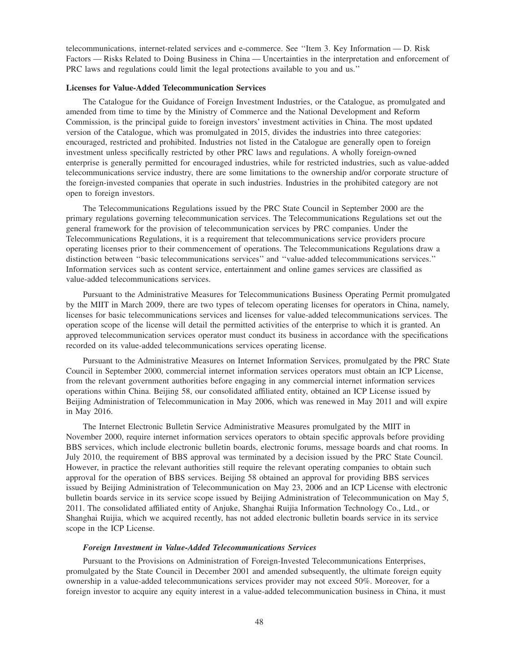telecommunications, internet-related services and e-commerce. See ''Item 3. Key Information — D. Risk Factors — Risks Related to Doing Business in China — Uncertainties in the interpretation and enforcement of PRC laws and regulations could limit the legal protections available to you and us.''

## **Licenses for Value-Added Telecommunication Services**

The Catalogue for the Guidance of Foreign Investment Industries, or the Catalogue, as promulgated and amended from time to time by the Ministry of Commerce and the National Development and Reform Commission, is the principal guide to foreign investors' investment activities in China. The most updated version of the Catalogue, which was promulgated in 2015, divides the industries into three categories: encouraged, restricted and prohibited. Industries not listed in the Catalogue are generally open to foreign investment unless specifically restricted by other PRC laws and regulations. A wholly foreign-owned enterprise is generally permitted for encouraged industries, while for restricted industries, such as value-added telecommunications service industry, there are some limitations to the ownership and/or corporate structure of the foreign-invested companies that operate in such industries. Industries in the prohibited category are not open to foreign investors.

The Telecommunications Regulations issued by the PRC State Council in September 2000 are the primary regulations governing telecommunication services. The Telecommunications Regulations set out the general framework for the provision of telecommunication services by PRC companies. Under the Telecommunications Regulations, it is a requirement that telecommunications service providers procure operating licenses prior to their commencement of operations. The Telecommunications Regulations draw a distinction between ''basic telecommunications services'' and ''value-added telecommunications services.'' Information services such as content service, entertainment and online games services are classified as value-added telecommunications services.

Pursuant to the Administrative Measures for Telecommunications Business Operating Permit promulgated by the MIIT in March 2009, there are two types of telecom operating licenses for operators in China, namely, licenses for basic telecommunications services and licenses for value-added telecommunications services. The operation scope of the license will detail the permitted activities of the enterprise to which it is granted. An approved telecommunication services operator must conduct its business in accordance with the specifications recorded on its value-added telecommunications services operating license.

Pursuant to the Administrative Measures on Internet Information Services, promulgated by the PRC State Council in September 2000, commercial internet information services operators must obtain an ICP License, from the relevant government authorities before engaging in any commercial internet information services operations within China. Beijing 58, our consolidated affiliated entity, obtained an ICP License issued by Beijing Administration of Telecommunication in May 2006, which was renewed in May 2011 and will expire in May 2016.

The Internet Electronic Bulletin Service Administrative Measures promulgated by the MIIT in November 2000, require internet information services operators to obtain specific approvals before providing BBS services, which include electronic bulletin boards, electronic forums, message boards and chat rooms. In July 2010, the requirement of BBS approval was terminated by a decision issued by the PRC State Council. However, in practice the relevant authorities still require the relevant operating companies to obtain such approval for the operation of BBS services. Beijing 58 obtained an approval for providing BBS services issued by Beijing Administration of Telecommunication on May 23, 2006 and an ICP License with electronic bulletin boards service in its service scope issued by Beijing Administration of Telecommunication on May 5, 2011. The consolidated affiliated entity of Anjuke, Shanghai Ruijia Information Technology Co., Ltd., or Shanghai Ruijia, which we acquired recently, has not added electronic bulletin boards service in its service scope in the ICP License.

#### *Foreign Investment in Value-Added Telecommunications Services*

Pursuant to the Provisions on Administration of Foreign-Invested Telecommunications Enterprises, promulgated by the State Council in December 2001 and amended subsequently, the ultimate foreign equity ownership in a value-added telecommunications services provider may not exceed 50%. Moreover, for a foreign investor to acquire any equity interest in a value-added telecommunication business in China, it must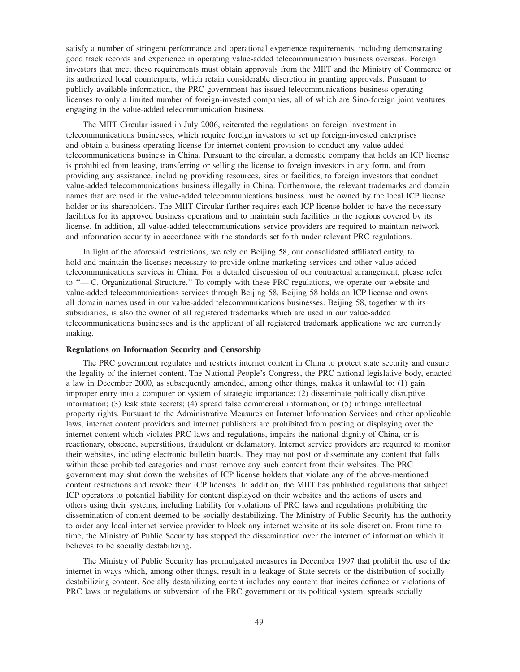satisfy a number of stringent performance and operational experience requirements, including demonstrating good track records and experience in operating value-added telecommunication business overseas. Foreign investors that meet these requirements must obtain approvals from the MIIT and the Ministry of Commerce or its authorized local counterparts, which retain considerable discretion in granting approvals. Pursuant to publicly available information, the PRC government has issued telecommunications business operating licenses to only a limited number of foreign-invested companies, all of which are Sino-foreign joint ventures engaging in the value-added telecommunication business.

The MIIT Circular issued in July 2006, reiterated the regulations on foreign investment in telecommunications businesses, which require foreign investors to set up foreign-invested enterprises and obtain a business operating license for internet content provision to conduct any value-added telecommunications business in China. Pursuant to the circular, a domestic company that holds an ICP license is prohibited from leasing, transferring or selling the license to foreign investors in any form, and from providing any assistance, including providing resources, sites or facilities, to foreign investors that conduct value-added telecommunications business illegally in China. Furthermore, the relevant trademarks and domain names that are used in the value-added telecommunications business must be owned by the local ICP license holder or its shareholders. The MIIT Circular further requires each ICP license holder to have the necessary facilities for its approved business operations and to maintain such facilities in the regions covered by its license. In addition, all value-added telecommunications service providers are required to maintain network and information security in accordance with the standards set forth under relevant PRC regulations.

In light of the aforesaid restrictions, we rely on Beijing 58, our consolidated affiliated entity, to hold and maintain the licenses necessary to provide online marketing services and other value-added telecommunications services in China. For a detailed discussion of our contractual arrangement, please refer to ''— C. Organizational Structure.'' To comply with these PRC regulations, we operate our website and value-added telecommunications services through Beijing 58. Beijing 58 holds an ICP license and owns all domain names used in our value-added telecommunications businesses. Beijing 58, together with its subsidiaries, is also the owner of all registered trademarks which are used in our value-added telecommunications businesses and is the applicant of all registered trademark applications we are currently making.

## **Regulations on Information Security and Censorship**

The PRC government regulates and restricts internet content in China to protect state security and ensure the legality of the internet content. The National People's Congress, the PRC national legislative body, enacted a law in December 2000, as subsequently amended, among other things, makes it unlawful to: (1) gain improper entry into a computer or system of strategic importance; (2) disseminate politically disruptive information; (3) leak state secrets; (4) spread false commercial information; or (5) infringe intellectual property rights. Pursuant to the Administrative Measures on Internet Information Services and other applicable laws, internet content providers and internet publishers are prohibited from posting or displaying over the internet content which violates PRC laws and regulations, impairs the national dignity of China, or is reactionary, obscene, superstitious, fraudulent or defamatory. Internet service providers are required to monitor their websites, including electronic bulletin boards. They may not post or disseminate any content that falls within these prohibited categories and must remove any such content from their websites. The PRC government may shut down the websites of ICP license holders that violate any of the above-mentioned content restrictions and revoke their ICP licenses. In addition, the MIIT has published regulations that subject ICP operators to potential liability for content displayed on their websites and the actions of users and others using their systems, including liability for violations of PRC laws and regulations prohibiting the dissemination of content deemed to be socially destabilizing. The Ministry of Public Security has the authority to order any local internet service provider to block any internet website at its sole discretion. From time to time, the Ministry of Public Security has stopped the dissemination over the internet of information which it believes to be socially destabilizing.

The Ministry of Public Security has promulgated measures in December 1997 that prohibit the use of the internet in ways which, among other things, result in a leakage of State secrets or the distribution of socially destabilizing content. Socially destabilizing content includes any content that incites defiance or violations of PRC laws or regulations or subversion of the PRC government or its political system, spreads socially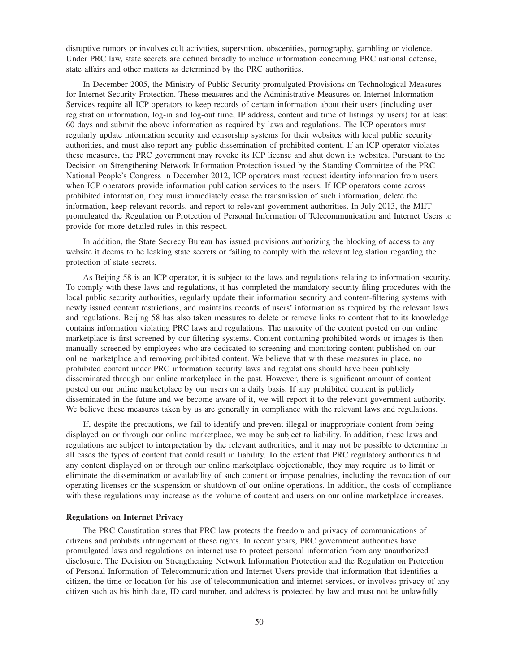disruptive rumors or involves cult activities, superstition, obscenities, pornography, gambling or violence. Under PRC law, state secrets are defined broadly to include information concerning PRC national defense, state affairs and other matters as determined by the PRC authorities.

In December 2005, the Ministry of Public Security promulgated Provisions on Technological Measures for Internet Security Protection. These measures and the Administrative Measures on Internet Information Services require all ICP operators to keep records of certain information about their users (including user registration information, log-in and log-out time, IP address, content and time of listings by users) for at least 60 days and submit the above information as required by laws and regulations. The ICP operators must regularly update information security and censorship systems for their websites with local public security authorities, and must also report any public dissemination of prohibited content. If an ICP operator violates these measures, the PRC government may revoke its ICP license and shut down its websites. Pursuant to the Decision on Strengthening Network Information Protection issued by the Standing Committee of the PRC National People's Congress in December 2012, ICP operators must request identity information from users when ICP operators provide information publication services to the users. If ICP operators come across prohibited information, they must immediately cease the transmission of such information, delete the information, keep relevant records, and report to relevant government authorities. In July 2013, the MIIT promulgated the Regulation on Protection of Personal Information of Telecommunication and Internet Users to provide for more detailed rules in this respect.

In addition, the State Secrecy Bureau has issued provisions authorizing the blocking of access to any website it deems to be leaking state secrets or failing to comply with the relevant legislation regarding the protection of state secrets.

As Beijing 58 is an ICP operator, it is subject to the laws and regulations relating to information security. To comply with these laws and regulations, it has completed the mandatory security filing procedures with the local public security authorities, regularly update their information security and content-filtering systems with newly issued content restrictions, and maintains records of users' information as required by the relevant laws and regulations. Beijing 58 has also taken measures to delete or remove links to content that to its knowledge contains information violating PRC laws and regulations. The majority of the content posted on our online marketplace is first screened by our filtering systems. Content containing prohibited words or images is then manually screened by employees who are dedicated to screening and monitoring content published on our online marketplace and removing prohibited content. We believe that with these measures in place, no prohibited content under PRC information security laws and regulations should have been publicly disseminated through our online marketplace in the past. However, there is significant amount of content posted on our online marketplace by our users on a daily basis. If any prohibited content is publicly disseminated in the future and we become aware of it, we will report it to the relevant government authority. We believe these measures taken by us are generally in compliance with the relevant laws and regulations.

If, despite the precautions, we fail to identify and prevent illegal or inappropriate content from being displayed on or through our online marketplace, we may be subject to liability. In addition, these laws and regulations are subject to interpretation by the relevant authorities, and it may not be possible to determine in all cases the types of content that could result in liability. To the extent that PRC regulatory authorities find any content displayed on or through our online marketplace objectionable, they may require us to limit or eliminate the dissemination or availability of such content or impose penalties, including the revocation of our operating licenses or the suspension or shutdown of our online operations. In addition, the costs of compliance with these regulations may increase as the volume of content and users on our online marketplace increases.

### **Regulations on Internet Privacy**

The PRC Constitution states that PRC law protects the freedom and privacy of communications of citizens and prohibits infringement of these rights. In recent years, PRC government authorities have promulgated laws and regulations on internet use to protect personal information from any unauthorized disclosure. The Decision on Strengthening Network Information Protection and the Regulation on Protection of Personal Information of Telecommunication and Internet Users provide that information that identifies a citizen, the time or location for his use of telecommunication and internet services, or involves privacy of any citizen such as his birth date, ID card number, and address is protected by law and must not be unlawfully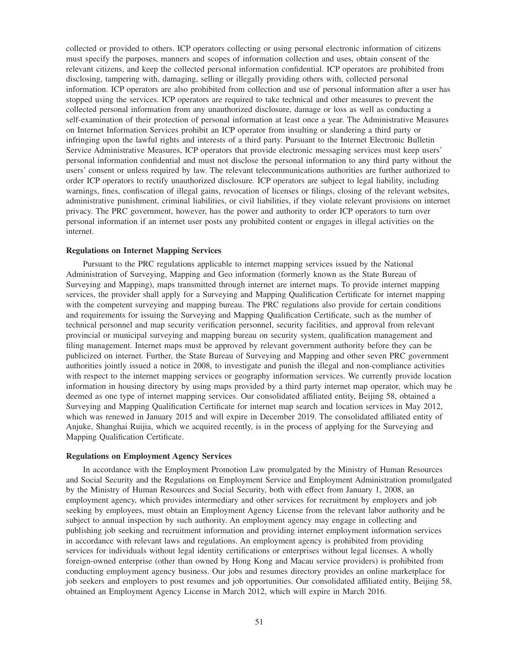collected or provided to others. ICP operators collecting or using personal electronic information of citizens must specify the purposes, manners and scopes of information collection and uses, obtain consent of the relevant citizens, and keep the collected personal information confidential. ICP operators are prohibited from disclosing, tampering with, damaging, selling or illegally providing others with, collected personal information. ICP operators are also prohibited from collection and use of personal information after a user has stopped using the services. ICP operators are required to take technical and other measures to prevent the collected personal information from any unauthorized disclosure, damage or loss as well as conducting a self-examination of their protection of personal information at least once a year. The Administrative Measures on Internet Information Services prohibit an ICP operator from insulting or slandering a third party or infringing upon the lawful rights and interests of a third party. Pursuant to the Internet Electronic Bulletin Service Administrative Measures, ICP operators that provide electronic messaging services must keep users' personal information confidential and must not disclose the personal information to any third party without the users' consent or unless required by law. The relevant telecommunications authorities are further authorized to order ICP operators to rectify unauthorized disclosure. ICP operators are subject to legal liability, including warnings, fines, confiscation of illegal gains, revocation of licenses or filings, closing of the relevant websites, administrative punishment, criminal liabilities, or civil liabilities, if they violate relevant provisions on internet privacy. The PRC government, however, has the power and authority to order ICP operators to turn over personal information if an internet user posts any prohibited content or engages in illegal activities on the internet.

## **Regulations on Internet Mapping Services**

Pursuant to the PRC regulations applicable to internet mapping services issued by the National Administration of Surveying, Mapping and Geo information (formerly known as the State Bureau of Surveying and Mapping), maps transmitted through internet are internet maps. To provide internet mapping services, the provider shall apply for a Surveying and Mapping Qualification Certificate for internet mapping with the competent surveying and mapping bureau. The PRC regulations also provide for certain conditions and requirements for issuing the Surveying and Mapping Qualification Certificate, such as the number of technical personnel and map security verification personnel, security facilities, and approval from relevant provincial or municipal surveying and mapping bureau on security system, qualification management and filing management. Internet maps must be approved by relevant government authority before they can be publicized on internet. Further, the State Bureau of Surveying and Mapping and other seven PRC government authorities jointly issued a notice in 2008, to investigate and punish the illegal and non-compliance activities with respect to the internet mapping services or geography information services. We currently provide location information in housing directory by using maps provided by a third party internet map operator, which may be deemed as one type of internet mapping services. Our consolidated affiliated entity, Beijing 58, obtained a Surveying and Mapping Qualification Certificate for internet map search and location services in May 2012, which was renewed in January 2015 and will expire in December 2019. The consolidated affiliated entity of Anjuke, Shanghai Ruijia, which we acquired recently, is in the process of applying for the Surveying and Mapping Qualification Certificate.

## **Regulations on Employment Agency Services**

In accordance with the Employment Promotion Law promulgated by the Ministry of Human Resources and Social Security and the Regulations on Employment Service and Employment Administration promulgated by the Ministry of Human Resources and Social Security, both with effect from January 1, 2008, an employment agency, which provides intermediary and other services for recruitment by employers and job seeking by employees, must obtain an Employment Agency License from the relevant labor authority and be subject to annual inspection by such authority. An employment agency may engage in collecting and publishing job seeking and recruitment information and providing internet employment information services in accordance with relevant laws and regulations. An employment agency is prohibited from providing services for individuals without legal identity certifications or enterprises without legal licenses. A wholly foreign-owned enterprise (other than owned by Hong Kong and Macau service providers) is prohibited from conducting employment agency business. Our jobs and resumes directory provides an online marketplace for job seekers and employers to post resumes and job opportunities. Our consolidated affiliated entity, Beijing 58, obtained an Employment Agency License in March 2012, which will expire in March 2016.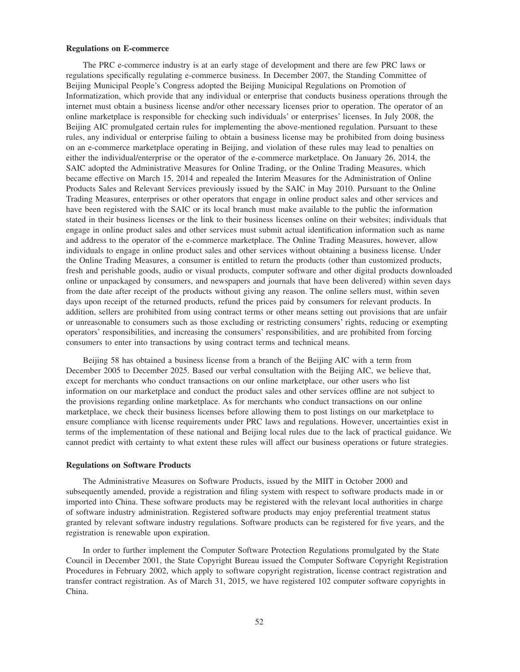#### **Regulations on E-commerce**

The PRC e-commerce industry is at an early stage of development and there are few PRC laws or regulations specifically regulating e-commerce business. In December 2007, the Standing Committee of Beijing Municipal People's Congress adopted the Beijing Municipal Regulations on Promotion of Informatization, which provide that any individual or enterprise that conducts business operations through the internet must obtain a business license and/or other necessary licenses prior to operation. The operator of an online marketplace is responsible for checking such individuals' or enterprises' licenses. In July 2008, the Beijing AIC promulgated certain rules for implementing the above-mentioned regulation. Pursuant to these rules, any individual or enterprise failing to obtain a business license may be prohibited from doing business on an e-commerce marketplace operating in Beijing, and violation of these rules may lead to penalties on either the individual/enterprise or the operator of the e-commerce marketplace. On January 26, 2014, the SAIC adopted the Administrative Measures for Online Trading, or the Online Trading Measures, which became effective on March 15, 2014 and repealed the Interim Measures for the Administration of Online Products Sales and Relevant Services previously issued by the SAIC in May 2010. Pursuant to the Online Trading Measures, enterprises or other operators that engage in online product sales and other services and have been registered with the SAIC or its local branch must make available to the public the information stated in their business licenses or the link to their business licenses online on their websites; individuals that engage in online product sales and other services must submit actual identification information such as name and address to the operator of the e-commerce marketplace. The Online Trading Measures, however, allow individuals to engage in online product sales and other services without obtaining a business license. Under the Online Trading Measures, a consumer is entitled to return the products (other than customized products, fresh and perishable goods, audio or visual products, computer software and other digital products downloaded online or unpackaged by consumers, and newspapers and journals that have been delivered) within seven days from the date after receipt of the products without giving any reason. The online sellers must, within seven days upon receipt of the returned products, refund the prices paid by consumers for relevant products. In addition, sellers are prohibited from using contract terms or other means setting out provisions that are unfair or unreasonable to consumers such as those excluding or restricting consumers' rights, reducing or exempting operators' responsibilities, and increasing the consumers' responsibilities, and are prohibited from forcing consumers to enter into transactions by using contract terms and technical means.

Beijing 58 has obtained a business license from a branch of the Beijing AIC with a term from December 2005 to December 2025. Based our verbal consultation with the Beijing AIC, we believe that, except for merchants who conduct transactions on our online marketplace, our other users who list information on our marketplace and conduct the product sales and other services offline are not subject to the provisions regarding online marketplace. As for merchants who conduct transactions on our online marketplace, we check their business licenses before allowing them to post listings on our marketplace to ensure compliance with license requirements under PRC laws and regulations. However, uncertainties exist in terms of the implementation of these national and Beijing local rules due to the lack of practical guidance. We cannot predict with certainty to what extent these rules will affect our business operations or future strategies.

## **Regulations on Software Products**

The Administrative Measures on Software Products, issued by the MIIT in October 2000 and subsequently amended, provide a registration and filing system with respect to software products made in or imported into China. These software products may be registered with the relevant local authorities in charge of software industry administration. Registered software products may enjoy preferential treatment status granted by relevant software industry regulations. Software products can be registered for five years, and the registration is renewable upon expiration.

In order to further implement the Computer Software Protection Regulations promulgated by the State Council in December 2001, the State Copyright Bureau issued the Computer Software Copyright Registration Procedures in February 2002, which apply to software copyright registration, license contract registration and transfer contract registration. As of March 31, 2015, we have registered 102 computer software copyrights in China.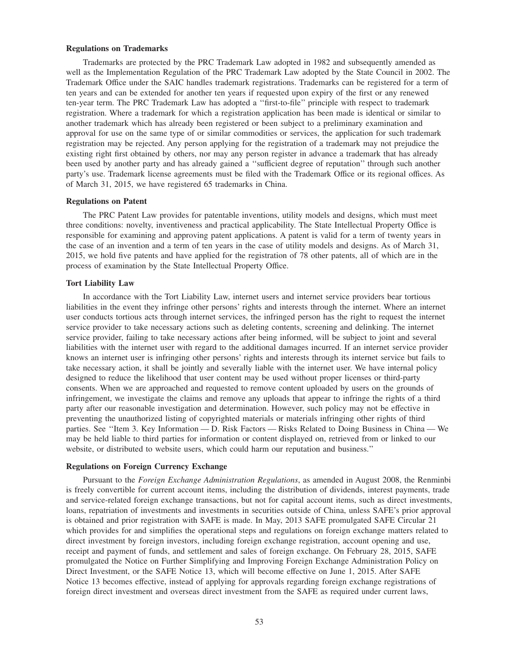#### **Regulations on Trademarks**

Trademarks are protected by the PRC Trademark Law adopted in 1982 and subsequently amended as well as the Implementation Regulation of the PRC Trademark Law adopted by the State Council in 2002. The Trademark Office under the SAIC handles trademark registrations. Trademarks can be registered for a term of ten years and can be extended for another ten years if requested upon expiry of the first or any renewed ten-year term. The PRC Trademark Law has adopted a ''first-to-file'' principle with respect to trademark registration. Where a trademark for which a registration application has been made is identical or similar to another trademark which has already been registered or been subject to a preliminary examination and approval for use on the same type of or similar commodities or services, the application for such trademark registration may be rejected. Any person applying for the registration of a trademark may not prejudice the existing right first obtained by others, nor may any person register in advance a trademark that has already been used by another party and has already gained a ''sufficient degree of reputation'' through such another party's use. Trademark license agreements must be filed with the Trademark Office or its regional offices. As of March 31, 2015, we have registered 65 trademarks in China.

## **Regulations on Patent**

The PRC Patent Law provides for patentable inventions, utility models and designs, which must meet three conditions: novelty, inventiveness and practical applicability. The State Intellectual Property Office is responsible for examining and approving patent applications. A patent is valid for a term of twenty years in the case of an invention and a term of ten years in the case of utility models and designs. As of March 31, 2015, we hold five patents and have applied for the registration of 78 other patents, all of which are in the process of examination by the State Intellectual Property Office.

#### **Tort Liability Law**

In accordance with the Tort Liability Law, internet users and internet service providers bear tortious liabilities in the event they infringe other persons' rights and interests through the internet. Where an internet user conducts tortious acts through internet services, the infringed person has the right to request the internet service provider to take necessary actions such as deleting contents, screening and delinking. The internet service provider, failing to take necessary actions after being informed, will be subject to joint and several liabilities with the internet user with regard to the additional damages incurred. If an internet service provider knows an internet user is infringing other persons' rights and interests through its internet service but fails to take necessary action, it shall be jointly and severally liable with the internet user. We have internal policy designed to reduce the likelihood that user content may be used without proper licenses or third-party consents. When we are approached and requested to remove content uploaded by users on the grounds of infringement, we investigate the claims and remove any uploads that appear to infringe the rights of a third party after our reasonable investigation and determination. However, such policy may not be effective in preventing the unauthorized listing of copyrighted materials or materials infringing other rights of third parties. See ''Item 3. Key Information — D. Risk Factors — Risks Related to Doing Business in China — We may be held liable to third parties for information or content displayed on, retrieved from or linked to our website, or distributed to website users, which could harm our reputation and business.''

## **Regulations on Foreign Currency Exchange**

Pursuant to the *Foreign Exchange Administration Regulations*, as amended in August 2008, the Renminbi is freely convertible for current account items, including the distribution of dividends, interest payments, trade and service-related foreign exchange transactions, but not for capital account items, such as direct investments, loans, repatriation of investments and investments in securities outside of China, unless SAFE's prior approval is obtained and prior registration with SAFE is made. In May, 2013 SAFE promulgated SAFE Circular 21 which provides for and simplifies the operational steps and regulations on foreign exchange matters related to direct investment by foreign investors, including foreign exchange registration, account opening and use, receipt and payment of funds, and settlement and sales of foreign exchange. On February 28, 2015, SAFE promulgated the Notice on Further Simplifying and Improving Foreign Exchange Administration Policy on Direct Investment, or the SAFE Notice 13, which will become effective on June 1, 2015. After SAFE Notice 13 becomes effective, instead of applying for approvals regarding foreign exchange registrations of foreign direct investment and overseas direct investment from the SAFE as required under current laws,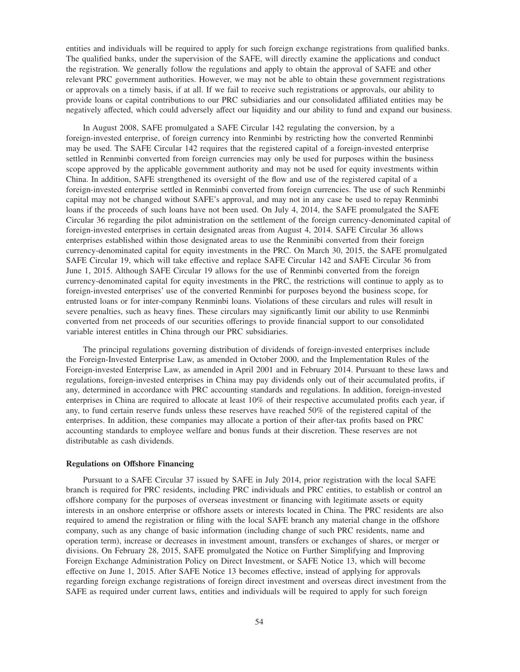entities and individuals will be required to apply for such foreign exchange registrations from qualified banks. The qualified banks, under the supervision of the SAFE, will directly examine the applications and conduct the registration. We generally follow the regulations and apply to obtain the approval of SAFE and other relevant PRC government authorities. However, we may not be able to obtain these government registrations or approvals on a timely basis, if at all. If we fail to receive such registrations or approvals, our ability to provide loans or capital contributions to our PRC subsidiaries and our consolidated affiliated entities may be negatively affected, which could adversely affect our liquidity and our ability to fund and expand our business.

In August 2008, SAFE promulgated a SAFE Circular 142 regulating the conversion, by a foreign-invested enterprise, of foreign currency into Renminbi by restricting how the converted Renminbi may be used. The SAFE Circular 142 requires that the registered capital of a foreign-invested enterprise settled in Renminbi converted from foreign currencies may only be used for purposes within the business scope approved by the applicable government authority and may not be used for equity investments within China. In addition, SAFE strengthened its oversight of the flow and use of the registered capital of a foreign-invested enterprise settled in Renminbi converted from foreign currencies. The use of such Renminbi capital may not be changed without SAFE's approval, and may not in any case be used to repay Renminbi loans if the proceeds of such loans have not been used. On July 4, 2014, the SAFE promulgated the SAFE Circular 36 regarding the pilot administration on the settlement of the foreign currency-denominated capital of foreign-invested enterprises in certain designated areas from August 4, 2014. SAFE Circular 36 allows enterprises established within those designated areas to use the Renminibi converted from their foreign currency-denominated capital for equity investments in the PRC. On March 30, 2015, the SAFE promulgated SAFE Circular 19, which will take effective and replace SAFE Circular 142 and SAFE Circular 36 from June 1, 2015. Although SAFE Circular 19 allows for the use of Renminbi converted from the foreign currency-denominated capital for equity investments in the PRC, the restrictions will continue to apply as to foreign-invested enterprises' use of the converted Renminbi for purposes beyond the business scope, for entrusted loans or for inter-company Renminbi loans. Violations of these circulars and rules will result in severe penalties, such as heavy fines. These circulars may significantly limit our ability to use Renminbi converted from net proceeds of our securities offerings to provide financial support to our consolidated variable interest entitles in China through our PRC subsidiaries.

The principal regulations governing distribution of dividends of foreign-invested enterprises include the Foreign-Invested Enterprise Law, as amended in October 2000, and the Implementation Rules of the Foreign-invested Enterprise Law, as amended in April 2001 and in February 2014. Pursuant to these laws and regulations, foreign-invested enterprises in China may pay dividends only out of their accumulated profits, if any, determined in accordance with PRC accounting standards and regulations. In addition, foreign-invested enterprises in China are required to allocate at least 10% of their respective accumulated profits each year, if any, to fund certain reserve funds unless these reserves have reached 50% of the registered capital of the enterprises. In addition, these companies may allocate a portion of their after-tax profits based on PRC accounting standards to employee welfare and bonus funds at their discretion. These reserves are not distributable as cash dividends.

### **Regulations on Offshore Financing**

Pursuant to a SAFE Circular 37 issued by SAFE in July 2014, prior registration with the local SAFE branch is required for PRC residents, including PRC individuals and PRC entities, to establish or control an offshore company for the purposes of overseas investment or financing with legitimate assets or equity interests in an onshore enterprise or offshore assets or interests located in China. The PRC residents are also required to amend the registration or filing with the local SAFE branch any material change in the offshore company, such as any change of basic information (including change of such PRC residents, name and operation term), increase or decreases in investment amount, transfers or exchanges of shares, or merger or divisions. On February 28, 2015, SAFE promulgated the Notice on Further Simplifying and Improving Foreign Exchange Administration Policy on Direct Investment, or SAFE Notice 13, which will become effective on June 1, 2015. After SAFE Notice 13 becomes effective, instead of applying for approvals regarding foreign exchange registrations of foreign direct investment and overseas direct investment from the SAFE as required under current laws, entities and individuals will be required to apply for such foreign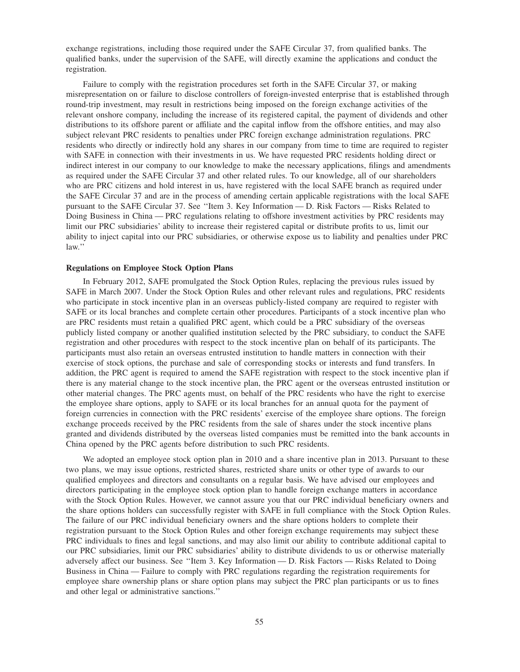exchange registrations, including those required under the SAFE Circular 37, from qualified banks. The qualified banks, under the supervision of the SAFE, will directly examine the applications and conduct the registration.

Failure to comply with the registration procedures set forth in the SAFE Circular 37, or making misrepresentation on or failure to disclose controllers of foreign-invested enterprise that is established through round-trip investment, may result in restrictions being imposed on the foreign exchange activities of the relevant onshore company, including the increase of its registered capital, the payment of dividends and other distributions to its offshore parent or affiliate and the capital inflow from the offshore entities, and may also subject relevant PRC residents to penalties under PRC foreign exchange administration regulations. PRC residents who directly or indirectly hold any shares in our company from time to time are required to register with SAFE in connection with their investments in us. We have requested PRC residents holding direct or indirect interest in our company to our knowledge to make the necessary applications, filings and amendments as required under the SAFE Circular 37 and other related rules. To our knowledge, all of our shareholders who are PRC citizens and hold interest in us, have registered with the local SAFE branch as required under the SAFE Circular 37 and are in the process of amending certain applicable registrations with the local SAFE pursuant to the SAFE Circular 37. See ''Item 3. Key Information — D. Risk Factors — Risks Related to Doing Business in China — PRC regulations relating to offshore investment activities by PRC residents may limit our PRC subsidiaries' ability to increase their registered capital or distribute profits to us, limit our ability to inject capital into our PRC subsidiaries, or otherwise expose us to liability and penalties under PRC law.''

#### **Regulations on Employee Stock Option Plans**

In February 2012, SAFE promulgated the Stock Option Rules, replacing the previous rules issued by SAFE in March 2007. Under the Stock Option Rules and other relevant rules and regulations, PRC residents who participate in stock incentive plan in an overseas publicly-listed company are required to register with SAFE or its local branches and complete certain other procedures. Participants of a stock incentive plan who are PRC residents must retain a qualified PRC agent, which could be a PRC subsidiary of the overseas publicly listed company or another qualified institution selected by the PRC subsidiary, to conduct the SAFE registration and other procedures with respect to the stock incentive plan on behalf of its participants. The participants must also retain an overseas entrusted institution to handle matters in connection with their exercise of stock options, the purchase and sale of corresponding stocks or interests and fund transfers. In addition, the PRC agent is required to amend the SAFE registration with respect to the stock incentive plan if there is any material change to the stock incentive plan, the PRC agent or the overseas entrusted institution or other material changes. The PRC agents must, on behalf of the PRC residents who have the right to exercise the employee share options, apply to SAFE or its local branches for an annual quota for the payment of foreign currencies in connection with the PRC residents' exercise of the employee share options. The foreign exchange proceeds received by the PRC residents from the sale of shares under the stock incentive plans granted and dividends distributed by the overseas listed companies must be remitted into the bank accounts in China opened by the PRC agents before distribution to such PRC residents.

We adopted an employee stock option plan in 2010 and a share incentive plan in 2013. Pursuant to these two plans, we may issue options, restricted shares, restricted share units or other type of awards to our qualified employees and directors and consultants on a regular basis. We have advised our employees and directors participating in the employee stock option plan to handle foreign exchange matters in accordance with the Stock Option Rules. However, we cannot assure you that our PRC individual beneficiary owners and the share options holders can successfully register with SAFE in full compliance with the Stock Option Rules. The failure of our PRC individual beneficiary owners and the share options holders to complete their registration pursuant to the Stock Option Rules and other foreign exchange requirements may subject these PRC individuals to fines and legal sanctions, and may also limit our ability to contribute additional capital to our PRC subsidiaries, limit our PRC subsidiaries' ability to distribute dividends to us or otherwise materially adversely affect our business. See ''Item 3. Key Information — D. Risk Factors — Risks Related to Doing Business in China — Failure to comply with PRC regulations regarding the registration requirements for employee share ownership plans or share option plans may subject the PRC plan participants or us to fines and other legal or administrative sanctions.''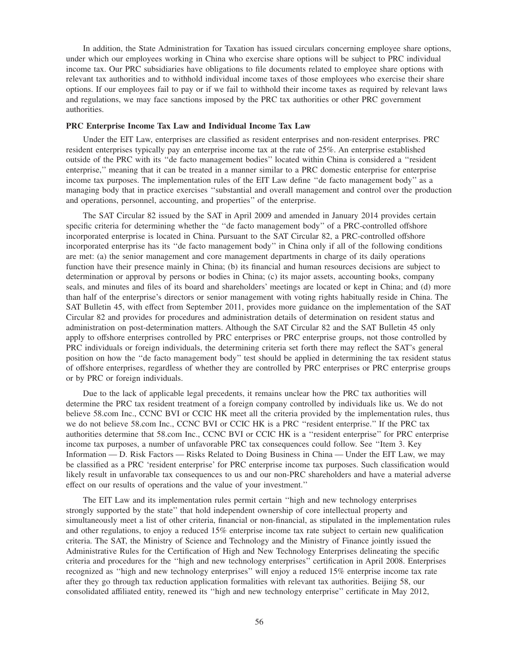In addition, the State Administration for Taxation has issued circulars concerning employee share options, under which our employees working in China who exercise share options will be subject to PRC individual income tax. Our PRC subsidiaries have obligations to file documents related to employee share options with relevant tax authorities and to withhold individual income taxes of those employees who exercise their share options. If our employees fail to pay or if we fail to withhold their income taxes as required by relevant laws and regulations, we may face sanctions imposed by the PRC tax authorities or other PRC government authorities.

## **PRC Enterprise Income Tax Law and Individual Income Tax Law**

Under the EIT Law, enterprises are classified as resident enterprises and non-resident enterprises. PRC resident enterprises typically pay an enterprise income tax at the rate of 25%. An enterprise established outside of the PRC with its ''de facto management bodies'' located within China is considered a ''resident enterprise,'' meaning that it can be treated in a manner similar to a PRC domestic enterprise for enterprise income tax purposes. The implementation rules of the EIT Law define ''de facto management body'' as a managing body that in practice exercises ''substantial and overall management and control over the production and operations, personnel, accounting, and properties'' of the enterprise.

The SAT Circular 82 issued by the SAT in April 2009 and amended in January 2014 provides certain specific criteria for determining whether the ''de facto management body'' of a PRC-controlled offshore incorporated enterprise is located in China. Pursuant to the SAT Circular 82, a PRC-controlled offshore incorporated enterprise has its ''de facto management body'' in China only if all of the following conditions are met: (a) the senior management and core management departments in charge of its daily operations function have their presence mainly in China; (b) its financial and human resources decisions are subject to determination or approval by persons or bodies in China; (c) its major assets, accounting books, company seals, and minutes and files of its board and shareholders' meetings are located or kept in China; and (d) more than half of the enterprise's directors or senior management with voting rights habitually reside in China. The SAT Bulletin 45, with effect from September 2011, provides more guidance on the implementation of the SAT Circular 82 and provides for procedures and administration details of determination on resident status and administration on post-determination matters. Although the SAT Circular 82 and the SAT Bulletin 45 only apply to offshore enterprises controlled by PRC enterprises or PRC enterprise groups, not those controlled by PRC individuals or foreign individuals, the determining criteria set forth there may reflect the SAT's general position on how the ''de facto management body'' test should be applied in determining the tax resident status of offshore enterprises, regardless of whether they are controlled by PRC enterprises or PRC enterprise groups or by PRC or foreign individuals.

Due to the lack of applicable legal precedents, it remains unclear how the PRC tax authorities will determine the PRC tax resident treatment of a foreign company controlled by individuals like us. We do not believe 58.com Inc., CCNC BVI or CCIC HK meet all the criteria provided by the implementation rules, thus we do not believe 58.com Inc., CCNC BVI or CCIC HK is a PRC "resident enterprise." If the PRC tax authorities determine that 58.com Inc., CCNC BVI or CCIC HK is a ''resident enterprise'' for PRC enterprise income tax purposes, a number of unfavorable PRC tax consequences could follow. See ''Item 3. Key Information — D. Risk Factors — Risks Related to Doing Business in China — Under the EIT Law, we may be classified as a PRC 'resident enterprise' for PRC enterprise income tax purposes. Such classification would likely result in unfavorable tax consequences to us and our non-PRC shareholders and have a material adverse effect on our results of operations and the value of your investment.''

The EIT Law and its implementation rules permit certain ''high and new technology enterprises strongly supported by the state'' that hold independent ownership of core intellectual property and simultaneously meet a list of other criteria, financial or non-financial, as stipulated in the implementation rules and other regulations, to enjoy a reduced 15% enterprise income tax rate subject to certain new qualification criteria. The SAT, the Ministry of Science and Technology and the Ministry of Finance jointly issued the Administrative Rules for the Certification of High and New Technology Enterprises delineating the specific criteria and procedures for the ''high and new technology enterprises'' certification in April 2008. Enterprises recognized as ''high and new technology enterprises'' will enjoy a reduced 15% enterprise income tax rate after they go through tax reduction application formalities with relevant tax authorities. Beijing 58, our consolidated affiliated entity, renewed its ''high and new technology enterprise'' certificate in May 2012,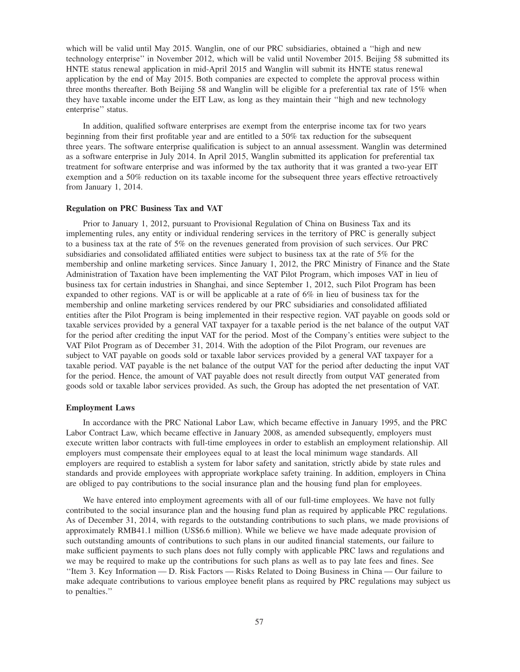which will be valid until May 2015. Wanglin, one of our PRC subsidiaries, obtained a ''high and new technology enterprise'' in November 2012, which will be valid until November 2015. Beijing 58 submitted its HNTE status renewal application in mid-April 2015 and Wanglin will submit its HNTE status renewal application by the end of May 2015. Both companies are expected to complete the approval process within three months thereafter. Both Beijing 58 and Wanglin will be eligible for a preferential tax rate of 15% when they have taxable income under the EIT Law, as long as they maintain their ''high and new technology enterprise'' status.

In addition, qualified software enterprises are exempt from the enterprise income tax for two years beginning from their first profitable year and are entitled to a 50% tax reduction for the subsequent three years. The software enterprise qualification is subject to an annual assessment. Wanglin was determined as a software enterprise in July 2014. In April 2015, Wanglin submitted its application for preferential tax treatment for software enterprise and was informed by the tax authority that it was granted a two-year EIT exemption and a 50% reduction on its taxable income for the subsequent three years effective retroactively from January 1, 2014.

### **Regulation on PRC Business Tax and VAT**

Prior to January 1, 2012, pursuant to Provisional Regulation of China on Business Tax and its implementing rules, any entity or individual rendering services in the territory of PRC is generally subject to a business tax at the rate of 5% on the revenues generated from provision of such services. Our PRC subsidiaries and consolidated affiliated entities were subject to business tax at the rate of 5% for the membership and online marketing services. Since January 1, 2012, the PRC Ministry of Finance and the State Administration of Taxation have been implementing the VAT Pilot Program, which imposes VAT in lieu of business tax for certain industries in Shanghai, and since September 1, 2012, such Pilot Program has been expanded to other regions. VAT is or will be applicable at a rate of 6% in lieu of business tax for the membership and online marketing services rendered by our PRC subsidiaries and consolidated affiliated entities after the Pilot Program is being implemented in their respective region. VAT payable on goods sold or taxable services provided by a general VAT taxpayer for a taxable period is the net balance of the output VAT for the period after crediting the input VAT for the period. Most of the Company's entities were subject to the VAT Pilot Program as of December 31, 2014. With the adoption of the Pilot Program, our revenues are subject to VAT payable on goods sold or taxable labor services provided by a general VAT taxpayer for a taxable period. VAT payable is the net balance of the output VAT for the period after deducting the input VAT for the period. Hence, the amount of VAT payable does not result directly from output VAT generated from goods sold or taxable labor services provided. As such, the Group has adopted the net presentation of VAT.

## **Employment Laws**

In accordance with the PRC National Labor Law, which became effective in January 1995, and the PRC Labor Contract Law, which became effective in January 2008, as amended subsequently, employers must execute written labor contracts with full-time employees in order to establish an employment relationship. All employers must compensate their employees equal to at least the local minimum wage standards. All employers are required to establish a system for labor safety and sanitation, strictly abide by state rules and standards and provide employees with appropriate workplace safety training. In addition, employers in China are obliged to pay contributions to the social insurance plan and the housing fund plan for employees.

We have entered into employment agreements with all of our full-time employees. We have not fully contributed to the social insurance plan and the housing fund plan as required by applicable PRC regulations. As of December 31, 2014, with regards to the outstanding contributions to such plans, we made provisions of approximately RMB41.1 million (US\$6.6 million). While we believe we have made adequate provision of such outstanding amounts of contributions to such plans in our audited financial statements, our failure to make sufficient payments to such plans does not fully comply with applicable PRC laws and regulations and we may be required to make up the contributions for such plans as well as to pay late fees and fines. See ''Item 3. Key Information — D. Risk Factors — Risks Related to Doing Business in China — Our failure to make adequate contributions to various employee benefit plans as required by PRC regulations may subject us to penalties.''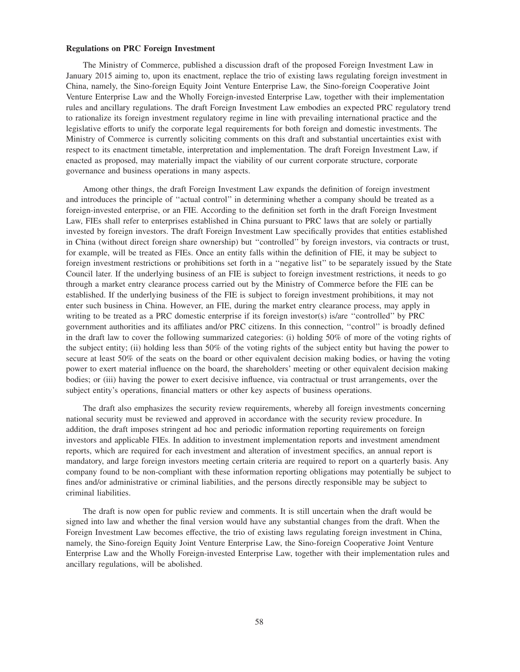### **Regulations on PRC Foreign Investment**

The Ministry of Commerce, published a discussion draft of the proposed Foreign Investment Law in January 2015 aiming to, upon its enactment, replace the trio of existing laws regulating foreign investment in China, namely, the Sino-foreign Equity Joint Venture Enterprise Law, the Sino-foreign Cooperative Joint Venture Enterprise Law and the Wholly Foreign-invested Enterprise Law, together with their implementation rules and ancillary regulations. The draft Foreign Investment Law embodies an expected PRC regulatory trend to rationalize its foreign investment regulatory regime in line with prevailing international practice and the legislative efforts to unify the corporate legal requirements for both foreign and domestic investments. The Ministry of Commerce is currently soliciting comments on this draft and substantial uncertainties exist with respect to its enactment timetable, interpretation and implementation. The draft Foreign Investment Law, if enacted as proposed, may materially impact the viability of our current corporate structure, corporate governance and business operations in many aspects.

Among other things, the draft Foreign Investment Law expands the definition of foreign investment and introduces the principle of ''actual control'' in determining whether a company should be treated as a foreign-invested enterprise, or an FIE. According to the definition set forth in the draft Foreign Investment Law, FIEs shall refer to enterprises established in China pursuant to PRC laws that are solely or partially invested by foreign investors. The draft Foreign Investment Law specifically provides that entities established in China (without direct foreign share ownership) but ''controlled'' by foreign investors, via contracts or trust, for example, will be treated as FIEs. Once an entity falls within the definition of FIE, it may be subject to foreign investment restrictions or prohibitions set forth in a ''negative list'' to be separately issued by the State Council later. If the underlying business of an FIE is subject to foreign investment restrictions, it needs to go through a market entry clearance process carried out by the Ministry of Commerce before the FIE can be established. If the underlying business of the FIE is subject to foreign investment prohibitions, it may not enter such business in China. However, an FIE, during the market entry clearance process, may apply in writing to be treated as a PRC domestic enterprise if its foreign investor(s) is/are ''controlled'' by PRC government authorities and its affiliates and/or PRC citizens. In this connection, ''control'' is broadly defined in the draft law to cover the following summarized categories: (i) holding 50% of more of the voting rights of the subject entity; (ii) holding less than 50% of the voting rights of the subject entity but having the power to secure at least 50% of the seats on the board or other equivalent decision making bodies, or having the voting power to exert material influence on the board, the shareholders' meeting or other equivalent decision making bodies; or (iii) having the power to exert decisive influence, via contractual or trust arrangements, over the subject entity's operations, financial matters or other key aspects of business operations.

The draft also emphasizes the security review requirements, whereby all foreign investments concerning national security must be reviewed and approved in accordance with the security review procedure. In addition, the draft imposes stringent ad hoc and periodic information reporting requirements on foreign investors and applicable FIEs. In addition to investment implementation reports and investment amendment reports, which are required for each investment and alteration of investment specifics, an annual report is mandatory, and large foreign investors meeting certain criteria are required to report on a quarterly basis. Any company found to be non-compliant with these information reporting obligations may potentially be subject to fines and/or administrative or criminal liabilities, and the persons directly responsible may be subject to criminal liabilities.

The draft is now open for public review and comments. It is still uncertain when the draft would be signed into law and whether the final version would have any substantial changes from the draft. When the Foreign Investment Law becomes effective, the trio of existing laws regulating foreign investment in China, namely, the Sino-foreign Equity Joint Venture Enterprise Law, the Sino-foreign Cooperative Joint Venture Enterprise Law and the Wholly Foreign-invested Enterprise Law, together with their implementation rules and ancillary regulations, will be abolished.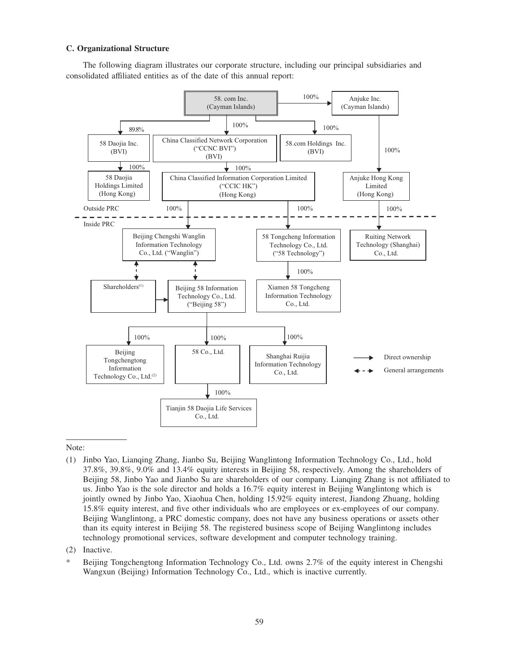# **C. Organizational Structure**

The following diagram illustrates our corporate structure, including our principal subsidiaries and consolidated affiliated entities as of the date of this annual report:



Note:

(1) Jinbo Yao, Lianqing Zhang, Jianbo Su, Beijing Wanglintong Information Technology Co., Ltd., hold 37.8%, 39.8%, 9.0% and 13.4% equity interests in Beijing 58, respectively. Among the shareholders of Beijing 58, Jinbo Yao and Jianbo Su are shareholders of our company. Lianqing Zhang is not affiliated to us. Jinbo Yao is the sole director and holds a 16.7% equity interest in Beijing Wanglintong which is jointly owned by Jinbo Yao, Xiaohua Chen, holding 15.92% equity interest, Jiandong Zhuang, holding 15.8% equity interest, and five other individuals who are employees or ex-employees of our company. Beijing Wanglintong, a PRC domestic company, does not have any business operations or assets other than its equity interest in Beijing 58. The registered business scope of Beijing Wanglintong includes technology promotional services, software development and computer technology training.

\* Beijing Tongchengtong Information Technology Co., Ltd. owns 2.7% of the equity interest in Chengshi Wangxun (Beijing) Information Technology Co., Ltd., which is inactive currently.

<sup>(2)</sup> Inactive.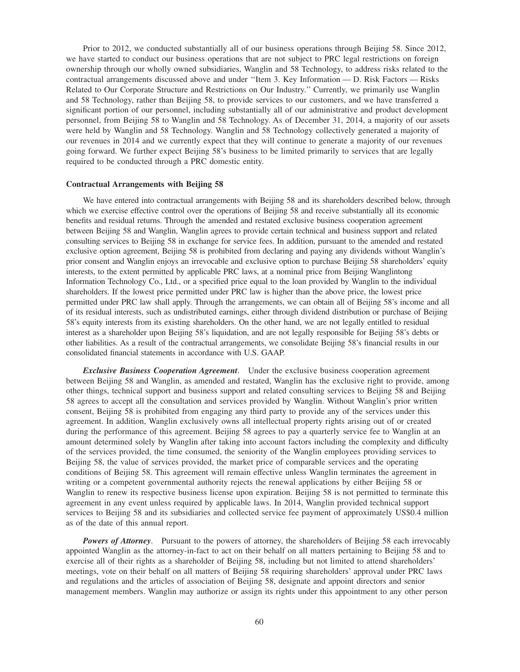Prior to 2012, we conducted substantially all of our business operations through Beijing 58. Since 2012, we have started to conduct our business operations that are not subject to PRC legal restrictions on foreign ownership through our wholly owned subsidiaries, Wanglin and 58 Technology, to address risks related to the contractual arrangements discussed above and under ''Item 3. Key Information — D. Risk Factors — Risks Related to Our Corporate Structure and Restrictions on Our Industry.'' Currently, we primarily use Wanglin and 58 Technology, rather than Beijing 58, to provide services to our customers, and we have transferred a significant portion of our personnel, including substantially all of our administrative and product development personnel, from Beijing 58 to Wanglin and 58 Technology. As of December 31, 2014, a majority of our assets were held by Wanglin and 58 Technology. Wanglin and 58 Technology collectively generated a majority of our revenues in 2014 and we currently expect that they will continue to generate a majority of our revenues going forward. We further expect Beijing 58's business to be limited primarily to services that are legally required to be conducted through a PRC domestic entity.

### **Contractual Arrangements with Beijing 58**

We have entered into contractual arrangements with Beijing 58 and its shareholders described below, through which we exercise effective control over the operations of Beijing 58 and receive substantially all its economic benefits and residual returns. Through the amended and restated exclusive business cooperation agreement between Beijing 58 and Wanglin, Wanglin agrees to provide certain technical and business support and related consulting services to Beijing 58 in exchange for service fees. In addition, pursuant to the amended and restated exclusive option agreement, Beijing 58 is prohibited from declaring and paying any dividends without Wanglin's prior consent and Wanglin enjoys an irrevocable and exclusive option to purchase Beijing 58 shareholders' equity interests, to the extent permitted by applicable PRC laws, at a nominal price from Beijing Wanglintong Information Technology Co., Ltd., or a specified price equal to the loan provided by Wanglin to the individual shareholders. If the lowest price permitted under PRC law is higher than the above price, the lowest price permitted under PRC law shall apply. Through the arrangements, we can obtain all of Beijing 58's income and all of its residual interests, such as undistributed earnings, either through dividend distribution or purchase of Beijing 58's equity interests from its existing shareholders. On the other hand, we are not legally entitled to residual interest as a shareholder upon Beijing 58's liquidation, and are not legally responsible for Beijing 58's debts or other liabilities. As a result of the contractual arrangements, we consolidate Beijing 58's financial results in our consolidated financial statements in accordance with U.S. GAAP.

*Exclusive Business Cooperation Agreement*. Under the exclusive business cooperation agreement between Beijing 58 and Wanglin, as amended and restated, Wanglin has the exclusive right to provide, among other things, technical support and business support and related consulting services to Beijing 58 and Beijing 58 agrees to accept all the consultation and services provided by Wanglin. Without Wanglin's prior written consent, Beijing 58 is prohibited from engaging any third party to provide any of the services under this agreement. In addition, Wanglin exclusively owns all intellectual property rights arising out of or created during the performance of this agreement. Beijing 58 agrees to pay a quarterly service fee to Wanglin at an amount determined solely by Wanglin after taking into account factors including the complexity and difficulty of the services provided, the time consumed, the seniority of the Wanglin employees providing services to Beijing 58, the value of services provided, the market price of comparable services and the operating conditions of Beijing 58. This agreement will remain effective unless Wanglin terminates the agreement in writing or a competent governmental authority rejects the renewal applications by either Beijing 58 or Wanglin to renew its respective business license upon expiration. Beijing 58 is not permitted to terminate this agreement in any event unless required by applicable laws. In 2014, Wanglin provided technical support services to Beijing 58 and its subsidiaries and collected service fee payment of approximately US\$0.4 million as of the date of this annual report.

**Powers of Attorney.** Pursuant to the powers of attorney, the shareholders of Beijing 58 each irrevocably appointed Wanglin as the attorney-in-fact to act on their behalf on all matters pertaining to Beijing 58 and to exercise all of their rights as a shareholder of Beijing 58, including but not limited to attend shareholders' meetings, vote on their behalf on all matters of Beijing 58 requiring shareholders' approval under PRC laws and regulations and the articles of association of Beijing 58, designate and appoint directors and senior management members. Wanglin may authorize or assign its rights under this appointment to any other person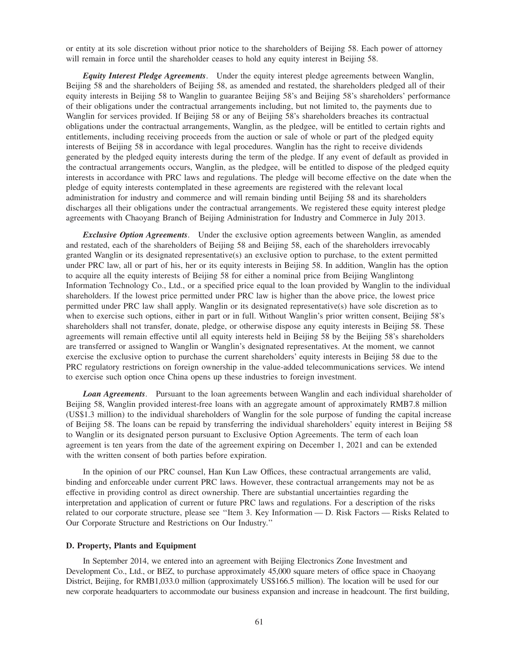or entity at its sole discretion without prior notice to the shareholders of Beijing 58. Each power of attorney will remain in force until the shareholder ceases to hold any equity interest in Beijing 58.

*Equity Interest Pledge Agreements*. Under the equity interest pledge agreements between Wanglin, Beijing 58 and the shareholders of Beijing 58, as amended and restated, the shareholders pledged all of their equity interests in Beijing 58 to Wanglin to guarantee Beijing 58's and Beijing 58's shareholders' performance of their obligations under the contractual arrangements including, but not limited to, the payments due to Wanglin for services provided. If Beijing 58 or any of Beijing 58's shareholders breaches its contractual obligations under the contractual arrangements, Wanglin, as the pledgee, will be entitled to certain rights and entitlements, including receiving proceeds from the auction or sale of whole or part of the pledged equity interests of Beijing 58 in accordance with legal procedures. Wanglin has the right to receive dividends generated by the pledged equity interests during the term of the pledge. If any event of default as provided in the contractual arrangements occurs, Wanglin, as the pledgee, will be entitled to dispose of the pledged equity interests in accordance with PRC laws and regulations. The pledge will become effective on the date when the pledge of equity interests contemplated in these agreements are registered with the relevant local administration for industry and commerce and will remain binding until Beijing 58 and its shareholders discharges all their obligations under the contractual arrangements. We registered these equity interest pledge agreements with Chaoyang Branch of Beijing Administration for Industry and Commerce in July 2013.

*Exclusive Option Agreements*. Under the exclusive option agreements between Wanglin, as amended and restated, each of the shareholders of Beijing 58 and Beijing 58, each of the shareholders irrevocably granted Wanglin or its designated representative(s) an exclusive option to purchase, to the extent permitted under PRC law, all or part of his, her or its equity interests in Beijing 58. In addition, Wanglin has the option to acquire all the equity interests of Beijing 58 for either a nominal price from Beijing Wanglintong Information Technology Co., Ltd., or a specified price equal to the loan provided by Wanglin to the individual shareholders. If the lowest price permitted under PRC law is higher than the above price, the lowest price permitted under PRC law shall apply. Wanglin or its designated representative(s) have sole discretion as to when to exercise such options, either in part or in full. Without Wanglin's prior written consent, Beijing 58's shareholders shall not transfer, donate, pledge, or otherwise dispose any equity interests in Beijing 58. These agreements will remain effective until all equity interests held in Beijing 58 by the Beijing 58's shareholders are transferred or assigned to Wanglin or Wanglin's designated representatives. At the moment, we cannot exercise the exclusive option to purchase the current shareholders' equity interests in Beijing 58 due to the PRC regulatory restrictions on foreign ownership in the value-added telecommunications services. We intend to exercise such option once China opens up these industries to foreign investment.

*Loan Agreements*. Pursuant to the loan agreements between Wanglin and each individual shareholder of Beijing 58, Wanglin provided interest-free loans with an aggregate amount of approximately RMB7.8 million (US\$1.3 million) to the individual shareholders of Wanglin for the sole purpose of funding the capital increase of Beijing 58. The loans can be repaid by transferring the individual shareholders' equity interest in Beijing 58 to Wanglin or its designated person pursuant to Exclusive Option Agreements. The term of each loan agreement is ten years from the date of the agreement expiring on December 1, 2021 and can be extended with the written consent of both parties before expiration.

In the opinion of our PRC counsel, Han Kun Law Offices, these contractual arrangements are valid, binding and enforceable under current PRC laws. However, these contractual arrangements may not be as effective in providing control as direct ownership. There are substantial uncertainties regarding the interpretation and application of current or future PRC laws and regulations. For a description of the risks related to our corporate structure, please see ''Item 3. Key Information — D. Risk Factors — Risks Related to Our Corporate Structure and Restrictions on Our Industry.''

## **D. Property, Plants and Equipment**

In September 2014, we entered into an agreement with Beijing Electronics Zone Investment and Development Co., Ltd., or BEZ, to purchase approximately 45,000 square meters of office space in Chaoyang District, Beijing, for RMB1,033.0 million (approximately US\$166.5 million). The location will be used for our new corporate headquarters to accommodate our business expansion and increase in headcount. The first building,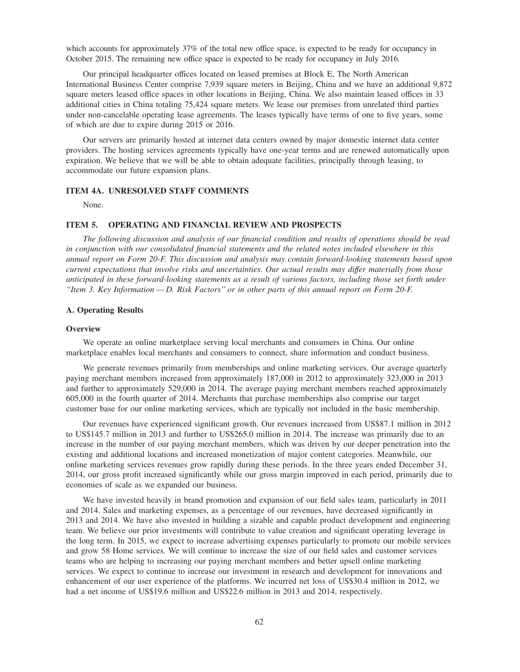which accounts for approximately 37% of the total new office space, is expected to be ready for occupancy in October 2015. The remaining new office space is expected to be ready for occupancy in July 2016.

Our principal headquarter offices located on leased premises at Block E, The North American International Business Center comprise 7,939 square meters in Beijing, China and we have an additional 9,872 square meters leased office spaces in other locations in Beijing, China. We also maintain leased offices in 33 additional cities in China totaling 75,424 square meters. We lease our premises from unrelated third parties under non-cancelable operating lease agreements. The leases typically have terms of one to five years, some of which are due to expire during 2015 or 2016.

Our servers are primarily hosted at internet data centers owned by major domestic internet data center providers. The hosting services agreements typically have one-year terms and are renewed automatically upon expiration. We believe that we will be able to obtain adequate facilities, principally through leasing, to accommodate our future expansion plans.

## **ITEM 4A. UNRESOLVED STAFF COMMENTS**

None.

# **ITEM 5. OPERATING AND FINANCIAL REVIEW AND PROSPECTS**

*The following discussion and analysis of our financial condition and results of operations should be read in conjunction with our consolidated financial statements and the related notes included elsewhere in this annual report on Form 20-F. This discussion and analysis may contain forward-looking statements based upon current expectations that involve risks and uncertainties. Our actual results may differ materially from those anticipated in these forward-looking statements as a result of various factors, including those set forth under ''Item 3. Key Information — D. Risk Factors'' or in other parts of this annual report on Form 20-F.*

#### **A. Operating Results**

#### **Overview**

We operate an online marketplace serving local merchants and consumers in China. Our online marketplace enables local merchants and consumers to connect, share information and conduct business.

We generate revenues primarily from memberships and online marketing services. Our average quarterly paying merchant members increased from approximately 187,000 in 2012 to approximately 323,000 in 2013 and further to approximately 529,000 in 2014. The average paying merchant members reached approximately 605,000 in the fourth quarter of 2014. Merchants that purchase memberships also comprise our target customer base for our online marketing services, which are typically not included in the basic membership.

Our revenues have experienced significant growth. Our revenues increased from US\$87.1 million in 2012 to US\$145.7 million in 2013 and further to US\$265.0 million in 2014. The increase was primarily due to an increase in the number of our paying merchant members, which was driven by our deeper penetration into the existing and additional locations and increased monetization of major content categories. Meanwhile, our online marketing services revenues grow rapidly during these periods. In the three years ended December 31, 2014, our gross profit increased significantly while our gross margin improved in each period, primarily due to economies of scale as we expanded our business.

We have invested heavily in brand promotion and expansion of our field sales team, particularly in 2011 and 2014. Sales and marketing expenses, as a percentage of our revenues, have decreased significantly in 2013 and 2014. We have also invested in building a sizable and capable product development and engineering team. We believe our prior investments will contribute to value creation and significant operating leverage in the long term. In 2015, we expect to increase advertising expenses particularly to promote our mobile services and grow 58 Home services. We will continue to increase the size of our field sales and customer services teams who are helping to increasing our paying merchant members and better upsell online marketing services. We expect to continue to increase our investment in research and development for innovations and enhancement of our user experience of the platforms. We incurred net loss of US\$30.4 million in 2012, we had a net income of US\$19.6 million and US\$22.6 million in 2013 and 2014, respectively.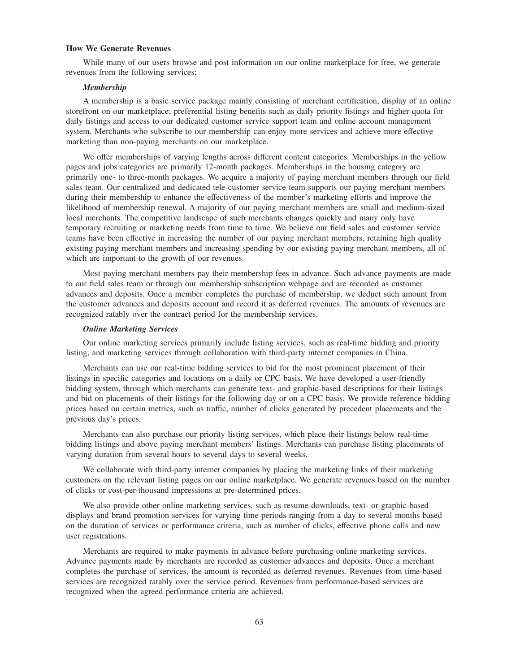#### **How We Generate Revenues**

While many of our users browse and post information on our online marketplace for free, we generate revenues from the following services:

### *Membership*

A membership is a basic service package mainly consisting of merchant certification, display of an online storefront on our marketplace; preferential listing benefits such as daily priority listings and higher quota for daily listings and access to our dedicated customer service support team and online account management system. Merchants who subscribe to our membership can enjoy more services and achieve more effective marketing than non-paying merchants on our marketplace.

We offer memberships of varying lengths across different content categories. Memberships in the yellow pages and jobs categories are primarily 12-month packages. Memberships in the housing category are primarily one- to three-month packages. We acquire a majority of paying merchant members through our field sales team. Our centralized and dedicated tele-customer service team supports our paying merchant members during their membership to enhance the effectiveness of the member's marketing efforts and improve the likelihood of membership renewal. A majority of our paying merchant members are small and medium-sized local merchants. The competitive landscape of such merchants changes quickly and many only have temporary recruiting or marketing needs from time to time. We believe our field sales and customer service teams have been effective in increasing the number of our paying merchant members, retaining high quality existing paying merchant members and increasing spending by our existing paying merchant members, all of which are important to the growth of our revenues.

Most paying merchant members pay their membership fees in advance. Such advance payments are made to our field sales team or through our membership subscription webpage and are recorded as customer advances and deposits. Once a member completes the purchase of membership, we deduct such amount from the customer advances and deposits account and record it as deferred revenues. The amounts of revenues are recognized ratably over the contract period for the membership services.

### *Online Marketing Services*

Our online marketing services primarily include listing services, such as real-time bidding and priority listing, and marketing services through collaboration with third-party internet companies in China.

Merchants can use our real-time bidding services to bid for the most prominent placement of their listings in specific categories and locations on a daily or CPC basis. We have developed a user-friendly bidding system, through which merchants can generate text- and graphic-based descriptions for their listings and bid on placements of their listings for the following day or on a CPC basis. We provide reference bidding prices based on certain metrics, such as traffic, number of clicks generated by precedent placements and the previous day's prices.

Merchants can also purchase our priority listing services, which place their listings below real-time bidding listings and above paying merchant members' listings. Merchants can purchase listing placements of varying duration from several hours to several days to several weeks.

We collaborate with third-party internet companies by placing the marketing links of their marketing customers on the relevant listing pages on our online marketplace. We generate revenues based on the number of clicks or cost-per-thousand impressions at pre-determined prices.

We also provide other online marketing services, such as resume downloads, text- or graphic-based displays and brand promotion services for varying time periods ranging from a day to several months based on the duration of services or performance criteria, such as number of clicks, effective phone calls and new user registrations.

Merchants are required to make payments in advance before purchasing online marketing services. Advance payments made by merchants are recorded as customer advances and deposits. Once a merchant completes the purchase of services, the amount is recorded as deferred revenues. Revenues from time-based services are recognized ratably over the service period. Revenues from performance-based services are recognized when the agreed performance criteria are achieved.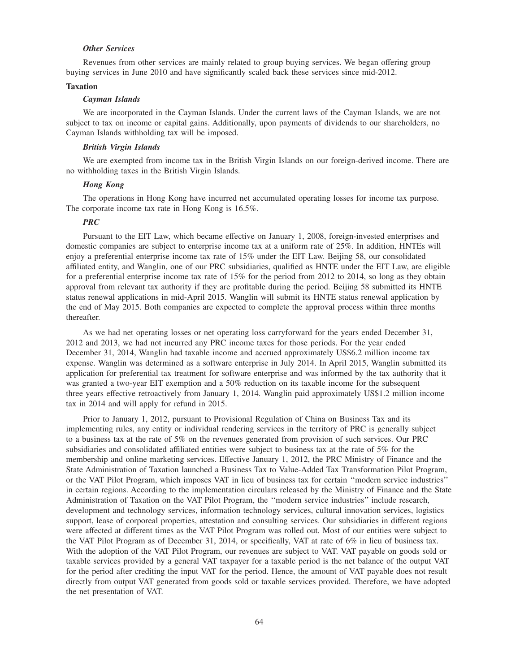#### *Other Services*

Revenues from other services are mainly related to group buying services. We began offering group buying services in June 2010 and have significantly scaled back these services since mid-2012.

#### **Taxation**

## *Cayman Islands*

We are incorporated in the Cayman Islands. Under the current laws of the Cayman Islands, we are not subject to tax on income or capital gains. Additionally, upon payments of dividends to our shareholders, no Cayman Islands withholding tax will be imposed.

#### *British Virgin Islands*

We are exempted from income tax in the British Virgin Islands on our foreign-derived income. There are no withholding taxes in the British Virgin Islands.

### *Hong Kong*

The operations in Hong Kong have incurred net accumulated operating losses for income tax purpose. The corporate income tax rate in Hong Kong is 16.5%.

## *PRC*

Pursuant to the EIT Law, which became effective on January 1, 2008, foreign-invested enterprises and domestic companies are subject to enterprise income tax at a uniform rate of 25%. In addition, HNTEs will enjoy a preferential enterprise income tax rate of 15% under the EIT Law. Beijing 58, our consolidated affiliated entity, and Wanglin, one of our PRC subsidiaries, qualified as HNTE under the EIT Law, are eligible for a preferential enterprise income tax rate of 15% for the period from 2012 to 2014, so long as they obtain approval from relevant tax authority if they are profitable during the period. Beijing 58 submitted its HNTE status renewal applications in mid-April 2015. Wanglin will submit its HNTE status renewal application by the end of May 2015. Both companies are expected to complete the approval process within three months thereafter.

As we had net operating losses or net operating loss carryforward for the years ended December 31, 2012 and 2013, we had not incurred any PRC income taxes for those periods. For the year ended December 31, 2014, Wanglin had taxable income and accrued approximately US\$6.2 million income tax expense. Wanglin was determined as a software enterprise in July 2014. In April 2015, Wanglin submitted its application for preferential tax treatment for software enterprise and was informed by the tax authority that it was granted a two-year EIT exemption and a 50% reduction on its taxable income for the subsequent three years effective retroactively from January 1, 2014. Wanglin paid approximately US\$1.2 million income tax in 2014 and will apply for refund in 2015.

Prior to January 1, 2012, pursuant to Provisional Regulation of China on Business Tax and its implementing rules, any entity or individual rendering services in the territory of PRC is generally subject to a business tax at the rate of 5% on the revenues generated from provision of such services. Our PRC subsidiaries and consolidated affiliated entities were subject to business tax at the rate of 5% for the membership and online marketing services. Effective January 1, 2012, the PRC Ministry of Finance and the State Administration of Taxation launched a Business Tax to Value-Added Tax Transformation Pilot Program, or the VAT Pilot Program, which imposes VAT in lieu of business tax for certain ''modern service industries'' in certain regions. According to the implementation circulars released by the Ministry of Finance and the State Administration of Taxation on the VAT Pilot Program, the ''modern service industries'' include research, development and technology services, information technology services, cultural innovation services, logistics support, lease of corporeal properties, attestation and consulting services. Our subsidiaries in different regions were affected at different times as the VAT Pilot Program was rolled out. Most of our entities were subject to the VAT Pilot Program as of December 31, 2014, or specifically, VAT at rate of 6% in lieu of business tax. With the adoption of the VAT Pilot Program, our revenues are subject to VAT. VAT payable on goods sold or taxable services provided by a general VAT taxpayer for a taxable period is the net balance of the output VAT for the period after crediting the input VAT for the period. Hence, the amount of VAT payable does not result directly from output VAT generated from goods sold or taxable services provided. Therefore, we have adopted the net presentation of VAT.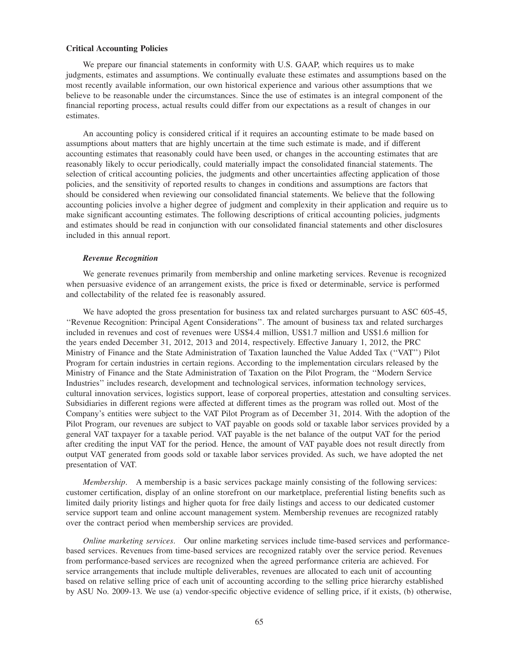#### **Critical Accounting Policies**

We prepare our financial statements in conformity with U.S. GAAP, which requires us to make judgments, estimates and assumptions. We continually evaluate these estimates and assumptions based on the most recently available information, our own historical experience and various other assumptions that we believe to be reasonable under the circumstances. Since the use of estimates is an integral component of the financial reporting process, actual results could differ from our expectations as a result of changes in our estimates.

An accounting policy is considered critical if it requires an accounting estimate to be made based on assumptions about matters that are highly uncertain at the time such estimate is made, and if different accounting estimates that reasonably could have been used, or changes in the accounting estimates that are reasonably likely to occur periodically, could materially impact the consolidated financial statements. The selection of critical accounting policies, the judgments and other uncertainties affecting application of those policies, and the sensitivity of reported results to changes in conditions and assumptions are factors that should be considered when reviewing our consolidated financial statements. We believe that the following accounting policies involve a higher degree of judgment and complexity in their application and require us to make significant accounting estimates. The following descriptions of critical accounting policies, judgments and estimates should be read in conjunction with our consolidated financial statements and other disclosures included in this annual report.

### *Revenue Recognition*

We generate revenues primarily from membership and online marketing services. Revenue is recognized when persuasive evidence of an arrangement exists, the price is fixed or determinable, service is performed and collectability of the related fee is reasonably assured.

We have adopted the gross presentation for business tax and related surcharges pursuant to ASC 605-45, ''Revenue Recognition: Principal Agent Considerations''. The amount of business tax and related surcharges included in revenues and cost of revenues were US\$4.4 million, US\$1.7 million and US\$1.6 million for the years ended December 31, 2012, 2013 and 2014, respectively. Effective January 1, 2012, the PRC Ministry of Finance and the State Administration of Taxation launched the Value Added Tax (''VAT'') Pilot Program for certain industries in certain regions. According to the implementation circulars released by the Ministry of Finance and the State Administration of Taxation on the Pilot Program, the ''Modern Service Industries'' includes research, development and technological services, information technology services, cultural innovation services, logistics support, lease of corporeal properties, attestation and consulting services. Subsidiaries in different regions were affected at different times as the program was rolled out. Most of the Company's entities were subject to the VAT Pilot Program as of December 31, 2014. With the adoption of the Pilot Program, our revenues are subject to VAT payable on goods sold or taxable labor services provided by a general VAT taxpayer for a taxable period. VAT payable is the net balance of the output VAT for the period after crediting the input VAT for the period. Hence, the amount of VAT payable does not result directly from output VAT generated from goods sold or taxable labor services provided. As such, we have adopted the net presentation of VAT.

*Membership.* A membership is a basic services package mainly consisting of the following services: customer certification, display of an online storefront on our marketplace, preferential listing benefits such as limited daily priority listings and higher quota for free daily listings and access to our dedicated customer service support team and online account management system. Membership revenues are recognized ratably over the contract period when membership services are provided.

*Online marketing services*. Our online marketing services include time-based services and performancebased services. Revenues from time-based services are recognized ratably over the service period. Revenues from performance-based services are recognized when the agreed performance criteria are achieved. For service arrangements that include multiple deliverables, revenues are allocated to each unit of accounting based on relative selling price of each unit of accounting according to the selling price hierarchy established by ASU No. 2009-13. We use (a) vendor-specific objective evidence of selling price, if it exists, (b) otherwise,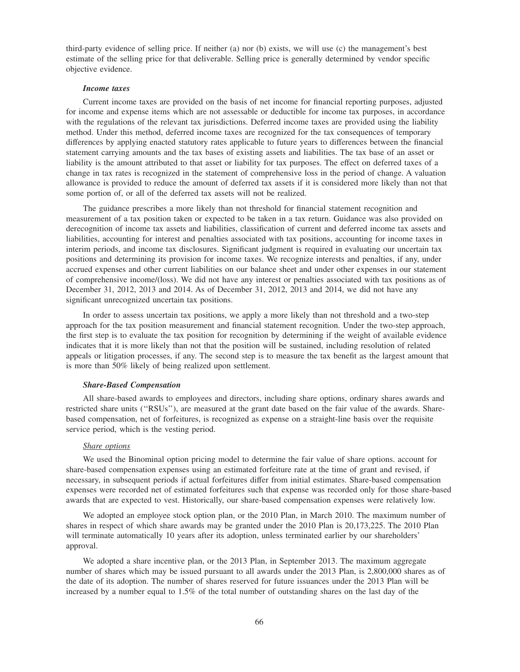third-party evidence of selling price. If neither (a) nor (b) exists, we will use (c) the management's best estimate of the selling price for that deliverable. Selling price is generally determined by vendor specific objective evidence.

#### *Income taxes*

Current income taxes are provided on the basis of net income for financial reporting purposes, adjusted for income and expense items which are not assessable or deductible for income tax purposes, in accordance with the regulations of the relevant tax jurisdictions. Deferred income taxes are provided using the liability method. Under this method, deferred income taxes are recognized for the tax consequences of temporary differences by applying enacted statutory rates applicable to future years to differences between the financial statement carrying amounts and the tax bases of existing assets and liabilities. The tax base of an asset or liability is the amount attributed to that asset or liability for tax purposes. The effect on deferred taxes of a change in tax rates is recognized in the statement of comprehensive loss in the period of change. A valuation allowance is provided to reduce the amount of deferred tax assets if it is considered more likely than not that some portion of, or all of the deferred tax assets will not be realized.

The guidance prescribes a more likely than not threshold for financial statement recognition and measurement of a tax position taken or expected to be taken in a tax return. Guidance was also provided on derecognition of income tax assets and liabilities, classification of current and deferred income tax assets and liabilities, accounting for interest and penalties associated with tax positions, accounting for income taxes in interim periods, and income tax disclosures. Significant judgment is required in evaluating our uncertain tax positions and determining its provision for income taxes. We recognize interests and penalties, if any, under accrued expenses and other current liabilities on our balance sheet and under other expenses in our statement of comprehensive income/(loss). We did not have any interest or penalties associated with tax positions as of December 31, 2012, 2013 and 2014. As of December 31, 2012, 2013 and 2014, we did not have any significant unrecognized uncertain tax positions.

In order to assess uncertain tax positions, we apply a more likely than not threshold and a two-step approach for the tax position measurement and financial statement recognition. Under the two-step approach, the first step is to evaluate the tax position for recognition by determining if the weight of available evidence indicates that it is more likely than not that the position will be sustained, including resolution of related appeals or litigation processes, if any. The second step is to measure the tax benefit as the largest amount that is more than 50% likely of being realized upon settlement.

#### *Share-Based Compensation*

All share-based awards to employees and directors, including share options, ordinary shares awards and restricted share units (''RSUs''), are measured at the grant date based on the fair value of the awards. Sharebased compensation, net of forfeitures, is recognized as expense on a straight-line basis over the requisite service period, which is the vesting period.

## *Share options*

We used the Binominal option pricing model to determine the fair value of share options. account for share-based compensation expenses using an estimated forfeiture rate at the time of grant and revised, if necessary, in subsequent periods if actual forfeitures differ from initial estimates. Share-based compensation expenses were recorded net of estimated forfeitures such that expense was recorded only for those share-based awards that are expected to vest. Historically, our share-based compensation expenses were relatively low.

We adopted an employee stock option plan, or the 2010 Plan, in March 2010. The maximum number of shares in respect of which share awards may be granted under the 2010 Plan is 20,173,225. The 2010 Plan will terminate automatically 10 years after its adoption, unless terminated earlier by our shareholders' approval.

We adopted a share incentive plan, or the 2013 Plan, in September 2013. The maximum aggregate number of shares which may be issued pursuant to all awards under the 2013 Plan, is 2,800,000 shares as of the date of its adoption. The number of shares reserved for future issuances under the 2013 Plan will be increased by a number equal to 1.5% of the total number of outstanding shares on the last day of the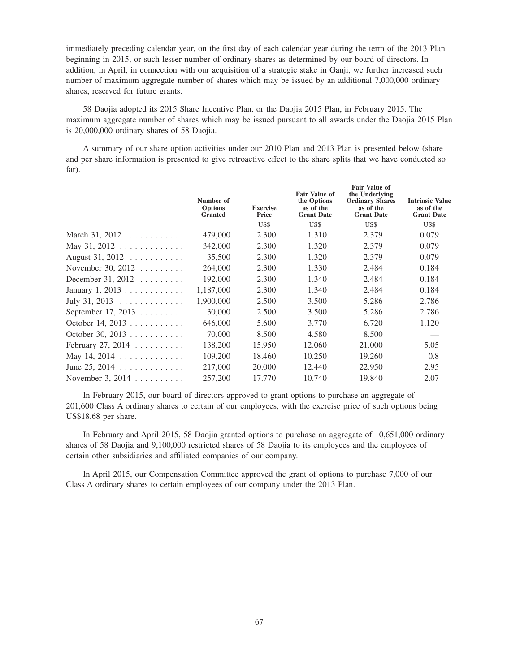immediately preceding calendar year, on the first day of each calendar year during the term of the 2013 Plan beginning in 2015, or such lesser number of ordinary shares as determined by our board of directors. In addition, in April, in connection with our acquisition of a strategic stake in Ganji, we further increased such number of maximum aggregate number of shares which may be issued by an additional 7,000,000 ordinary shares, reserved for future grants.

58 Daojia adopted its 2015 Share Incentive Plan, or the Daojia 2015 Plan, in February 2015. The maximum aggregate number of shares which may be issued pursuant to all awards under the Daojia 2015 Plan is 20,000,000 ordinary shares of 58 Daojia.

A summary of our share option activities under our 2010 Plan and 2013 Plan is presented below (share and per share information is presented to give retroactive effect to the share splits that we have conducted so far).

|                                             | Number of<br><b>Options</b><br><b>Granted</b> | <b>Exercise</b><br>Price | <b>Fair Value of</b><br>the Options<br>as of the<br><b>Grant Date</b> | <b>Fair Value of</b><br>the Underlying<br><b>Ordinary Shares</b><br>as of the<br><b>Grant Date</b> | <b>Intrinsic Value</b><br>as of the<br><b>Grant Date</b> |  |
|---------------------------------------------|-----------------------------------------------|--------------------------|-----------------------------------------------------------------------|----------------------------------------------------------------------------------------------------|----------------------------------------------------------|--|
|                                             |                                               | US\$                     | US\$                                                                  | US\$                                                                                               | US\$                                                     |  |
| March 31, $2012$                            | 479,000                                       | 2.300                    | 1.310                                                                 | 2.379                                                                                              | 0.079                                                    |  |
| May 31, 2012 $\ldots \ldots \ldots \ldots$  | 342,000                                       | 2.300                    | 1.320                                                                 | 2.379                                                                                              | 0.079                                                    |  |
| August 31, 2012                             | 35,500                                        | 2.300                    | 1.320                                                                 | 2.379                                                                                              | 0.079                                                    |  |
| November 30, $2012$                         | 264,000                                       | 2.300                    | 1.330                                                                 | 2.484                                                                                              | 0.184                                                    |  |
| December 31, $2012$                         | 192,000                                       | 2.300                    | 1.340                                                                 | 2.484                                                                                              | 0.184                                                    |  |
| January $1, 2013$                           | 1,187,000                                     | 2.300                    | 1.340                                                                 | 2.484                                                                                              | 0.184                                                    |  |
| July 31, 2013 $\dots \dots \dots \dots$     | 1,900,000                                     | 2.500                    | 3.500                                                                 | 5.286                                                                                              | 2.786                                                    |  |
| September 17, 2013 $\ldots \ldots \ldots$   | 30,000                                        | 2.500                    | 3.500                                                                 | 5.286                                                                                              | 2.786                                                    |  |
| October 14, 2013                            | 646,000                                       | 5.600                    | 3.770                                                                 | 6.720                                                                                              | 1.120                                                    |  |
| October 30, 2013                            | 70,000                                        | 8.500                    | 4.580                                                                 | 8.500                                                                                              |                                                          |  |
| February 27, 2014 $\ldots \ldots \ldots$    | 138,200                                       | 15.950                   | 12.060                                                                | 21.000                                                                                             | 5.05                                                     |  |
| May 14, 2014 $\ldots \ldots \ldots \ldots$  | 109,200                                       | 18.460                   | 10.250                                                                | 19.260                                                                                             | 0.8                                                      |  |
| June 25, 2014 $\ldots \ldots \ldots \ldots$ | 217,000                                       | 20.000                   | 12.440                                                                | 22.950                                                                                             | 2.95                                                     |  |
| November 3, $2014$                          | 257,200                                       | 17.770                   | 10.740                                                                | 19.840                                                                                             | 2.07                                                     |  |
|                                             |                                               |                          |                                                                       |                                                                                                    |                                                          |  |

In February 2015, our board of directors approved to grant options to purchase an aggregate of 201,600 Class A ordinary shares to certain of our employees, with the exercise price of such options being US\$18.68 per share.

In February and April 2015, 58 Daojia granted options to purchase an aggregate of 10,651,000 ordinary shares of 58 Daojia and 9,100,000 restricted shares of 58 Daojia to its employees and the employees of certain other subsidiaries and affiliated companies of our company.

In April 2015, our Compensation Committee approved the grant of options to purchase 7,000 of our Class A ordinary shares to certain employees of our company under the 2013 Plan.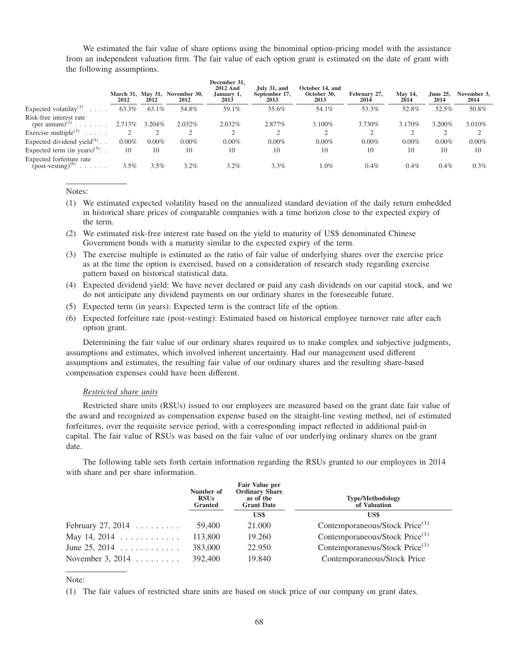We estimated the fair value of share options using the binominal option-pricing model with the assistance from an independent valuation firm. The fair value of each option grant is estimated on the date of grant with the following assumptions.

|                                                                    | March 31.<br>2012 | 2012     | May 31, November 30,<br>2012 | December 31,<br><b>2012 And</b><br>January 1,<br>2013 | July 31, and<br>September 17,<br>2013 | October 14, and<br>October 30,<br>2013 | February 27,<br>2014 | <b>May 14,</b><br>2014 | June 25.<br>2014 | November 3,<br>2014 |
|--------------------------------------------------------------------|-------------------|----------|------------------------------|-------------------------------------------------------|---------------------------------------|----------------------------------------|----------------------|------------------------|------------------|---------------------|
| Expected volatility <sup>(1)</sup>                                 | 63.3%             | 63.1%    | 54.8%                        | 59.1%                                                 | 55.6%                                 | 54.1%                                  | 53.3%                | 52.8%                  | 52.5%            | 50.8%               |
| Risk-free interest rate<br>$(\text{per annum})^{(2)}$              | 2.713%            | 3.204%   | 2.032%                       | 2.032\%                                               | 2.877%                                | $3.100\%$                              | 3.730%               | 3.170\%                | 3.200%           | 3.010\%             |
| Exercise multiple <sup>(3)</sup>                                   |                   |          | $\bigcap$                    |                                                       |                                       | $\bigcap$<br>∠                         |                      |                        |                  |                     |
| Expected dividend yield $(4)$                                      | $0.00\%$          | $0.00\%$ | 0.00%                        | $0.00\%$                                              | $0.00\%$                              | $0.00\%$                               | $0.00\%$             | $0.00\%$               | $0.00\%$         | $0.00\%$            |
| Expected term (in years) <sup>(5)</sup> . .                        | 10                | 10       | 10                           | 10                                                    | 10                                    | 10                                     | 10                   | 10                     | 10               | 10                  |
| Expected forfeiture rate<br>$(post-vesting)^{(6)}$<br>$\mathbf{1}$ | $3.5\%$           | 3.5%     | $3.2\%$                      | $3.2\%$                                               | 3.3%                                  | $1.0\%$                                | 0.4%                 | 0.4%                   | $0.4\%$          | 0.3%                |

Notes:

- (1) We estimated expected volatility based on the annualized standard deviation of the daily return embedded in historical share prices of comparable companies with a time horizon close to the expected expiry of the term.
- (2) We estimated risk-free interest rate based on the yield to maturity of US\$ denominated Chinese Government bonds with a maturity similar to the expected expiry of the term.
- (3) The exercise multiple is estimated as the ratio of fair value of underlying shares over the exercise price as at the time the option is exercised, based on a consideration of research study regarding exercise pattern based on historical statistical data.
- (4) Expected dividend yield: We have never declared or paid any cash dividends on our capital stock, and we do not anticipate any dividend payments on our ordinary shares in the foreseeable future.
- (5) Expected term (in years): Expected term is the contract life of the option.
- (6) Expected forfeiture rate (post-vesting): Estimated based on historical employee turnover rate after each option grant.

Determining the fair value of our ordinary shares required us to make complex and subjective judgments, assumptions and estimates, which involved inherent uncertainty. Had our management used different assumptions and estimates, the resulting fair value of our ordinary shares and the resulting share-based compensation expenses could have been different.

## *Restricted share units*

Restricted share units (RSUs) issued to our employees are measured based on the grant date fair value of the award and recognized as compensation expense based on the straight-line vesting method, net of estimated forfeitures, over the requisite service period, with a corresponding impact reflected in additional paid-in capital. The fair value of RSUs was based on the fair value of our underlying ordinary shares on the grant date.

The following table sets forth certain information regarding the RSUs granted to our employees in 2014 with share and per share information.

| Number of<br><b>RSUs</b><br><b>Granted</b> | <b>Fair Value per</b><br><b>Ordinary Share</b><br>as of the<br><b>Grant Date</b> | <b>Type/Methodology</b><br>of Valuation    |  |  |  |  |
|--------------------------------------------|----------------------------------------------------------------------------------|--------------------------------------------|--|--|--|--|
|                                            | US\$                                                                             | US\$                                       |  |  |  |  |
| 59,400                                     | 21.000                                                                           | Contemporaneous/Stock Price <sup>(1)</sup> |  |  |  |  |
| 113,800                                    | 19.260                                                                           | Contemporaneous/Stock Price $(1)$          |  |  |  |  |
| 383,000                                    | 22.950                                                                           | Contemporaneous/Stock Price <sup>(1)</sup> |  |  |  |  |
| 392,400                                    | 19.840                                                                           | Contemporaneous/Stock Price                |  |  |  |  |
|                                            |                                                                                  |                                            |  |  |  |  |

Note:

(1) The fair values of restricted share units are based on stock price of our company on grant dates.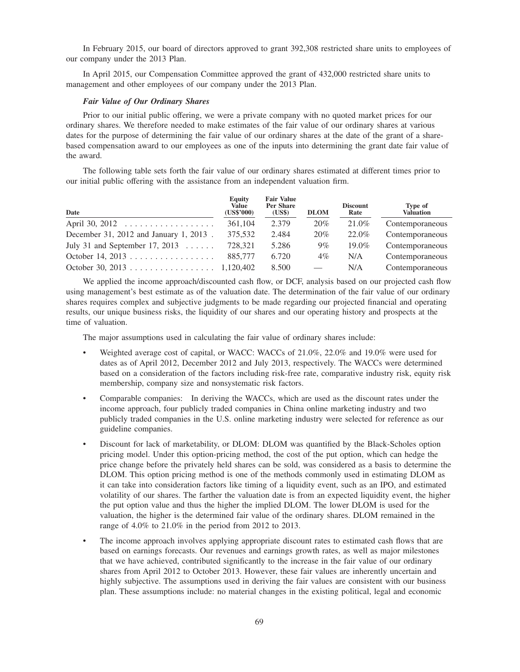In February 2015, our board of directors approved to grant 392,308 restricted share units to employees of our company under the 2013 Plan.

In April 2015, our Compensation Committee approved the grant of 432,000 restricted share units to management and other employees of our company under the 2013 Plan.

## *Fair Value of Our Ordinary Shares*

Prior to our initial public offering, we were a private company with no quoted market prices for our ordinary shares. We therefore needed to make estimates of the fair value of our ordinary shares at various dates for the purpose of determining the fair value of our ordinary shares at the date of the grant of a sharebased compensation award to our employees as one of the inputs into determining the grant date fair value of the award.

The following table sets forth the fair value of our ordinary shares estimated at different times prior to our initial public offering with the assistance from an independent valuation firm.

| <b>Date</b>                             | <b>Equity</b><br>Value<br>(US\$'000) | <b>Fair Value</b><br><b>Per Share</b><br>(US\$) | <b>DLOM</b> | <b>Discount</b><br>Rate | Type of<br><b>Valuation</b> |
|-----------------------------------------|--------------------------------------|-------------------------------------------------|-------------|-------------------------|-----------------------------|
|                                         | 361,104                              | 2.379                                           | 20%         | 21.0%                   | Contemporaneous             |
| December 31, 2012 and January 1, 2013.  | 375,532                              | 2.484                                           | 20%         | 22.0%                   | Contemporaneous             |
| July 31 and September 17, 2013 $\ldots$ | 728,321                              | 5.286                                           | $9\%$       | 19.0%                   | Contemporaneous             |
| October 14, 2013                        | 885,777                              | 6.720                                           | $4\%$       | N/A                     | Contemporaneous             |
| October 30, 2013 1,120,402              |                                      | 8.500                                           |             | N/A                     | Contemporaneous             |

We applied the income approach/discounted cash flow, or DCF, analysis based on our projected cash flow using management's best estimate as of the valuation date. The determination of the fair value of our ordinary shares requires complex and subjective judgments to be made regarding our projected financial and operating results, our unique business risks, the liquidity of our shares and our operating history and prospects at the time of valuation.

The major assumptions used in calculating the fair value of ordinary shares include:

- Weighted average cost of capital, or WACC: WACCs of 21.0%, 22.0% and 19.0% were used for dates as of April 2012, December 2012 and July 2013, respectively. The WACCs were determined based on a consideration of the factors including risk-free rate, comparative industry risk, equity risk membership, company size and nonsystematic risk factors.
- Comparable companies: In deriving the WACCs, which are used as the discount rates under the income approach, four publicly traded companies in China online marketing industry and two publicly traded companies in the U.S. online marketing industry were selected for reference as our guideline companies.
- Discount for lack of marketability, or DLOM: DLOM was quantified by the Black-Scholes option pricing model. Under this option-pricing method, the cost of the put option, which can hedge the price change before the privately held shares can be sold, was considered as a basis to determine the DLOM. This option pricing method is one of the methods commonly used in estimating DLOM as it can take into consideration factors like timing of a liquidity event, such as an IPO, and estimated volatility of our shares. The farther the valuation date is from an expected liquidity event, the higher the put option value and thus the higher the implied DLOM. The lower DLOM is used for the valuation, the higher is the determined fair value of the ordinary shares. DLOM remained in the range of 4.0% to 21.0% in the period from 2012 to 2013.
- The income approach involves applying appropriate discount rates to estimated cash flows that are based on earnings forecasts. Our revenues and earnings growth rates, as well as major milestones that we have achieved, contributed significantly to the increase in the fair value of our ordinary shares from April 2012 to October 2013. However, these fair values are inherently uncertain and highly subjective. The assumptions used in deriving the fair values are consistent with our business plan. These assumptions include: no material changes in the existing political, legal and economic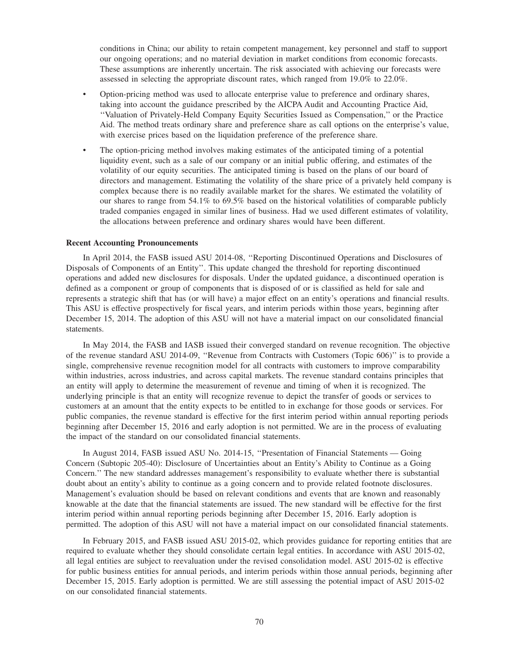conditions in China; our ability to retain competent management, key personnel and staff to support our ongoing operations; and no material deviation in market conditions from economic forecasts. These assumptions are inherently uncertain. The risk associated with achieving our forecasts were assessed in selecting the appropriate discount rates, which ranged from 19.0% to 22.0%.

- Option-pricing method was used to allocate enterprise value to preference and ordinary shares, taking into account the guidance prescribed by the AICPA Audit and Accounting Practice Aid, ''Valuation of Privately-Held Company Equity Securities Issued as Compensation,'' or the Practice Aid. The method treats ordinary share and preference share as call options on the enterprise's value, with exercise prices based on the liquidation preference of the preference share.
- The option-pricing method involves making estimates of the anticipated timing of a potential liquidity event, such as a sale of our company or an initial public offering, and estimates of the volatility of our equity securities. The anticipated timing is based on the plans of our board of directors and management. Estimating the volatility of the share price of a privately held company is complex because there is no readily available market for the shares. We estimated the volatility of our shares to range from 54.1% to 69.5% based on the historical volatilities of comparable publicly traded companies engaged in similar lines of business. Had we used different estimates of volatility, the allocations between preference and ordinary shares would have been different.

# **Recent Accounting Pronouncements**

In April 2014, the FASB issued ASU 2014-08, ''Reporting Discontinued Operations and Disclosures of Disposals of Components of an Entity''. This update changed the threshold for reporting discontinued operations and added new disclosures for disposals. Under the updated guidance, a discontinued operation is defined as a component or group of components that is disposed of or is classified as held for sale and represents a strategic shift that has (or will have) a major effect on an entity's operations and financial results. This ASU is effective prospectively for fiscal years, and interim periods within those years, beginning after December 15, 2014. The adoption of this ASU will not have a material impact on our consolidated financial statements.

In May 2014, the FASB and IASB issued their converged standard on revenue recognition. The objective of the revenue standard ASU 2014-09, ''Revenue from Contracts with Customers (Topic 606)'' is to provide a single, comprehensive revenue recognition model for all contracts with customers to improve comparability within industries, across industries, and across capital markets. The revenue standard contains principles that an entity will apply to determine the measurement of revenue and timing of when it is recognized. The underlying principle is that an entity will recognize revenue to depict the transfer of goods or services to customers at an amount that the entity expects to be entitled to in exchange for those goods or services. For public companies, the revenue standard is effective for the first interim period within annual reporting periods beginning after December 15, 2016 and early adoption is not permitted. We are in the process of evaluating the impact of the standard on our consolidated financial statements.

In August 2014, FASB issued ASU No. 2014-15, ''Presentation of Financial Statements — Going Concern (Subtopic 205-40): Disclosure of Uncertainties about an Entity's Ability to Continue as a Going Concern.'' The new standard addresses management's responsibility to evaluate whether there is substantial doubt about an entity's ability to continue as a going concern and to provide related footnote disclosures. Management's evaluation should be based on relevant conditions and events that are known and reasonably knowable at the date that the financial statements are issued. The new standard will be effective for the first interim period within annual reporting periods beginning after December 15, 2016. Early adoption is permitted. The adoption of this ASU will not have a material impact on our consolidated financial statements.

In February 2015, and FASB issued ASU 2015-02, which provides guidance for reporting entities that are required to evaluate whether they should consolidate certain legal entities. In accordance with ASU 2015-02, all legal entities are subject to reevaluation under the revised consolidation model. ASU 2015-02 is effective for public business entities for annual periods, and interim periods within those annual periods, beginning after December 15, 2015. Early adoption is permitted. We are still assessing the potential impact of ASU 2015-02 on our consolidated financial statements.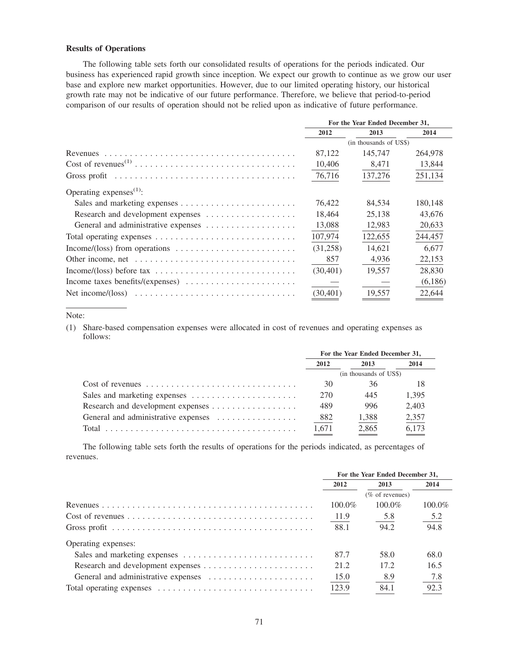# **Results of Operations**

The following table sets forth our consolidated results of operations for the periods indicated. Our business has experienced rapid growth since inception. We expect our growth to continue as we grow our user base and explore new market opportunities. However, due to our limited operating history, our historical growth rate may not be indicative of our future performance. Therefore, we believe that period-to-period comparison of our results of operation should not be relied upon as indicative of future performance.

|                                                                              | For the Year Ended December 31, |                        |         |
|------------------------------------------------------------------------------|---------------------------------|------------------------|---------|
|                                                                              | 2012                            | 2013                   | 2014    |
|                                                                              |                                 | (in thousands of US\$) |         |
|                                                                              | 87,122                          | 145,747                | 264,978 |
|                                                                              | 10,406                          | 8,471                  | 13,844  |
|                                                                              | 76,716                          | 137,276                | 251,134 |
| Operating expenses $^{(1)}$ :                                                |                                 |                        |         |
|                                                                              | 76,422                          | 84,534                 | 180,148 |
| Research and development expenses                                            | 18,464                          | 25,138                 | 43,676  |
| General and administrative expenses                                          | 13,088                          | 12,983                 | 20,633  |
|                                                                              | 107,974                         | 122,655                | 244,457 |
|                                                                              | (31,258)                        | 14.621                 | 6,677   |
|                                                                              | 857                             | 4,936                  | 22,153  |
|                                                                              | (30, 401)                       | 19,557                 | 28,830  |
| Income taxes benefits/(expenses) $\dots \dots \dots \dots \dots \dots \dots$ |                                 |                        | (6,186) |
| Net income/(loss)                                                            | (30, 401)                       | 19,557                 | 22,644  |

Note:

(1) Share-based compensation expenses were allocated in cost of revenues and operating expenses as follows:

|                                     | For the Year Ended December 31, |                        |       |  |
|-------------------------------------|---------------------------------|------------------------|-------|--|
|                                     | 2012<br>2013                    |                        | 2014  |  |
|                                     |                                 | (in thousands of US\$) |       |  |
|                                     | 30                              | 36                     | 18    |  |
|                                     | 270                             | 445                    | 1.395 |  |
|                                     | 489                             | 996                    | 2.403 |  |
| General and administrative expenses | 882                             | 1,388                  | 2,357 |  |
| Total                               | 1.671                           | 2.865                  | 6.173 |  |

The following table sets forth the results of operations for the periods indicated, as percentages of revenues.

|                                                                                                        | For the Year Ended December 31, |                 |           |
|--------------------------------------------------------------------------------------------------------|---------------------------------|-----------------|-----------|
|                                                                                                        | 2012                            | 2013            | 2014      |
|                                                                                                        |                                 | (% of revenues) |           |
|                                                                                                        | $100.0\%$                       | $100.0\%$       | $100.0\%$ |
| $Cost of revenues \dots \dots \dots \dots \dots \dots \dots \dots \dots \dots \dots \dots \dots \dots$ | 11.9                            | 5.8             | 5.2       |
|                                                                                                        | 88.1                            | 94.2            | 94.8      |
| Operating expenses:                                                                                    |                                 |                 |           |
|                                                                                                        | 87.7                            | 58.0            | 68.0      |
|                                                                                                        | 21.2                            | 17.2            | 16.5      |
|                                                                                                        | 15.0                            | 8.9             | 7.8       |
|                                                                                                        | 123.9                           | 84.1            | 92.3      |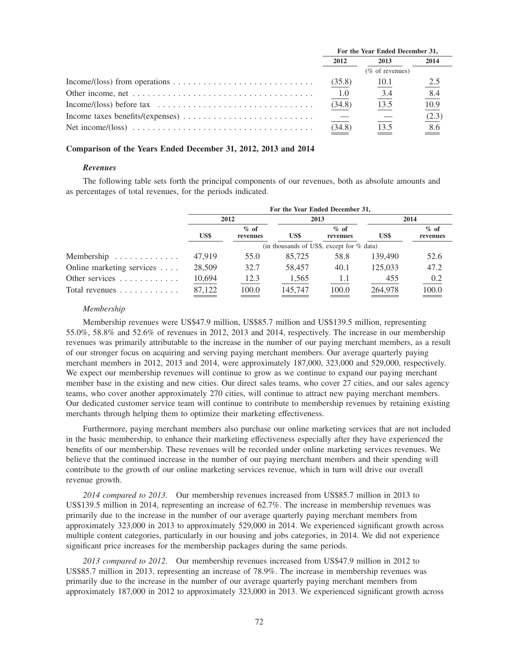|                                                                                             | For the Year Ended December 31, |                    |       |  |
|---------------------------------------------------------------------------------------------|---------------------------------|--------------------|-------|--|
|                                                                                             | 2012                            | 2013               | 2014  |  |
|                                                                                             |                                 | $(\%$ of revenues) |       |  |
|                                                                                             | (35.8)                          | 10.1               | 2.5   |  |
|                                                                                             | -1.0                            | 3.4                | 8.4   |  |
| $Income/(loss)$ before tax $\ldots \ldots \ldots \ldots \ldots \ldots \ldots \ldots \ldots$ | (34.8)                          | 13.5               | 10.9  |  |
| Income taxes benefits/(expenses) $\dots \dots \dots \dots \dots \dots \dots \dots \dots$    | $\overline{\phantom{a}}$        |                    | (2.3) |  |
|                                                                                             | $\frac{(34.8)}{2}$              | 13.5               | 8.6   |  |

# **Comparison of the Years Ended December 31, 2012, 2013 and 2014**

# *Revenues*

The following table sets forth the principal components of our revenues, both as absolute amounts and as percentages of total revenues, for the periods indicated.

|                                    | For the Year Ended December 31, |                                             |         |                    |         |                    |  |
|------------------------------------|---------------------------------|---------------------------------------------|---------|--------------------|---------|--------------------|--|
|                                    | 2012                            |                                             |         | 2013               | 2014    |                    |  |
|                                    | US\$                            | $%$ of<br>revenues                          | US\$    | $%$ of<br>revenues | US\$    | $%$ of<br>revenues |  |
|                                    |                                 | (in thousands of US\$, except for $%$ data) |         |                    |         |                    |  |
| Membership                         | 47.919                          | 55.0                                        | 85,725  | 58.8               | 139,490 | 52.6               |  |
| Online marketing services          | 28,509                          | 32.7                                        | 58,457  | 40.1               | 125,033 | 47.2               |  |
| Other services                     | 10,694                          | 12.3                                        | 1,565   | 1.1                | 455     | 0.2                |  |
| Total revenues $\ldots$ , $\ldots$ | 87,122                          | 100.0                                       | 145,747 | 100.0              | 264,978 | 100.0              |  |

# *Membership*

Membership revenues were US\$47.9 million, US\$85.7 million and US\$139.5 million, representing 55.0%, 58.8% and 52.6% of revenues in 2012, 2013 and 2014, respectively. The increase in our membership revenues was primarily attributable to the increase in the number of our paying merchant members, as a result of our stronger focus on acquiring and serving paying merchant members. Our average quarterly paying merchant members in 2012, 2013 and 2014, were approximately 187,000, 323,000 and 529,000, respectively. We expect our membership revenues will continue to grow as we continue to expand our paying merchant member base in the existing and new cities. Our direct sales teams, who cover 27 cities, and our sales agency teams, who cover another approximately 270 cities, will continue to attract new paying merchant members. Our dedicated customer service team will continue to contribute to membership revenues by retaining existing merchants through helping them to optimize their marketing effectiveness.

Furthermore, paying merchant members also purchase our online marketing services that are not included in the basic membership, to enhance their marketing effectiveness especially after they have experienced the benefits of our membership. These revenues will be recorded under online marketing services revenues. We believe that the continued increase in the number of our paying merchant members and their spending will contribute to the growth of our online marketing services revenue, which in turn will drive our overall revenue growth.

*2014 compared to 2013*. Our membership revenues increased from US\$85.7 million in 2013 to US\$139.5 million in 2014, representing an increase of 62.7%. The increase in membership revenues was primarily due to the increase in the number of our average quarterly paying merchant members from approximately 323,000 in 2013 to approximately 529,000 in 2014. We experienced significant growth across multiple content categories, particularly in our housing and jobs categories, in 2014. We did not experience significant price increases for the membership packages during the same periods.

*2013 compared to 2012*. Our membership revenues increased from US\$47.9 million in 2012 to US\$85.7 million in 2013, representing an increase of 78.9%. The increase in membership revenues was primarily due to the increase in the number of our average quarterly paying merchant members from approximately 187,000 in 2012 to approximately 323,000 in 2013. We experienced significant growth across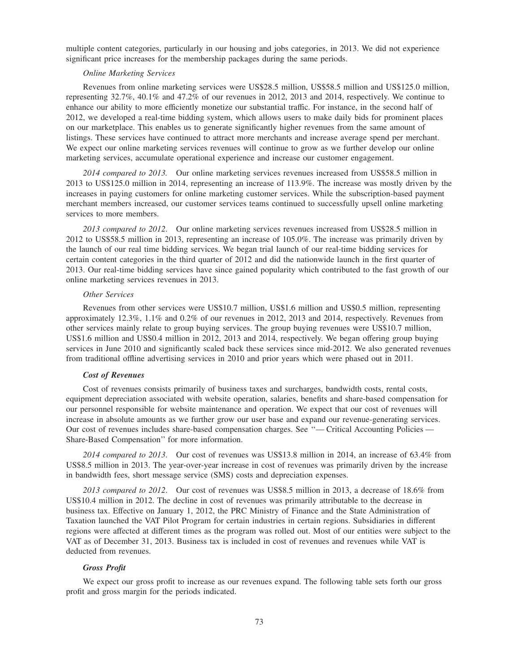multiple content categories, particularly in our housing and jobs categories, in 2013. We did not experience significant price increases for the membership packages during the same periods.

# *Online Marketing Services*

Revenues from online marketing services were US\$28.5 million, US\$58.5 million and US\$125.0 million, representing 32.7%, 40.1% and 47.2% of our revenues in 2012, 2013 and 2014, respectively. We continue to enhance our ability to more efficiently monetize our substantial traffic. For instance, in the second half of 2012, we developed a real-time bidding system, which allows users to make daily bids for prominent places on our marketplace. This enables us to generate significantly higher revenues from the same amount of listings. These services have continued to attract more merchants and increase average spend per merchant. We expect our online marketing services revenues will continue to grow as we further develop our online marketing services, accumulate operational experience and increase our customer engagement.

*2014 compared to 2013.* Our online marketing services revenues increased from US\$58.5 million in 2013 to US\$125.0 million in 2014, representing an increase of 113.9%. The increase was mostly driven by the increases in paying customers for online marketing customer services. While the subscription-based payment merchant members increased, our customer services teams continued to successfully upsell online marketing services to more members.

*2013 compared to 2012*. Our online marketing services revenues increased from US\$28.5 million in 2012 to US\$58.5 million in 2013, representing an increase of 105.0%. The increase was primarily driven by the launch of our real time bidding services. We began trial launch of our real-time bidding services for certain content categories in the third quarter of 2012 and did the nationwide launch in the first quarter of 2013. Our real-time bidding services have since gained popularity which contributed to the fast growth of our online marketing services revenues in 2013.

# *Other Services*

Revenues from other services were US\$10.7 million, US\$1.6 million and US\$0.5 million, representing approximately 12.3%, 1.1% and 0.2% of our revenues in 2012, 2013 and 2014, respectively. Revenues from other services mainly relate to group buying services. The group buying revenues were US\$10.7 million, US\$1.6 million and US\$0.4 million in 2012, 2013 and 2014, respectively. We began offering group buying services in June 2010 and significantly scaled back these services since mid-2012. We also generated revenues from traditional offline advertising services in 2010 and prior years which were phased out in 2011.

### *Cost of Revenues*

Cost of revenues consists primarily of business taxes and surcharges, bandwidth costs, rental costs, equipment depreciation associated with website operation, salaries, benefits and share-based compensation for our personnel responsible for website maintenance and operation. We expect that our cost of revenues will increase in absolute amounts as we further grow our user base and expand our revenue-generating services. Our cost of revenues includes share-based compensation charges. See ''— Critical Accounting Policies — Share-Based Compensation'' for more information.

*2014 compared to 2013*. Our cost of revenues was US\$13.8 million in 2014, an increase of 63.4% from US\$8.5 million in 2013. The year-over-year increase in cost of revenues was primarily driven by the increase in bandwidth fees, short message service (SMS) costs and depreciation expenses.

*2013 compared to 2012*. Our cost of revenues was US\$8.5 million in 2013, a decrease of 18.6% from US\$10.4 million in 2012. The decline in cost of revenues was primarily attributable to the decrease in business tax. Effective on January 1, 2012, the PRC Ministry of Finance and the State Administration of Taxation launched the VAT Pilot Program for certain industries in certain regions. Subsidiaries in different regions were affected at different times as the program was rolled out. Most of our entities were subject to the VAT as of December 31, 2013. Business tax is included in cost of revenues and revenues while VAT is deducted from revenues.

# *Gross Profit*

We expect our gross profit to increase as our revenues expand. The following table sets forth our gross profit and gross margin for the periods indicated.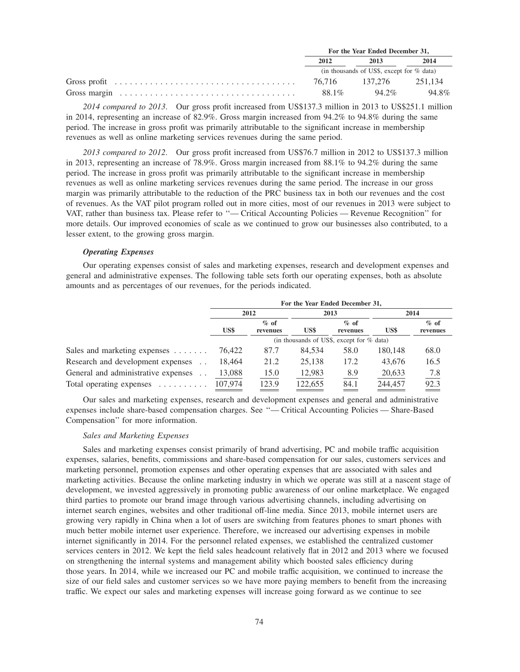| For the Year Ended December 31, |                                              |       |
|---------------------------------|----------------------------------------------|-------|
| 2012                            | 2013                                         | 2014  |
|                                 | (in thousands of US\$, except for $\%$ data) |       |
|                                 | 76.716 137.276 251.134                       |       |
| 88.1%                           | 94.2%                                        | 94.8% |

*2014 compared to 2013*. Our gross profit increased from US\$137.3 million in 2013 to US\$251.1 million in 2014, representing an increase of 82.9%. Gross margin increased from 94.2% to 94.8% during the same period. The increase in gross profit was primarily attributable to the significant increase in membership revenues as well as online marketing services revenues during the same period.

*2013 compared to 2012*. Our gross profit increased from US\$76.7 million in 2012 to US\$137.3 million in 2013, representing an increase of 78.9%. Gross margin increased from 88.1% to 94.2% during the same period. The increase in gross profit was primarily attributable to the significant increase in membership revenues as well as online marketing services revenues during the same period. The increase in our gross margin was primarily attributable to the reduction of the PRC business tax in both our revenues and the cost of revenues. As the VAT pilot program rolled out in more cities, most of our revenues in 2013 were subject to VAT, rather than business tax. Please refer to ''— Critical Accounting Policies — Revenue Recognition'' for more details. Our improved economies of scale as we continued to grow our businesses also contributed, to a lesser extent, to the growing gross margin.

# *Operating Expenses*

Our operating expenses consist of sales and marketing expenses, research and development expenses and general and administrative expenses. The following table sets forth our operating expenses, both as absolute amounts and as percentages of our revenues, for the periods indicated.

|                                     | For the Year Ended December 31, |                                           |         |                    |         |                    |
|-------------------------------------|---------------------------------|-------------------------------------------|---------|--------------------|---------|--------------------|
|                                     | 2012                            |                                           |         | 2013               |         | 2014               |
|                                     | US\$                            | $%$ of<br>revenues                        | US\$    | $%$ of<br>revenues | US\$    | $%$ of<br>revenues |
|                                     |                                 | (in thousands of US\$, except for % data) |         |                    |         |                    |
| Sales and marketing expenses        | 76.422                          | 87.7                                      | 84.534  | 58.0               | 180.148 | 68.0               |
| Research and development expenses   | 18,464                          | 21.2                                      | 25,138  | 17.2               | 43,676  | 16.5               |
| General and administrative expenses | 13,088                          | 15.0                                      | 12,983  | 8.9                | 20,633  | 7.8                |
| Total operating expenses            | 107,974                         | 123.9                                     | 122,655 | 84.1               | 244,457 | 92.3               |

Our sales and marketing expenses, research and development expenses and general and administrative expenses include share-based compensation charges. See ''— Critical Accounting Policies — Share-Based Compensation'' for more information.

### *Sales and Marketing Expenses*

Sales and marketing expenses consist primarily of brand advertising, PC and mobile traffic acquisition expenses, salaries, benefits, commissions and share-based compensation for our sales, customers services and marketing personnel, promotion expenses and other operating expenses that are associated with sales and marketing activities. Because the online marketing industry in which we operate was still at a nascent stage of development, we invested aggressively in promoting public awareness of our online marketplace. We engaged third parties to promote our brand image through various advertising channels, including advertising on internet search engines, websites and other traditional off-line media. Since 2013, mobile internet users are growing very rapidly in China when a lot of users are switching from features phones to smart phones with much better mobile internet user experience. Therefore, we increased our advertising expenses in mobile internet significantly in 2014. For the personnel related expenses, we established the centralized customer services centers in 2012. We kept the field sales headcount relatively flat in 2012 and 2013 where we focused on strengthening the internal systems and management ability which boosted sales efficiency during those years. In 2014, while we increased our PC and mobile traffic acquisition, we continued to increase the size of our field sales and customer services so we have more paying members to benefit from the increasing traffic. We expect our sales and marketing expenses will increase going forward as we continue to see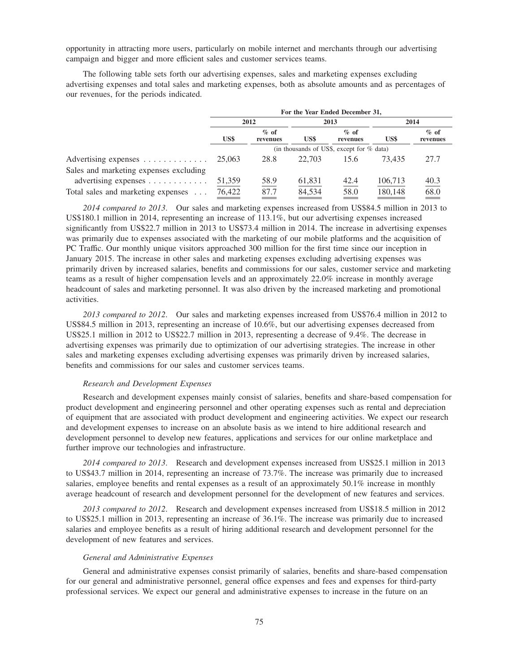opportunity in attracting more users, particularly on mobile internet and merchants through our advertising campaign and bigger and more efficient sales and customer services teams.

The following table sets forth our advertising expenses, sales and marketing expenses excluding advertising expenses and total sales and marketing expenses, both as absolute amounts and as percentages of our revenues, for the periods indicated.

|                                        | For the Year Ended December 31,             |                    |        |                    |         |                    |
|----------------------------------------|---------------------------------------------|--------------------|--------|--------------------|---------|--------------------|
|                                        | 2012                                        |                    |        | 2013               |         | 2014               |
|                                        | US\$                                        | $%$ of<br>revenues | US\$   | $%$ of<br>revenues | US\$    | $%$ of<br>revenues |
|                                        | (in thousands of US\$, except for $%$ data) |                    |        |                    |         |                    |
| Advertising expenses                   | 25,063                                      | 28.8               | 22.703 | 15.6               | 73.435  | 27.7               |
| Sales and marketing expenses excluding |                                             |                    |        |                    |         |                    |
| advertising expenses                   | 51,359                                      | 58.9               | 61,831 | 42.4               | 106,713 | 40.3               |
| Total sales and marketing expenses     | 76,422                                      | 87.7               | 84.534 | 58.0               | 180,148 | 68.0               |

*2014 compared to 2013*. Our sales and marketing expenses increased from US\$84.5 million in 2013 to US\$180.1 million in 2014, representing an increase of 113.1%, but our advertising expenses increased significantly from US\$22.7 million in 2013 to US\$73.4 million in 2014. The increase in advertising expenses was primarily due to expenses associated with the marketing of our mobile platforms and the acquisition of PC Traffic. Our monthly unique visitors approached 300 million for the first time since our inception in January 2015. The increase in other sales and marketing expenses excluding advertising expenses was primarily driven by increased salaries, benefits and commissions for our sales, customer service and marketing teams as a result of higher compensation levels and an approximately 22.0% increase in monthly average headcount of sales and marketing personnel. It was also driven by the increased marketing and promotional activities.

*2013 compared to 2012*. Our sales and marketing expenses increased from US\$76.4 million in 2012 to US\$84.5 million in 2013, representing an increase of 10.6%, but our advertising expenses decreased from US\$25.1 million in 2012 to US\$22.7 million in 2013, representing a decrease of 9.4%. The decrease in advertising expenses was primarily due to optimization of our advertising strategies. The increase in other sales and marketing expenses excluding advertising expenses was primarily driven by increased salaries, benefits and commissions for our sales and customer services teams.

## *Research and Development Expenses*

Research and development expenses mainly consist of salaries, benefits and share-based compensation for product development and engineering personnel and other operating expenses such as rental and depreciation of equipment that are associated with product development and engineering activities. We expect our research and development expenses to increase on an absolute basis as we intend to hire additional research and development personnel to develop new features, applications and services for our online marketplace and further improve our technologies and infrastructure.

*2014 compared to 2013*. Research and development expenses increased from US\$25.1 million in 2013 to US\$43.7 million in 2014, representing an increase of 73.7%. The increase was primarily due to increased salaries, employee benefits and rental expenses as a result of an approximately 50.1% increase in monthly average headcount of research and development personnel for the development of new features and services.

*2013 compared to 2012*. Research and development expenses increased from US\$18.5 million in 2012 to US\$25.1 million in 2013, representing an increase of 36.1%. The increase was primarily due to increased salaries and employee benefits as a result of hiring additional research and development personnel for the development of new features and services.

#### *General and Administrative Expenses*

General and administrative expenses consist primarily of salaries, benefits and share-based compensation for our general and administrative personnel, general office expenses and fees and expenses for third-party professional services. We expect our general and administrative expenses to increase in the future on an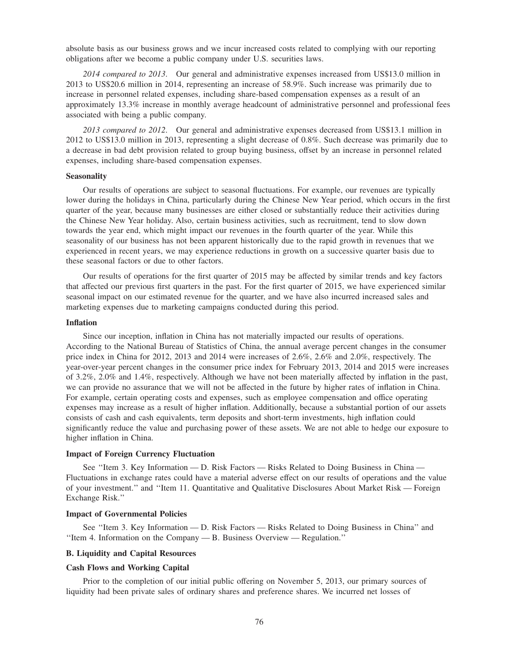absolute basis as our business grows and we incur increased costs related to complying with our reporting obligations after we become a public company under U.S. securities laws.

*2014 compared to 2013*. Our general and administrative expenses increased from US\$13.0 million in 2013 to US\$20.6 million in 2014, representing an increase of 58.9%. Such increase was primarily due to increase in personnel related expenses, including share-based compensation expenses as a result of an approximately 13.3% increase in monthly average headcount of administrative personnel and professional fees associated with being a public company.

*2013 compared to 2012*. Our general and administrative expenses decreased from US\$13.1 million in 2012 to US\$13.0 million in 2013, representing a slight decrease of 0.8%. Such decrease was primarily due to a decrease in bad debt provision related to group buying business, offset by an increase in personnel related expenses, including share-based compensation expenses.

## **Seasonality**

Our results of operations are subject to seasonal fluctuations. For example, our revenues are typically lower during the holidays in China, particularly during the Chinese New Year period, which occurs in the first quarter of the year, because many businesses are either closed or substantially reduce their activities during the Chinese New Year holiday. Also, certain business activities, such as recruitment, tend to slow down towards the year end, which might impact our revenues in the fourth quarter of the year. While this seasonality of our business has not been apparent historically due to the rapid growth in revenues that we experienced in recent years, we may experience reductions in growth on a successive quarter basis due to these seasonal factors or due to other factors.

Our results of operations for the first quarter of 2015 may be affected by similar trends and key factors that affected our previous first quarters in the past. For the first quarter of 2015, we have experienced similar seasonal impact on our estimated revenue for the quarter, and we have also incurred increased sales and marketing expenses due to marketing campaigns conducted during this period.

## **Inflation**

Since our inception, inflation in China has not materially impacted our results of operations. According to the National Bureau of Statistics of China, the annual average percent changes in the consumer price index in China for 2012, 2013 and 2014 were increases of 2.6%, 2.6% and 2.0%, respectively. The year-over-year percent changes in the consumer price index for February 2013, 2014 and 2015 were increases of 3.2%, 2.0% and 1.4%, respectively. Although we have not been materially affected by inflation in the past, we can provide no assurance that we will not be affected in the future by higher rates of inflation in China. For example, certain operating costs and expenses, such as employee compensation and office operating expenses may increase as a result of higher inflation. Additionally, because a substantial portion of our assets consists of cash and cash equivalents, term deposits and short-term investments, high inflation could significantly reduce the value and purchasing power of these assets. We are not able to hedge our exposure to higher inflation in China.

#### **Impact of Foreign Currency Fluctuation**

See ''Item 3. Key Information — D. Risk Factors — Risks Related to Doing Business in China — Fluctuations in exchange rates could have a material adverse effect on our results of operations and the value of your investment.'' and ''Item 11. Quantitative and Qualitative Disclosures About Market Risk — Foreign Exchange Risk.''

### **Impact of Governmental Policies**

See ''Item 3. Key Information — D. Risk Factors — Risks Related to Doing Business in China'' and ''Item 4. Information on the Company — B. Business Overview — Regulation.''

### **B. Liquidity and Capital Resources**

# **Cash Flows and Working Capital**

Prior to the completion of our initial public offering on November 5, 2013, our primary sources of liquidity had been private sales of ordinary shares and preference shares. We incurred net losses of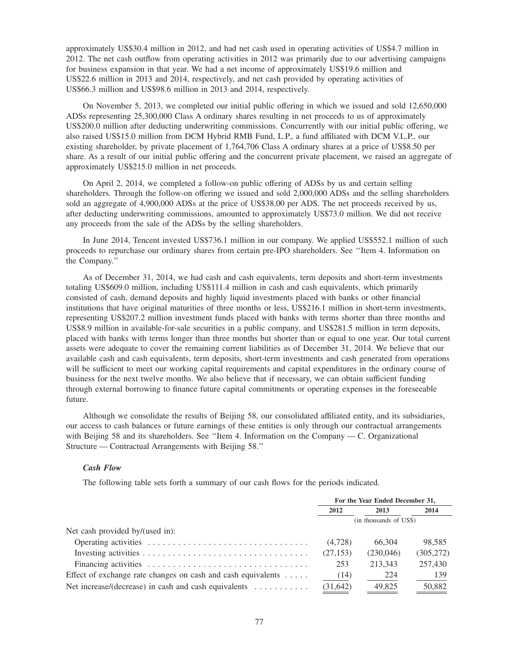approximately US\$30.4 million in 2012, and had net cash used in operating activities of US\$4.7 million in 2012. The net cash outflow from operating activities in 2012 was primarily due to our advertising campaigns for business expansion in that year. We had a net income of approximately US\$19.6 million and US\$22.6 million in 2013 and 2014, respectively, and net cash provided by operating activities of US\$66.3 million and US\$98.6 million in 2013 and 2014, respectively.

On November 5, 2013, we completed our initial public offering in which we issued and sold 12,650,000 ADSs representing 25,300,000 Class A ordinary shares resulting in net proceeds to us of approximately US\$200.0 million after deducting underwriting commissions. Concurrently with our initial public offering, we also raised US\$15.0 million from DCM Hybrid RMB Fund, L.P., a fund affiliated with DCM V.L.P., our existing shareholder, by private placement of 1,764,706 Class A ordinary shares at a price of US\$8.50 per share. As a result of our initial public offering and the concurrent private placement, we raised an aggregate of approximately US\$215.0 million in net proceeds.

On April 2, 2014, we completed a follow-on public offering of ADSs by us and certain selling shareholders. Through the follow-on offering we issued and sold 2,000,000 ADSs and the selling shareholders sold an aggregate of 4,900,000 ADSs at the price of US\$38.00 per ADS. The net proceeds received by us, after deducting underwriting commissions, amounted to approximately US\$73.0 million. We did not receive any proceeds from the sale of the ADSs by the selling shareholders.

In June 2014, Tencent invested US\$736.1 million in our company. We applied US\$552.1 million of such proceeds to repurchase our ordinary shares from certain pre-IPO shareholders. See ''Item 4. Information on the Company.''

As of December 31, 2014, we had cash and cash equivalents, term deposits and short-term investments totaling US\$609.0 million, including US\$111.4 million in cash and cash equivalents, which primarily consisted of cash, demand deposits and highly liquid investments placed with banks or other financial institutions that have original maturities of three months or less, US\$216.1 million in short-term investments, representing US\$207.2 million investment funds placed with banks with terms shorter than three months and US\$8.9 million in available-for-sale securities in a public company, and US\$281.5 million in term deposits, placed with banks with terms longer than three months but shorter than or equal to one year. Our total current assets were adequate to cover the remaining current liabilities as of December 31, 2014. We believe that our available cash and cash equivalents, term deposits, short-term investments and cash generated from operations will be sufficient to meet our working capital requirements and capital expenditures in the ordinary course of business for the next twelve months. We also believe that if necessary, we can obtain sufficient funding through external borrowing to finance future capital commitments or operating expenses in the foreseeable future.

Although we consolidate the results of Beijing 58, our consolidated affiliated entity, and its subsidiaries, our access to cash balances or future earnings of these entities is only through our contractual arrangements with Beijing 58 and its shareholders. See "Item 4. Information on the Company — C. Organizational Structure — Contractual Arrangements with Beijing 58.''

## *Cash Flow*

The following table sets forth a summary of our cash flows for the periods indicated.

|                                                                      | For the Year Ended December 31, |                        |            |
|----------------------------------------------------------------------|---------------------------------|------------------------|------------|
|                                                                      | 2012                            | 2013                   | 2014       |
|                                                                      |                                 | (in thousands of US\$) |            |
| Net cash provided by/(used in):                                      |                                 |                        |            |
|                                                                      | (4,728)                         | 66.304                 | 98,585     |
|                                                                      | (27, 153)                       | (230,046)              | (305, 272) |
|                                                                      | 253                             | 213.343                | 257,430    |
| Effect of exchange rate changes on cash and cash equivalents $\dots$ | (14)                            | 224                    | 139        |
| Net increase/(decrease) in cash and cash equivalents                 | (31, 642)                       | 49,825                 | 50,882     |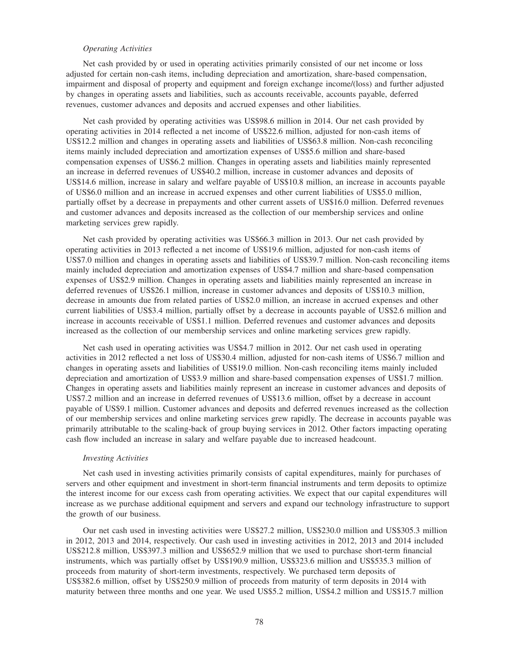### *Operating Activities*

Net cash provided by or used in operating activities primarily consisted of our net income or loss adjusted for certain non-cash items, including depreciation and amortization, share-based compensation, impairment and disposal of property and equipment and foreign exchange income/(loss) and further adjusted by changes in operating assets and liabilities, such as accounts receivable, accounts payable, deferred revenues, customer advances and deposits and accrued expenses and other liabilities.

Net cash provided by operating activities was US\$98.6 million in 2014. Our net cash provided by operating activities in 2014 reflected a net income of US\$22.6 million, adjusted for non-cash items of US\$12.2 million and changes in operating assets and liabilities of US\$63.8 million. Non-cash reconciling items mainly included depreciation and amortization expenses of US\$5.6 million and share-based compensation expenses of US\$6.2 million. Changes in operating assets and liabilities mainly represented an increase in deferred revenues of US\$40.2 million, increase in customer advances and deposits of US\$14.6 million, increase in salary and welfare payable of US\$10.8 million, an increase in accounts payable of US\$6.0 million and an increase in accrued expenses and other current liabilities of US\$5.0 million, partially offset by a decrease in prepayments and other current assets of US\$16.0 million. Deferred revenues and customer advances and deposits increased as the collection of our membership services and online marketing services grew rapidly.

Net cash provided by operating activities was US\$66.3 million in 2013. Our net cash provided by operating activities in 2013 reflected a net income of US\$19.6 million, adjusted for non-cash items of US\$7.0 million and changes in operating assets and liabilities of US\$39.7 million. Non-cash reconciling items mainly included depreciation and amortization expenses of US\$4.7 million and share-based compensation expenses of US\$2.9 million. Changes in operating assets and liabilities mainly represented an increase in deferred revenues of US\$26.1 million, increase in customer advances and deposits of US\$10.3 million, decrease in amounts due from related parties of US\$2.0 million, an increase in accrued expenses and other current liabilities of US\$3.4 million, partially offset by a decrease in accounts payable of US\$2.6 million and increase in accounts receivable of US\$1.1 million. Deferred revenues and customer advances and deposits increased as the collection of our membership services and online marketing services grew rapidly.

Net cash used in operating activities was US\$4.7 million in 2012. Our net cash used in operating activities in 2012 reflected a net loss of US\$30.4 million, adjusted for non-cash items of US\$6.7 million and changes in operating assets and liabilities of US\$19.0 million. Non-cash reconciling items mainly included depreciation and amortization of US\$3.9 million and share-based compensation expenses of US\$1.7 million. Changes in operating assets and liabilities mainly represent an increase in customer advances and deposits of US\$7.2 million and an increase in deferred revenues of US\$13.6 million, offset by a decrease in account payable of US\$9.1 million. Customer advances and deposits and deferred revenues increased as the collection of our membership services and online marketing services grew rapidly. The decrease in accounts payable was primarily attributable to the scaling-back of group buying services in 2012. Other factors impacting operating cash flow included an increase in salary and welfare payable due to increased headcount.

### *Investing Activities*

Net cash used in investing activities primarily consists of capital expenditures, mainly for purchases of servers and other equipment and investment in short-term financial instruments and term deposits to optimize the interest income for our excess cash from operating activities. We expect that our capital expenditures will increase as we purchase additional equipment and servers and expand our technology infrastructure to support the growth of our business.

Our net cash used in investing activities were US\$27.2 million, US\$230.0 million and US\$305.3 million in 2012, 2013 and 2014, respectively. Our cash used in investing activities in 2012, 2013 and 2014 included US\$212.8 million, US\$397.3 million and US\$652.9 million that we used to purchase short-term financial instruments, which was partially offset by US\$190.9 million, US\$323.6 million and US\$535.3 million of proceeds from maturity of short-term investments, respectively. We purchased term deposits of US\$382.6 million, offset by US\$250.9 million of proceeds from maturity of term deposits in 2014 with maturity between three months and one year. We used US\$5.2 million, US\$4.2 million and US\$15.7 million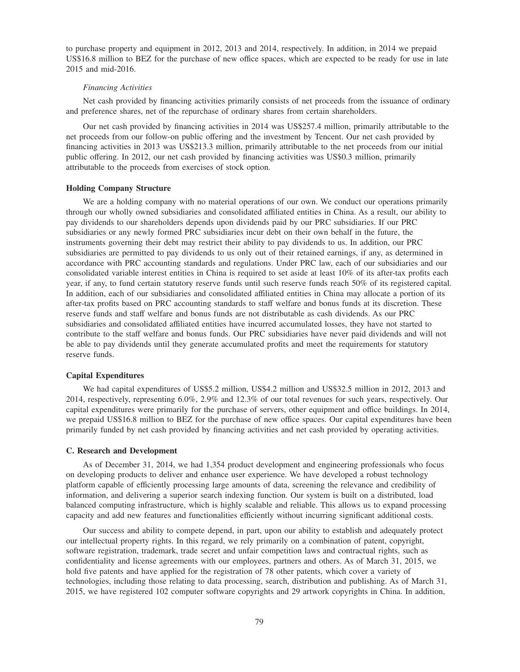to purchase property and equipment in 2012, 2013 and 2014, respectively. In addition, in 2014 we prepaid US\$16.8 million to BEZ for the purchase of new office spaces, which are expected to be ready for use in late 2015 and mid-2016.

### *Financing Activities*

Net cash provided by financing activities primarily consists of net proceeds from the issuance of ordinary and preference shares, net of the repurchase of ordinary shares from certain shareholders.

Our net cash provided by financing activities in 2014 was US\$257.4 million, primarily attributable to the net proceeds from our follow-on public offering and the investment by Tencent. Our net cash provided by financing activities in 2013 was US\$213.3 million, primarily attributable to the net proceeds from our initial public offering. In 2012, our net cash provided by financing activities was US\$0.3 million, primarily attributable to the proceeds from exercises of stock option.

## **Holding Company Structure**

We are a holding company with no material operations of our own. We conduct our operations primarily through our wholly owned subsidiaries and consolidated affiliated entities in China. As a result, our ability to pay dividends to our shareholders depends upon dividends paid by our PRC subsidiaries. If our PRC subsidiaries or any newly formed PRC subsidiaries incur debt on their own behalf in the future, the instruments governing their debt may restrict their ability to pay dividends to us. In addition, our PRC subsidiaries are permitted to pay dividends to us only out of their retained earnings, if any, as determined in accordance with PRC accounting standards and regulations. Under PRC law, each of our subsidiaries and our consolidated variable interest entities in China is required to set aside at least 10% of its after-tax profits each year, if any, to fund certain statutory reserve funds until such reserve funds reach 50% of its registered capital. In addition, each of our subsidiaries and consolidated affiliated entities in China may allocate a portion of its after-tax profits based on PRC accounting standards to staff welfare and bonus funds at its discretion. These reserve funds and staff welfare and bonus funds are not distributable as cash dividends. As our PRC subsidiaries and consolidated affiliated entities have incurred accumulated losses, they have not started to contribute to the staff welfare and bonus funds. Our PRC subsidiaries have never paid dividends and will not be able to pay dividends until they generate accumulated profits and meet the requirements for statutory reserve funds.

### **Capital Expenditures**

We had capital expenditures of US\$5.2 million, US\$4.2 million and US\$32.5 million in 2012, 2013 and 2014, respectively, representing 6.0%, 2.9% and 12.3% of our total revenues for such years, respectively. Our capital expenditures were primarily for the purchase of servers, other equipment and office buildings. In 2014, we prepaid US\$16.8 million to BEZ for the purchase of new office spaces. Our capital expenditures have been primarily funded by net cash provided by financing activities and net cash provided by operating activities.

### **C. Research and Development**

As of December 31, 2014, we had 1,354 product development and engineering professionals who focus on developing products to deliver and enhance user experience. We have developed a robust technology platform capable of efficiently processing large amounts of data, screening the relevance and credibility of information, and delivering a superior search indexing function. Our system is built on a distributed, load balanced computing infrastructure, which is highly scalable and reliable. This allows us to expand processing capacity and add new features and functionalities efficiently without incurring significant additional costs.

Our success and ability to compete depend, in part, upon our ability to establish and adequately protect our intellectual property rights. In this regard, we rely primarily on a combination of patent, copyright, software registration, trademark, trade secret and unfair competition laws and contractual rights, such as confidentiality and license agreements with our employees, partners and others. As of March 31, 2015, we hold five patents and have applied for the registration of 78 other patents, which cover a variety of technologies, including those relating to data processing, search, distribution and publishing. As of March 31, 2015, we have registered 102 computer software copyrights and 29 artwork copyrights in China. In addition,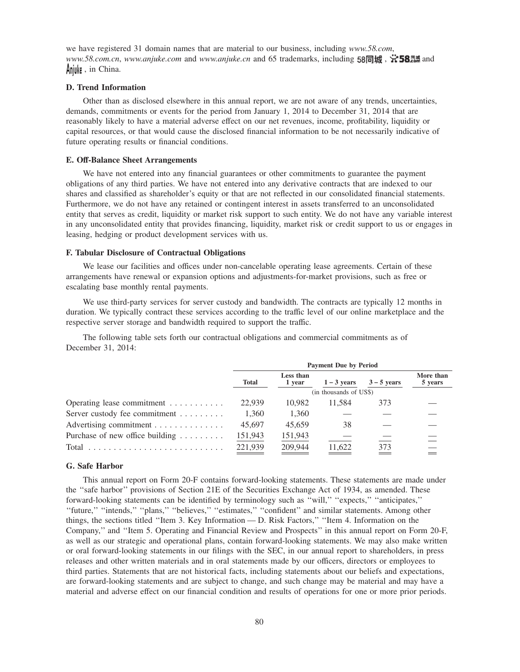we have registered 31 domain names that are material to our business, including *www.58.com*, *www.58.com.cn*, *www.anjuke.com* and *www.anjuke.cn* and 65 trademarks, including 58同城,常58.點 and Anjuke, in China.

# **D. Trend Information**

Other than as disclosed elsewhere in this annual report, we are not aware of any trends, uncertainties, demands, commitments or events for the period from January 1, 2014 to December 31, 2014 that are reasonably likely to have a material adverse effect on our net revenues, income, profitability, liquidity or capital resources, or that would cause the disclosed financial information to be not necessarily indicative of future operating results or financial conditions.

### **E. Off-Balance Sheet Arrangements**

We have not entered into any financial guarantees or other commitments to guarantee the payment obligations of any third parties. We have not entered into any derivative contracts that are indexed to our shares and classified as shareholder's equity or that are not reflected in our consolidated financial statements. Furthermore, we do not have any retained or contingent interest in assets transferred to an unconsolidated entity that serves as credit, liquidity or market risk support to such entity. We do not have any variable interest in any unconsolidated entity that provides financing, liquidity, market risk or credit support to us or engages in leasing, hedging or product development services with us.

## **F. Tabular Disclosure of Contractual Obligations**

We lease our facilities and offices under non-cancelable operating lease agreements. Certain of these arrangements have renewal or expansion options and adjustments-for-market provisions, such as free or escalating base monthly rental payments.

We use third-party services for server custody and bandwidth. The contracts are typically 12 months in duration. We typically contract these services according to the traffic level of our online marketplace and the respective server storage and bandwidth required to support the traffic.

The following table sets forth our contractual obligations and commercial commitments as of December 31, 2014:

|                                                   | <b>Payment Due by Period</b> |                     |               |               |                      |
|---------------------------------------------------|------------------------------|---------------------|---------------|---------------|----------------------|
|                                                   | <b>Total</b>                 | Less than<br>1 year | $1 - 3$ years | $3 - 5$ years | More than<br>5 years |
|                                                   | (in thousands of US\$)       |                     |               |               |                      |
| Operating lease commitment $\dots\dots\dots\dots$ | 22,939                       | 10.982              | 11.584        | 373           |                      |
| Server custody fee commitment                     | 1,360                        | 1,360               |               |               |                      |
| Advertising commitment                            | 45,697                       | 45.659              | 38            |               |                      |
| Purchase of new office building                   | 151,943                      | 151,943             |               |               |                      |
|                                                   | 221,939                      | 209,944             | 11.622        | 373           |                      |
|                                                   |                              |                     |               |               |                      |

### **G. Safe Harbor**

This annual report on Form 20-F contains forward-looking statements. These statements are made under the ''safe harbor'' provisions of Section 21E of the Securities Exchange Act of 1934, as amended. These forward-looking statements can be identified by terminology such as ''will,'' ''expects,'' ''anticipates,'' ''future,'' ''intends,'' ''plans,'' ''believes,'' ''estimates,'' ''confident'' and similar statements. Among other things, the sections titled ''Item 3. Key Information — D. Risk Factors,'' ''Item 4. Information on the Company,'' and ''Item 5. Operating and Financial Review and Prospects'' in this annual report on Form 20-F, as well as our strategic and operational plans, contain forward-looking statements. We may also make written or oral forward-looking statements in our filings with the SEC, in our annual report to shareholders, in press releases and other written materials and in oral statements made by our officers, directors or employees to third parties. Statements that are not historical facts, including statements about our beliefs and expectations, are forward-looking statements and are subject to change, and such change may be material and may have a material and adverse effect on our financial condition and results of operations for one or more prior periods.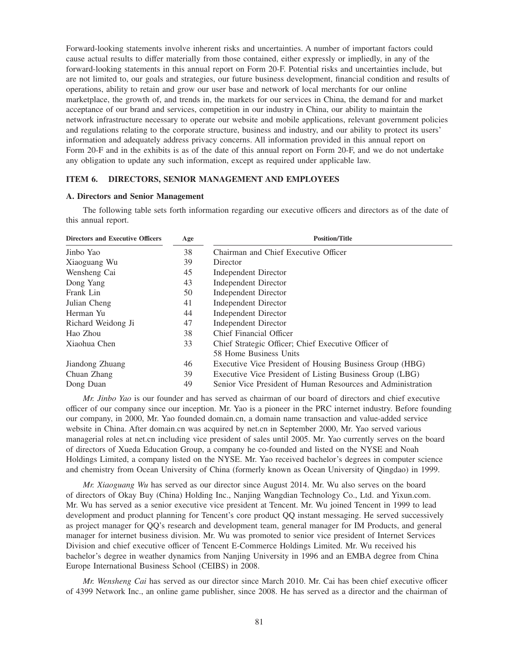Forward-looking statements involve inherent risks and uncertainties. A number of important factors could cause actual results to differ materially from those contained, either expressly or impliedly, in any of the forward-looking statements in this annual report on Form 20-F. Potential risks and uncertainties include, but are not limited to, our goals and strategies, our future business development, financial condition and results of operations, ability to retain and grow our user base and network of local merchants for our online marketplace, the growth of, and trends in, the markets for our services in China, the demand for and market acceptance of our brand and services, competition in our industry in China, our ability to maintain the network infrastructure necessary to operate our website and mobile applications, relevant government policies and regulations relating to the corporate structure, business and industry, and our ability to protect its users' information and adequately address privacy concerns. All information provided in this annual report on Form 20-F and in the exhibits is as of the date of this annual report on Form 20-F, and we do not undertake any obligation to update any such information, except as required under applicable law.

# **ITEM 6. DIRECTORS, SENIOR MANAGEMENT AND EMPLOYEES**

### **A. Directors and Senior Management**

The following table sets forth information regarding our executive officers and directors as of the date of this annual report.

| <b>Directors and Executive Officers</b> | Age | <b>Position/Title</b>                                       |
|-----------------------------------------|-----|-------------------------------------------------------------|
| Jinbo Yao                               | 38  | Chairman and Chief Executive Officer                        |
| Xiaoguang Wu                            | 39  | Director                                                    |
| Wensheng Cai                            | 45  | Independent Director                                        |
| Dong Yang                               | 43  | Independent Director                                        |
| Frank Lin                               | 50  | Independent Director                                        |
| Julian Cheng                            | 41  | Independent Director                                        |
| Herman Yu                               | 44  | Independent Director                                        |
| Richard Weidong Ji                      | 47  | Independent Director                                        |
| Hao Zhou                                | 38  | Chief Financial Officer                                     |
| Xiaohua Chen                            | 33  | Chief Strategic Officer; Chief Executive Officer of         |
|                                         |     | 58 Home Business Units                                      |
| Jiandong Zhuang                         | 46  | Executive Vice President of Housing Business Group (HBG)    |
| Chuan Zhang                             | 39  | Executive Vice President of Listing Business Group (LBG)    |
| Dong Duan                               | 49  | Senior Vice President of Human Resources and Administration |

*Mr. Jinbo Yao* is our founder and has served as chairman of our board of directors and chief executive officer of our company since our inception. Mr. Yao is a pioneer in the PRC internet industry. Before founding our company, in 2000, Mr. Yao founded domain.cn, a domain name transaction and value-added service website in China. After domain.cn was acquired by net.cn in September 2000, Mr. Yao served various managerial roles at net.cn including vice president of sales until 2005. Mr. Yao currently serves on the board of directors of Xueda Education Group, a company he co-founded and listed on the NYSE and Noah Holdings Limited, a company listed on the NYSE. Mr. Yao received bachelor's degrees in computer science and chemistry from Ocean University of China (formerly known as Ocean University of Qingdao) in 1999.

*Mr. Xiaoguang Wu* has served as our director since August 2014. Mr. Wu also serves on the board of directors of Okay Buy (China) Holding Inc., Nanjing Wangdian Technology Co., Ltd. and Yixun.com. Mr. Wu has served as a senior executive vice president at Tencent. Mr. Wu joined Tencent in 1999 to lead development and product planning for Tencent's core product QQ instant messaging. He served successively as project manager for QQ's research and development team, general manager for IM Products, and general manager for internet business division. Mr. Wu was promoted to senior vice president of Internet Services Division and chief executive officer of Tencent E-Commerce Holdings Limited. Mr. Wu received his bachelor's degree in weather dynamics from Nanjing University in 1996 and an EMBA degree from China Europe International Business School (CEIBS) in 2008.

*Mr. Wensheng Cai* has served as our director since March 2010. Mr. Cai has been chief executive officer of 4399 Network Inc., an online game publisher, since 2008. He has served as a director and the chairman of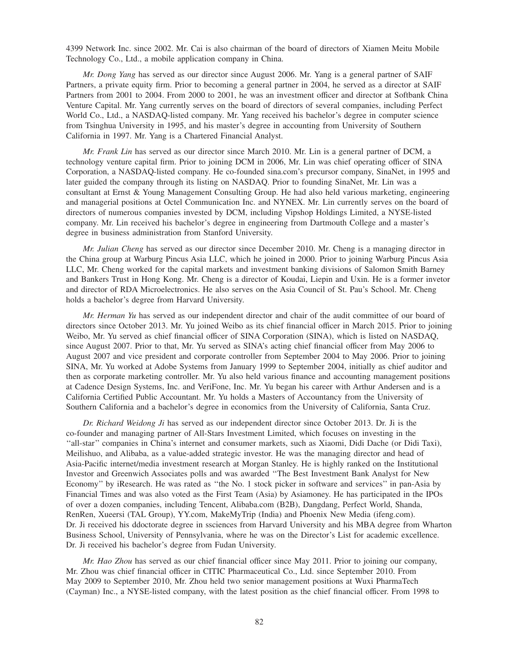4399 Network Inc. since 2002. Mr. Cai is also chairman of the board of directors of Xiamen Meitu Mobile Technology Co., Ltd., a mobile application company in China.

*Mr. Dong Yang* has served as our director since August 2006. Mr. Yang is a general partner of SAIF Partners, a private equity firm. Prior to becoming a general partner in 2004, he served as a director at SAIF Partners from 2001 to 2004. From 2000 to 2001, he was an investment officer and director at Softbank China Venture Capital. Mr. Yang currently serves on the board of directors of several companies, including Perfect World Co., Ltd., a NASDAQ-listed company. Mr. Yang received his bachelor's degree in computer science from Tsinghua University in 1995, and his master's degree in accounting from University of Southern California in 1997. Mr. Yang is a Chartered Financial Analyst.

*Mr. Frank Lin* has served as our director since March 2010. Mr. Lin is a general partner of DCM, a technology venture capital firm. Prior to joining DCM in 2006, Mr. Lin was chief operating officer of SINA Corporation, a NASDAQ-listed company. He co-founded sina.com's precursor company, SinaNet, in 1995 and later guided the company through its listing on NASDAQ. Prior to founding SinaNet, Mr. Lin was a consultant at Ernst & Young Management Consulting Group. He had also held various marketing, engineering and managerial positions at Octel Communication Inc. and NYNEX. Mr. Lin currently serves on the board of directors of numerous companies invested by DCM, including Vipshop Holdings Limited, a NYSE-listed company. Mr. Lin received his bachelor's degree in engineering from Dartmouth College and a master's degree in business administration from Stanford University.

*Mr. Julian Cheng* has served as our director since December 2010. Mr. Cheng is a managing director in the China group at Warburg Pincus Asia LLC, which he joined in 2000. Prior to joining Warburg Pincus Asia LLC, Mr. Cheng worked for the capital markets and investment banking divisions of Salomon Smith Barney and Bankers Trust in Hong Kong. Mr. Cheng is a director of Koudai, Liepin and Uxin. He is a former invetor and director of RDA Microelectronics. He also serves on the Asia Council of St. Pau's School. Mr. Cheng holds a bachelor's degree from Harvard University.

*Mr. Herman Yu* has served as our independent director and chair of the audit committee of our board of directors since October 2013. Mr. Yu joined Weibo as its chief financial officer in March 2015. Prior to joining Weibo, Mr. Yu served as chief financial officer of SINA Corporation (SINA), which is listed on NASDAQ, since August 2007. Prior to that, Mr. Yu served as SINA's acting chief financial officer from May 2006 to August 2007 and vice president and corporate controller from September 2004 to May 2006. Prior to joining SINA, Mr. Yu worked at Adobe Systems from January 1999 to September 2004, initially as chief auditor and then as corporate marketing controller. Mr. Yu also held various finance and accounting management positions at Cadence Design Systems, Inc. and VeriFone, Inc. Mr. Yu began his career with Arthur Andersen and is a California Certified Public Accountant. Mr. Yu holds a Masters of Accountancy from the University of Southern California and a bachelor's degree in economics from the University of California, Santa Cruz.

*Dr. Richard Weidong Ji* has served as our independent director since October 2013. Dr. Ji is the co-founder and managing partner of All-Stars Investment Limited, which focuses on investing in the ''all-star'' companies in China's internet and consumer markets, such as Xiaomi, Didi Dache (or Didi Taxi), Meilishuo, and Alibaba, as a value-added strategic investor. He was the managing director and head of Asia-Pacific internet/media investment research at Morgan Stanley. He is highly ranked on the Institutional Investor and Greenwich Associates polls and was awarded ''The Best Investment Bank Analyst for New Economy'' by iResearch. He was rated as ''the No. 1 stock picker in software and services'' in pan-Asia by Financial Times and was also voted as the First Team (Asia) by Asiamoney. He has participated in the IPOs of over a dozen companies, including Tencent, Alibaba.com (B2B), Dangdang, Perfect World, Shanda, RenRen, Xueersi (TAL Group), YY.com, MakeMyTrip (India) and Phoenix New Media (ifeng.com). Dr. Ji received his ddoctorate degree in ssciences from Harvard University and his MBA degree from Wharton Business School, University of Pennsylvania, where he was on the Director's List for academic excellence. Dr. Ji received his bachelor's degree from Fudan University.

*Mr. Hao Zhou* has served as our chief financial officer since May 2011. Prior to joining our company, Mr. Zhou was chief financial officer in CITIC Pharmaceutical Co., Ltd. since September 2010. From May 2009 to September 2010, Mr. Zhou held two senior management positions at Wuxi PharmaTech (Cayman) Inc., a NYSE-listed company, with the latest position as the chief financial officer. From 1998 to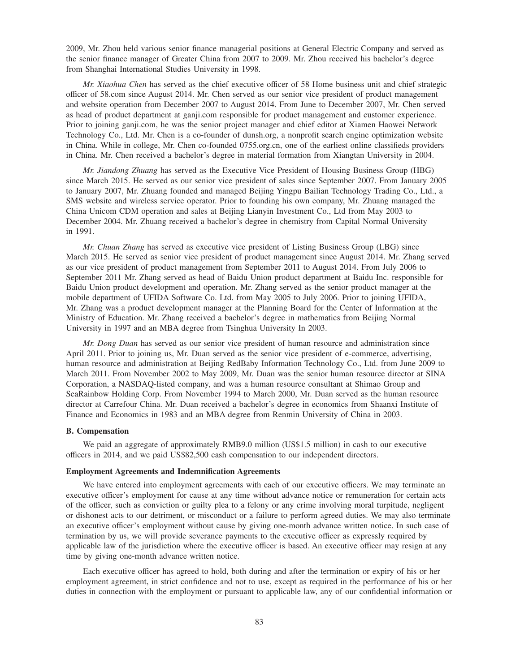2009, Mr. Zhou held various senior finance managerial positions at General Electric Company and served as the senior finance manager of Greater China from 2007 to 2009. Mr. Zhou received his bachelor's degree from Shanghai International Studies University in 1998.

*Mr. Xiaohua Chen* has served as the chief executive officer of 58 Home business unit and chief strategic officer of 58.com since August 2014. Mr. Chen served as our senior vice president of product management and website operation from December 2007 to August 2014. From June to December 2007, Mr. Chen served as head of product department at ganji.com responsible for product management and customer experience. Prior to joining ganji.com, he was the senior project manager and chief editor at Xiamen Haowei Network Technology Co., Ltd. Mr. Chen is a co-founder of dunsh.org, a nonprofit search engine optimization website in China. While in college, Mr. Chen co-founded 0755.org.cn, one of the earliest online classifieds providers in China. Mr. Chen received a bachelor's degree in material formation from Xiangtan University in 2004.

*Mr. Jiandong Zhuang* has served as the Executive Vice President of Housing Business Group (HBG) since March 2015. He served as our senior vice president of sales since September 2007. From January 2005 to January 2007, Mr. Zhuang founded and managed Beijing Yingpu Bailian Technology Trading Co., Ltd., a SMS website and wireless service operator. Prior to founding his own company, Mr. Zhuang managed the China Unicom CDM operation and sales at Beijing Lianyin Investment Co., Ltd from May 2003 to December 2004. Mr. Zhuang received a bachelor's degree in chemistry from Capital Normal University in 1991.

*Mr. Chuan Zhang* has served as executive vice president of Listing Business Group (LBG) since March 2015. He served as senior vice president of product management since August 2014. Mr. Zhang served as our vice president of product management from September 2011 to August 2014. From July 2006 to September 2011 Mr. Zhang served as head of Baidu Union product department at Baidu Inc. responsible for Baidu Union product development and operation. Mr. Zhang served as the senior product manager at the mobile department of UFIDA Software Co. Ltd. from May 2005 to July 2006. Prior to joining UFIDA, Mr. Zhang was a product development manager at the Planning Board for the Center of Information at the Ministry of Education. Mr. Zhang received a bachelor's degree in mathematics from Beijing Normal University in 1997 and an MBA degree from Tsinghua University In 2003.

*Mr. Dong Duan* has served as our senior vice president of human resource and administration since April 2011. Prior to joining us, Mr. Duan served as the senior vice president of e-commerce, advertising, human resource and administration at Beijing RedBaby Information Technology Co., Ltd. from June 2009 to March 2011. From November 2002 to May 2009, Mr. Duan was the senior human resource director at SINA Corporation, a NASDAQ-listed company, and was a human resource consultant at Shimao Group and SeaRainbow Holding Corp. From November 1994 to March 2000, Mr. Duan served as the human resource director at Carrefour China. Mr. Duan received a bachelor's degree in economics from Shaanxi Institute of Finance and Economics in 1983 and an MBA degree from Renmin University of China in 2003.

### **B. Compensation**

We paid an aggregate of approximately RMB9.0 million (US\$1.5 million) in cash to our executive officers in 2014, and we paid US\$82,500 cash compensation to our independent directors.

## **Employment Agreements and Indemnification Agreements**

We have entered into employment agreements with each of our executive officers. We may terminate an executive officer's employment for cause at any time without advance notice or remuneration for certain acts of the officer, such as conviction or guilty plea to a felony or any crime involving moral turpitude, negligent or dishonest acts to our detriment, or misconduct or a failure to perform agreed duties. We may also terminate an executive officer's employment without cause by giving one-month advance written notice. In such case of termination by us, we will provide severance payments to the executive officer as expressly required by applicable law of the jurisdiction where the executive officer is based. An executive officer may resign at any time by giving one-month advance written notice.

Each executive officer has agreed to hold, both during and after the termination or expiry of his or her employment agreement, in strict confidence and not to use, except as required in the performance of his or her duties in connection with the employment or pursuant to applicable law, any of our confidential information or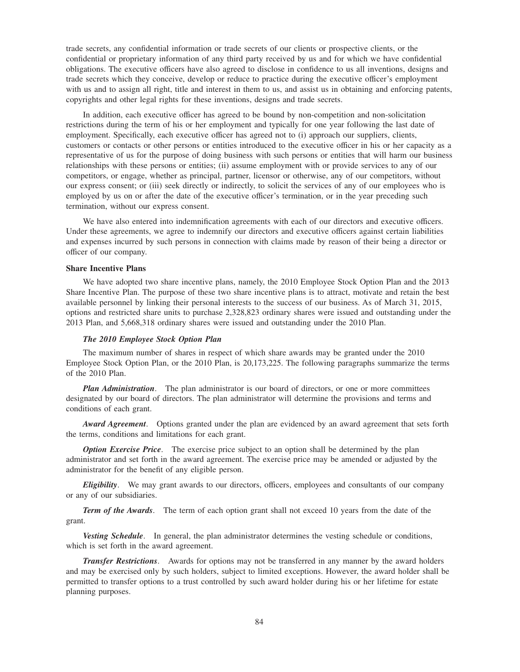trade secrets, any confidential information or trade secrets of our clients or prospective clients, or the confidential or proprietary information of any third party received by us and for which we have confidential obligations. The executive officers have also agreed to disclose in confidence to us all inventions, designs and trade secrets which they conceive, develop or reduce to practice during the executive officer's employment with us and to assign all right, title and interest in them to us, and assist us in obtaining and enforcing patents, copyrights and other legal rights for these inventions, designs and trade secrets.

In addition, each executive officer has agreed to be bound by non-competition and non-solicitation restrictions during the term of his or her employment and typically for one year following the last date of employment. Specifically, each executive officer has agreed not to (i) approach our suppliers, clients, customers or contacts or other persons or entities introduced to the executive officer in his or her capacity as a representative of us for the purpose of doing business with such persons or entities that will harm our business relationships with these persons or entities; (ii) assume employment with or provide services to any of our competitors, or engage, whether as principal, partner, licensor or otherwise, any of our competitors, without our express consent; or (iii) seek directly or indirectly, to solicit the services of any of our employees who is employed by us on or after the date of the executive officer's termination, or in the year preceding such termination, without our express consent.

We have also entered into indemnification agreements with each of our directors and executive officers. Under these agreements, we agree to indemnify our directors and executive officers against certain liabilities and expenses incurred by such persons in connection with claims made by reason of their being a director or officer of our company.

### **Share Incentive Plans**

We have adopted two share incentive plans, namely, the 2010 Employee Stock Option Plan and the 2013 Share Incentive Plan. The purpose of these two share incentive plans is to attract, motivate and retain the best available personnel by linking their personal interests to the success of our business. As of March 31, 2015, options and restricted share units to purchase 2,328,823 ordinary shares were issued and outstanding under the 2013 Plan, and 5,668,318 ordinary shares were issued and outstanding under the 2010 Plan.

#### *The 2010 Employee Stock Option Plan*

The maximum number of shares in respect of which share awards may be granted under the 2010 Employee Stock Option Plan, or the 2010 Plan, is 20,173,225. The following paragraphs summarize the terms of the 2010 Plan.

*Plan Administration*. The plan administrator is our board of directors, or one or more committees designated by our board of directors. The plan administrator will determine the provisions and terms and conditions of each grant.

*Award Agreement*. Options granted under the plan are evidenced by an award agreement that sets forth the terms, conditions and limitations for each grant.

*Option Exercise Price.* The exercise price subject to an option shall be determined by the plan administrator and set forth in the award agreement. The exercise price may be amended or adjusted by the administrator for the benefit of any eligible person.

*Eligibility*. We may grant awards to our directors, officers, employees and consultants of our company or any of our subsidiaries.

*Term of the Awards*. The term of each option grant shall not exceed 10 years from the date of the grant.

*Vesting Schedule*. In general, the plan administrator determines the vesting schedule or conditions, which is set forth in the award agreement.

*Transfer Restrictions*. Awards for options may not be transferred in any manner by the award holders and may be exercised only by such holders, subject to limited exceptions. However, the award holder shall be permitted to transfer options to a trust controlled by such award holder during his or her lifetime for estate planning purposes.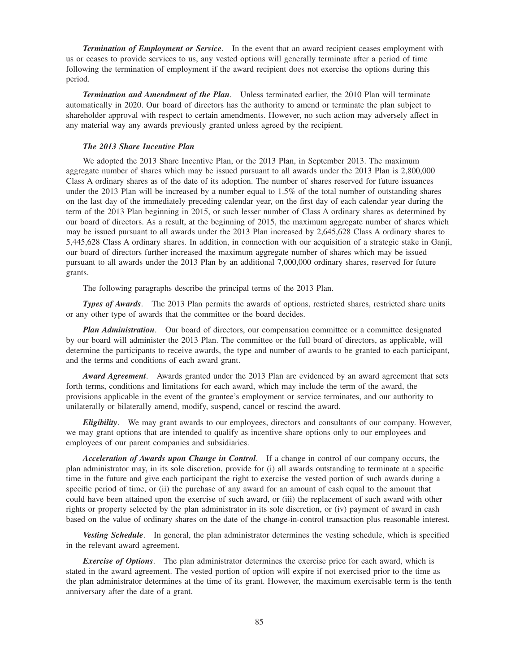*Termination of Employment or Service*. In the event that an award recipient ceases employment with us or ceases to provide services to us, any vested options will generally terminate after a period of time following the termination of employment if the award recipient does not exercise the options during this period.

*Termination and Amendment of the Plan*. Unless terminated earlier, the 2010 Plan will terminate automatically in 2020. Our board of directors has the authority to amend or terminate the plan subject to shareholder approval with respect to certain amendments. However, no such action may adversely affect in any material way any awards previously granted unless agreed by the recipient.

### *The 2013 Share Incentive Plan*

We adopted the 2013 Share Incentive Plan, or the 2013 Plan, in September 2013. The maximum aggregate number of shares which may be issued pursuant to all awards under the 2013 Plan is 2,800,000 Class A ordinary shares as of the date of its adoption. The number of shares reserved for future issuances under the 2013 Plan will be increased by a number equal to 1.5% of the total number of outstanding shares on the last day of the immediately preceding calendar year, on the first day of each calendar year during the term of the 2013 Plan beginning in 2015, or such lesser number of Class A ordinary shares as determined by our board of directors. As a result, at the beginning of 2015, the maximum aggregate number of shares which may be issued pursuant to all awards under the 2013 Plan increased by 2,645,628 Class A ordinary shares to 5,445,628 Class A ordinary shares. In addition, in connection with our acquisition of a strategic stake in Ganji, our board of directors further increased the maximum aggregate number of shares which may be issued pursuant to all awards under the 2013 Plan by an additional 7,000,000 ordinary shares, reserved for future grants.

The following paragraphs describe the principal terms of the 2013 Plan.

*Types of Awards*. The 2013 Plan permits the awards of options, restricted shares, restricted share units or any other type of awards that the committee or the board decides.

*Plan Administration.* Our board of directors, our compensation committee or a committee designated by our board will administer the 2013 Plan. The committee or the full board of directors, as applicable, will determine the participants to receive awards, the type and number of awards to be granted to each participant, and the terms and conditions of each award grant.

*Award Agreement*. Awards granted under the 2013 Plan are evidenced by an award agreement that sets forth terms, conditions and limitations for each award, which may include the term of the award, the provisions applicable in the event of the grantee's employment or service terminates, and our authority to unilaterally or bilaterally amend, modify, suspend, cancel or rescind the award.

*Eligibility*. We may grant awards to our employees, directors and consultants of our company. However, we may grant options that are intended to qualify as incentive share options only to our employees and employees of our parent companies and subsidiaries.

*Acceleration of Awards upon Change in Control*. If a change in control of our company occurs, the plan administrator may, in its sole discretion, provide for (i) all awards outstanding to terminate at a specific time in the future and give each participant the right to exercise the vested portion of such awards during a specific period of time, or (ii) the purchase of any award for an amount of cash equal to the amount that could have been attained upon the exercise of such award, or (iii) the replacement of such award with other rights or property selected by the plan administrator in its sole discretion, or (iv) payment of award in cash based on the value of ordinary shares on the date of the change-in-control transaction plus reasonable interest.

*Vesting Schedule*. In general, the plan administrator determines the vesting schedule, which is specified in the relevant award agreement.

*Exercise of Options*. The plan administrator determines the exercise price for each award, which is stated in the award agreement. The vested portion of option will expire if not exercised prior to the time as the plan administrator determines at the time of its grant. However, the maximum exercisable term is the tenth anniversary after the date of a grant.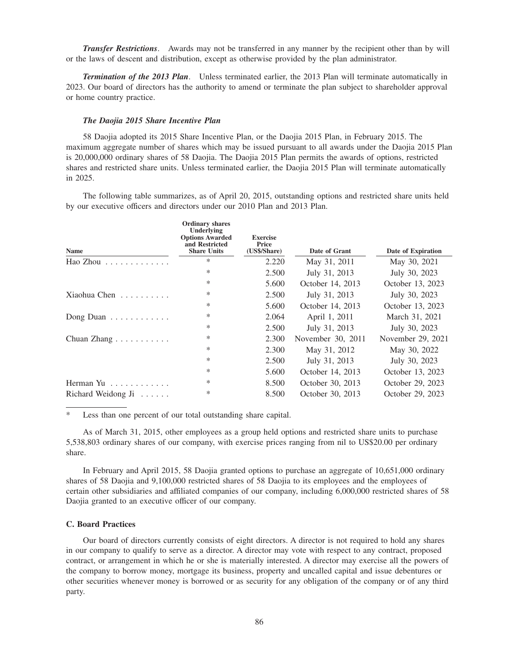*Transfer Restrictions*. Awards may not be transferred in any manner by the recipient other than by will or the laws of descent and distribution, except as otherwise provided by the plan administrator.

*Termination of the 2013 Plan*. Unless terminated earlier, the 2013 Plan will terminate automatically in 2023. Our board of directors has the authority to amend or terminate the plan subject to shareholder approval or home country practice.

### *The Daojia 2015 Share Incentive Plan*

58 Daojia adopted its 2015 Share Incentive Plan, or the Daojia 2015 Plan, in February 2015. The maximum aggregate number of shares which may be issued pursuant to all awards under the Daojia 2015 Plan is 20,000,000 ordinary shares of 58 Daojia. The Daojia 2015 Plan permits the awards of options, restricted shares and restricted share units. Unless terminated earlier, the Daojia 2015 Plan will terminate automatically in 2025.

The following table summarizes, as of April 20, 2015, outstanding options and restricted share units held by our executive officers and directors under our 2010 Plan and 2013 Plan.

| Name                                   | <b>Ordinary shares</b><br>Underlying<br><b>Options Awarded</b><br>and Restricted<br><b>Share Units</b> | <b>Exercise</b><br>Price<br>(US\$/Share) | Date of Grant     | Date of Expiration |
|----------------------------------------|--------------------------------------------------------------------------------------------------------|------------------------------------------|-------------------|--------------------|
| Hao Zhou $\ldots \ldots \ldots \ldots$ | *                                                                                                      | 2.220                                    | May 31, 2011      | May 30, 2021       |
|                                        | $\ast$                                                                                                 | 2.500                                    | July 31, 2013     | July 30, 2023      |
|                                        | ∗                                                                                                      | 5.600                                    | October 14, 2013  | October 13, 2023   |
| Xiaohua Chen $\dots \dots \dots$       | ∗                                                                                                      | 2.500                                    | July 31, 2013     | July 30, 2023      |
|                                        | ∗                                                                                                      | 5.600                                    | October 14, 2013  | October 13, 2023   |
| Dong Duan                              | *                                                                                                      | 2.064                                    | April 1, 2011     | March 31, 2021     |
|                                        | $\ast$                                                                                                 | 2.500                                    | July 31, 2013     | July 30, 2023      |
| Chuan Zhang                            | *                                                                                                      | 2.300                                    | November 30, 2011 | November 29, 2021  |
|                                        | ∗                                                                                                      | 2.300                                    | May 31, 2012      | May 30, 2022       |
|                                        | $\ast$                                                                                                 | 2.500                                    | July 31, 2013     | July 30, 2023      |
|                                        | $\ast$                                                                                                 | 5.600                                    | October 14, 2013  | October 13, 2023   |
| Herman Yu                              | *                                                                                                      | 8.500                                    | October 30, 2013  | October 29, 2023   |
| Richard Weidong Ji $\ldots$            | *                                                                                                      | 8.500                                    | October 30, 2013  | October 29, 2023   |

Less than one percent of our total outstanding share capital.

As of March 31, 2015, other employees as a group held options and restricted share units to purchase 5,538,803 ordinary shares of our company, with exercise prices ranging from nil to US\$20.00 per ordinary share.

In February and April 2015, 58 Daojia granted options to purchase an aggregate of 10,651,000 ordinary shares of 58 Daojia and 9,100,000 restricted shares of 58 Daojia to its employees and the employees of certain other subsidiaries and affiliated companies of our company, including 6,000,000 restricted shares of 58 Daojia granted to an executive officer of our company.

# **C. Board Practices**

Our board of directors currently consists of eight directors. A director is not required to hold any shares in our company to qualify to serve as a director. A director may vote with respect to any contract, proposed contract, or arrangement in which he or she is materially interested. A director may exercise all the powers of the company to borrow money, mortgage its business, property and uncalled capital and issue debentures or other securities whenever money is borrowed or as security for any obligation of the company or of any third party.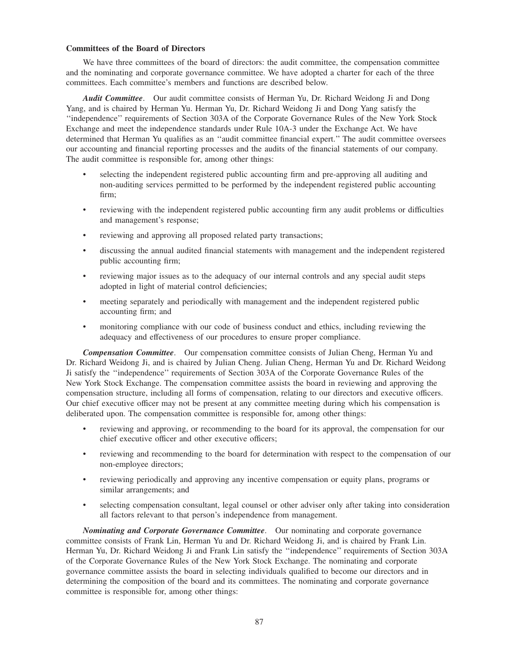## **Committees of the Board of Directors**

We have three committees of the board of directors: the audit committee, the compensation committee and the nominating and corporate governance committee. We have adopted a charter for each of the three committees. Each committee's members and functions are described below.

*Audit Committee*. Our audit committee consists of Herman Yu, Dr. Richard Weidong Ji and Dong Yang, and is chaired by Herman Yu. Herman Yu, Dr. Richard Weidong Ji and Dong Yang satisfy the ''independence'' requirements of Section 303A of the Corporate Governance Rules of the New York Stock Exchange and meet the independence standards under Rule 10A-3 under the Exchange Act. We have determined that Herman Yu qualifies as an ''audit committee financial expert.'' The audit committee oversees our accounting and financial reporting processes and the audits of the financial statements of our company. The audit committee is responsible for, among other things:

- selecting the independent registered public accounting firm and pre-approving all auditing and non-auditing services permitted to be performed by the independent registered public accounting firm;
- reviewing with the independent registered public accounting firm any audit problems or difficulties and management's response;
- reviewing and approving all proposed related party transactions;
- discussing the annual audited financial statements with management and the independent registered public accounting firm;
- reviewing major issues as to the adequacy of our internal controls and any special audit steps adopted in light of material control deficiencies;
- meeting separately and periodically with management and the independent registered public accounting firm; and
- monitoring compliance with our code of business conduct and ethics, including reviewing the adequacy and effectiveness of our procedures to ensure proper compliance.

*Compensation Committee*. Our compensation committee consists of Julian Cheng, Herman Yu and Dr. Richard Weidong Ji, and is chaired by Julian Cheng. Julian Cheng, Herman Yu and Dr. Richard Weidong Ji satisfy the ''independence'' requirements of Section 303A of the Corporate Governance Rules of the New York Stock Exchange. The compensation committee assists the board in reviewing and approving the compensation structure, including all forms of compensation, relating to our directors and executive officers. Our chief executive officer may not be present at any committee meeting during which his compensation is deliberated upon. The compensation committee is responsible for, among other things:

- reviewing and approving, or recommending to the board for its approval, the compensation for our chief executive officer and other executive officers;
- reviewing and recommending to the board for determination with respect to the compensation of our non-employee directors;
- reviewing periodically and approving any incentive compensation or equity plans, programs or similar arrangements; and
- selecting compensation consultant, legal counsel or other adviser only after taking into consideration all factors relevant to that person's independence from management.

*Nominating and Corporate Governance Committee*. Our nominating and corporate governance committee consists of Frank Lin, Herman Yu and Dr. Richard Weidong Ji, and is chaired by Frank Lin. Herman Yu, Dr. Richard Weidong Ji and Frank Lin satisfy the ''independence'' requirements of Section 303A of the Corporate Governance Rules of the New York Stock Exchange. The nominating and corporate governance committee assists the board in selecting individuals qualified to become our directors and in determining the composition of the board and its committees. The nominating and corporate governance committee is responsible for, among other things: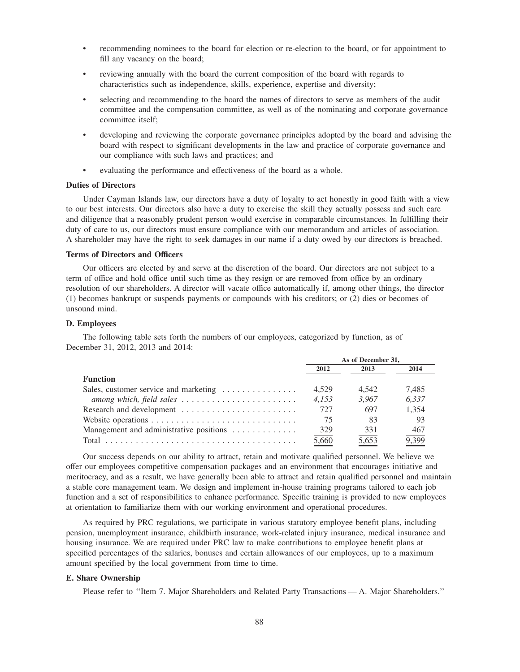- recommending nominees to the board for election or re-election to the board, or for appointment to fill any vacancy on the board;
- reviewing annually with the board the current composition of the board with regards to characteristics such as independence, skills, experience, expertise and diversity;
- selecting and recommending to the board the names of directors to serve as members of the audit committee and the compensation committee, as well as of the nominating and corporate governance committee itself;
- developing and reviewing the corporate governance principles adopted by the board and advising the board with respect to significant developments in the law and practice of corporate governance and our compliance with such laws and practices; and
- evaluating the performance and effectiveness of the board as a whole.

# **Duties of Directors**

Under Cayman Islands law, our directors have a duty of loyalty to act honestly in good faith with a view to our best interests. Our directors also have a duty to exercise the skill they actually possess and such care and diligence that a reasonably prudent person would exercise in comparable circumstances. In fulfilling their duty of care to us, our directors must ensure compliance with our memorandum and articles of association. A shareholder may have the right to seek damages in our name if a duty owed by our directors is breached.

# **Terms of Directors and Officers**

Our officers are elected by and serve at the discretion of the board. Our directors are not subject to a term of office and hold office until such time as they resign or are removed from office by an ordinary resolution of our shareholders. A director will vacate office automatically if, among other things, the director (1) becomes bankrupt or suspends payments or compounds with his creditors; or (2) dies or becomes of unsound mind.

### **D. Employees**

The following table sets forth the numbers of our employees, categorized by function, as of December 31, 2012, 2013 and 2014:

|                                                                          | As of December 31, |       |       |
|--------------------------------------------------------------------------|--------------------|-------|-------|
|                                                                          | 2012               | 2013  | 2014  |
| <b>Function</b>                                                          |                    |       |       |
| Sales, customer service and marketing                                    | 4.529              | 4.542 | 7.485 |
| among which, field sales $\dots\dots\dots\dots\dots\dots\dots\dots\dots$ | 4.153              | 3.967 | 6.337 |
| Research and development                                                 | 727                | 697   | 1.354 |
|                                                                          | 75                 | 83    | 93    |
| Management and administrative positions                                  | 329                | 331   | 467   |
|                                                                          | 5.660              | 5.653 | 9.399 |

Our success depends on our ability to attract, retain and motivate qualified personnel. We believe we offer our employees competitive compensation packages and an environment that encourages initiative and meritocracy, and as a result, we have generally been able to attract and retain qualified personnel and maintain a stable core management team. We design and implement in-house training programs tailored to each job function and a set of responsibilities to enhance performance. Specific training is provided to new employees at orientation to familiarize them with our working environment and operational procedures.

As required by PRC regulations, we participate in various statutory employee benefit plans, including pension, unemployment insurance, childbirth insurance, work-related injury insurance, medical insurance and housing insurance. We are required under PRC law to make contributions to employee benefit plans at specified percentages of the salaries, bonuses and certain allowances of our employees, up to a maximum amount specified by the local government from time to time.

# **E. Share Ownership**

Please refer to ''Item 7. Major Shareholders and Related Party Transactions — A. Major Shareholders.''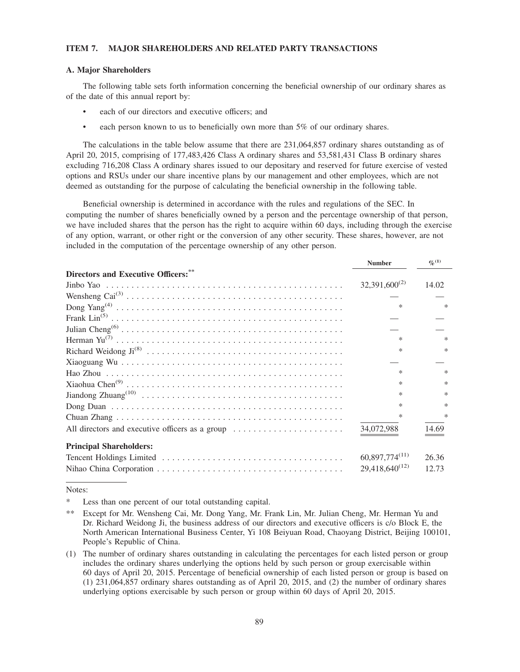# **ITEM 7. MAJOR SHAREHOLDERS AND RELATED PARTY TRANSACTIONS**

## **A. Major Shareholders**

The following table sets forth information concerning the beneficial ownership of our ordinary shares as of the date of this annual report by:

- each of our directors and executive officers; and
- each person known to us to beneficially own more than  $5\%$  of our ordinary shares.

The calculations in the table below assume that there are 231,064,857 ordinary shares outstanding as of April 20, 2015, comprising of 177,483,426 Class A ordinary shares and 53,581,431 Class B ordinary shares excluding 716,208 Class A ordinary shares issued to our depositary and reserved for future exercise of vested options and RSUs under our share incentive plans by our management and other employees, which are not deemed as outstanding for the purpose of calculating the beneficial ownership in the following table.

Beneficial ownership is determined in accordance with the rules and regulations of the SEC. In computing the number of shares beneficially owned by a person and the percentage ownership of that person, we have included shares that the person has the right to acquire within 60 days, including through the exercise of any option, warrant, or other right or the conversion of any other security. These shares, however, are not included in the computation of the percentage ownership of any other person.

|                                                 | <b>Number</b>              | $\mathcal{Q}_0^{(1)}$ |
|-------------------------------------------------|----------------------------|-----------------------|
| Directors and Executive Officers:"*             |                            |                       |
|                                                 | $32,391,600^{(2)}$         | 14.02                 |
|                                                 |                            |                       |
|                                                 | $\ast$                     |                       |
|                                                 |                            |                       |
|                                                 |                            |                       |
|                                                 | $\ast$                     |                       |
|                                                 | $\ast$                     |                       |
|                                                 |                            |                       |
|                                                 | *                          | $\ast$                |
|                                                 | *                          | $\ast$                |
|                                                 | *                          | $\ast$                |
|                                                 | *                          | $\ast$                |
|                                                 | $\ast$                     |                       |
| All directors and executive officers as a group | 34,072,988                 | 14.69                 |
| <b>Principal Shareholders:</b>                  |                            |                       |
|                                                 | $60,897,774^{(11)}$        | 26.36                 |
|                                                 | 29,418,640 <sup>(12)</sup> | 12.73                 |

Notes:

Less than one percent of our total outstanding capital.

<sup>\*\*</sup> Except for Mr. Wensheng Cai, Mr. Dong Yang, Mr. Frank Lin, Mr. Julian Cheng, Mr. Herman Yu and Dr. Richard Weidong Ji, the business address of our directors and executive officers is c/o Block E, the North American International Business Center, Yi 108 Beiyuan Road, Chaoyang District, Beijing 100101, People's Republic of China.

<sup>(1)</sup> The number of ordinary shares outstanding in calculating the percentages for each listed person or group includes the ordinary shares underlying the options held by such person or group exercisable within 60 days of April 20, 2015. Percentage of beneficial ownership of each listed person or group is based on (1) 231,064,857 ordinary shares outstanding as of April 20, 2015, and (2) the number of ordinary shares underlying options exercisable by such person or group within 60 days of April 20, 2015.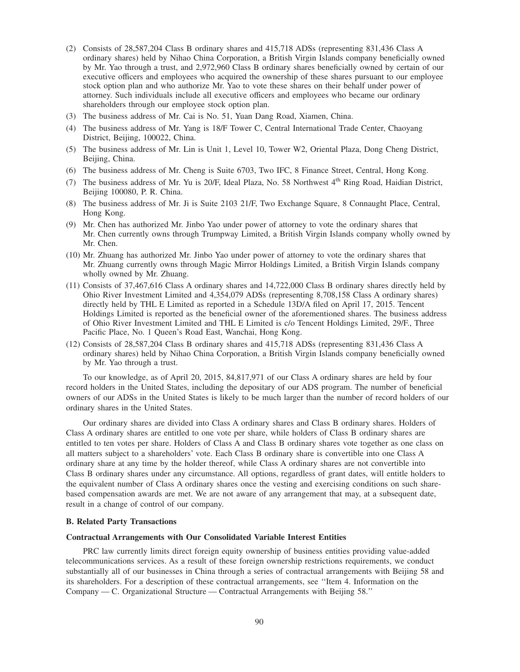- (2) Consists of 28,587,204 Class B ordinary shares and 415,718 ADSs (representing 831,436 Class A ordinary shares) held by Nihao China Corporation, a British Virgin Islands company beneficially owned by Mr. Yao through a trust, and 2,972,960 Class B ordinary shares beneficially owned by certain of our executive officers and employees who acquired the ownership of these shares pursuant to our employee stock option plan and who authorize Mr. Yao to vote these shares on their behalf under power of attorney. Such individuals include all executive officers and employees who became our ordinary shareholders through our employee stock option plan.
- (3) The business address of Mr. Cai is No. 51, Yuan Dang Road, Xiamen, China.
- (4) The business address of Mr. Yang is 18/F Tower C, Central International Trade Center, Chaoyang District, Beijing, 100022, China.
- (5) The business address of Mr. Lin is Unit 1, Level 10, Tower W2, Oriental Plaza, Dong Cheng District, Beijing, China.
- (6) The business address of Mr. Cheng is Suite 6703, Two IFC, 8 Finance Street, Central, Hong Kong.
- (7) The business address of Mr. Yu is 20/F, Ideal Plaza, No. 58 Northwest 4th Ring Road, Haidian District, Beijing 100080, P. R. China.
- (8) The business address of Mr. Ji is Suite 2103 21/F, Two Exchange Square, 8 Connaught Place, Central, Hong Kong.
- (9) Mr. Chen has authorized Mr. Jinbo Yao under power of attorney to vote the ordinary shares that Mr. Chen currently owns through Trumpway Limited, a British Virgin Islands company wholly owned by Mr. Chen.
- (10) Mr. Zhuang has authorized Mr. Jinbo Yao under power of attorney to vote the ordinary shares that Mr. Zhuang currently owns through Magic Mirror Holdings Limited, a British Virgin Islands company wholly owned by Mr. Zhuang.
- (11) Consists of 37,467,616 Class A ordinary shares and 14,722,000 Class B ordinary shares directly held by Ohio River Investment Limited and 4,354,079 ADSs (representing 8,708,158 Class A ordinary shares) directly held by THL E Limited as reported in a Schedule 13D/A filed on April 17, 2015. Tencent Holdings Limited is reported as the beneficial owner of the aforementioned shares. The business address of Ohio River Investment Limited and THL E Limited is c/o Tencent Holdings Limited, 29/F., Three Pacific Place, No. 1 Queen's Road East, Wanchai, Hong Kong.
- (12) Consists of 28,587,204 Class B ordinary shares and 415,718 ADSs (representing 831,436 Class A ordinary shares) held by Nihao China Corporation, a British Virgin Islands company beneficially owned by Mr. Yao through a trust.

To our knowledge, as of April 20, 2015, 84,817,971 of our Class A ordinary shares are held by four record holders in the United States, including the depositary of our ADS program. The number of beneficial owners of our ADSs in the United States is likely to be much larger than the number of record holders of our ordinary shares in the United States.

Our ordinary shares are divided into Class A ordinary shares and Class B ordinary shares. Holders of Class A ordinary shares are entitled to one vote per share, while holders of Class B ordinary shares are entitled to ten votes per share. Holders of Class A and Class B ordinary shares vote together as one class on all matters subject to a shareholders' vote. Each Class B ordinary share is convertible into one Class A ordinary share at any time by the holder thereof, while Class A ordinary shares are not convertible into Class B ordinary shares under any circumstance. All options, regardless of grant dates, will entitle holders to the equivalent number of Class A ordinary shares once the vesting and exercising conditions on such sharebased compensation awards are met. We are not aware of any arrangement that may, at a subsequent date, result in a change of control of our company.

## **B. Related Party Transactions**

# **Contractual Arrangements with Our Consolidated Variable Interest Entities**

PRC law currently limits direct foreign equity ownership of business entities providing value-added telecommunications services. As a result of these foreign ownership restrictions requirements, we conduct substantially all of our businesses in China through a series of contractual arrangements with Beijing 58 and its shareholders. For a description of these contractual arrangements, see ''Item 4. Information on the Company — C. Organizational Structure — Contractual Arrangements with Beijing 58.''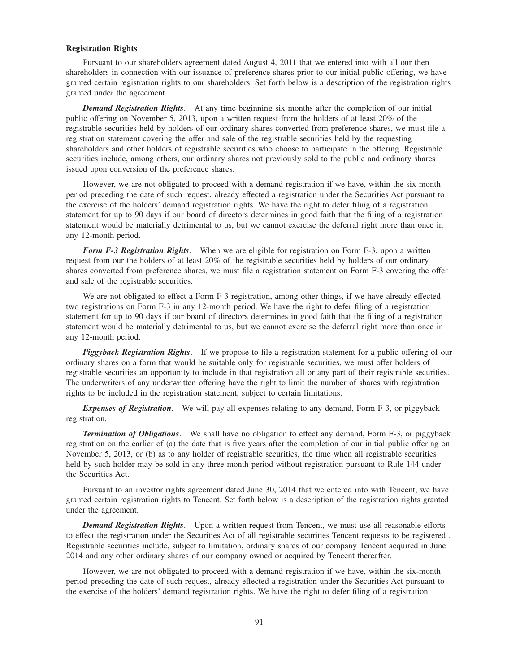### **Registration Rights**

Pursuant to our shareholders agreement dated August 4, 2011 that we entered into with all our then shareholders in connection with our issuance of preference shares prior to our initial public offering, we have granted certain registration rights to our shareholders. Set forth below is a description of the registration rights granted under the agreement.

*Demand Registration Rights*. At any time beginning six months after the completion of our initial public offering on November 5, 2013, upon a written request from the holders of at least 20% of the registrable securities held by holders of our ordinary shares converted from preference shares, we must file a registration statement covering the offer and sale of the registrable securities held by the requesting shareholders and other holders of registrable securities who choose to participate in the offering. Registrable securities include, among others, our ordinary shares not previously sold to the public and ordinary shares issued upon conversion of the preference shares.

However, we are not obligated to proceed with a demand registration if we have, within the six-month period preceding the date of such request, already effected a registration under the Securities Act pursuant to the exercise of the holders' demand registration rights. We have the right to defer filing of a registration statement for up to 90 days if our board of directors determines in good faith that the filing of a registration statement would be materially detrimental to us, but we cannot exercise the deferral right more than once in any 12-month period.

*Form F-3 Registration Rights*. When we are eligible for registration on Form F-3, upon a written request from our the holders of at least 20% of the registrable securities held by holders of our ordinary shares converted from preference shares, we must file a registration statement on Form F-3 covering the offer and sale of the registrable securities.

We are not obligated to effect a Form F-3 registration, among other things, if we have already effected two registrations on Form F-3 in any 12-month period. We have the right to defer filing of a registration statement for up to 90 days if our board of directors determines in good faith that the filing of a registration statement would be materially detrimental to us, but we cannot exercise the deferral right more than once in any 12-month period.

*Piggyback Registration Rights*. If we propose to file a registration statement for a public offering of our ordinary shares on a form that would be suitable only for registrable securities, we must offer holders of registrable securities an opportunity to include in that registration all or any part of their registrable securities. The underwriters of any underwritten offering have the right to limit the number of shares with registration rights to be included in the registration statement, subject to certain limitations.

*Expenses of Registration*. We will pay all expenses relating to any demand, Form F-3, or piggyback registration.

*Termination of Obligations*. We shall have no obligation to effect any demand, Form F-3, or piggyback registration on the earlier of (a) the date that is five years after the completion of our initial public offering on November 5, 2013, or (b) as to any holder of registrable securities, the time when all registrable securities held by such holder may be sold in any three-month period without registration pursuant to Rule 144 under the Securities Act.

Pursuant to an investor rights agreement dated June 30, 2014 that we entered into with Tencent, we have granted certain registration rights to Tencent. Set forth below is a description of the registration rights granted under the agreement.

*Demand Registration Rights.* Upon a written request from Tencent, we must use all reasonable efforts to effect the registration under the Securities Act of all registrable securities Tencent requests to be registered . Registrable securities include, subject to limitation, ordinary shares of our company Tencent acquired in June 2014 and any other ordinary shares of our company owned or acquired by Tencent thereafter.

However, we are not obligated to proceed with a demand registration if we have, within the six-month period preceding the date of such request, already effected a registration under the Securities Act pursuant to the exercise of the holders' demand registration rights. We have the right to defer filing of a registration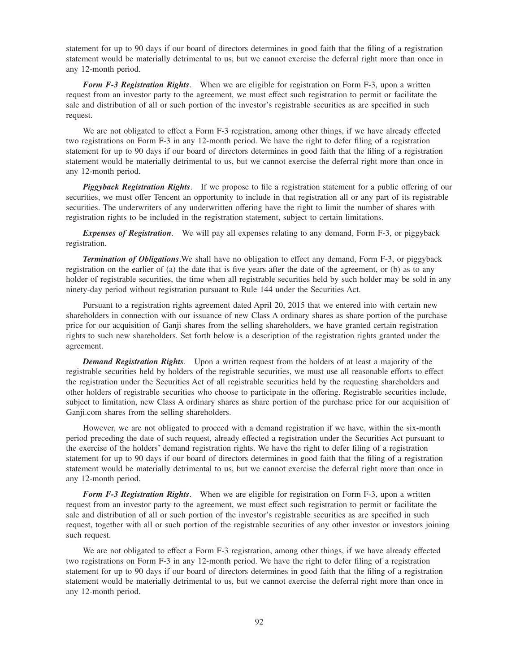statement for up to 90 days if our board of directors determines in good faith that the filing of a registration statement would be materially detrimental to us, but we cannot exercise the deferral right more than once in any 12-month period.

*Form F-3 Registration Rights*. When we are eligible for registration on Form F-3, upon a written request from an investor party to the agreement, we must effect such registration to permit or facilitate the sale and distribution of all or such portion of the investor's registrable securities as are specified in such request.

We are not obligated to effect a Form F-3 registration, among other things, if we have already effected two registrations on Form F-3 in any 12-month period. We have the right to defer filing of a registration statement for up to 90 days if our board of directors determines in good faith that the filing of a registration statement would be materially detrimental to us, but we cannot exercise the deferral right more than once in any 12-month period.

*Piggyback Registration Rights*. If we propose to file a registration statement for a public offering of our securities, we must offer Tencent an opportunity to include in that registration all or any part of its registrable securities. The underwriters of any underwritten offering have the right to limit the number of shares with registration rights to be included in the registration statement, subject to certain limitations.

*Expenses of Registration*. We will pay all expenses relating to any demand, Form F-3, or piggyback registration.

*Termination of Obligations*.We shall have no obligation to effect any demand, Form F-3, or piggyback registration on the earlier of (a) the date that is five years after the date of the agreement, or (b) as to any holder of registrable securities, the time when all registrable securities held by such holder may be sold in any ninety-day period without registration pursuant to Rule 144 under the Securities Act.

Pursuant to a registration rights agreement dated April 20, 2015 that we entered into with certain new shareholders in connection with our issuance of new Class A ordinary shares as share portion of the purchase price for our acquisition of Ganji shares from the selling shareholders, we have granted certain registration rights to such new shareholders. Set forth below is a description of the registration rights granted under the agreement.

*Demand Registration Rights*. Upon a written request from the holders of at least a majority of the registrable securities held by holders of the registrable securities, we must use all reasonable efforts to effect the registration under the Securities Act of all registrable securities held by the requesting shareholders and other holders of registrable securities who choose to participate in the offering. Registrable securities include, subject to limitation, new Class A ordinary shares as share portion of the purchase price for our acquisition of Ganji.com shares from the selling shareholders.

However, we are not obligated to proceed with a demand registration if we have, within the six-month period preceding the date of such request, already effected a registration under the Securities Act pursuant to the exercise of the holders' demand registration rights. We have the right to defer filing of a registration statement for up to 90 days if our board of directors determines in good faith that the filing of a registration statement would be materially detrimental to us, but we cannot exercise the deferral right more than once in any 12-month period.

*Form F-3 Registration Rights*. When we are eligible for registration on Form F-3, upon a written request from an investor party to the agreement, we must effect such registration to permit or facilitate the sale and distribution of all or such portion of the investor's registrable securities as are specified in such request, together with all or such portion of the registrable securities of any other investor or investors joining such request.

We are not obligated to effect a Form F-3 registration, among other things, if we have already effected two registrations on Form F-3 in any 12-month period. We have the right to defer filing of a registration statement for up to 90 days if our board of directors determines in good faith that the filing of a registration statement would be materially detrimental to us, but we cannot exercise the deferral right more than once in any 12-month period.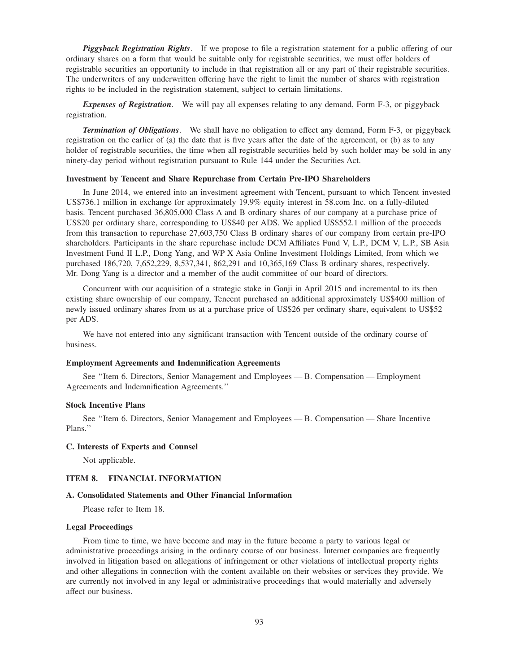*Piggyback Registration Rights*. If we propose to file a registration statement for a public offering of our ordinary shares on a form that would be suitable only for registrable securities, we must offer holders of registrable securities an opportunity to include in that registration all or any part of their registrable securities. The underwriters of any underwritten offering have the right to limit the number of shares with registration rights to be included in the registration statement, subject to certain limitations.

*Expenses of Registration*. We will pay all expenses relating to any demand, Form F-3, or piggyback registration.

*Termination of Obligations*. We shall have no obligation to effect any demand, Form F-3, or piggyback registration on the earlier of (a) the date that is five years after the date of the agreement, or (b) as to any holder of registrable securities, the time when all registrable securities held by such holder may be sold in any ninety-day period without registration pursuant to Rule 144 under the Securities Act.

#### **Investment by Tencent and Share Repurchase from Certain Pre-IPO Shareholders**

In June 2014, we entered into an investment agreement with Tencent, pursuant to which Tencent invested US\$736.1 million in exchange for approximately 19.9% equity interest in 58.com Inc. on a fully-diluted basis. Tencent purchased 36,805,000 Class A and B ordinary shares of our company at a purchase price of US\$20 per ordinary share, corresponding to US\$40 per ADS. We applied US\$552.1 million of the proceeds from this transaction to repurchase 27,603,750 Class B ordinary shares of our company from certain pre-IPO shareholders. Participants in the share repurchase include DCM Affiliates Fund V, L.P., DCM V, L.P., SB Asia Investment Fund II L.P., Dong Yang, and WP X Asia Online Investment Holdings Limited, from which we purchased 186,720, 7,652,229, 8,537,341, 862,291 and 10,365,169 Class B ordinary shares, respectively. Mr. Dong Yang is a director and a member of the audit committee of our board of directors.

Concurrent with our acquisition of a strategic stake in Ganji in April 2015 and incremental to its then existing share ownership of our company, Tencent purchased an additional approximately US\$400 million of newly issued ordinary shares from us at a purchase price of US\$26 per ordinary share, equivalent to US\$52 per ADS.

We have not entered into any significant transaction with Tencent outside of the ordinary course of business.

## **Employment Agreements and Indemnification Agreements**

See ''Item 6. Directors, Senior Management and Employees — B. Compensation — Employment Agreements and Indemnification Agreements.''

## **Stock Incentive Plans**

See ''Item 6. Directors, Senior Management and Employees — B. Compensation — Share Incentive Plans.''

## **C. Interests of Experts and Counsel**

Not applicable.

### **ITEM 8. FINANCIAL INFORMATION**

# **A. Consolidated Statements and Other Financial Information**

Please refer to Item 18.

## **Legal Proceedings**

From time to time, we have become and may in the future become a party to various legal or administrative proceedings arising in the ordinary course of our business. Internet companies are frequently involved in litigation based on allegations of infringement or other violations of intellectual property rights and other allegations in connection with the content available on their websites or services they provide. We are currently not involved in any legal or administrative proceedings that would materially and adversely affect our business.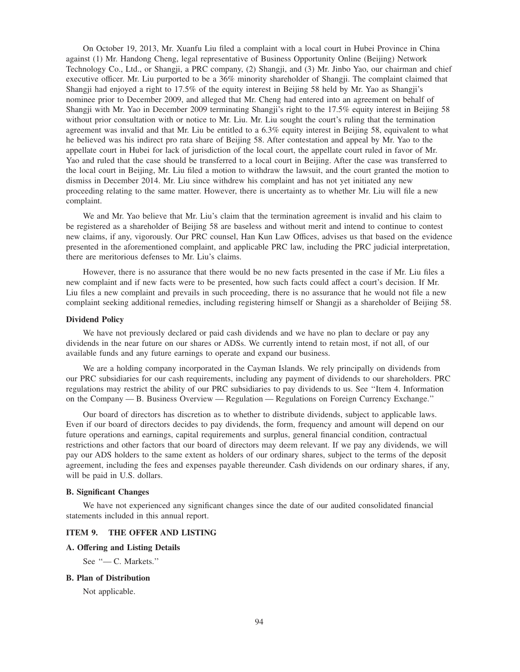On October 19, 2013, Mr. Xuanfu Liu filed a complaint with a local court in Hubei Province in China against (1) Mr. Handong Cheng, legal representative of Business Opportunity Online (Beijing) Network Technology Co., Ltd., or Shangji, a PRC company, (2) Shangji, and (3) Mr. Jinbo Yao, our chairman and chief executive officer. Mr. Liu purported to be a 36% minority shareholder of Shangji. The complaint claimed that Shangji had enjoyed a right to 17.5% of the equity interest in Beijing 58 held by Mr. Yao as Shangji's nominee prior to December 2009, and alleged that Mr. Cheng had entered into an agreement on behalf of Shangji with Mr. Yao in December 2009 terminating Shangji's right to the 17.5% equity interest in Beijing 58 without prior consultation with or notice to Mr. Liu. Mr. Liu sought the court's ruling that the termination agreement was invalid and that Mr. Liu be entitled to a 6.3% equity interest in Beijing 58, equivalent to what he believed was his indirect pro rata share of Beijing 58. After contestation and appeal by Mr. Yao to the appellate court in Hubei for lack of jurisdiction of the local court, the appellate court ruled in favor of Mr. Yao and ruled that the case should be transferred to a local court in Beijing. After the case was transferred to the local court in Beijing, Mr. Liu filed a motion to withdraw the lawsuit, and the court granted the motion to dismiss in December 2014. Mr. Liu since withdrew his complaint and has not yet initiated any new proceeding relating to the same matter. However, there is uncertainty as to whether Mr. Liu will file a new complaint.

We and Mr. Yao believe that Mr. Liu's claim that the termination agreement is invalid and his claim to be registered as a shareholder of Beijing 58 are baseless and without merit and intend to continue to contest new claims, if any, vigorously. Our PRC counsel, Han Kun Law Offices, advises us that based on the evidence presented in the aforementioned complaint, and applicable PRC law, including the PRC judicial interpretation, there are meritorious defenses to Mr. Liu's claims.

However, there is no assurance that there would be no new facts presented in the case if Mr. Liu files a new complaint and if new facts were to be presented, how such facts could affect a court's decision. If Mr. Liu files a new complaint and prevails in such proceeding, there is no assurance that he would not file a new complaint seeking additional remedies, including registering himself or Shangji as a shareholder of Beijing 58.

#### **Dividend Policy**

We have not previously declared or paid cash dividends and we have no plan to declare or pay any dividends in the near future on our shares or ADSs. We currently intend to retain most, if not all, of our available funds and any future earnings to operate and expand our business.

We are a holding company incorporated in the Cayman Islands. We rely principally on dividends from our PRC subsidiaries for our cash requirements, including any payment of dividends to our shareholders. PRC regulations may restrict the ability of our PRC subsidiaries to pay dividends to us. See ''Item 4. Information on the Company — B. Business Overview — Regulation — Regulations on Foreign Currency Exchange.''

Our board of directors has discretion as to whether to distribute dividends, subject to applicable laws. Even if our board of directors decides to pay dividends, the form, frequency and amount will depend on our future operations and earnings, capital requirements and surplus, general financial condition, contractual restrictions and other factors that our board of directors may deem relevant. If we pay any dividends, we will pay our ADS holders to the same extent as holders of our ordinary shares, subject to the terms of the deposit agreement, including the fees and expenses payable thereunder. Cash dividends on our ordinary shares, if any, will be paid in U.S. dollars.

### **B. Significant Changes**

We have not experienced any significant changes since the date of our audited consolidated financial statements included in this annual report.

## **ITEM 9. THE OFFER AND LISTING**

# **A. Offering and Listing Details**

See ''— C. Markets.''

# **B. Plan of Distribution**

Not applicable.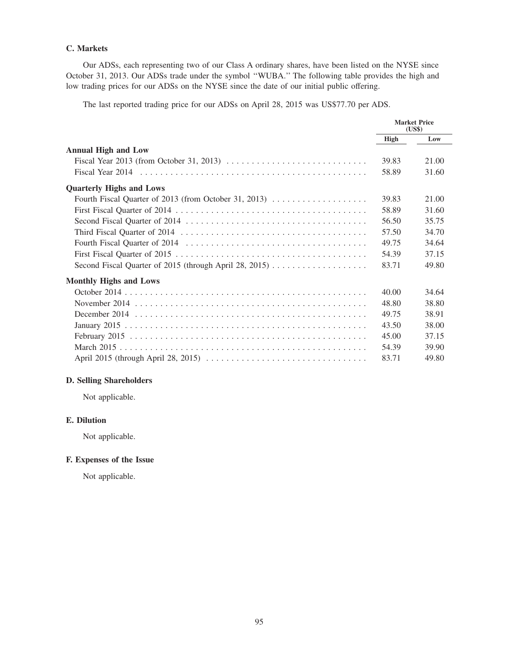# **C. Markets**

Our ADSs, each representing two of our Class A ordinary shares, have been listed on the NYSE since October 31, 2013. Our ADSs trade under the symbol ''WUBA.'' The following table provides the high and low trading prices for our ADSs on the NYSE since the date of our initial public offering.

The last reported trading price for our ADSs on April 28, 2015 was US\$77.70 per ADS.

|                                                                                        | <b>Market Price</b><br>(US\$) |       |
|----------------------------------------------------------------------------------------|-------------------------------|-------|
|                                                                                        | High                          | Low   |
| <b>Annual High and Low</b>                                                             |                               |       |
|                                                                                        | 39.83                         | 21.00 |
|                                                                                        | 58.89                         | 31.60 |
| <b>Quarterly Highs and Lows</b>                                                        |                               |       |
| Fourth Fiscal Quarter of 2013 (from October 31, 2013)                                  | 39.83                         | 21.00 |
|                                                                                        | 58.89                         | 31.60 |
|                                                                                        | 56.50                         | 35.75 |
|                                                                                        | 57.50                         | 34.70 |
|                                                                                        | 49.75                         | 34.64 |
|                                                                                        | 54.39                         | 37.15 |
| Second Fiscal Quarter of 2015 (through April 28, 2015) $\dots \dots \dots \dots \dots$ | 83.71                         | 49.80 |
| <b>Monthly Highs and Lows</b>                                                          |                               |       |
|                                                                                        | 40.00                         | 34.64 |
|                                                                                        | 48.80                         | 38.80 |
|                                                                                        | 49.75                         | 38.91 |
|                                                                                        | 43.50                         | 38.00 |
|                                                                                        | 45.00                         | 37.15 |
|                                                                                        | 54.39                         | 39.90 |
|                                                                                        | 83.71                         | 49.80 |

# **D. Selling Shareholders**

Not applicable.

# **E. Dilution**

Not applicable.

# **F. Expenses of the Issue**

Not applicable.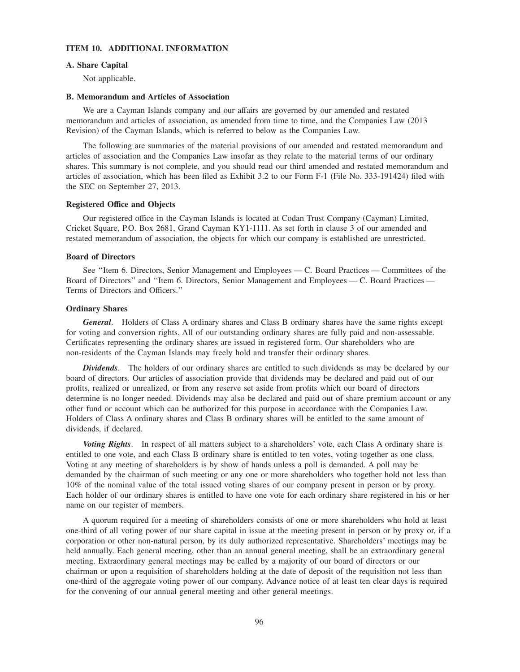# **ITEM 10. ADDITIONAL INFORMATION**

# **A. Share Capital**

Not applicable.

### **B. Memorandum and Articles of Association**

We are a Cayman Islands company and our affairs are governed by our amended and restated memorandum and articles of association, as amended from time to time, and the Companies Law (2013 Revision) of the Cayman Islands, which is referred to below as the Companies Law.

The following are summaries of the material provisions of our amended and restated memorandum and articles of association and the Companies Law insofar as they relate to the material terms of our ordinary shares. This summary is not complete, and you should read our third amended and restated memorandum and articles of association, which has been filed as Exhibit 3.2 to our Form F-1 (File No. 333-191424) filed with the SEC on September 27, 2013.

## **Registered Office and Objects**

Our registered office in the Cayman Islands is located at Codan Trust Company (Cayman) Limited, Cricket Square, P.O. Box 2681, Grand Cayman KY1-1111. As set forth in clause 3 of our amended and restated memorandum of association, the objects for which our company is established are unrestricted.

# **Board of Directors**

See ''Item 6. Directors, Senior Management and Employees — C. Board Practices — Committees of the Board of Directors'' and ''Item 6. Directors, Senior Management and Employees — C. Board Practices — Terms of Directors and Officers.''

## **Ordinary Shares**

*General*. Holders of Class A ordinary shares and Class B ordinary shares have the same rights except for voting and conversion rights. All of our outstanding ordinary shares are fully paid and non-assessable. Certificates representing the ordinary shares are issued in registered form. Our shareholders who are non-residents of the Cayman Islands may freely hold and transfer their ordinary shares.

*Dividends*. The holders of our ordinary shares are entitled to such dividends as may be declared by our board of directors. Our articles of association provide that dividends may be declared and paid out of our profits, realized or unrealized, or from any reserve set aside from profits which our board of directors determine is no longer needed. Dividends may also be declared and paid out of share premium account or any other fund or account which can be authorized for this purpose in accordance with the Companies Law. Holders of Class A ordinary shares and Class B ordinary shares will be entitled to the same amount of dividends, if declared.

*Voting Rights*. In respect of all matters subject to a shareholders' vote, each Class A ordinary share is entitled to one vote, and each Class B ordinary share is entitled to ten votes, voting together as one class. Voting at any meeting of shareholders is by show of hands unless a poll is demanded. A poll may be demanded by the chairman of such meeting or any one or more shareholders who together hold not less than 10% of the nominal value of the total issued voting shares of our company present in person or by proxy. Each holder of our ordinary shares is entitled to have one vote for each ordinary share registered in his or her name on our register of members.

A quorum required for a meeting of shareholders consists of one or more shareholders who hold at least one-third of all voting power of our share capital in issue at the meeting present in person or by proxy or, if a corporation or other non-natural person, by its duly authorized representative. Shareholders' meetings may be held annually. Each general meeting, other than an annual general meeting, shall be an extraordinary general meeting. Extraordinary general meetings may be called by a majority of our board of directors or our chairman or upon a requisition of shareholders holding at the date of deposit of the requisition not less than one-third of the aggregate voting power of our company. Advance notice of at least ten clear days is required for the convening of our annual general meeting and other general meetings.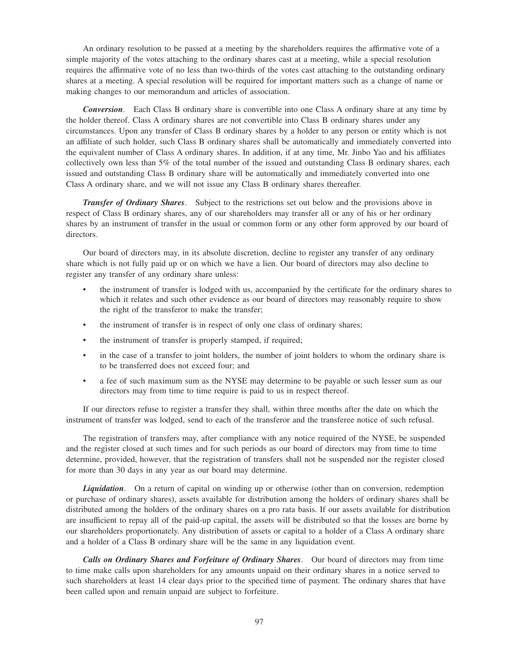An ordinary resolution to be passed at a meeting by the shareholders requires the affirmative vote of a simple majority of the votes attaching to the ordinary shares cast at a meeting, while a special resolution requires the affirmative vote of no less than two-thirds of the votes cast attaching to the outstanding ordinary shares at a meeting. A special resolution will be required for important matters such as a change of name or making changes to our memorandum and articles of association.

*Conversion*. Each Class B ordinary share is convertible into one Class A ordinary share at any time by the holder thereof. Class A ordinary shares are not convertible into Class B ordinary shares under any circumstances. Upon any transfer of Class B ordinary shares by a holder to any person or entity which is not an affiliate of such holder, such Class B ordinary shares shall be automatically and immediately converted into the equivalent number of Class A ordinary shares. In addition, if at any time, Mr. Jinbo Yao and his affiliates collectively own less than 5% of the total number of the issued and outstanding Class B ordinary shares, each issued and outstanding Class B ordinary share will be automatically and immediately converted into one Class A ordinary share, and we will not issue any Class B ordinary shares thereafter.

*Transfer of Ordinary Shares*. Subject to the restrictions set out below and the provisions above in respect of Class B ordinary shares, any of our shareholders may transfer all or any of his or her ordinary shares by an instrument of transfer in the usual or common form or any other form approved by our board of directors.

Our board of directors may, in its absolute discretion, decline to register any transfer of any ordinary share which is not fully paid up or on which we have a lien. Our board of directors may also decline to register any transfer of any ordinary share unless:

- the instrument of transfer is lodged with us, accompanied by the certificate for the ordinary shares to which it relates and such other evidence as our board of directors may reasonably require to show the right of the transferor to make the transfer;
- the instrument of transfer is in respect of only one class of ordinary shares;
- the instrument of transfer is properly stamped, if required;
- in the case of a transfer to joint holders, the number of joint holders to whom the ordinary share is to be transferred does not exceed four; and
- a fee of such maximum sum as the NYSE may determine to be payable or such lesser sum as our directors may from time to time require is paid to us in respect thereof.

If our directors refuse to register a transfer they shall, within three months after the date on which the instrument of transfer was lodged, send to each of the transferor and the transferee notice of such refusal.

The registration of transfers may, after compliance with any notice required of the NYSE, be suspended and the register closed at such times and for such periods as our board of directors may from time to time determine, provided, however, that the registration of transfers shall not be suspended nor the register closed for more than 30 days in any year as our board may determine.

*Liquidation*. On a return of capital on winding up or otherwise (other than on conversion, redemption or purchase of ordinary shares), assets available for distribution among the holders of ordinary shares shall be distributed among the holders of the ordinary shares on a pro rata basis. If our assets available for distribution are insufficient to repay all of the paid-up capital, the assets will be distributed so that the losses are borne by our shareholders proportionately. Any distribution of assets or capital to a holder of a Class A ordinary share and a holder of a Class B ordinary share will be the same in any liquidation event.

*Calls on Ordinary Shares and Forfeiture of Ordinary Shares*. Our board of directors may from time to time make calls upon shareholders for any amounts unpaid on their ordinary shares in a notice served to such shareholders at least 14 clear days prior to the specified time of payment. The ordinary shares that have been called upon and remain unpaid are subject to forfeiture.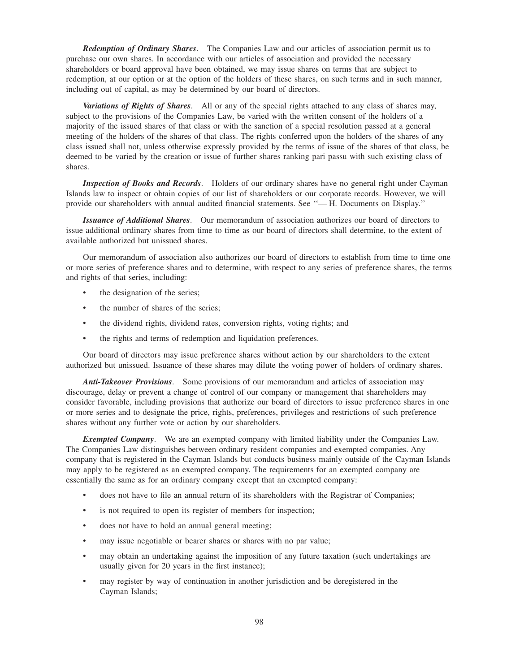*Redemption of Ordinary Shares*. The Companies Law and our articles of association permit us to purchase our own shares. In accordance with our articles of association and provided the necessary shareholders or board approval have been obtained, we may issue shares on terms that are subject to redemption, at our option or at the option of the holders of these shares, on such terms and in such manner, including out of capital, as may be determined by our board of directors.

*Variations of Rights of Shares*. All or any of the special rights attached to any class of shares may, subject to the provisions of the Companies Law, be varied with the written consent of the holders of a majority of the issued shares of that class or with the sanction of a special resolution passed at a general meeting of the holders of the shares of that class. The rights conferred upon the holders of the shares of any class issued shall not, unless otherwise expressly provided by the terms of issue of the shares of that class, be deemed to be varied by the creation or issue of further shares ranking pari passu with such existing class of shares.

*Inspection of Books and Records*. Holders of our ordinary shares have no general right under Cayman Islands law to inspect or obtain copies of our list of shareholders or our corporate records. However, we will provide our shareholders with annual audited financial statements. See ''— H. Documents on Display.''

*Issuance of Additional Shares*. Our memorandum of association authorizes our board of directors to issue additional ordinary shares from time to time as our board of directors shall determine, to the extent of available authorized but unissued shares.

Our memorandum of association also authorizes our board of directors to establish from time to time one or more series of preference shares and to determine, with respect to any series of preference shares, the terms and rights of that series, including:

- the designation of the series;
- the number of shares of the series;
- the dividend rights, dividend rates, conversion rights, voting rights; and
- the rights and terms of redemption and liquidation preferences.

Our board of directors may issue preference shares without action by our shareholders to the extent authorized but unissued. Issuance of these shares may dilute the voting power of holders of ordinary shares.

*Anti-Takeover Provisions*. Some provisions of our memorandum and articles of association may discourage, delay or prevent a change of control of our company or management that shareholders may consider favorable, including provisions that authorize our board of directors to issue preference shares in one or more series and to designate the price, rights, preferences, privileges and restrictions of such preference shares without any further vote or action by our shareholders.

*Exempted Company*. We are an exempted company with limited liability under the Companies Law. The Companies Law distinguishes between ordinary resident companies and exempted companies. Any company that is registered in the Cayman Islands but conducts business mainly outside of the Cayman Islands may apply to be registered as an exempted company. The requirements for an exempted company are essentially the same as for an ordinary company except that an exempted company:

- does not have to file an annual return of its shareholders with the Registrar of Companies;
- is not required to open its register of members for inspection;
- does not have to hold an annual general meeting;
- may issue negotiable or bearer shares or shares with no par value;
- may obtain an undertaking against the imposition of any future taxation (such undertakings are usually given for 20 years in the first instance);
- may register by way of continuation in another jurisdiction and be deregistered in the Cayman Islands;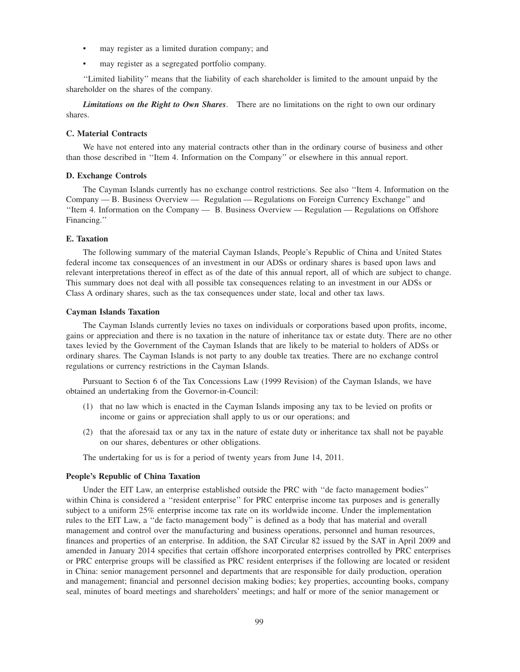- may register as a limited duration company; and
- may register as a segregated portfolio company.

''Limited liability'' means that the liability of each shareholder is limited to the amount unpaid by the shareholder on the shares of the company.

*Limitations on the Right to Own Shares*. There are no limitations on the right to own our ordinary shares.

# **C. Material Contracts**

We have not entered into any material contracts other than in the ordinary course of business and other than those described in ''Item 4. Information on the Company'' or elsewhere in this annual report.

## **D. Exchange Controls**

The Cayman Islands currently has no exchange control restrictions. See also ''Item 4. Information on the Company — B. Business Overview — Regulation — Regulations on Foreign Currency Exchange'' and ''Item 4. Information on the Company — B. Business Overview — Regulation — Regulations on Offshore Financing.''

#### **E. Taxation**

The following summary of the material Cayman Islands, People's Republic of China and United States federal income tax consequences of an investment in our ADSs or ordinary shares is based upon laws and relevant interpretations thereof in effect as of the date of this annual report, all of which are subject to change. This summary does not deal with all possible tax consequences relating to an investment in our ADSs or Class A ordinary shares, such as the tax consequences under state, local and other tax laws.

## **Cayman Islands Taxation**

The Cayman Islands currently levies no taxes on individuals or corporations based upon profits, income, gains or appreciation and there is no taxation in the nature of inheritance tax or estate duty. There are no other taxes levied by the Government of the Cayman Islands that are likely to be material to holders of ADSs or ordinary shares. The Cayman Islands is not party to any double tax treaties. There are no exchange control regulations or currency restrictions in the Cayman Islands.

Pursuant to Section 6 of the Tax Concessions Law (1999 Revision) of the Cayman Islands, we have obtained an undertaking from the Governor-in-Council:

- (1) that no law which is enacted in the Cayman Islands imposing any tax to be levied on profits or income or gains or appreciation shall apply to us or our operations; and
- (2) that the aforesaid tax or any tax in the nature of estate duty or inheritance tax shall not be payable on our shares, debentures or other obligations.

The undertaking for us is for a period of twenty years from June 14, 2011.

## **People's Republic of China Taxation**

Under the EIT Law, an enterprise established outside the PRC with ''de facto management bodies'' within China is considered a "resident enterprise" for PRC enterprise income tax purposes and is generally subject to a uniform 25% enterprise income tax rate on its worldwide income. Under the implementation rules to the EIT Law, a ''de facto management body'' is defined as a body that has material and overall management and control over the manufacturing and business operations, personnel and human resources, finances and properties of an enterprise. In addition, the SAT Circular 82 issued by the SAT in April 2009 and amended in January 2014 specifies that certain offshore incorporated enterprises controlled by PRC enterprises or PRC enterprise groups will be classified as PRC resident enterprises if the following are located or resident in China: senior management personnel and departments that are responsible for daily production, operation and management; financial and personnel decision making bodies; key properties, accounting books, company seal, minutes of board meetings and shareholders' meetings; and half or more of the senior management or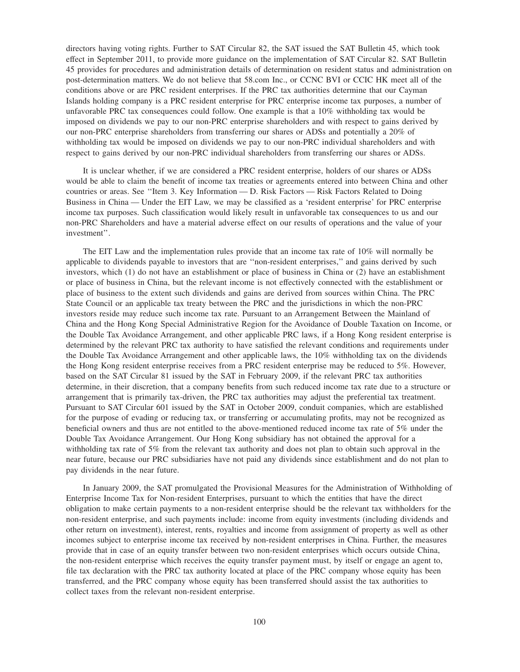directors having voting rights. Further to SAT Circular 82, the SAT issued the SAT Bulletin 45, which took effect in September 2011, to provide more guidance on the implementation of SAT Circular 82. SAT Bulletin 45 provides for procedures and administration details of determination on resident status and administration on post-determination matters. We do not believe that 58.com Inc., or CCNC BVI or CCIC HK meet all of the conditions above or are PRC resident enterprises. If the PRC tax authorities determine that our Cayman Islands holding company is a PRC resident enterprise for PRC enterprise income tax purposes, a number of unfavorable PRC tax consequences could follow. One example is that a 10% withholding tax would be imposed on dividends we pay to our non-PRC enterprise shareholders and with respect to gains derived by our non-PRC enterprise shareholders from transferring our shares or ADSs and potentially a 20% of withholding tax would be imposed on dividends we pay to our non-PRC individual shareholders and with respect to gains derived by our non-PRC individual shareholders from transferring our shares or ADSs.

It is unclear whether, if we are considered a PRC resident enterprise, holders of our shares or ADSs would be able to claim the benefit of income tax treaties or agreements entered into between China and other countries or areas. See ''Item 3. Key Information — D. Risk Factors — Risk Factors Related to Doing Business in China — Under the EIT Law, we may be classified as a 'resident enterprise' for PRC enterprise income tax purposes. Such classification would likely result in unfavorable tax consequences to us and our non-PRC Shareholders and have a material adverse effect on our results of operations and the value of your investment''.

The EIT Law and the implementation rules provide that an income tax rate of 10% will normally be applicable to dividends payable to investors that are ''non-resident enterprises,'' and gains derived by such investors, which (1) do not have an establishment or place of business in China or (2) have an establishment or place of business in China, but the relevant income is not effectively connected with the establishment or place of business to the extent such dividends and gains are derived from sources within China. The PRC State Council or an applicable tax treaty between the PRC and the jurisdictions in which the non-PRC investors reside may reduce such income tax rate. Pursuant to an Arrangement Between the Mainland of China and the Hong Kong Special Administrative Region for the Avoidance of Double Taxation on Income, or the Double Tax Avoidance Arrangement, and other applicable PRC laws, if a Hong Kong resident enterprise is determined by the relevant PRC tax authority to have satisfied the relevant conditions and requirements under the Double Tax Avoidance Arrangement and other applicable laws, the 10% withholding tax on the dividends the Hong Kong resident enterprise receives from a PRC resident enterprise may be reduced to 5%. However, based on the SAT Circular 81 issued by the SAT in February 2009, if the relevant PRC tax authorities determine, in their discretion, that a company benefits from such reduced income tax rate due to a structure or arrangement that is primarily tax-driven, the PRC tax authorities may adjust the preferential tax treatment. Pursuant to SAT Circular 601 issued by the SAT in October 2009, conduit companies, which are established for the purpose of evading or reducing tax, or transferring or accumulating profits, may not be recognized as beneficial owners and thus are not entitled to the above-mentioned reduced income tax rate of 5% under the Double Tax Avoidance Arrangement. Our Hong Kong subsidiary has not obtained the approval for a withholding tax rate of 5% from the relevant tax authority and does not plan to obtain such approval in the near future, because our PRC subsidiaries have not paid any dividends since establishment and do not plan to pay dividends in the near future.

In January 2009, the SAT promulgated the Provisional Measures for the Administration of Withholding of Enterprise Income Tax for Non-resident Enterprises, pursuant to which the entities that have the direct obligation to make certain payments to a non-resident enterprise should be the relevant tax withholders for the non-resident enterprise, and such payments include: income from equity investments (including dividends and other return on investment), interest, rents, royalties and income from assignment of property as well as other incomes subject to enterprise income tax received by non-resident enterprises in China. Further, the measures provide that in case of an equity transfer between two non-resident enterprises which occurs outside China, the non-resident enterprise which receives the equity transfer payment must, by itself or engage an agent to, file tax declaration with the PRC tax authority located at place of the PRC company whose equity has been transferred, and the PRC company whose equity has been transferred should assist the tax authorities to collect taxes from the relevant non-resident enterprise.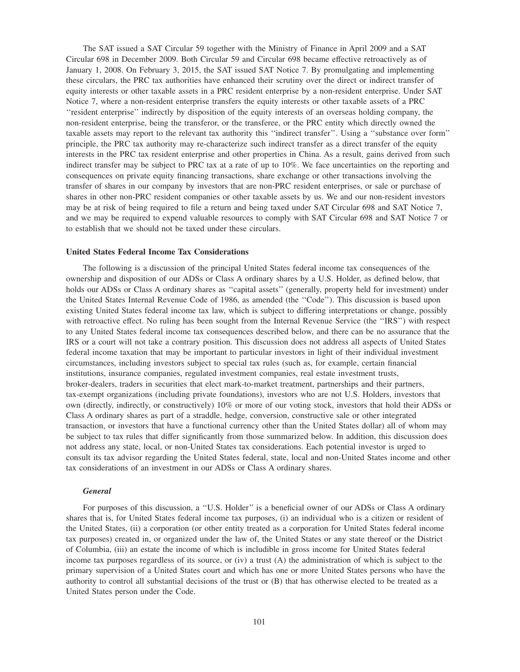The SAT issued a SAT Circular 59 together with the Ministry of Finance in April 2009 and a SAT Circular 698 in December 2009. Both Circular 59 and Circular 698 became effective retroactively as of January 1, 2008. On February 3, 2015, the SAT issued SAT Notice 7. By promulgating and implementing these circulars, the PRC tax authorities have enhanced their scrutiny over the direct or indirect transfer of equity interests or other taxable assets in a PRC resident enterprise by a non-resident enterprise. Under SAT Notice 7, where a non-resident enterprise transfers the equity interests or other taxable assets of a PRC ''resident enterprise'' indirectly by disposition of the equity interests of an overseas holding company, the non-resident enterprise, being the transferor, or the transferee, or the PRC entity which directly owned the taxable assets may report to the relevant tax authority this ''indirect transfer''. Using a ''substance over form'' principle, the PRC tax authority may re-characterize such indirect transfer as a direct transfer of the equity interests in the PRC tax resident enterprise and other properties in China. As a result, gains derived from such indirect transfer may be subject to PRC tax at a rate of up to 10%. We face uncertainties on the reporting and consequences on private equity financing transactions, share exchange or other transactions involving the transfer of shares in our company by investors that are non-PRC resident enterprises, or sale or purchase of shares in other non-PRC resident companies or other taxable assets by us. We and our non-resident investors may be at risk of being required to file a return and being taxed under SAT Circular 698 and SAT Notice 7, and we may be required to expend valuable resources to comply with SAT Circular 698 and SAT Notice 7 or to establish that we should not be taxed under these circulars.

# **United States Federal Income Tax Considerations**

The following is a discussion of the principal United States federal income tax consequences of the ownership and disposition of our ADSs or Class A ordinary shares by a U.S. Holder, as defined below, that holds our ADSs or Class A ordinary shares as ''capital assets'' (generally, property held for investment) under the United States Internal Revenue Code of 1986, as amended (the ''Code''). This discussion is based upon existing United States federal income tax law, which is subject to differing interpretations or change, possibly with retroactive effect. No ruling has been sought from the Internal Revenue Service (the "IRS") with respect to any United States federal income tax consequences described below, and there can be no assurance that the IRS or a court will not take a contrary position. This discussion does not address all aspects of United States federal income taxation that may be important to particular investors in light of their individual investment circumstances, including investors subject to special tax rules (such as, for example, certain financial institutions, insurance companies, regulated investment companies, real estate investment trusts, broker-dealers, traders in securities that elect mark-to-market treatment, partnerships and their partners, tax-exempt organizations (including private foundations), investors who are not U.S. Holders, investors that own (directly, indirectly, or constructively) 10% or more of our voting stock, investors that hold their ADSs or Class A ordinary shares as part of a straddle, hedge, conversion, constructive sale or other integrated transaction, or investors that have a functional currency other than the United States dollar) all of whom may be subject to tax rules that differ significantly from those summarized below. In addition, this discussion does not address any state, local, or non-United States tax considerations. Each potential investor is urged to consult its tax advisor regarding the United States federal, state, local and non-United States income and other tax considerations of an investment in our ADSs or Class A ordinary shares.

## *General*

For purposes of this discussion, a "U.S. Holder" is a beneficial owner of our ADSs or Class A ordinary shares that is, for United States federal income tax purposes, (i) an individual who is a citizen or resident of the United States, (ii) a corporation (or other entity treated as a corporation for United States federal income tax purposes) created in, or organized under the law of, the United States or any state thereof or the District of Columbia, (iii) an estate the income of which is includible in gross income for United States federal income tax purposes regardless of its source, or (iv) a trust (A) the administration of which is subject to the primary supervision of a United States court and which has one or more United States persons who have the authority to control all substantial decisions of the trust or (B) that has otherwise elected to be treated as a United States person under the Code.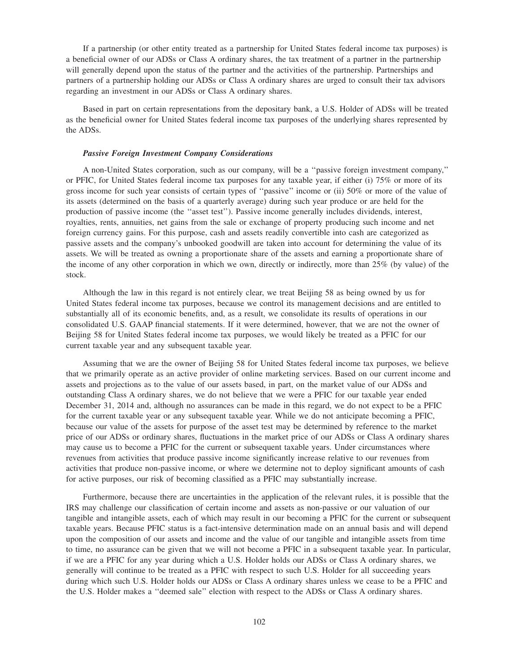If a partnership (or other entity treated as a partnership for United States federal income tax purposes) is a beneficial owner of our ADSs or Class A ordinary shares, the tax treatment of a partner in the partnership will generally depend upon the status of the partner and the activities of the partnership. Partnerships and partners of a partnership holding our ADSs or Class A ordinary shares are urged to consult their tax advisors regarding an investment in our ADSs or Class A ordinary shares.

Based in part on certain representations from the depositary bank, a U.S. Holder of ADSs will be treated as the beneficial owner for United States federal income tax purposes of the underlying shares represented by the ADSs.

## *Passive Foreign Investment Company Considerations*

A non-United States corporation, such as our company, will be a ''passive foreign investment company,'' or PFIC, for United States federal income tax purposes for any taxable year, if either (i) 75% or more of its gross income for such year consists of certain types of ''passive'' income or (ii) 50% or more of the value of its assets (determined on the basis of a quarterly average) during such year produce or are held for the production of passive income (the ''asset test''). Passive income generally includes dividends, interest, royalties, rents, annuities, net gains from the sale or exchange of property producing such income and net foreign currency gains. For this purpose, cash and assets readily convertible into cash are categorized as passive assets and the company's unbooked goodwill are taken into account for determining the value of its assets. We will be treated as owning a proportionate share of the assets and earning a proportionate share of the income of any other corporation in which we own, directly or indirectly, more than 25% (by value) of the stock.

Although the law in this regard is not entirely clear, we treat Beijing 58 as being owned by us for United States federal income tax purposes, because we control its management decisions and are entitled to substantially all of its economic benefits, and, as a result, we consolidate its results of operations in our consolidated U.S. GAAP financial statements. If it were determined, however, that we are not the owner of Beijing 58 for United States federal income tax purposes, we would likely be treated as a PFIC for our current taxable year and any subsequent taxable year.

Assuming that we are the owner of Beijing 58 for United States federal income tax purposes, we believe that we primarily operate as an active provider of online marketing services. Based on our current income and assets and projections as to the value of our assets based, in part, on the market value of our ADSs and outstanding Class A ordinary shares, we do not believe that we were a PFIC for our taxable year ended December 31, 2014 and, although no assurances can be made in this regard, we do not expect to be a PFIC for the current taxable year or any subsequent taxable year. While we do not anticipate becoming a PFIC, because our value of the assets for purpose of the asset test may be determined by reference to the market price of our ADSs or ordinary shares, fluctuations in the market price of our ADSs or Class A ordinary shares may cause us to become a PFIC for the current or subsequent taxable years. Under circumstances where revenues from activities that produce passive income significantly increase relative to our revenues from activities that produce non-passive income, or where we determine not to deploy significant amounts of cash for active purposes, our risk of becoming classified as a PFIC may substantially increase.

Furthermore, because there are uncertainties in the application of the relevant rules, it is possible that the IRS may challenge our classification of certain income and assets as non-passive or our valuation of our tangible and intangible assets, each of which may result in our becoming a PFIC for the current or subsequent taxable years. Because PFIC status is a fact-intensive determination made on an annual basis and will depend upon the composition of our assets and income and the value of our tangible and intangible assets from time to time, no assurance can be given that we will not become a PFIC in a subsequent taxable year. In particular, if we are a PFIC for any year during which a U.S. Holder holds our ADSs or Class A ordinary shares, we generally will continue to be treated as a PFIC with respect to such U.S. Holder for all succeeding years during which such U.S. Holder holds our ADSs or Class A ordinary shares unless we cease to be a PFIC and the U.S. Holder makes a ''deemed sale'' election with respect to the ADSs or Class A ordinary shares.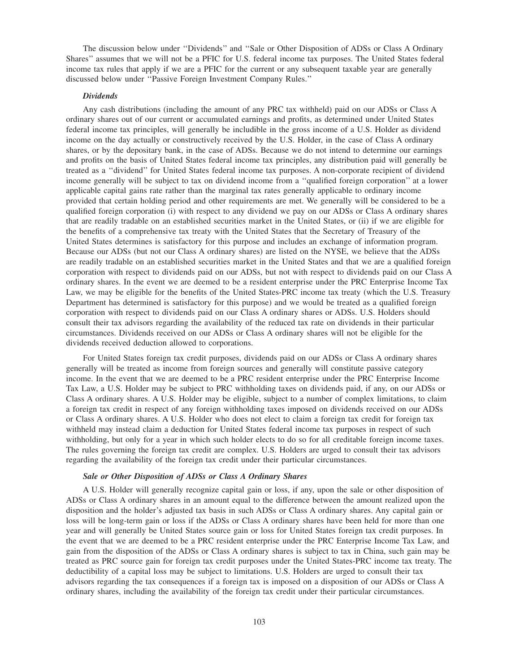The discussion below under ''Dividends'' and ''Sale or Other Disposition of ADSs or Class A Ordinary Shares" assumes that we will not be a PFIC for U.S. federal income tax purposes. The United States federal income tax rules that apply if we are a PFIC for the current or any subsequent taxable year are generally discussed below under ''Passive Foreign Investment Company Rules.''

### *Dividends*

Any cash distributions (including the amount of any PRC tax withheld) paid on our ADSs or Class A ordinary shares out of our current or accumulated earnings and profits, as determined under United States federal income tax principles, will generally be includible in the gross income of a U.S. Holder as dividend income on the day actually or constructively received by the U.S. Holder, in the case of Class A ordinary shares, or by the depositary bank, in the case of ADSs. Because we do not intend to determine our earnings and profits on the basis of United States federal income tax principles, any distribution paid will generally be treated as a ''dividend'' for United States federal income tax purposes. A non-corporate recipient of dividend income generally will be subject to tax on dividend income from a ''qualified foreign corporation'' at a lower applicable capital gains rate rather than the marginal tax rates generally applicable to ordinary income provided that certain holding period and other requirements are met. We generally will be considered to be a qualified foreign corporation (i) with respect to any dividend we pay on our ADSs or Class A ordinary shares that are readily tradable on an established securities market in the United States, or (ii) if we are eligible for the benefits of a comprehensive tax treaty with the United States that the Secretary of Treasury of the United States determines is satisfactory for this purpose and includes an exchange of information program. Because our ADSs (but not our Class A ordinary shares) are listed on the NYSE, we believe that the ADSs are readily tradable on an established securities market in the United States and that we are a qualified foreign corporation with respect to dividends paid on our ADSs, but not with respect to dividends paid on our Class A ordinary shares. In the event we are deemed to be a resident enterprise under the PRC Enterprise Income Tax Law, we may be eligible for the benefits of the United States-PRC income tax treaty (which the U.S. Treasury Department has determined is satisfactory for this purpose) and we would be treated as a qualified foreign corporation with respect to dividends paid on our Class A ordinary shares or ADSs. U.S. Holders should consult their tax advisors regarding the availability of the reduced tax rate on dividends in their particular circumstances. Dividends received on our ADSs or Class A ordinary shares will not be eligible for the dividends received deduction allowed to corporations.

For United States foreign tax credit purposes, dividends paid on our ADSs or Class A ordinary shares generally will be treated as income from foreign sources and generally will constitute passive category income. In the event that we are deemed to be a PRC resident enterprise under the PRC Enterprise Income Tax Law, a U.S. Holder may be subject to PRC withholding taxes on dividends paid, if any, on our ADSs or Class A ordinary shares. A U.S. Holder may be eligible, subject to a number of complex limitations, to claim a foreign tax credit in respect of any foreign withholding taxes imposed on dividends received on our ADSs or Class A ordinary shares. A U.S. Holder who does not elect to claim a foreign tax credit for foreign tax withheld may instead claim a deduction for United States federal income tax purposes in respect of such withholding, but only for a year in which such holder elects to do so for all creditable foreign income taxes. The rules governing the foreign tax credit are complex. U.S. Holders are urged to consult their tax advisors regarding the availability of the foreign tax credit under their particular circumstances.

### *Sale or Other Disposition of ADSs or Class A Ordinary Shares*

A U.S. Holder will generally recognize capital gain or loss, if any, upon the sale or other disposition of ADSs or Class A ordinary shares in an amount equal to the difference between the amount realized upon the disposition and the holder's adjusted tax basis in such ADSs or Class A ordinary shares. Any capital gain or loss will be long-term gain or loss if the ADSs or Class A ordinary shares have been held for more than one year and will generally be United States source gain or loss for United States foreign tax credit purposes. In the event that we are deemed to be a PRC resident enterprise under the PRC Enterprise Income Tax Law, and gain from the disposition of the ADSs or Class A ordinary shares is subject to tax in China, such gain may be treated as PRC source gain for foreign tax credit purposes under the United States-PRC income tax treaty. The deductibility of a capital loss may be subject to limitations. U.S. Holders are urged to consult their tax advisors regarding the tax consequences if a foreign tax is imposed on a disposition of our ADSs or Class A ordinary shares, including the availability of the foreign tax credit under their particular circumstances.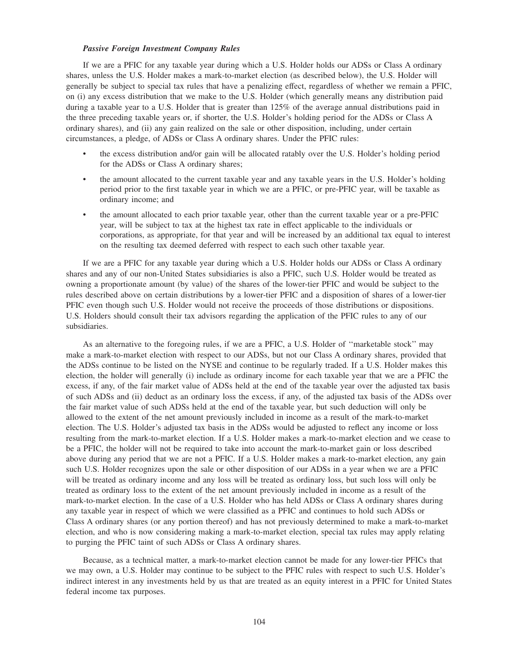### *Passive Foreign Investment Company Rules*

If we are a PFIC for any taxable year during which a U.S. Holder holds our ADSs or Class A ordinary shares, unless the U.S. Holder makes a mark-to-market election (as described below), the U.S. Holder will generally be subject to special tax rules that have a penalizing effect, regardless of whether we remain a PFIC, on (i) any excess distribution that we make to the U.S. Holder (which generally means any distribution paid during a taxable year to a U.S. Holder that is greater than 125% of the average annual distributions paid in the three preceding taxable years or, if shorter, the U.S. Holder's holding period for the ADSs or Class A ordinary shares), and (ii) any gain realized on the sale or other disposition, including, under certain circumstances, a pledge, of ADSs or Class A ordinary shares. Under the PFIC rules:

- the excess distribution and/or gain will be allocated ratably over the U.S. Holder's holding period for the ADSs or Class A ordinary shares;
- the amount allocated to the current taxable year and any taxable years in the U.S. Holder's holding period prior to the first taxable year in which we are a PFIC, or pre-PFIC year, will be taxable as ordinary income; and
- the amount allocated to each prior taxable year, other than the current taxable year or a pre-PFIC year, will be subject to tax at the highest tax rate in effect applicable to the individuals or corporations, as appropriate, for that year and will be increased by an additional tax equal to interest on the resulting tax deemed deferred with respect to each such other taxable year.

If we are a PFIC for any taxable year during which a U.S. Holder holds our ADSs or Class A ordinary shares and any of our non-United States subsidiaries is also a PFIC, such U.S. Holder would be treated as owning a proportionate amount (by value) of the shares of the lower-tier PFIC and would be subject to the rules described above on certain distributions by a lower-tier PFIC and a disposition of shares of a lower-tier PFIC even though such U.S. Holder would not receive the proceeds of those distributions or dispositions. U.S. Holders should consult their tax advisors regarding the application of the PFIC rules to any of our subsidiaries.

As an alternative to the foregoing rules, if we are a PFIC, a U.S. Holder of ''marketable stock'' may make a mark-to-market election with respect to our ADSs, but not our Class A ordinary shares, provided that the ADSs continue to be listed on the NYSE and continue to be regularly traded. If a U.S. Holder makes this election, the holder will generally (i) include as ordinary income for each taxable year that we are a PFIC the excess, if any, of the fair market value of ADSs held at the end of the taxable year over the adjusted tax basis of such ADSs and (ii) deduct as an ordinary loss the excess, if any, of the adjusted tax basis of the ADSs over the fair market value of such ADSs held at the end of the taxable year, but such deduction will only be allowed to the extent of the net amount previously included in income as a result of the mark-to-market election. The U.S. Holder's adjusted tax basis in the ADSs would be adjusted to reflect any income or loss resulting from the mark-to-market election. If a U.S. Holder makes a mark-to-market election and we cease to be a PFIC, the holder will not be required to take into account the mark-to-market gain or loss described above during any period that we are not a PFIC. If a U.S. Holder makes a mark-to-market election, any gain such U.S. Holder recognizes upon the sale or other disposition of our ADSs in a year when we are a PFIC will be treated as ordinary income and any loss will be treated as ordinary loss, but such loss will only be treated as ordinary loss to the extent of the net amount previously included in income as a result of the mark-to-market election. In the case of a U.S. Holder who has held ADSs or Class A ordinary shares during any taxable year in respect of which we were classified as a PFIC and continues to hold such ADSs or Class A ordinary shares (or any portion thereof) and has not previously determined to make a mark-to-market election, and who is now considering making a mark-to-market election, special tax rules may apply relating to purging the PFIC taint of such ADSs or Class A ordinary shares.

Because, as a technical matter, a mark-to-market election cannot be made for any lower-tier PFICs that we may own, a U.S. Holder may continue to be subject to the PFIC rules with respect to such U.S. Holder's indirect interest in any investments held by us that are treated as an equity interest in a PFIC for United States federal income tax purposes.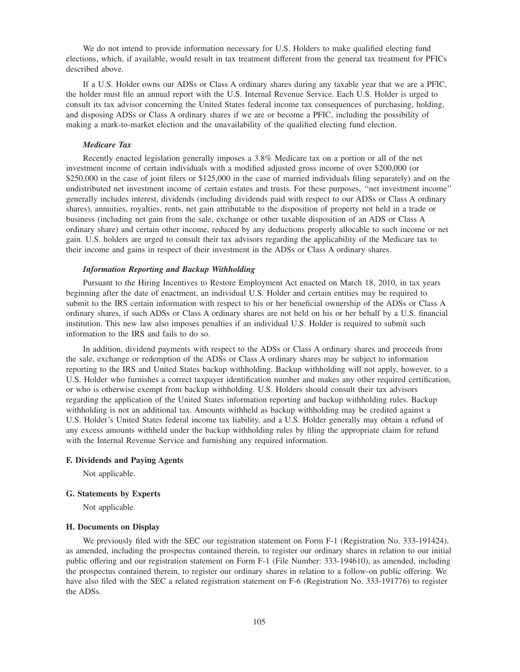We do not intend to provide information necessary for U.S. Holders to make qualified electing fund elections, which, if available, would result in tax treatment different from the general tax treatment for PFICs described above.

If a U.S. Holder owns our ADSs or Class A ordinary shares during any taxable year that we are a PFIC, the holder must file an annual report with the U.S. Internal Revenue Service. Each U.S. Holder is urged to consult its tax advisor concerning the United States federal income tax consequences of purchasing, holding, and disposing ADSs or Class A ordinary shares if we are or become a PFIC, including the possibility of making a mark-to-market election and the unavailability of the qualified electing fund election.

#### *Medicare Tax*

Recently enacted legislation generally imposes a 3.8% Medicare tax on a portion or all of the net investment income of certain individuals with a modified adjusted gross income of over \$200,000 (or \$250,000 in the case of joint filers or \$125,000 in the case of married individuals filing separately) and on the undistributed net investment income of certain estates and trusts. For these purposes, ''net investment income'' generally includes interest, dividends (including dividends paid with respect to our ADSs or Class A ordinary shares), annuities, royalties, rents, net gain attributable to the disposition of property not held in a trade or business (including net gain from the sale, exchange or other taxable disposition of an ADS or Class A ordinary share) and certain other income, reduced by any deductions properly allocable to such income or net gain. U.S. holders are urged to consult their tax advisors regarding the applicability of the Medicare tax to their income and gains in respect of their investment in the ADSs or Class A ordinary shares.

## *Information Reporting and Backup Withholding*

Pursuant to the Hiring Incentives to Restore Employment Act enacted on March 18, 2010, in tax years beginning after the date of enactment, an individual U.S. Holder and certain entities may be required to submit to the IRS certain information with respect to his or her beneficial ownership of the ADSs or Class A ordinary shares, if such ADSs or Class A ordinary shares are not held on his or her behalf by a U.S. financial institution. This new law also imposes penalties if an individual U.S. Holder is required to submit such information to the IRS and fails to do so.

In addition, dividend payments with respect to the ADSs or Class A ordinary shares and proceeds from the sale, exchange or redemption of the ADSs or Class A ordinary shares may be subject to information reporting to the IRS and United States backup withholding. Backup withholding will not apply, however, to a U.S. Holder who furnishes a correct taxpayer identification number and makes any other required certification, or who is otherwise exempt from backup withholding. U.S. Holders should consult their tax advisors regarding the application of the United States information reporting and backup withholding rules. Backup withholding is not an additional tax. Amounts withheld as backup withholding may be credited against a U.S. Holder's United States federal income tax liability, and a U.S. Holder generally may obtain a refund of any excess amounts withheld under the backup withholding rules by filing the appropriate claim for refund with the Internal Revenue Service and furnishing any required information.

### **F. Dividends and Paying Agents**

Not applicable.

### **G. Statements by Experts**

Not applicable.

#### **H. Documents on Display**

We previously filed with the SEC our registration statement on Form F-1 (Registration No. 333-191424), as amended, including the prospectus contained therein, to register our ordinary shares in relation to our initial public offering and our registration statement on Form F-1 (File Number: 333-194610), as amended, including the prospectus contained therein, to register our ordinary shares in relation to a follow-on public offering. We have also filed with the SEC a related registration statement on F-6 (Registration No. 333-191776) to register the ADSs.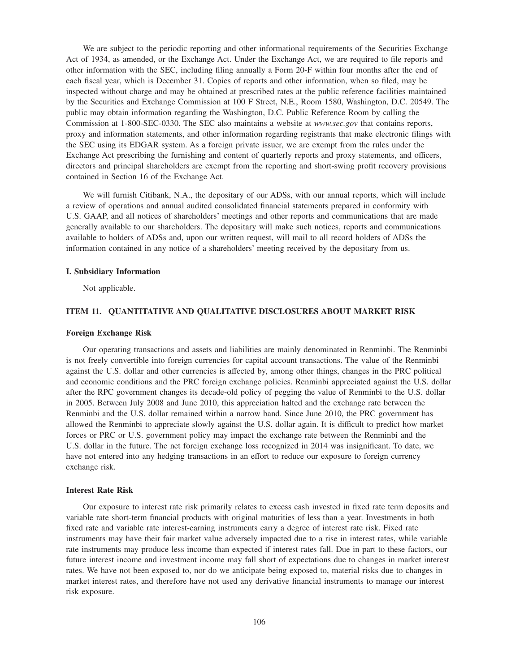We are subject to the periodic reporting and other informational requirements of the Securities Exchange Act of 1934, as amended, or the Exchange Act. Under the Exchange Act, we are required to file reports and other information with the SEC, including filing annually a Form 20-F within four months after the end of each fiscal year, which is December 31. Copies of reports and other information, when so filed, may be inspected without charge and may be obtained at prescribed rates at the public reference facilities maintained by the Securities and Exchange Commission at 100 F Street, N.E., Room 1580, Washington, D.C. 20549. The public may obtain information regarding the Washington, D.C. Public Reference Room by calling the Commission at 1-800-SEC-0330. The SEC also maintains a website at *www.sec.gov* that contains reports, proxy and information statements, and other information regarding registrants that make electronic filings with the SEC using its EDGAR system. As a foreign private issuer, we are exempt from the rules under the Exchange Act prescribing the furnishing and content of quarterly reports and proxy statements, and officers, directors and principal shareholders are exempt from the reporting and short-swing profit recovery provisions contained in Section 16 of the Exchange Act.

We will furnish Citibank, N.A., the depositary of our ADSs, with our annual reports, which will include a review of operations and annual audited consolidated financial statements prepared in conformity with U.S. GAAP, and all notices of shareholders' meetings and other reports and communications that are made generally available to our shareholders. The depositary will make such notices, reports and communications available to holders of ADSs and, upon our written request, will mail to all record holders of ADSs the information contained in any notice of a shareholders' meeting received by the depositary from us.

### **I. Subsidiary Information**

Not applicable.

## **ITEM 11. QUANTITATIVE AND QUALITATIVE DISCLOSURES ABOUT MARKET RISK**

#### **Foreign Exchange Risk**

Our operating transactions and assets and liabilities are mainly denominated in Renminbi. The Renminbi is not freely convertible into foreign currencies for capital account transactions. The value of the Renminbi against the U.S. dollar and other currencies is affected by, among other things, changes in the PRC political and economic conditions and the PRC foreign exchange policies. Renminbi appreciated against the U.S. dollar after the RPC government changes its decade-old policy of pegging the value of Renminbi to the U.S. dollar in 2005. Between July 2008 and June 2010, this appreciation halted and the exchange rate between the Renminbi and the U.S. dollar remained within a narrow band. Since June 2010, the PRC government has allowed the Renminbi to appreciate slowly against the U.S. dollar again. It is difficult to predict how market forces or PRC or U.S. government policy may impact the exchange rate between the Renminbi and the U.S. dollar in the future. The net foreign exchange loss recognized in 2014 was insignificant. To date, we have not entered into any hedging transactions in an effort to reduce our exposure to foreign currency exchange risk.

### **Interest Rate Risk**

Our exposure to interest rate risk primarily relates to excess cash invested in fixed rate term deposits and variable rate short-term financial products with original maturities of less than a year. Investments in both fixed rate and variable rate interest-earning instruments carry a degree of interest rate risk. Fixed rate instruments may have their fair market value adversely impacted due to a rise in interest rates, while variable rate instruments may produce less income than expected if interest rates fall. Due in part to these factors, our future interest income and investment income may fall short of expectations due to changes in market interest rates. We have not been exposed to, nor do we anticipate being exposed to, material risks due to changes in market interest rates, and therefore have not used any derivative financial instruments to manage our interest risk exposure.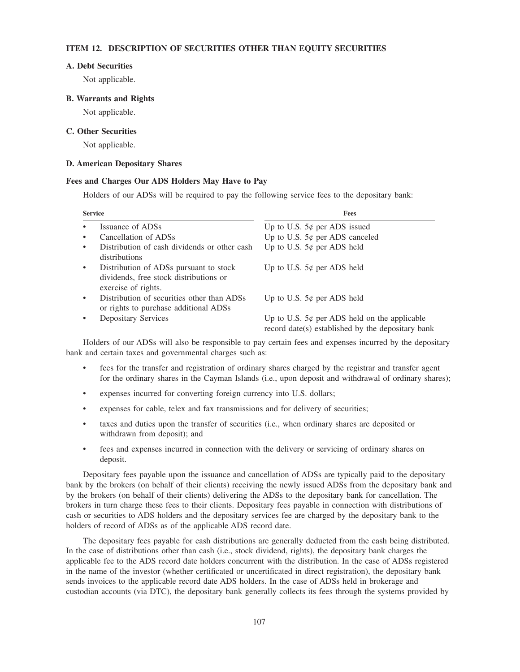## **A. Debt Securities**

Not applicable.

### **B. Warrants and Rights**

Not applicable.

# **C. Other Securities**

Not applicable.

### **D. American Depositary Shares**

### **Fees and Charges Our ADS Holders May Have to Pay**

Holders of our ADSs will be required to pay the following service fees to the depositary bank:

| <b>Service</b> |                                                                                                         | Fees                                                                                                |  |  |
|----------------|---------------------------------------------------------------------------------------------------------|-----------------------------------------------------------------------------------------------------|--|--|
|                | Issuance of ADSs                                                                                        | Up to U.S. $5¢$ per ADS issued                                                                      |  |  |
| ٠              | Cancellation of ADSs                                                                                    | Up to U.S. $5¢$ per ADS canceled                                                                    |  |  |
| $\bullet$      | Distribution of cash dividends or other cash<br>distributions                                           | Up to U.S. $5¢$ per ADS held                                                                        |  |  |
| $\bullet$      | Distribution of ADSs pursuant to stock<br>dividends, free stock distributions or<br>exercise of rights. | Up to U.S. $5¢$ per ADS held                                                                        |  |  |
| $\bullet$      | Distribution of securities other than ADSs<br>or rights to purchase additional ADSs                     | Up to U.S. $5¢$ per ADS held                                                                        |  |  |
|                | Depositary Services                                                                                     | Up to U.S. $5¢$ per ADS held on the applicable<br>record date(s) established by the depositary bank |  |  |

Holders of our ADSs will also be responsible to pay certain fees and expenses incurred by the depositary bank and certain taxes and governmental charges such as:

- fees for the transfer and registration of ordinary shares charged by the registrar and transfer agent for the ordinary shares in the Cayman Islands (i.e., upon deposit and withdrawal of ordinary shares);
- expenses incurred for converting foreign currency into U.S. dollars;
- expenses for cable, telex and fax transmissions and for delivery of securities;
- taxes and duties upon the transfer of securities (i.e., when ordinary shares are deposited or withdrawn from deposit); and
- fees and expenses incurred in connection with the delivery or servicing of ordinary shares on deposit.

Depositary fees payable upon the issuance and cancellation of ADSs are typically paid to the depositary bank by the brokers (on behalf of their clients) receiving the newly issued ADSs from the depositary bank and by the brokers (on behalf of their clients) delivering the ADSs to the depositary bank for cancellation. The brokers in turn charge these fees to their clients. Depositary fees payable in connection with distributions of cash or securities to ADS holders and the depositary services fee are charged by the depositary bank to the holders of record of ADSs as of the applicable ADS record date.

The depositary fees payable for cash distributions are generally deducted from the cash being distributed. In the case of distributions other than cash (i.e., stock dividend, rights), the depositary bank charges the applicable fee to the ADS record date holders concurrent with the distribution. In the case of ADSs registered in the name of the investor (whether certificated or uncertificated in direct registration), the depositary bank sends invoices to the applicable record date ADS holders. In the case of ADSs held in brokerage and custodian accounts (via DTC), the depositary bank generally collects its fees through the systems provided by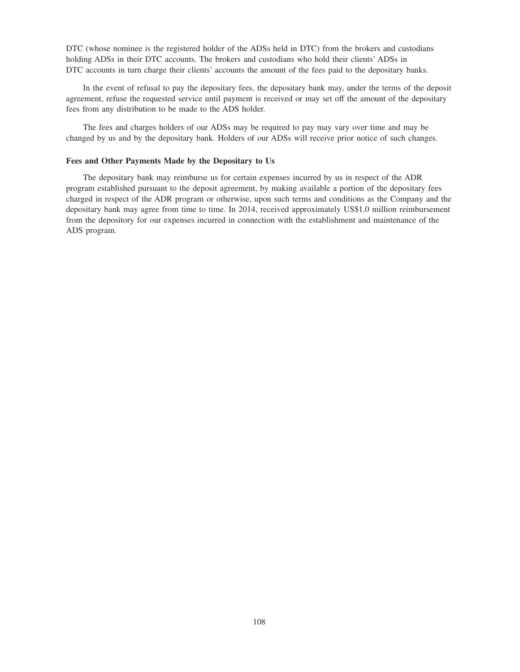DTC (whose nominee is the registered holder of the ADSs held in DTC) from the brokers and custodians holding ADSs in their DTC accounts. The brokers and custodians who hold their clients' ADSs in DTC accounts in turn charge their clients' accounts the amount of the fees paid to the depositary banks.

In the event of refusal to pay the depositary fees, the depositary bank may, under the terms of the deposit agreement, refuse the requested service until payment is received or may set off the amount of the depositary fees from any distribution to be made to the ADS holder.

The fees and charges holders of our ADSs may be required to pay may vary over time and may be changed by us and by the depositary bank. Holders of our ADSs will receive prior notice of such changes.

## **Fees and Other Payments Made by the Depositary to Us**

The depositary bank may reimburse us for certain expenses incurred by us in respect of the ADR program established pursuant to the deposit agreement, by making available a portion of the depositary fees charged in respect of the ADR program or otherwise, upon such terms and conditions as the Company and the depositary bank may agree from time to time. In 2014, received approximately US\$1.0 million reimbursement from the depository for our expenses incurred in connection with the establishment and maintenance of the ADS program.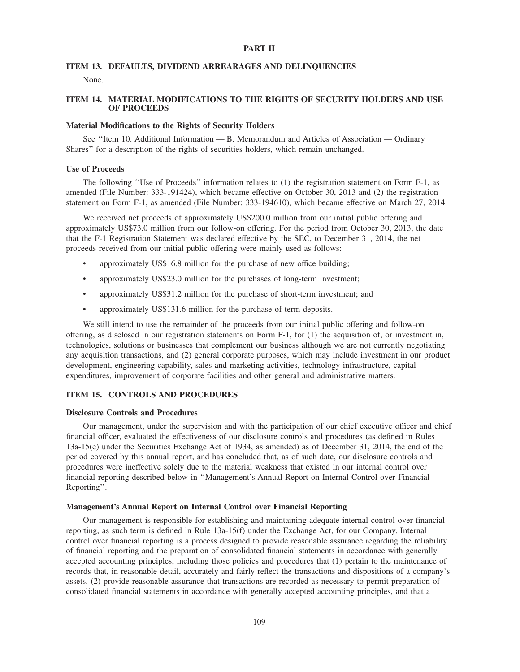## **PART II**

## **ITEM 13. DEFAULTS, DIVIDEND ARREARAGES AND DELINQUENCIES**

None.

# **ITEM 14. MATERIAL MODIFICATIONS TO THE RIGHTS OF SECURITY HOLDERS AND USE OF PROCEEDS**

# **Material Modifications to the Rights of Security Holders**

See ''Item 10. Additional Information — B. Memorandum and Articles of Association — Ordinary Shares'' for a description of the rights of securities holders, which remain unchanged.

## **Use of Proceeds**

The following "Use of Proceeds" information relates to (1) the registration statement on Form F-1, as amended (File Number: 333-191424), which became effective on October 30, 2013 and (2) the registration statement on Form F-1, as amended (File Number: 333-194610), which became effective on March 27, 2014.

We received net proceeds of approximately US\$200.0 million from our initial public offering and approximately US\$73.0 million from our follow-on offering. For the period from October 30, 2013, the date that the F-1 Registration Statement was declared effective by the SEC, to December 31, 2014, the net proceeds received from our initial public offering were mainly used as follows:

- approximately US\$16.8 million for the purchase of new office building;
- approximately US\$23.0 million for the purchases of long-term investment;
- approximately US\$31.2 million for the purchase of short-term investment; and
- approximately US\$131.6 million for the purchase of term deposits.

We still intend to use the remainder of the proceeds from our initial public offering and follow-on offering, as disclosed in our registration statements on Form F-1, for (1) the acquisition of, or investment in, technologies, solutions or businesses that complement our business although we are not currently negotiating any acquisition transactions, and (2) general corporate purposes, which may include investment in our product development, engineering capability, sales and marketing activities, technology infrastructure, capital expenditures, improvement of corporate facilities and other general and administrative matters.

### **ITEM 15. CONTROLS AND PROCEDURES**

#### **Disclosure Controls and Procedures**

Our management, under the supervision and with the participation of our chief executive officer and chief financial officer, evaluated the effectiveness of our disclosure controls and procedures (as defined in Rules 13a-15(e) under the Securities Exchange Act of 1934, as amended) as of December 31, 2014, the end of the period covered by this annual report, and has concluded that, as of such date, our disclosure controls and procedures were ineffective solely due to the material weakness that existed in our internal control over financial reporting described below in ''Management's Annual Report on Internal Control over Financial Reporting''.

#### **Management's Annual Report on Internal Control over Financial Reporting**

Our management is responsible for establishing and maintaining adequate internal control over financial reporting, as such term is defined in Rule 13a-15(f) under the Exchange Act, for our Company. Internal control over financial reporting is a process designed to provide reasonable assurance regarding the reliability of financial reporting and the preparation of consolidated financial statements in accordance with generally accepted accounting principles, including those policies and procedures that (1) pertain to the maintenance of records that, in reasonable detail, accurately and fairly reflect the transactions and dispositions of a company's assets, (2) provide reasonable assurance that transactions are recorded as necessary to permit preparation of consolidated financial statements in accordance with generally accepted accounting principles, and that a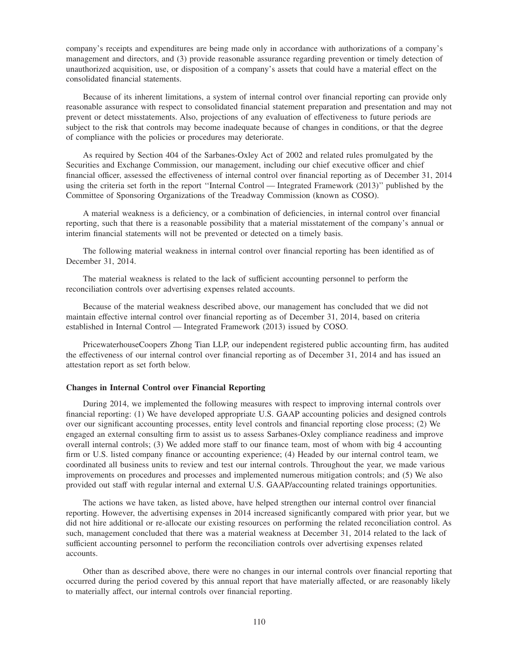company's receipts and expenditures are being made only in accordance with authorizations of a company's management and directors, and (3) provide reasonable assurance regarding prevention or timely detection of unauthorized acquisition, use, or disposition of a company's assets that could have a material effect on the consolidated financial statements.

Because of its inherent limitations, a system of internal control over financial reporting can provide only reasonable assurance with respect to consolidated financial statement preparation and presentation and may not prevent or detect misstatements. Also, projections of any evaluation of effectiveness to future periods are subject to the risk that controls may become inadequate because of changes in conditions, or that the degree of compliance with the policies or procedures may deteriorate.

As required by Section 404 of the Sarbanes-Oxley Act of 2002 and related rules promulgated by the Securities and Exchange Commission, our management, including our chief executive officer and chief financial officer, assessed the effectiveness of internal control over financial reporting as of December 31, 2014 using the criteria set forth in the report ''Internal Control — Integrated Framework (2013)'' published by the Committee of Sponsoring Organizations of the Treadway Commission (known as COSO).

A material weakness is a deficiency, or a combination of deficiencies, in internal control over financial reporting, such that there is a reasonable possibility that a material misstatement of the company's annual or interim financial statements will not be prevented or detected on a timely basis.

The following material weakness in internal control over financial reporting has been identified as of December 31, 2014.

The material weakness is related to the lack of sufficient accounting personnel to perform the reconciliation controls over advertising expenses related accounts.

Because of the material weakness described above, our management has concluded that we did not maintain effective internal control over financial reporting as of December 31, 2014, based on criteria established in Internal Control — Integrated Framework (2013) issued by COSO.

PricewaterhouseCoopers Zhong Tian LLP, our independent registered public accounting firm, has audited the effectiveness of our internal control over financial reporting as of December 31, 2014 and has issued an attestation report as set forth below.

### **Changes in Internal Control over Financial Reporting**

During 2014, we implemented the following measures with respect to improving internal controls over financial reporting: (1) We have developed appropriate U.S. GAAP accounting policies and designed controls over our significant accounting processes, entity level controls and financial reporting close process; (2) We engaged an external consulting firm to assist us to assess Sarbanes-Oxley compliance readiness and improve overall internal controls; (3) We added more staff to our finance team, most of whom with big 4 accounting firm or U.S. listed company finance or accounting experience; (4) Headed by our internal control team, we coordinated all business units to review and test our internal controls. Throughout the year, we made various improvements on procedures and processes and implemented numerous mitigation controls; and (5) We also provided out staff with regular internal and external U.S. GAAP/accounting related trainings opportunities.

The actions we have taken, as listed above, have helped strengthen our internal control over financial reporting. However, the advertising expenses in 2014 increased significantly compared with prior year, but we did not hire additional or re-allocate our existing resources on performing the related reconciliation control. As such, management concluded that there was a material weakness at December 31, 2014 related to the lack of sufficient accounting personnel to perform the reconciliation controls over advertising expenses related accounts.

Other than as described above, there were no changes in our internal controls over financial reporting that occurred during the period covered by this annual report that have materially affected, or are reasonably likely to materially affect, our internal controls over financial reporting.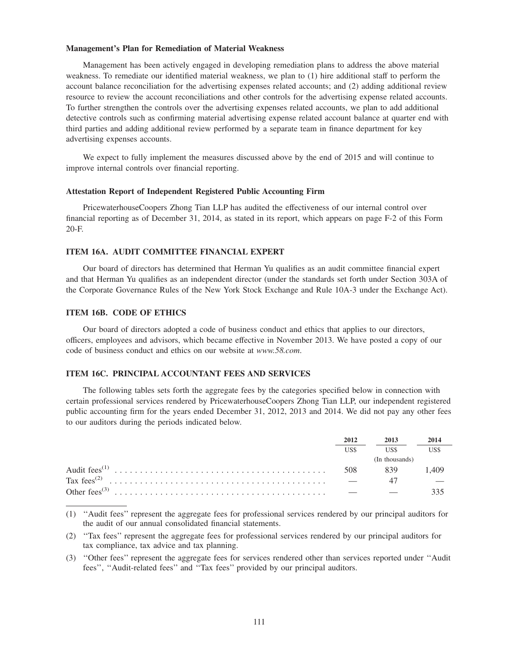#### **Management's Plan for Remediation of Material Weakness**

Management has been actively engaged in developing remediation plans to address the above material weakness. To remediate our identified material weakness, we plan to (1) hire additional staff to perform the account balance reconciliation for the advertising expenses related accounts; and (2) adding additional review resource to review the account reconciliations and other controls for the advertising expense related accounts. To further strengthen the controls over the advertising expenses related accounts, we plan to add additional detective controls such as confirming material advertising expense related account balance at quarter end with third parties and adding additional review performed by a separate team in finance department for key advertising expenses accounts.

We expect to fully implement the measures discussed above by the end of 2015 and will continue to improve internal controls over financial reporting.

### **Attestation Report of Independent Registered Public Accounting Firm**

PricewaterhouseCoopers Zhong Tian LLP has audited the effectiveness of our internal control over financial reporting as of December 31, 2014, as stated in its report, which appears on page F-2 of this Form 20-F.

## **ITEM 16A. AUDIT COMMITTEE FINANCIAL EXPERT**

Our board of directors has determined that Herman Yu qualifies as an audit committee financial expert and that Herman Yu qualifies as an independent director (under the standards set forth under Section 303A of the Corporate Governance Rules of the New York Stock Exchange and Rule 10A-3 under the Exchange Act).

# **ITEM 16B. CODE OF ETHICS**

Our board of directors adopted a code of business conduct and ethics that applies to our directors, officers, employees and advisors, which became effective in November 2013. We have posted a copy of our code of business conduct and ethics on our website at *www.58.com*.

# **ITEM 16C. PRINCIPAL ACCOUNTANT FEES AND SERVICES**

The following tables sets forth the aggregate fees by the categories specified below in connection with certain professional services rendered by PricewaterhouseCoopers Zhong Tian LLP, our independent registered public accounting firm for the years ended December 31, 2012, 2013 and 2014. We did not pay any other fees to our auditors during the periods indicated below.

| 2012  | 2013           |       |
|-------|----------------|-------|
| I ISS | <b>TISS</b>    | LIS\$ |
|       | (In thousands) |       |
| 508   | 839            |       |
|       |                |       |
|       |                |       |

<sup>(1) &#</sup>x27;'Audit fees'' represent the aggregate fees for professional services rendered by our principal auditors for the audit of our annual consolidated financial statements.

<sup>(2) &#</sup>x27;'Tax fees'' represent the aggregate fees for professional services rendered by our principal auditors for tax compliance, tax advice and tax planning.

<sup>(3) &#</sup>x27;'Other fees'' represent the aggregate fees for services rendered other than services reported under ''Audit fees'', ''Audit-related fees'' and ''Tax fees'' provided by our principal auditors.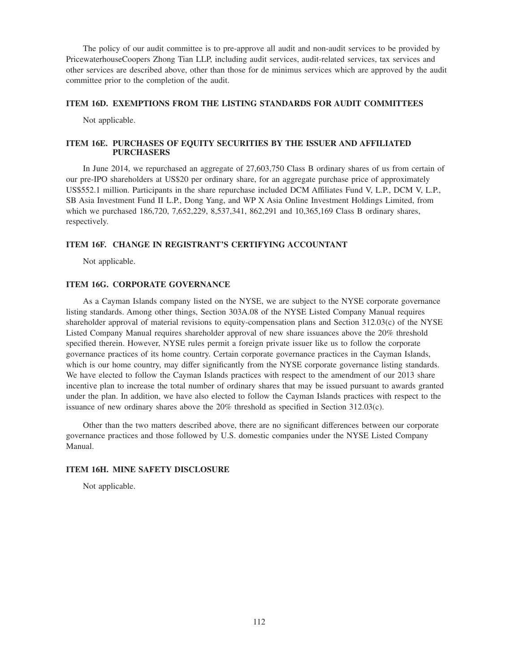The policy of our audit committee is to pre-approve all audit and non-audit services to be provided by PricewaterhouseCoopers Zhong Tian LLP, including audit services, audit-related services, tax services and other services are described above, other than those for de minimus services which are approved by the audit committee prior to the completion of the audit.

# **ITEM 16D. EXEMPTIONS FROM THE LISTING STANDARDS FOR AUDIT COMMITTEES**

Not applicable.

# **ITEM 16E. PURCHASES OF EQUITY SECURITIES BY THE ISSUER AND AFFILIATED PURCHASERS**

In June 2014, we repurchased an aggregate of 27,603,750 Class B ordinary shares of us from certain of our pre-IPO shareholders at US\$20 per ordinary share, for an aggregate purchase price of approximately US\$552.1 million. Participants in the share repurchase included DCM Affiliates Fund V, L.P., DCM V, L.P., SB Asia Investment Fund II L.P., Dong Yang, and WP X Asia Online Investment Holdings Limited, from which we purchased 186,720, 7,652,229, 8,537,341, 862,291 and 10,365,169 Class B ordinary shares, respectively.

# **ITEM 16F. CHANGE IN REGISTRANT'S CERTIFYING ACCOUNTANT**

Not applicable.

# **ITEM 16G. CORPORATE GOVERNANCE**

As a Cayman Islands company listed on the NYSE, we are subject to the NYSE corporate governance listing standards. Among other things, Section 303A.08 of the NYSE Listed Company Manual requires shareholder approval of material revisions to equity-compensation plans and Section 312.03(c) of the NYSE Listed Company Manual requires shareholder approval of new share issuances above the 20% threshold specified therein. However, NYSE rules permit a foreign private issuer like us to follow the corporate governance practices of its home country. Certain corporate governance practices in the Cayman Islands, which is our home country, may differ significantly from the NYSE corporate governance listing standards. We have elected to follow the Cayman Islands practices with respect to the amendment of our 2013 share incentive plan to increase the total number of ordinary shares that may be issued pursuant to awards granted under the plan. In addition, we have also elected to follow the Cayman Islands practices with respect to the issuance of new ordinary shares above the 20% threshold as specified in Section 312.03(c).

Other than the two matters described above, there are no significant differences between our corporate governance practices and those followed by U.S. domestic companies under the NYSE Listed Company Manual.

# **ITEM 16H. MINE SAFETY DISCLOSURE**

Not applicable.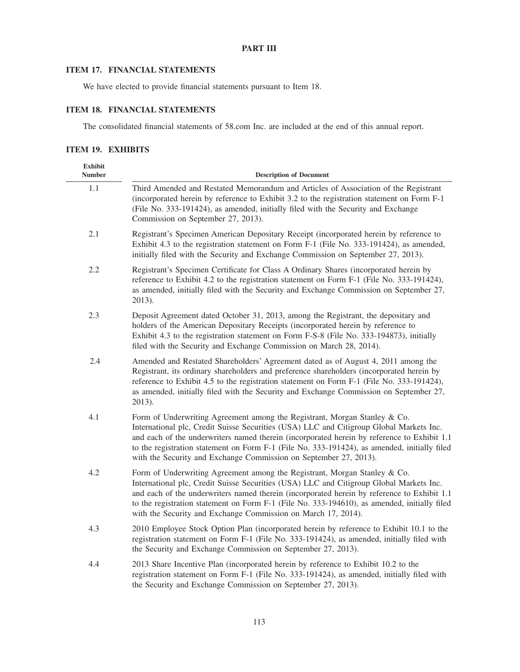# **PART III**

# **ITEM 17. FINANCIAL STATEMENTS**

We have elected to provide financial statements pursuant to Item 18.

# **ITEM 18. FINANCIAL STATEMENTS**

The consolidated financial statements of 58.com Inc. are included at the end of this annual report.

# **ITEM 19. EXHIBITS**

| <b>Exhibit</b><br><b>Number</b> | <b>Description of Document</b>                                                                                                                                                                                                                                                                                                                                                                                                           |
|---------------------------------|------------------------------------------------------------------------------------------------------------------------------------------------------------------------------------------------------------------------------------------------------------------------------------------------------------------------------------------------------------------------------------------------------------------------------------------|
| 1.1                             | Third Amended and Restated Memorandum and Articles of Association of the Registrant<br>(incorporated herein by reference to Exhibit 3.2 to the registration statement on Form F-1<br>(File No. 333-191424), as amended, initially filed with the Security and Exchange<br>Commission on September 27, 2013).                                                                                                                             |
| 2.1                             | Registrant's Specimen American Depositary Receipt (incorporated herein by reference to<br>Exhibit 4.3 to the registration statement on Form F-1 (File No. 333-191424), as amended,<br>initially filed with the Security and Exchange Commission on September 27, 2013).                                                                                                                                                                  |
| 2.2                             | Registrant's Specimen Certificate for Class A Ordinary Shares (incorporated herein by<br>reference to Exhibit 4.2 to the registration statement on Form F-1 (File No. 333-191424),<br>as amended, initially filed with the Security and Exchange Commission on September 27,<br>2013).                                                                                                                                                   |
| 2.3                             | Deposit Agreement dated October 31, 2013, among the Registrant, the depositary and<br>holders of the American Depositary Receipts (incorporated herein by reference to<br>Exhibit 4.3 to the registration statement on Form F-S-8 (File No. 333-194873), initially<br>filed with the Security and Exchange Commission on March 28, 2014).                                                                                                |
| 2.4                             | Amended and Restated Shareholders' Agreement dated as of August 4, 2011 among the<br>Registrant, its ordinary shareholders and preference shareholders (incorporated herein by<br>reference to Exhibit 4.5 to the registration statement on Form F-1 (File No. 333-191424),<br>as amended, initially filed with the Security and Exchange Commission on September 27,<br>2013).                                                          |
| 4.1                             | Form of Underwriting Agreement among the Registrant, Morgan Stanley & Co.<br>International plc, Credit Suisse Securities (USA) LLC and Citigroup Global Markets Inc.<br>and each of the underwriters named therein (incorporated herein by reference to Exhibit 1.1<br>to the registration statement on Form F-1 (File No. 333-191424), as amended, initially filed<br>with the Security and Exchange Commission on September 27, 2013). |
| 4.2                             | Form of Underwriting Agreement among the Registrant, Morgan Stanley & Co.<br>International plc, Credit Suisse Securities (USA) LLC and Citigroup Global Markets Inc.<br>and each of the underwriters named therein (incorporated herein by reference to Exhibit 1.1<br>to the registration statement on Form F-1 (File No. 333-194610), as amended, initially filed<br>with the Security and Exchange Commission on March 17, 2014).     |
| 4.3                             | 2010 Employee Stock Option Plan (incorporated herein by reference to Exhibit 10.1 to the<br>registration statement on Form F-1 (File No. 333-191424), as amended, initially filed with<br>the Security and Exchange Commission on September 27, 2013).                                                                                                                                                                                   |
| 4.4                             | 2013 Share Incentive Plan (incorporated herein by reference to Exhibit 10.2 to the<br>registration statement on Form F-1 (File No. 333-191424), as amended, initially filed with<br>the Security and Exchange Commission on September 27, 2013).                                                                                                                                                                                         |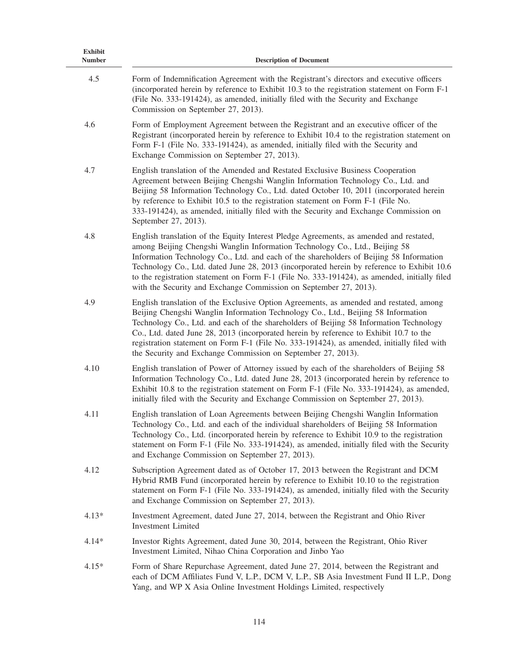| <b>Exhibit</b><br><b>Number</b> | <b>Description of Document</b>                                                                                                                                                                                                                                                                                                                                                                                                                                                                                                      |  |  |  |  |
|---------------------------------|-------------------------------------------------------------------------------------------------------------------------------------------------------------------------------------------------------------------------------------------------------------------------------------------------------------------------------------------------------------------------------------------------------------------------------------------------------------------------------------------------------------------------------------|--|--|--|--|
| 4.5                             | Form of Indemnification Agreement with the Registrant's directors and executive officers<br>(incorporated herein by reference to Exhibit 10.3 to the registration statement on Form F-1<br>(File No. 333-191424), as amended, initially filed with the Security and Exchange<br>Commission on September 27, 2013).                                                                                                                                                                                                                  |  |  |  |  |
| 4.6                             | Form of Employment Agreement between the Registrant and an executive officer of the<br>Registrant (incorporated herein by reference to Exhibit 10.4 to the registration statement on<br>Form F-1 (File No. 333-191424), as amended, initially filed with the Security and<br>Exchange Commission on September 27, 2013).                                                                                                                                                                                                            |  |  |  |  |
| 4.7                             | English translation of the Amended and Restated Exclusive Business Cooperation<br>Agreement between Beijing Chengshi Wanglin Information Technology Co., Ltd. and<br>Beijing 58 Information Technology Co., Ltd. dated October 10, 2011 (incorporated herein<br>by reference to Exhibit 10.5 to the registration statement on Form F-1 (File No.<br>333-191424), as amended, initially filed with the Security and Exchange Commission on<br>September 27, 2013).                                                                   |  |  |  |  |
| 4.8                             | English translation of the Equity Interest Pledge Agreements, as amended and restated,<br>among Beijing Chengshi Wanglin Information Technology Co., Ltd., Beijing 58<br>Information Technology Co., Ltd. and each of the shareholders of Beijing 58 Information<br>Technology Co., Ltd. dated June 28, 2013 (incorporated herein by reference to Exhibit 10.6<br>to the registration statement on Form F-1 (File No. 333-191424), as amended, initially filed<br>with the Security and Exchange Commission on September 27, 2013). |  |  |  |  |
| 4.9                             | English translation of the Exclusive Option Agreements, as amended and restated, among<br>Beijing Chengshi Wanglin Information Technology Co., Ltd., Beijing 58 Information<br>Technology Co., Ltd. and each of the shareholders of Beijing 58 Information Technology<br>Co., Ltd. dated June 28, 2013 (incorporated herein by reference to Exhibit 10.7 to the<br>registration statement on Form F-1 (File No. 333-191424), as amended, initially filed with<br>the Security and Exchange Commission on September 27, 2013).       |  |  |  |  |
| 4.10                            | English translation of Power of Attorney issued by each of the shareholders of Beijing 58<br>Information Technology Co., Ltd. dated June 28, 2013 (incorporated herein by reference to<br>Exhibit 10.8 to the registration statement on Form F-1 (File No. 333-191424), as amended,<br>initially filed with the Security and Exchange Commission on September 27, 2013).                                                                                                                                                            |  |  |  |  |
| 4.11                            | English translation of Loan Agreements between Beijing Chengshi Wanglin Information<br>Technology Co., Ltd. and each of the individual shareholders of Beijing 58 Information<br>Technology Co., Ltd. (incorporated herein by reference to Exhibit 10.9 to the registration<br>statement on Form F-1 (File No. 333-191424), as amended, initially filed with the Security<br>and Exchange Commission on September 27, 2013).                                                                                                        |  |  |  |  |
| 4.12                            | Subscription Agreement dated as of October 17, 2013 between the Registrant and DCM<br>Hybrid RMB Fund (incorporated herein by reference to Exhibit 10.10 to the registration<br>statement on Form F-1 (File No. 333-191424), as amended, initially filed with the Security<br>and Exchange Commission on September 27, 2013).                                                                                                                                                                                                       |  |  |  |  |
| $4.13*$                         | Investment Agreement, dated June 27, 2014, between the Registrant and Ohio River<br><b>Investment Limited</b>                                                                                                                                                                                                                                                                                                                                                                                                                       |  |  |  |  |
| $4.14*$                         | Investor Rights Agreement, dated June 30, 2014, between the Registrant, Ohio River<br>Investment Limited, Nihao China Corporation and Jinbo Yao                                                                                                                                                                                                                                                                                                                                                                                     |  |  |  |  |
| $4.15*$                         | Form of Share Repurchase Agreement, dated June 27, 2014, between the Registrant and<br>each of DCM Affiliates Fund V, L.P., DCM V, L.P., SB Asia Investment Fund II L.P., Dong<br>Yang, and WP X Asia Online Investment Holdings Limited, respectively                                                                                                                                                                                                                                                                              |  |  |  |  |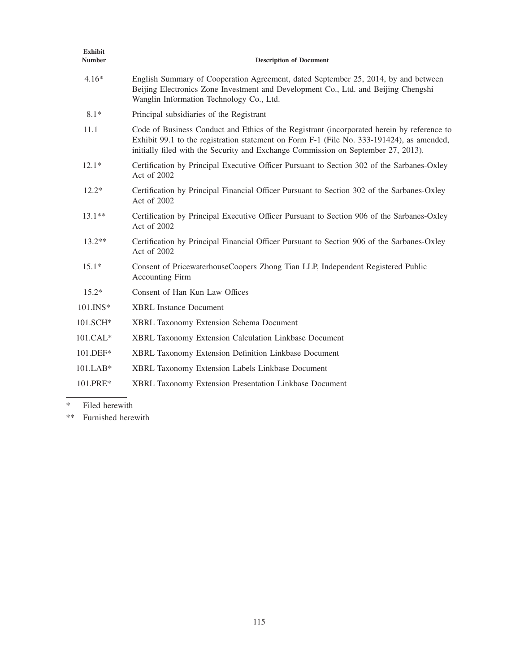| <b>Exhibit</b><br><b>Number</b> | <b>Description of Document</b>                                                                                                                                                                                                                                               |  |  |  |  |  |
|---------------------------------|------------------------------------------------------------------------------------------------------------------------------------------------------------------------------------------------------------------------------------------------------------------------------|--|--|--|--|--|
| $4.16*$                         | English Summary of Cooperation Agreement, dated September 25, 2014, by and between<br>Beijing Electronics Zone Investment and Development Co., Ltd. and Beijing Chengshi<br>Wanglin Information Technology Co., Ltd.                                                         |  |  |  |  |  |
| $8.1*$                          | Principal subsidiaries of the Registrant                                                                                                                                                                                                                                     |  |  |  |  |  |
| 11.1                            | Code of Business Conduct and Ethics of the Registrant (incorporated herein by reference to<br>Exhibit 99.1 to the registration statement on Form F-1 (File No. 333-191424), as amended,<br>initially filed with the Security and Exchange Commission on September 27, 2013). |  |  |  |  |  |
| $12.1*$                         | Certification by Principal Executive Officer Pursuant to Section 302 of the Sarbanes-Oxley<br>Act of 2002                                                                                                                                                                    |  |  |  |  |  |
| $12.2*$                         | Certification by Principal Financial Officer Pursuant to Section 302 of the Sarbanes-Oxley<br>Act of 2002                                                                                                                                                                    |  |  |  |  |  |
| $13.1**$                        | Certification by Principal Executive Officer Pursuant to Section 906 of the Sarbanes-Oxley<br>Act of 2002                                                                                                                                                                    |  |  |  |  |  |
| $13.2**$                        | Certification by Principal Financial Officer Pursuant to Section 906 of the Sarbanes-Oxley<br>Act of 2002                                                                                                                                                                    |  |  |  |  |  |
| $15.1*$                         | Consent of PricewaterhouseCoopers Zhong Tian LLP, Independent Registered Public<br><b>Accounting Firm</b>                                                                                                                                                                    |  |  |  |  |  |
| $15.2*$                         | Consent of Han Kun Law Offices                                                                                                                                                                                                                                               |  |  |  |  |  |
| $101.INS*$                      | <b>XBRL</b> Instance Document                                                                                                                                                                                                                                                |  |  |  |  |  |
| 101.SCH*                        | XBRL Taxonomy Extension Schema Document                                                                                                                                                                                                                                      |  |  |  |  |  |
| $101.CAL*$                      | XBRL Taxonomy Extension Calculation Linkbase Document                                                                                                                                                                                                                        |  |  |  |  |  |
| 101.DEF*                        | XBRL Taxonomy Extension Definition Linkbase Document                                                                                                                                                                                                                         |  |  |  |  |  |
| $101.LAB*$                      | XBRL Taxonomy Extension Labels Linkbase Document                                                                                                                                                                                                                             |  |  |  |  |  |
| 101.PRE*                        | XBRL Taxonomy Extension Presentation Linkbase Document                                                                                                                                                                                                                       |  |  |  |  |  |

\* Filed herewith

\*\* Furnished herewith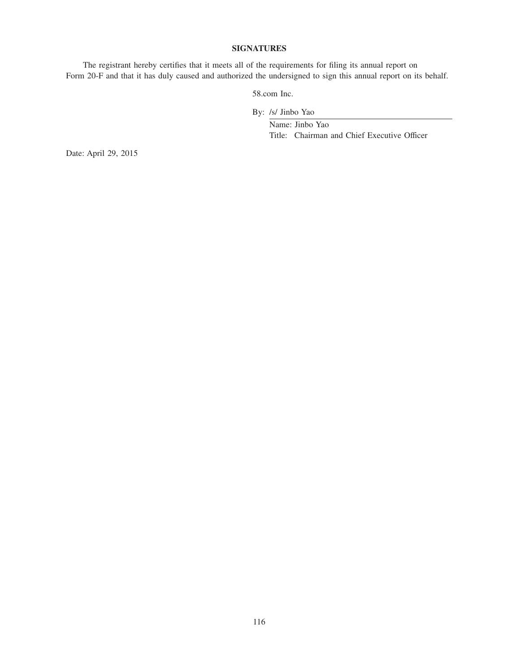# **SIGNATURES**

The registrant hereby certifies that it meets all of the requirements for filing its annual report on Form 20-F and that it has duly caused and authorized the undersigned to sign this annual report on its behalf.

58.com Inc.

By: /s/ Jinbo Yao

Name: Jinbo Yao Title: Chairman and Chief Executive Officer

Date: April 29, 2015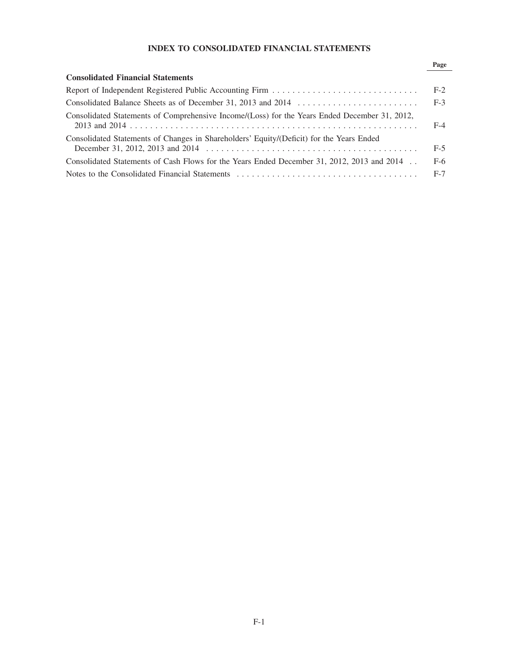# **INDEX TO CONSOLIDATED FINANCIAL STATEMENTS**

| <b>Consolidated Financial Statements</b>                                                      |       |
|-----------------------------------------------------------------------------------------------|-------|
|                                                                                               | $F-2$ |
|                                                                                               | $F-3$ |
| Consolidated Statements of Comprehensive Income/(Loss) for the Years Ended December 31, 2012, | $F-4$ |
| Consolidated Statements of Changes in Shareholders' Equity/(Deficit) for the Years Ended      | $F-5$ |
| Consolidated Statements of Cash Flows for the Years Ended December 31, 2012, 2013 and 2014    | $F-6$ |
|                                                                                               | $F-7$ |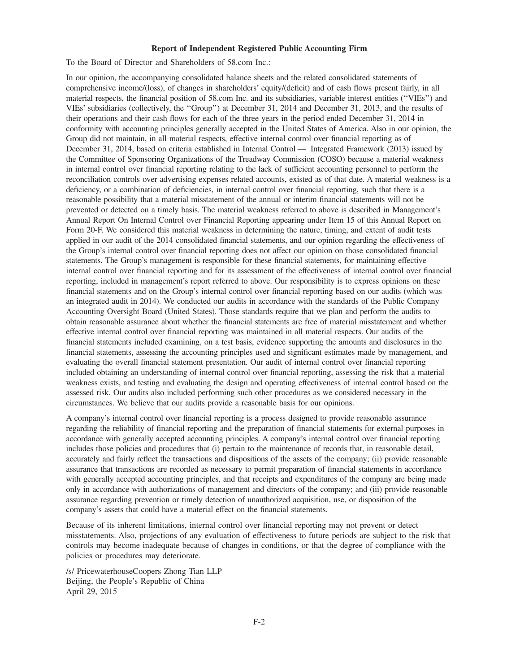#### **Report of Independent Registered Public Accounting Firm**

To the Board of Director and Shareholders of 58.com Inc.:

In our opinion, the accompanying consolidated balance sheets and the related consolidated statements of comprehensive income/(loss), of changes in shareholders' equity/(deficit) and of cash flows present fairly, in all material respects, the financial position of 58.com Inc. and its subsidiaries, variable interest entities (''VIEs'') and VIEs' subsidiaries (collectively, the ''Group'') at December 31, 2014 and December 31, 2013, and the results of their operations and their cash flows for each of the three years in the period ended December 31, 2014 in conformity with accounting principles generally accepted in the United States of America. Also in our opinion, the Group did not maintain, in all material respects, effective internal control over financial reporting as of December 31, 2014, based on criteria established in Internal Control — Integrated Framework (2013) issued by the Committee of Sponsoring Organizations of the Treadway Commission (COSO) because a material weakness in internal control over financial reporting relating to the lack of sufficient accounting personnel to perform the reconciliation controls over advertising expenses related accounts, existed as of that date. A material weakness is a deficiency, or a combination of deficiencies, in internal control over financial reporting, such that there is a reasonable possibility that a material misstatement of the annual or interim financial statements will not be prevented or detected on a timely basis. The material weakness referred to above is described in Management's Annual Report On Internal Control over Financial Reporting appearing under Item 15 of this Annual Report on Form 20-F. We considered this material weakness in determining the nature, timing, and extent of audit tests applied in our audit of the 2014 consolidated financial statements, and our opinion regarding the effectiveness of the Group's internal control over financial reporting does not affect our opinion on those consolidated financial statements. The Group's management is responsible for these financial statements, for maintaining effective internal control over financial reporting and for its assessment of the effectiveness of internal control over financial reporting, included in management's report referred to above. Our responsibility is to express opinions on these financial statements and on the Group's internal control over financial reporting based on our audits (which was an integrated audit in 2014). We conducted our audits in accordance with the standards of the Public Company Accounting Oversight Board (United States). Those standards require that we plan and perform the audits to obtain reasonable assurance about whether the financial statements are free of material misstatement and whether effective internal control over financial reporting was maintained in all material respects. Our audits of the financial statements included examining, on a test basis, evidence supporting the amounts and disclosures in the financial statements, assessing the accounting principles used and significant estimates made by management, and evaluating the overall financial statement presentation. Our audit of internal control over financial reporting included obtaining an understanding of internal control over financial reporting, assessing the risk that a material weakness exists, and testing and evaluating the design and operating effectiveness of internal control based on the assessed risk. Our audits also included performing such other procedures as we considered necessary in the circumstances. We believe that our audits provide a reasonable basis for our opinions.

A company's internal control over financial reporting is a process designed to provide reasonable assurance regarding the reliability of financial reporting and the preparation of financial statements for external purposes in accordance with generally accepted accounting principles. A company's internal control over financial reporting includes those policies and procedures that (i) pertain to the maintenance of records that, in reasonable detail, accurately and fairly reflect the transactions and dispositions of the assets of the company; (ii) provide reasonable assurance that transactions are recorded as necessary to permit preparation of financial statements in accordance with generally accepted accounting principles, and that receipts and expenditures of the company are being made only in accordance with authorizations of management and directors of the company; and (iii) provide reasonable assurance regarding prevention or timely detection of unauthorized acquisition, use, or disposition of the company's assets that could have a material effect on the financial statements.

Because of its inherent limitations, internal control over financial reporting may not prevent or detect misstatements. Also, projections of any evaluation of effectiveness to future periods are subject to the risk that controls may become inadequate because of changes in conditions, or that the degree of compliance with the policies or procedures may deteriorate.

/s/ PricewaterhouseCoopers Zhong Tian LLP Beijing, the People's Republic of China April 29, 2015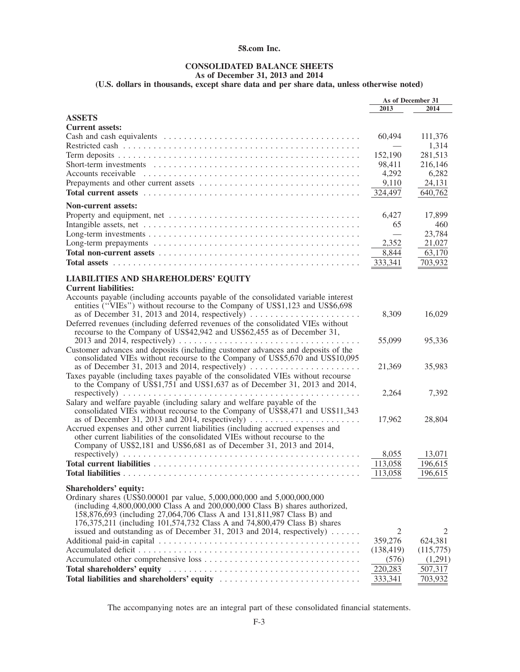# **CONSOLIDATED BALANCE SHEETS As of December 31, 2013 and 2014**

**(U.S. dollars in thousands, except share data and per share data, unless otherwise noted)**

|                                                                                                                                                                                 | As of December 31        |                      |
|---------------------------------------------------------------------------------------------------------------------------------------------------------------------------------|--------------------------|----------------------|
|                                                                                                                                                                                 | 2013                     | 2014                 |
| <b>ASSETS</b>                                                                                                                                                                   |                          |                      |
| <b>Current assets:</b>                                                                                                                                                          |                          |                      |
|                                                                                                                                                                                 | 60,494                   | 111,376<br>1,314     |
|                                                                                                                                                                                 | 152,190                  | 281,513              |
|                                                                                                                                                                                 | 98,411                   | 216,146              |
| Accounts receivable                                                                                                                                                             | 4,292                    | 6,282                |
|                                                                                                                                                                                 | 9,110                    | 24,131               |
|                                                                                                                                                                                 | 324,497                  | 640,762              |
|                                                                                                                                                                                 |                          |                      |
| <b>Non-current assets:</b>                                                                                                                                                      | 6,427                    | 17,899               |
|                                                                                                                                                                                 | 65                       | 460                  |
|                                                                                                                                                                                 | $\overline{\phantom{0}}$ | 23,784               |
|                                                                                                                                                                                 | 2,352                    | 21,027               |
|                                                                                                                                                                                 | 8,844                    | 63,170               |
|                                                                                                                                                                                 | 333,341                  | 703,932              |
|                                                                                                                                                                                 |                          |                      |
| <b>LIABILITIES AND SHAREHOLDERS' EQUITY</b><br><b>Current liabilities:</b>                                                                                                      |                          |                      |
| Accounts payable (including accounts payable of the consolidated variable interest                                                                                              |                          |                      |
| entities ("VIEs") without recourse to the Company of US\$1,123 and US\$6,698                                                                                                    |                          |                      |
| as of December 31, 2013 and 2014, respectively) $\dots \dots \dots \dots \dots \dots \dots$                                                                                     | 8,309                    | 16,029               |
| Deferred revenues (including deferred revenues of the consolidated VIEs without                                                                                                 |                          |                      |
| recourse to the Company of US\$42,942 and US\$62,455 as of December 31,                                                                                                         |                          |                      |
| 2013 and 2014, respectively) $\dots \dots \dots \dots \dots \dots \dots \dots \dots \dots \dots \dots \dots \dots$                                                              | 55,099                   | 95,336               |
| Customer advances and deposits (including customer advances and deposits of the                                                                                                 |                          |                      |
| consolidated VIEs without recourse to the Company of US\$5,670 and US\$10,095                                                                                                   |                          |                      |
| as of December 31, 2013 and 2014, respectively) $\dots \dots \dots \dots \dots \dots \dots$<br>Taxes payable (including taxes payable of the consolidated VIEs without recourse | 21,369                   | 35,983               |
| to the Company of US\$1,751 and US\$1,637 as of December 31, 2013 and 2014,                                                                                                     |                          |                      |
|                                                                                                                                                                                 | 2,264                    | 7,392                |
| Salary and welfare payable (including salary and welfare payable of the                                                                                                         |                          |                      |
| consolidated VIEs without recourse to the Company of US\$8,471 and US\$11,343                                                                                                   |                          |                      |
|                                                                                                                                                                                 | 17,962                   | 28,804               |
| Accrued expenses and other current liabilities (including accrued expenses and                                                                                                  |                          |                      |
| other current liabilities of the consolidated VIEs without recourse to the                                                                                                      |                          |                      |
| Company of US\$2,181 and US\$6,681 as of December 31, 2013 and 2014,                                                                                                            |                          |                      |
|                                                                                                                                                                                 | 8,055                    | 13,071               |
|                                                                                                                                                                                 | 113,058                  | 196,615              |
|                                                                                                                                                                                 | 113,058                  | 196,615              |
| Shareholders' equity:                                                                                                                                                           |                          |                      |
| Ordinary shares (US\$0.00001 par value, 5,000,000,000 and 5,000,000,000                                                                                                         |                          |                      |
| (including $4,800,000,000$ Class A and $200,000,000$ Class B) shares authorized,                                                                                                |                          |                      |
| 158,876,693 (including 27,064,706 Class A and 131,811,987 Class B) and                                                                                                          |                          |                      |
| 176,375,211 (including 101,574,732 Class A and 74,800,479 Class B) shares                                                                                                       |                          |                      |
| issued and outstanding as of December 31, 2013 and 2014, respectively) $\dots$ .                                                                                                | 2                        | 2                    |
|                                                                                                                                                                                 | 359,276<br>(138, 419)    | 624.381              |
|                                                                                                                                                                                 |                          | (115,775)<br>(1,291) |
|                                                                                                                                                                                 | (576)<br>220,283         | 507,317              |
|                                                                                                                                                                                 |                          |                      |
|                                                                                                                                                                                 | 333,341                  | 703,932              |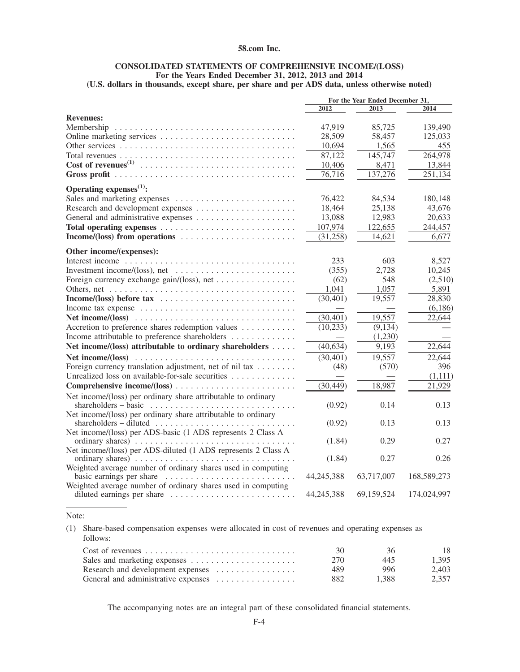# **CONSOLIDATED STATEMENTS OF COMPREHENSIVE INCOME/(LOSS) For the Years Ended December 31, 2012, 2013 and 2014**

**(U.S. dollars in thousands, except share, per share and per ADS data, unless otherwise noted)**

|                                                                                                                                                   | For the Year Ended December 31, |            |             |
|---------------------------------------------------------------------------------------------------------------------------------------------------|---------------------------------|------------|-------------|
|                                                                                                                                                   | 2012                            | 2013       | 2014        |
| <b>Revenues:</b>                                                                                                                                  |                                 |            |             |
| Membership                                                                                                                                        | 47,919                          | 85,725     | 139,490     |
|                                                                                                                                                   | 28,509                          | 58,457     | 125,033     |
|                                                                                                                                                   | 10,694                          | 1,565      | 455         |
|                                                                                                                                                   | 87,122                          | 145,747    | 264,978     |
| Cost of revenues <sup>(1)</sup>                                                                                                                   | 10,406                          | 8,471      | 13,844      |
|                                                                                                                                                   | 76,716                          | 137,276    | 251,134     |
| Operating expenses $^{(1)}$ :                                                                                                                     |                                 |            |             |
| Sales and marketing expenses                                                                                                                      | 76,422                          | 84,534     | 180,148     |
| Research and development expenses                                                                                                                 | 18,464                          | 25,138     | 43,676      |
|                                                                                                                                                   | 13,088                          | 12,983     | 20,633      |
|                                                                                                                                                   | 107,974                         | 122,655    | 244,457     |
|                                                                                                                                                   | (31, 258)                       | 14,621     | 6,677       |
| Other income/(expenses):                                                                                                                          |                                 |            |             |
| Interest income                                                                                                                                   | 233                             | 603        | 8,527       |
| Investment income/(loss), net $\dots \dots \dots \dots \dots \dots \dots \dots$                                                                   | (355)                           | 2,728      | 10,245      |
| Foreign currency exchange gain/(loss), net                                                                                                        | (62)                            | 548        | (2,510)     |
|                                                                                                                                                   | 1,041                           | 1,057      | 5,891       |
|                                                                                                                                                   | (30, 401)                       | 19,557     | 28,830      |
|                                                                                                                                                   |                                 |            | (6,186)     |
|                                                                                                                                                   | (30, 401)                       | 19,557     | 22,644      |
| Accretion to preference shares redemption values                                                                                                  | (10, 233)                       | (9, 134)   |             |
| Income attributable to preference shareholders                                                                                                    |                                 | (1,230)    |             |
| Net income/(loss) attributable to ordinary shareholders                                                                                           | (40, 634)                       | 9,193      | 22,644      |
| Net income/(loss)                                                                                                                                 | (30, 401)                       | 19,557     | 22,644      |
| Foreign currency translation adjustment, net of nil tax                                                                                           | (48)                            | (570)      | 396         |
| Unrealized loss on available-for-sale securities                                                                                                  |                                 |            | (1,111)     |
|                                                                                                                                                   | (30, 449)                       | 18,987     | 21,929      |
| Net income/(loss) per ordinary share attributable to ordinary                                                                                     |                                 |            |             |
|                                                                                                                                                   | (0.92)                          | 0.14       | 0.13        |
| Net income/(loss) per ordinary share attributable to ordinary<br>shareholders – diluted $\ldots \ldots \ldots \ldots \ldots \ldots \ldots \ldots$ | (0.92)                          | 0.13       | 0.13        |
| Net income/(loss) per ADS-basic (1 ADS represents 2 Class A                                                                                       |                                 |            |             |
| $\text{ordinary shares}$ $\cdot \dots \dots \dots \dots \dots \dots \dots \dots \dots \dots \dots \dots \dots$                                    | (1.84)                          | 0.29       | 0.27        |
| Net income/(loss) per ADS-diluted (1 ADS represents 2 Class A                                                                                     |                                 |            |             |
| ordinary shares) $\ldots \ldots \ldots \ldots \ldots \ldots \ldots \ldots \ldots \ldots$                                                          | (1.84)                          | 0.27       | 0.26        |
| Weighted average number of ordinary shares used in computing                                                                                      |                                 |            |             |
| basic earnings per share                                                                                                                          | 44,245,388                      | 63,717,007 | 168,589,273 |
| Weighted average number of ordinary shares used in computing                                                                                      |                                 |            |             |
|                                                                                                                                                   | 44,245,388                      | 69,159,524 | 174,024,997 |

Note:

(1) Share-based compensation expenses were allocated in cost of revenues and operating expenses as follows:

| Cost of revenues                    | 30.  | -36-  | 18    |
|-------------------------------------|------|-------|-------|
|                                     | 270  | 445   | 1.395 |
| Research and development expenses   | 489. | 996   | 2.403 |
| General and administrative expenses | 882  | 1.388 | 2.357 |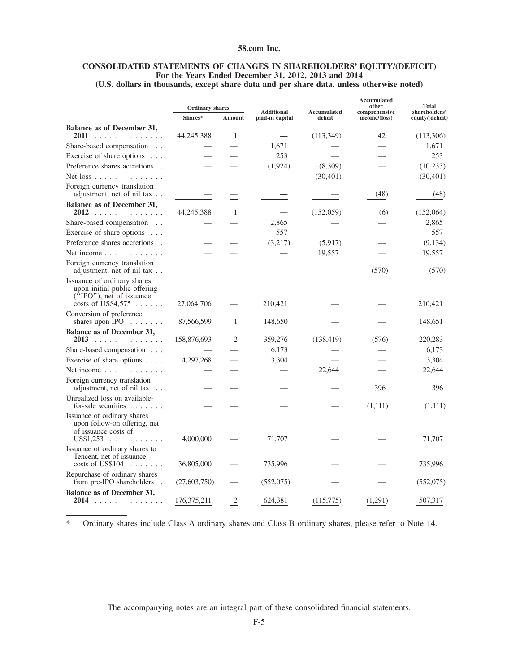## **CONSOLIDATED STATEMENTS OF CHANGES IN SHAREHOLDERS' EQUITY/(DEFICIT) For the Years Ended December 31, 2012, 2013 and 2014 (U.S. dollars in thousands, except share data and per share data, unless otherwise noted)**

|                                                                                                                                | <b>Ordinary shares</b> |                | <b>Additional</b> | Accumulated | <b>Accumulated</b><br>other<br>comprehensive | Total<br>shareholders' |
|--------------------------------------------------------------------------------------------------------------------------------|------------------------|----------------|-------------------|-------------|----------------------------------------------|------------------------|
|                                                                                                                                | Shares*                | <b>Amount</b>  | paid-in capital   | deficit     | income/(loss)                                | equity/(deficit)       |
| <b>Balance as of December 31,</b>                                                                                              |                        |                |                   |             |                                              |                        |
| 2011<br>.                                                                                                                      | 44,245,388             | 1              |                   | (113,349)   | 42                                           | (113,306)              |
| Share-based compensation                                                                                                       |                        |                | 1.671             |             |                                              | 1,671                  |
| Exercise of share options                                                                                                      |                        |                | 253               |             |                                              | 253                    |
| Preference shares accretions.                                                                                                  |                        |                | (1,924)           | (8,309)     |                                              | (10, 233)              |
| Net loss $\ldots$ $\ldots$ $\ldots$ $\ldots$                                                                                   |                        |                |                   | (30, 401)   |                                              | (30, 401)              |
| Foreign currency translation<br>adjustment, net of nil tax                                                                     |                        |                |                   |             | (48)                                         | (48)                   |
| Balance as of December 31,                                                                                                     |                        |                |                   |             |                                              |                        |
| 2012                                                                                                                           | 44, 245, 388           | $\mathbf{1}$   |                   | (152,059)   | (6)                                          | (152,064)              |
| Share-based compensation                                                                                                       |                        |                | 2,865             |             |                                              | 2,865                  |
| Exercise of share options                                                                                                      |                        |                | 557               |             |                                              | 557                    |
| Preference shares accretions.                                                                                                  |                        |                | (3,217)           | (5,917)     |                                              | (9,134)                |
| Net income $\ldots$ $\ldots$ $\ldots$ $\ldots$                                                                                 |                        |                |                   | 19,557      |                                              | 19,557                 |
| Foreign currency translation<br>adjustment, net of nil tax                                                                     |                        |                |                   |             | (570)                                        | (570)                  |
| Issuance of ordinary shares<br>upon initial public offering<br>("IPO"), net of issuance<br>costs of US\$4,575 $\dots$ .        | 27,064,706             |                | 210,421           |             |                                              | 210,421                |
| Conversion of preference<br>shares upon $IPO \ldots \ldots$ .                                                                  | 87,566,599             | 1              | 148,650           |             |                                              | 148,651                |
| Balance as of December 31,                                                                                                     |                        |                |                   |             |                                              |                        |
| 2013                                                                                                                           | 158,876,693            | $\overline{2}$ | 359,276           | (138, 419)  | (576)                                        | 220,283                |
| Share-based compensation                                                                                                       |                        |                | 6,173             |             |                                              | 6,173                  |
| Exercise of share options                                                                                                      | 4,297,268              |                | 3,304             |             |                                              | 3,304                  |
| Net income $\ldots$ , $\ldots$ , $\ldots$                                                                                      |                        |                |                   | 22,644      |                                              | 22,644                 |
| Foreign currency translation<br>adjustment, net of nil tax                                                                     |                        |                |                   |             | 396                                          | 396                    |
| Unrealized loss on available-<br>for-sale securities                                                                           |                        |                |                   |             | (1,111)                                      | (1,111)                |
| Issuance of ordinary shares<br>upon follow-on offering, net<br>of issuance costs of<br>$\text{US}\$1,253 \ldots \ldots \ldots$ | 4,000,000              |                | 71,707            |             |                                              | 71,707                 |
| Issuance of ordinary shares to<br>Tencent, net of issuance<br>$costs$ of US\$104                                               | 36,805,000             |                | 735,996           |             |                                              | 735,996                |
| Repurchase of ordinary shares<br>from pre-IPO shareholders                                                                     | (27,603,750)           |                | (552,075)         |             |                                              | (552,075)              |
| <b>Balance as of December 31,</b><br>2014                                                                                      | 176, 375, 211          | $\overline{2}$ | 624,381           | (115,775)   | (1,291)                                      | 507,317                |

\* Ordinary shares include Class A ordinary shares and Class B ordinary shares, please refer to Note 14.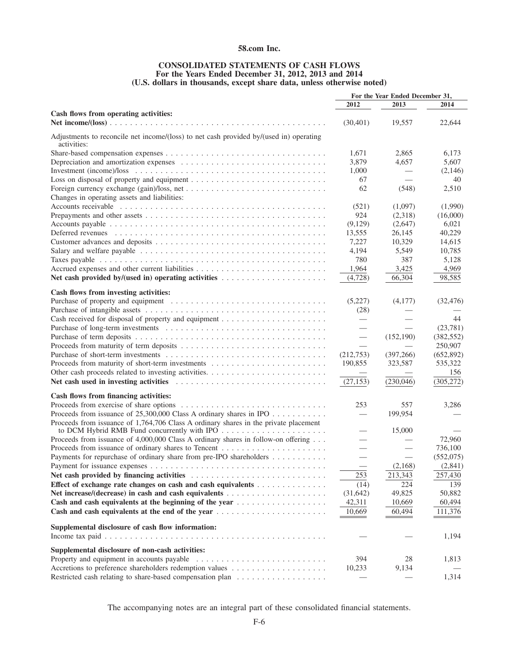### **CONSOLIDATED STATEMENTS OF CASH FLOWS For the Years Ended December 31, 2012, 2013 and 2014 (U.S. dollars in thousands, except share data, unless otherwise noted)**

|                                                                                                                       | For the Year Ended December 31, |                          |            |
|-----------------------------------------------------------------------------------------------------------------------|---------------------------------|--------------------------|------------|
|                                                                                                                       | 2012                            | 2013                     | 2014       |
| Cash flows from operating activities:                                                                                 |                                 |                          |            |
|                                                                                                                       | (30, 401)                       | 19,557                   | 22,644     |
| Adjustments to reconcile net income/(loss) to net cash provided by/(used in) operating<br>activities:                 |                                 |                          |            |
|                                                                                                                       | 1,671                           | 2,865                    | 6,173      |
|                                                                                                                       | 3,879                           | 4,657                    | 5,607      |
| Investment (income)/loss $\ldots \ldots \ldots \ldots \ldots \ldots \ldots \ldots \ldots \ldots \ldots \ldots \ldots$ | 1,000                           | $\overline{\phantom{m}}$ | (2,146)    |
|                                                                                                                       | 67                              |                          | 40         |
| Changes in operating assets and liabilities:                                                                          | 62                              | (548)                    | 2,510      |
|                                                                                                                       | (521)                           | (1,097)                  | (1,990)    |
|                                                                                                                       | 924                             | (2,318)                  | (16,000)   |
|                                                                                                                       | (9,129)                         | (2,647)                  | 6,021      |
|                                                                                                                       | 13,555                          | 26,145                   | 40,229     |
|                                                                                                                       | 7,227                           | 10,329                   | 14,615     |
|                                                                                                                       | 4,194                           | 5,549                    | 10,785     |
|                                                                                                                       | 780                             | 387                      | 5.128      |
|                                                                                                                       | 1,964                           | 3,425                    | 4,969      |
|                                                                                                                       | (4,728)                         | 66,304                   | 98,585     |
| Cash flows from investing activities:                                                                                 |                                 |                          |            |
|                                                                                                                       | (5,227)                         | (4,177)                  | (32, 476)  |
|                                                                                                                       | (28)                            |                          |            |
|                                                                                                                       |                                 |                          | 44         |
|                                                                                                                       | $\overline{\phantom{0}}$        |                          | (23,781)   |
|                                                                                                                       |                                 | (152,190)                | (382, 552) |
|                                                                                                                       |                                 |                          | 250,907    |
|                                                                                                                       | (212,753)                       | (397, 266)               | (652,892)  |
|                                                                                                                       | 190,855                         | 323,587                  | 535,322    |
|                                                                                                                       |                                 |                          | 156        |
|                                                                                                                       | (27, 153)                       | (230,046)                | (305, 272) |
| Cash flows from financing activities:                                                                                 |                                 |                          |            |
| Proceeds from exercise of share options                                                                               | 253                             | 557                      | 3,286      |
| Proceeds from issuance of 25,300,000 Class A ordinary shares in IPO                                                   |                                 | 199,954                  |            |
| Proceeds from issuance of 1,764,706 Class A ordinary shares in the private placement                                  |                                 |                          |            |
|                                                                                                                       |                                 | 15,000                   |            |
| Proceeds from issuance of 4,000,000 Class A ordinary shares in follow-on offering                                     |                                 |                          | 72,960     |
|                                                                                                                       |                                 |                          | 736,100    |
| Payments for repurchase of ordinary share from pre-IPO shareholders                                                   |                                 |                          | (552,075)  |
|                                                                                                                       |                                 | (2,168)                  | (2,841)    |
|                                                                                                                       | 253                             | 213,343                  | 257,430    |
| Effect of exchange rate changes on cash and cash equivalents                                                          | (14)                            | 224                      | 139        |
|                                                                                                                       | (31, 642)                       | 49,825                   | 50,882     |
|                                                                                                                       | 42,311                          | 10,669                   | 60,494     |
| Cash and cash equivalents at the end of the year                                                                      | 10,669                          | 60,494                   | 111,376    |
| Supplemental disclosure of cash flow information:                                                                     |                                 |                          |            |
|                                                                                                                       |                                 |                          | 1,194      |
| Supplemental disclosure of non-cash activities:                                                                       |                                 |                          |            |
|                                                                                                                       | 394                             | 28                       | 1,813      |
|                                                                                                                       | 10,233                          | 9,134                    |            |
|                                                                                                                       |                                 |                          | 1,314      |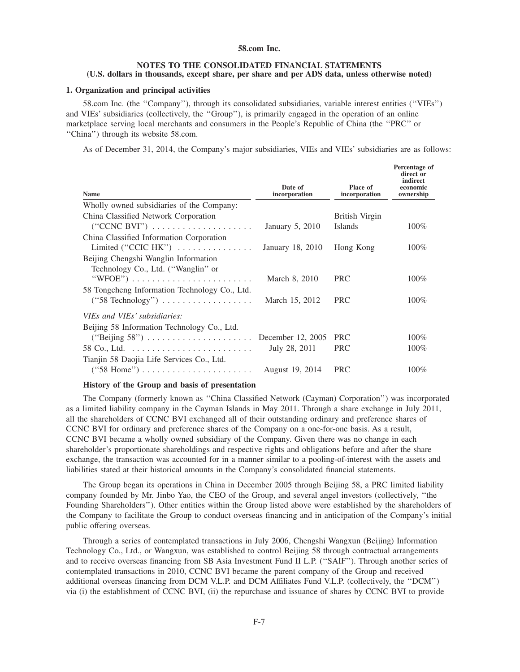# **NOTES TO THE CONSOLIDATED FINANCIAL STATEMENTS (U.S. dollars in thousands, except share, per share and per ADS data, unless otherwise noted)**

### **1. Organization and principal activities**

58.com Inc. (the ''Company''), through its consolidated subsidiaries, variable interest entities (''VIEs'') and VIEs' subsidiaries (collectively, the ''Group''), is primarily engaged in the operation of an online marketplace serving local merchants and consumers in the People's Republic of China (the ''PRC'' or ''China'') through its website 58.com.

As of December 31, 2014, the Company's major subsidiaries, VIEs and VIEs' subsidiaries are as follows:

|                                                                   |                          |                           | Percentage of<br>direct or<br>indirect |
|-------------------------------------------------------------------|--------------------------|---------------------------|----------------------------------------|
| <b>Name</b>                                                       | Date of<br>incorporation | Place of<br>incorporation | economic<br>ownership                  |
| Wholly owned subsidiaries of the Company:                         |                          |                           |                                        |
| China Classified Network Corporation                              |                          | British Virgin            |                                        |
| $("CCNC BVI") \dots \dots \dots \dots \dots \dots \dots \dots$    | January 5, 2010          | Islands                   | $100\%$                                |
| China Classified Information Corporation                          |                          |                           |                                        |
| Limited ("CCIC HK") $\dots \dots \dots \dots$                     | January 18, 2010         | Hong Kong                 | $100\%$                                |
| Beijing Chengshi Wanglin Information                              |                          |                           |                                        |
| Technology Co., Ltd. ("Wanglin" or                                |                          |                           |                                        |
| "WFOE") $\ldots \ldots \ldots \ldots \ldots \ldots \ldots \ldots$ | March 8, 2010            | <b>PRC</b>                | $100\%$                                |
| 58 Tongcheng Information Technology Co., Ltd.                     |                          |                           |                                        |
| $("58 Technology") \dots \dots \dots \dots \dots \dots$           | March 15, 2012           | <b>PRC</b>                | $100\%$                                |
| VIEs and VIEs' subsidiaries:                                      |                          |                           |                                        |
| Beijing 58 Information Technology Co., Ltd.                       |                          |                           |                                        |
| ("Beijing 58") $\ldots \ldots \ldots \ldots \ldots$               | December 12, 2005        | <b>PRC</b>                | $100\%$                                |
|                                                                   | July 28, 2011            | <b>PRC</b>                | $100\%$                                |
| Tianjin 58 Daojia Life Services Co., Ltd.                         |                          |                           |                                        |
|                                                                   | August 19, 2014          | <b>PRC</b>                | $100\%$                                |
|                                                                   |                          |                           |                                        |

## **History of the Group and basis of presentation**

The Company (formerly known as ''China Classified Network (Cayman) Corporation'') was incorporated as a limited liability company in the Cayman Islands in May 2011. Through a share exchange in July 2011, all the shareholders of CCNC BVI exchanged all of their outstanding ordinary and preference shares of CCNC BVI for ordinary and preference shares of the Company on a one-for-one basis. As a result, CCNC BVI became a wholly owned subsidiary of the Company. Given there was no change in each shareholder's proportionate shareholdings and respective rights and obligations before and after the share exchange, the transaction was accounted for in a manner similar to a pooling-of-interest with the assets and liabilities stated at their historical amounts in the Company's consolidated financial statements.

The Group began its operations in China in December 2005 through Beijing 58, a PRC limited liability company founded by Mr. Jinbo Yao, the CEO of the Group, and several angel investors (collectively, ''the Founding Shareholders''). Other entities within the Group listed above were established by the shareholders of the Company to facilitate the Group to conduct overseas financing and in anticipation of the Company's initial public offering overseas.

Through a series of contemplated transactions in July 2006, Chengshi Wangxun (Beijing) Information Technology Co., Ltd., or Wangxun, was established to control Beijing 58 through contractual arrangements and to receive overseas financing from SB Asia Investment Fund II L.P. (''SAIF''). Through another series of contemplated transactions in 2010, CCNC BVI became the parent company of the Group and received additional overseas financing from DCM V.L.P. and DCM Affiliates Fund V.L.P. (collectively, the ''DCM'') via (i) the establishment of CCNC BVI, (ii) the repurchase and issuance of shares by CCNC BVI to provide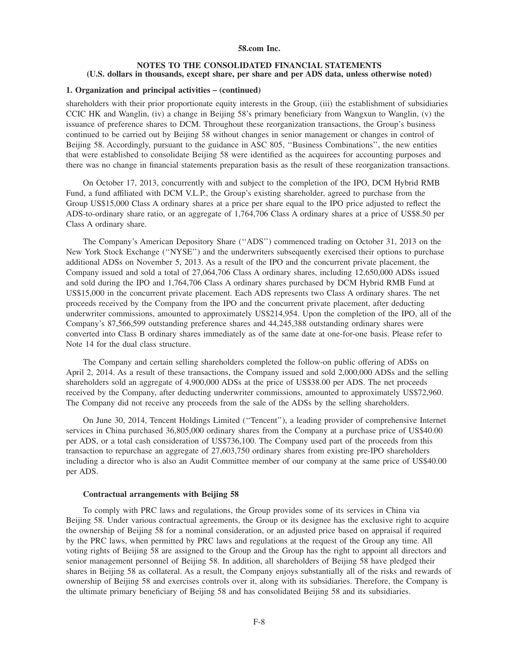# **NOTES TO THE CONSOLIDATED FINANCIAL STATEMENTS (U.S. dollars in thousands, except share, per share and per ADS data, unless otherwise noted)**

### **1. Organization and principal activities − (continued)**

shareholders with their prior proportionate equity interests in the Group, (iii) the establishment of subsidiaries CCIC HK and Wanglin, (iv) a change in Beijing 58's primary beneficiary from Wangxun to Wanglin, (v) the issuance of preference shares to DCM. Throughout these reorganization transactions, the Group's business continued to be carried out by Beijing 58 without changes in senior management or changes in control of Beijing 58. Accordingly, pursuant to the guidance in ASC 805, ''Business Combinations'', the new entities that were established to consolidate Beijing 58 were identified as the acquirees for accounting purposes and there was no change in financial statements preparation basis as the result of these reorganization transactions.

On October 17, 2013, concurrently with and subject to the completion of the IPO, DCM Hybrid RMB Fund, a fund affiliated with DCM V.L.P., the Group's existing shareholder, agreed to purchase from the Group US\$15,000 Class A ordinary shares at a price per share equal to the IPO price adjusted to reflect the ADS-to-ordinary share ratio, or an aggregate of 1,764,706 Class A ordinary shares at a price of US\$8.50 per Class A ordinary share.

The Company's American Depository Share (''ADS'') commenced trading on October 31, 2013 on the New York Stock Exchange (''NYSE'') and the underwriters subsequently exercised their options to purchase additional ADSs on November 5, 2013. As a result of the IPO and the concurrent private placement, the Company issued and sold a total of 27,064,706 Class A ordinary shares, including 12,650,000 ADSs issued and sold during the IPO and 1,764,706 Class A ordinary shares purchased by DCM Hybrid RMB Fund at US\$15,000 in the concurrent private placement. Each ADS represents two Class A ordinary shares. The net proceeds received by the Company from the IPO and the concurrent private placement, after deducting underwriter commissions, amounted to approximately US\$214,954. Upon the completion of the IPO, all of the Company's 87,566,599 outstanding preference shares and 44,245,388 outstanding ordinary shares were converted into Class B ordinary shares immediately as of the same date at one-for-one basis. Please refer to Note 14 for the dual class structure.

The Company and certain selling shareholders completed the follow-on public offering of ADSs on April 2, 2014. As a result of these transactions, the Company issued and sold 2,000,000 ADSs and the selling shareholders sold an aggregate of 4,900,000 ADSs at the price of US\$38.00 per ADS. The net proceeds received by the Company, after deducting underwriter commissions, amounted to approximately US\$72,960. The Company did not receive any proceeds from the sale of the ADSs by the selling shareholders.

On June 30, 2014, Tencent Holdings Limited (''Tencent''), a leading provider of comprehensive Internet services in China purchased 36,805,000 ordinary shares from the Company at a purchase price of US\$40.00 per ADS, or a total cash consideration of US\$736,100. The Company used part of the proceeds from this transaction to repurchase an aggregate of 27,603,750 ordinary shares from existing pre-IPO shareholders including a director who is also an Audit Committee member of our company at the same price of US\$40.00 per ADS.

### **Contractual arrangements with Beijing 58**

To comply with PRC laws and regulations, the Group provides some of its services in China via Beijing 58. Under various contractual agreements, the Group or its designee has the exclusive right to acquire the ownership of Beijing 58 for a nominal consideration, or an adjusted price based on appraisal if required by the PRC laws, when permitted by PRC laws and regulations at the request of the Group any time. All voting rights of Beijing 58 are assigned to the Group and the Group has the right to appoint all directors and senior management personnel of Beijing 58. In addition, all shareholders of Beijing 58 have pledged their shares in Beijing 58 as collateral. As a result, the Company enjoys substantially all of the risks and rewards of ownership of Beijing 58 and exercises controls over it, along with its subsidiaries. Therefore, the Company is the ultimate primary beneficiary of Beijing 58 and has consolidated Beijing 58 and its subsidiaries.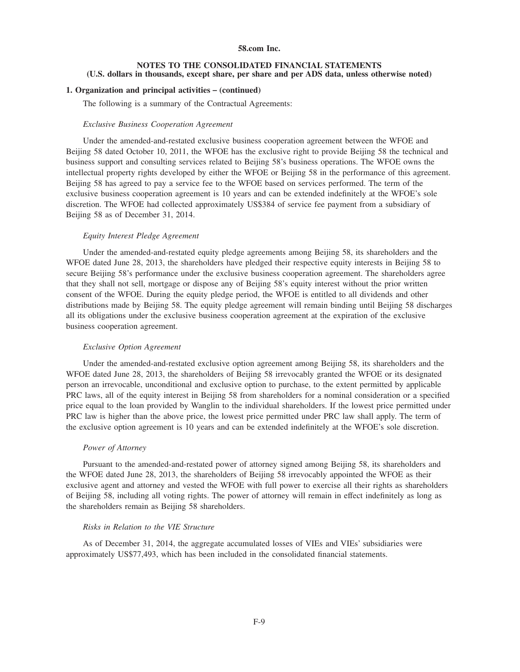# **NOTES TO THE CONSOLIDATED FINANCIAL STATEMENTS (U.S. dollars in thousands, except share, per share and per ADS data, unless otherwise noted)**

### **1. Organization and principal activities − (continued)**

The following is a summary of the Contractual Agreements:

### *Exclusive Business Cooperation Agreement*

Under the amended-and-restated exclusive business cooperation agreement between the WFOE and Beijing 58 dated October 10, 2011, the WFOE has the exclusive right to provide Beijing 58 the technical and business support and consulting services related to Beijing 58's business operations. The WFOE owns the intellectual property rights developed by either the WFOE or Beijing 58 in the performance of this agreement. Beijing 58 has agreed to pay a service fee to the WFOE based on services performed. The term of the exclusive business cooperation agreement is 10 years and can be extended indefinitely at the WFOE's sole discretion. The WFOE had collected approximately US\$384 of service fee payment from a subsidiary of Beijing 58 as of December 31, 2014.

### *Equity Interest Pledge Agreement*

Under the amended-and-restated equity pledge agreements among Beijing 58, its shareholders and the WFOE dated June 28, 2013, the shareholders have pledged their respective equity interests in Beijing 58 to secure Beijing 58's performance under the exclusive business cooperation agreement. The shareholders agree that they shall not sell, mortgage or dispose any of Beijing 58's equity interest without the prior written consent of the WFOE. During the equity pledge period, the WFOE is entitled to all dividends and other distributions made by Beijing 58. The equity pledge agreement will remain binding until Beijing 58 discharges all its obligations under the exclusive business cooperation agreement at the expiration of the exclusive business cooperation agreement.

### *Exclusive Option Agreement*

Under the amended-and-restated exclusive option agreement among Beijing 58, its shareholders and the WFOE dated June 28, 2013, the shareholders of Beijing 58 irrevocably granted the WFOE or its designated person an irrevocable, unconditional and exclusive option to purchase, to the extent permitted by applicable PRC laws, all of the equity interest in Beijing 58 from shareholders for a nominal consideration or a specified price equal to the loan provided by Wanglin to the individual shareholders. If the lowest price permitted under PRC law is higher than the above price, the lowest price permitted under PRC law shall apply. The term of the exclusive option agreement is 10 years and can be extended indefinitely at the WFOE's sole discretion.

### *Power of Attorney*

Pursuant to the amended-and-restated power of attorney signed among Beijing 58, its shareholders and the WFOE dated June 28, 2013, the shareholders of Beijing 58 irrevocably appointed the WFOE as their exclusive agent and attorney and vested the WFOE with full power to exercise all their rights as shareholders of Beijing 58, including all voting rights. The power of attorney will remain in effect indefinitely as long as the shareholders remain as Beijing 58 shareholders.

# *Risks in Relation to the VIE Structure*

As of December 31, 2014, the aggregate accumulated losses of VIEs and VIEs' subsidiaries were approximately US\$77,493, which has been included in the consolidated financial statements.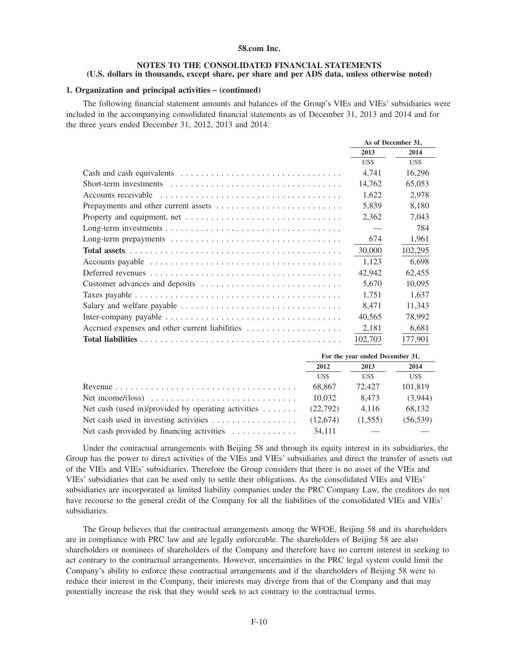# **NOTES TO THE CONSOLIDATED FINANCIAL STATEMENTS (U.S. dollars in thousands, except share, per share and per ADS data, unless otherwise noted)**

### **1. Organization and principal activities − (continued)**

The following financial statement amounts and balances of the Group's VIEs and VIEs' subsidiaries were included in the accompanying consolidated financial statements as of December 31, 2013 and 2014 and for the three years ended December 31, 2012, 2013 and 2014:

|                                                                                                        | As of December 31, |         |
|--------------------------------------------------------------------------------------------------------|--------------------|---------|
|                                                                                                        | 2013               | 2014    |
|                                                                                                        | US\$               | US\$    |
|                                                                                                        | 4,741              | 16,296  |
| Short-term investments $\dots \dots \dots \dots \dots \dots \dots \dots \dots \dots \dots \dots \dots$ | 14,762             | 65,053  |
|                                                                                                        | 1,622              | 2.978   |
|                                                                                                        | 5,839              | 8,180   |
|                                                                                                        | 2,362              | 7,043   |
|                                                                                                        |                    | 784     |
|                                                                                                        | 674                | 1,961   |
|                                                                                                        | 30,000             | 102,295 |
|                                                                                                        | 1.123              | 6.698   |
|                                                                                                        | 42,942             | 62,455  |
|                                                                                                        | 5.670              | 10,095  |
|                                                                                                        | 1,751              | 1,637   |
| Salary and welfare payable $\dots \dots \dots \dots \dots \dots \dots \dots \dots \dots \dots$         | 8,471              | 11,343  |
| Inter-company payable $\dots \dots \dots \dots \dots \dots \dots \dots \dots \dots \dots \dots \dots$  | 40,565             | 78,992  |
| Accrued expenses and other current liabilities                                                         | 2,181              | 6,681   |
|                                                                                                        | 102,703            | 177,901 |

|                                                                   | For the year ended December 31, |         |           |
|-------------------------------------------------------------------|---------------------------------|---------|-----------|
|                                                                   | 2012                            | 2013    | 2014      |
|                                                                   | US\$                            | US\$    | US\$      |
|                                                                   | 68.867                          | 72,427  | 101.819   |
|                                                                   | 10.032                          | 8.473   | (3.944)   |
| Net cash (used in)/provided by operating activities $\dots \dots$ | (22.792)                        | 4.116   | 68,132    |
|                                                                   | (12,674)                        | (1,555) | (56, 539) |
| Net cash provided by financing activities                         | 34,111                          |         |           |

Under the contractual arrangements with Beijing 58 and through its equity interest in its subsidiaries, the Group has the power to direct activities of the VIEs and VIEs' subsidiaries and direct the transfer of assets out of the VIEs and VIEs' subsidiaries. Therefore the Group considers that there is no asset of the VIEs and VIEs' subsidiaries that can be used only to settle their obligations. As the consolidated VIEs and VIEs' subsidiaries are incorporated as limited liability companies under the PRC Company Law, the creditors do not have recourse to the general credit of the Company for all the liabilities of the consolidated VIEs and VIEs' subsidiaries.

The Group believes that the contractual arrangements among the WFOE, Beijing 58 and its shareholders are in compliance with PRC law and are legally enforceable. The shareholders of Beijing 58 are also shareholders or nominees of shareholders of the Company and therefore have no current interest in seeking to act contrary to the contractual arrangements. However, uncertainties in the PRC legal system could limit the Company's ability to enforce these contractual arrangements and if the shareholders of Beijing 58 were to reduce their interest in the Company, their interests may diverge from that of the Company and that may potentially increase the risk that they would seek to act contrary to the contractual terms.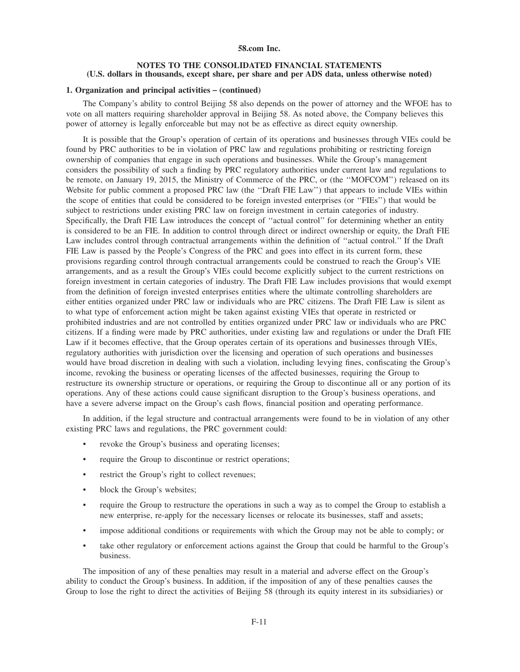# **NOTES TO THE CONSOLIDATED FINANCIAL STATEMENTS (U.S. dollars in thousands, except share, per share and per ADS data, unless otherwise noted)**

### **1. Organization and principal activities − (continued)**

The Company's ability to control Beijing 58 also depends on the power of attorney and the WFOE has to vote on all matters requiring shareholder approval in Beijing 58. As noted above, the Company believes this power of attorney is legally enforceable but may not be as effective as direct equity ownership.

It is possible that the Group's operation of certain of its operations and businesses through VIEs could be found by PRC authorities to be in violation of PRC law and regulations prohibiting or restricting foreign ownership of companies that engage in such operations and businesses. While the Group's management considers the possibility of such a finding by PRC regulatory authorities under current law and regulations to be remote, on January 19, 2015, the Ministry of Commerce of the PRC, or (the ''MOFCOM'') released on its Website for public comment a proposed PRC law (the "Draft FIE Law") that appears to include VIEs within the scope of entities that could be considered to be foreign invested enterprises (or ''FIEs'') that would be subject to restrictions under existing PRC law on foreign investment in certain categories of industry. Specifically, the Draft FIE Law introduces the concept of ''actual control'' for determining whether an entity is considered to be an FIE. In addition to control through direct or indirect ownership or equity, the Draft FIE Law includes control through contractual arrangements within the definition of ''actual control.'' If the Draft FIE Law is passed by the People's Congress of the PRC and goes into effect in its current form, these provisions regarding control through contractual arrangements could be construed to reach the Group's VIE arrangements, and as a result the Group's VIEs could become explicitly subject to the current restrictions on foreign investment in certain categories of industry. The Draft FIE Law includes provisions that would exempt from the definition of foreign invested enterprises entities where the ultimate controlling shareholders are either entities organized under PRC law or individuals who are PRC citizens. The Draft FIE Law is silent as to what type of enforcement action might be taken against existing VIEs that operate in restricted or prohibited industries and are not controlled by entities organized under PRC law or individuals who are PRC citizens. If a finding were made by PRC authorities, under existing law and regulations or under the Draft FIE Law if it becomes effective, that the Group operates certain of its operations and businesses through VIEs, regulatory authorities with jurisdiction over the licensing and operation of such operations and businesses would have broad discretion in dealing with such a violation, including levying fines, confiscating the Group's income, revoking the business or operating licenses of the affected businesses, requiring the Group to restructure its ownership structure or operations, or requiring the Group to discontinue all or any portion of its operations. Any of these actions could cause significant disruption to the Group's business operations, and have a severe adverse impact on the Group's cash flows, financial position and operating performance.

In addition, if the legal structure and contractual arrangements were found to be in violation of any other existing PRC laws and regulations, the PRC government could:

- revoke the Group's business and operating licenses;
- require the Group to discontinue or restrict operations;
- restrict the Group's right to collect revenues;
- block the Group's websites;
- require the Group to restructure the operations in such a way as to compel the Group to establish a new enterprise, re-apply for the necessary licenses or relocate its businesses, staff and assets;
- impose additional conditions or requirements with which the Group may not be able to comply; or
- take other regulatory or enforcement actions against the Group that could be harmful to the Group's business.

The imposition of any of these penalties may result in a material and adverse effect on the Group's ability to conduct the Group's business. In addition, if the imposition of any of these penalties causes the Group to lose the right to direct the activities of Beijing 58 (through its equity interest in its subsidiaries) or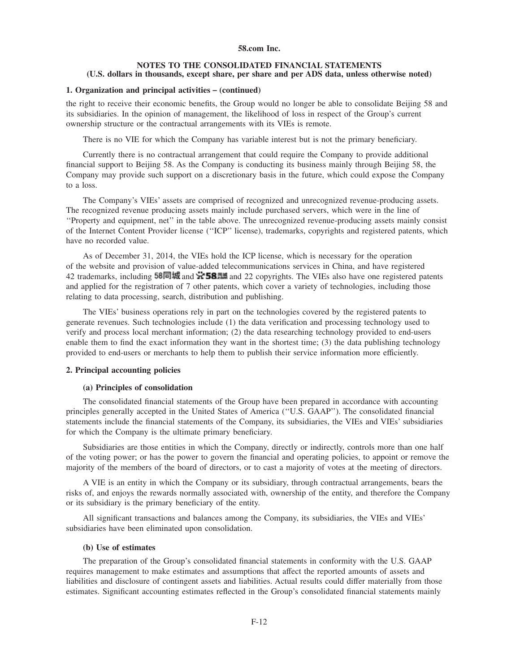# **NOTES TO THE CONSOLIDATED FINANCIAL STATEMENTS (U.S. dollars in thousands, except share, per share and per ADS data, unless otherwise noted)**

### **1. Organization and principal activities − (continued)**

the right to receive their economic benefits, the Group would no longer be able to consolidate Beijing 58 and its subsidiaries. In the opinion of management, the likelihood of loss in respect of the Group's current ownership structure or the contractual arrangements with its VIEs is remote.

There is no VIE for which the Company has variable interest but is not the primary beneficiary.

Currently there is no contractual arrangement that could require the Company to provide additional financial support to Beijing 58. As the Company is conducting its business mainly through Beijing 58, the Company may provide such support on a discretionary basis in the future, which could expose the Company to a loss.

The Company's VIEs' assets are comprised of recognized and unrecognized revenue-producing assets. The recognized revenue producing assets mainly include purchased servers, which were in the line of ''Property and equipment, net'' in the table above. The unrecognized revenue-producing assets mainly consist of the Internet Content Provider license (''ICP'' license), trademarks, copyrights and registered patents, which have no recorded value.

As of December 31, 2014, the VIEs hold the ICP license, which is necessary for the operation of the website and provision of value-added telecommunications services in China, and have registered 42 trademarks, including 58 $\Box$  and  $\angle$  58 $\Box$  and 22 copyrights. The VIEs also have one registered patents and applied for the registration of 7 other patents, which cover a variety of technologies, including those relating to data processing, search, distribution and publishing.

The VIEs' business operations rely in part on the technologies covered by the registered patents to generate revenues. Such technologies include (1) the data verification and processing technology used to verify and process local merchant information; (2) the data researching technology provided to end-users enable them to find the exact information they want in the shortest time; (3) the data publishing technology provided to end-users or merchants to help them to publish their service information more efficiently.

### **2. Principal accounting policies**

### **(a) Principles of consolidation**

The consolidated financial statements of the Group have been prepared in accordance with accounting principles generally accepted in the United States of America (''U.S. GAAP''). The consolidated financial statements include the financial statements of the Company, its subsidiaries, the VIEs and VIEs' subsidiaries for which the Company is the ultimate primary beneficiary.

Subsidiaries are those entities in which the Company, directly or indirectly, controls more than one half of the voting power; or has the power to govern the financial and operating policies, to appoint or remove the majority of the members of the board of directors, or to cast a majority of votes at the meeting of directors.

A VIE is an entity in which the Company or its subsidiary, through contractual arrangements, bears the risks of, and enjoys the rewards normally associated with, ownership of the entity, and therefore the Company or its subsidiary is the primary beneficiary of the entity.

All significant transactions and balances among the Company, its subsidiaries, the VIEs and VIEs' subsidiaries have been eliminated upon consolidation.

#### **(b) Use of estimates**

The preparation of the Group's consolidated financial statements in conformity with the U.S. GAAP requires management to make estimates and assumptions that affect the reported amounts of assets and liabilities and disclosure of contingent assets and liabilities. Actual results could differ materially from those estimates. Significant accounting estimates reflected in the Group's consolidated financial statements mainly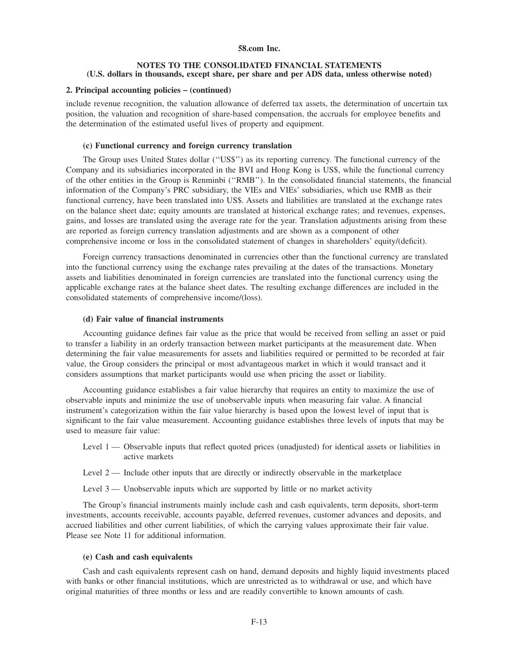# **NOTES TO THE CONSOLIDATED FINANCIAL STATEMENTS (U.S. dollars in thousands, except share, per share and per ADS data, unless otherwise noted)**

### **2. Principal accounting policies − (continued)**

include revenue recognition, the valuation allowance of deferred tax assets, the determination of uncertain tax position, the valuation and recognition of share-based compensation, the accruals for employee benefits and the determination of the estimated useful lives of property and equipment.

### **(c) Functional currency and foreign currency translation**

The Group uses United States dollar (''US\$'') as its reporting currency. The functional currency of the Company and its subsidiaries incorporated in the BVI and Hong Kong is US\$, while the functional currency of the other entities in the Group is Renminbi (''RMB''). In the consolidated financial statements, the financial information of the Company's PRC subsidiary, the VIEs and VIEs' subsidiaries, which use RMB as their functional currency, have been translated into US\$. Assets and liabilities are translated at the exchange rates on the balance sheet date; equity amounts are translated at historical exchange rates; and revenues, expenses, gains, and losses are translated using the average rate for the year. Translation adjustments arising from these are reported as foreign currency translation adjustments and are shown as a component of other comprehensive income or loss in the consolidated statement of changes in shareholders' equity/(deficit).

Foreign currency transactions denominated in currencies other than the functional currency are translated into the functional currency using the exchange rates prevailing at the dates of the transactions. Monetary assets and liabilities denominated in foreign currencies are translated into the functional currency using the applicable exchange rates at the balance sheet dates. The resulting exchange differences are included in the consolidated statements of comprehensive income/(loss).

### **(d) Fair value of financial instruments**

Accounting guidance defines fair value as the price that would be received from selling an asset or paid to transfer a liability in an orderly transaction between market participants at the measurement date. When determining the fair value measurements for assets and liabilities required or permitted to be recorded at fair value, the Group considers the principal or most advantageous market in which it would transact and it considers assumptions that market participants would use when pricing the asset or liability.

Accounting guidance establishes a fair value hierarchy that requires an entity to maximize the use of observable inputs and minimize the use of unobservable inputs when measuring fair value. A financial instrument's categorization within the fair value hierarchy is based upon the lowest level of input that is significant to the fair value measurement. Accounting guidance establishes three levels of inputs that may be used to measure fair value:

- Level 1 Observable inputs that reflect quoted prices (unadjusted) for identical assets or liabilities in active markets
- Level  $2$  Include other inputs that are directly or indirectly observable in the marketplace

Level 3 — Unobservable inputs which are supported by little or no market activity

The Group's financial instruments mainly include cash and cash equivalents, term deposits, short-term investments, accounts receivable, accounts payable, deferred revenues, customer advances and deposits, and accrued liabilities and other current liabilities, of which the carrying values approximate their fair value. Please see Note 11 for additional information.

### **(e) Cash and cash equivalents**

Cash and cash equivalents represent cash on hand, demand deposits and highly liquid investments placed with banks or other financial institutions, which are unrestricted as to withdrawal or use, and which have original maturities of three months or less and are readily convertible to known amounts of cash.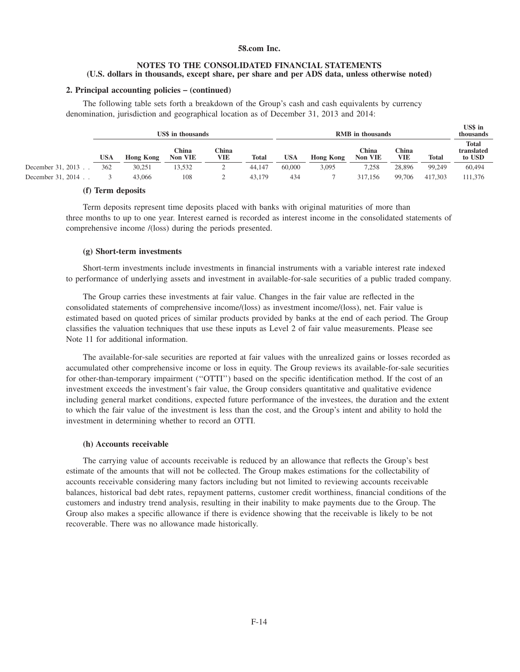# **NOTES TO THE CONSOLIDATED FINANCIAL STATEMENTS (U.S. dollars in thousands, except share, per share and per ADS data, unless otherwise noted)**

### **2. Principal accounting policies − (continued)**

The following table sets forth a breakdown of the Group's cash and cash equivalents by currency denomination, jurisdiction and geographical location as of December 31, 2013 and 2014:

|                   |            |                  | US\$ in thousands       |                     |        | <b>RMB</b> in thousands |                  |                         | US\$ in<br>thousands |         |                                      |
|-------------------|------------|------------------|-------------------------|---------------------|--------|-------------------------|------------------|-------------------------|----------------------|---------|--------------------------------------|
|                   | <b>USA</b> | <b>Hong Kong</b> | China<br><b>Non VIE</b> | <b>China</b><br>VIE | Total  | <b>USA</b>              | <b>Hong Kong</b> | China<br><b>Non VIE</b> | China<br><b>VIE</b>  | Total   | <b>Total</b><br>translated<br>to USD |
| December 31, 2013 | 362        | 30.251           | 13.532                  |                     | 44,147 | 60,000                  | 3.095            | 7.258                   | 28,896               | 99,249  | 60,494                               |
| December 31, 2014 |            | 43,066           | 108                     | ∼                   | 43,179 | 434                     |                  | 317,156                 | 99,706               | 417.303 | 111,376                              |

### **(f) Term deposits**

Term deposits represent time deposits placed with banks with original maturities of more than three months to up to one year. Interest earned is recorded as interest income in the consolidated statements of comprehensive income /(loss) during the periods presented.

#### **(g) Short-term investments**

Short-term investments include investments in financial instruments with a variable interest rate indexed to performance of underlying assets and investment in available-for-sale securities of a public traded company.

The Group carries these investments at fair value. Changes in the fair value are reflected in the consolidated statements of comprehensive income/(loss) as investment income/(loss), net. Fair value is estimated based on quoted prices of similar products provided by banks at the end of each period. The Group classifies the valuation techniques that use these inputs as Level 2 of fair value measurements. Please see Note 11 for additional information.

The available-for-sale securities are reported at fair values with the unrealized gains or losses recorded as accumulated other comprehensive income or loss in equity. The Group reviews its available-for-sale securities for other-than-temporary impairment (''OTTI'') based on the specific identification method. If the cost of an investment exceeds the investment's fair value, the Group considers quantitative and qualitative evidence including general market conditions, expected future performance of the investees, the duration and the extent to which the fair value of the investment is less than the cost, and the Group's intent and ability to hold the investment in determining whether to record an OTTI.

### **(h) Accounts receivable**

The carrying value of accounts receivable is reduced by an allowance that reflects the Group's best estimate of the amounts that will not be collected. The Group makes estimations for the collectability of accounts receivable considering many factors including but not limited to reviewing accounts receivable balances, historical bad debt rates, repayment patterns, customer credit worthiness, financial conditions of the customers and industry trend analysis, resulting in their inability to make payments due to the Group. The Group also makes a specific allowance if there is evidence showing that the receivable is likely to be not recoverable. There was no allowance made historically.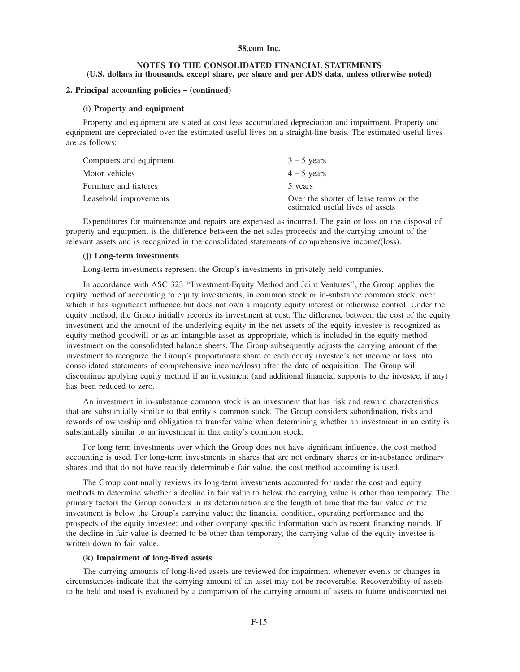# **NOTES TO THE CONSOLIDATED FINANCIAL STATEMENTS (U.S. dollars in thousands, except share, per share and per ADS data, unless otherwise noted)**

### **2. Principal accounting policies − (continued)**

### **(i) Property and equipment**

Property and equipment are stated at cost less accumulated depreciation and impairment. Property and equipment are depreciated over the estimated useful lives on a straight-line basis. The estimated useful lives are as follows:

| Computers and equipment | $3 - 5$ years                                                              |
|-------------------------|----------------------------------------------------------------------------|
| Motor vehicles          | $4 - 5$ years                                                              |
| Furniture and fixtures  | 5 years                                                                    |
| Leasehold improvements  | Over the shorter of lease terms or the<br>estimated useful lives of assets |

Expenditures for maintenance and repairs are expensed as incurred. The gain or loss on the disposal of property and equipment is the difference between the net sales proceeds and the carrying amount of the relevant assets and is recognized in the consolidated statements of comprehensive income/(loss).

### **(j) Long-term investments**

Long-term investments represent the Group's investments in privately held companies.

In accordance with ASC 323 ''Investment-Equity Method and Joint Ventures'', the Group applies the equity method of accounting to equity investments, in common stock or in-substance common stock, over which it has significant influence but does not own a majority equity interest or otherwise control. Under the equity method, the Group initially records its investment at cost. The difference between the cost of the equity investment and the amount of the underlying equity in the net assets of the equity investee is recognized as equity method goodwill or as an intangible asset as appropriate, which is included in the equity method investment on the consolidated balance sheets. The Group subsequently adjusts the carrying amount of the investment to recognize the Group's proportionate share of each equity investee's net income or loss into consolidated statements of comprehensive income/(loss) after the date of acquisition. The Group will discontinue applying equity method if an investment (and additional financial supports to the investee, if any) has been reduced to zero.

An investment in in-substance common stock is an investment that has risk and reward characteristics that are substantially similar to that entity's common stock. The Group considers subordination, risks and rewards of ownership and obligation to transfer value when determining whether an investment in an entity is substantially similar to an investment in that entity's common stock.

For long-term investments over which the Group does not have significant influence, the cost method accounting is used. For long-term investments in shares that are not ordinary shares or in-substance ordinary shares and that do not have readily determinable fair value, the cost method accounting is used.

The Group continually reviews its long-term investments accounted for under the cost and equity methods to determine whether a decline in fair value to below the carrying value is other than temporary. The primary factors the Group considers in its determination are the length of time that the fair value of the investment is below the Group's carrying value; the financial condition, operating performance and the prospects of the equity investee; and other company specific information such as recent financing rounds. If the decline in fair value is deemed to be other than temporary, the carrying value of the equity investee is written down to fair value.

### **(k) Impairment of long-lived assets**

The carrying amounts of long-lived assets are reviewed for impairment whenever events or changes in circumstances indicate that the carrying amount of an asset may not be recoverable. Recoverability of assets to be held and used is evaluated by a comparison of the carrying amount of assets to future undiscounted net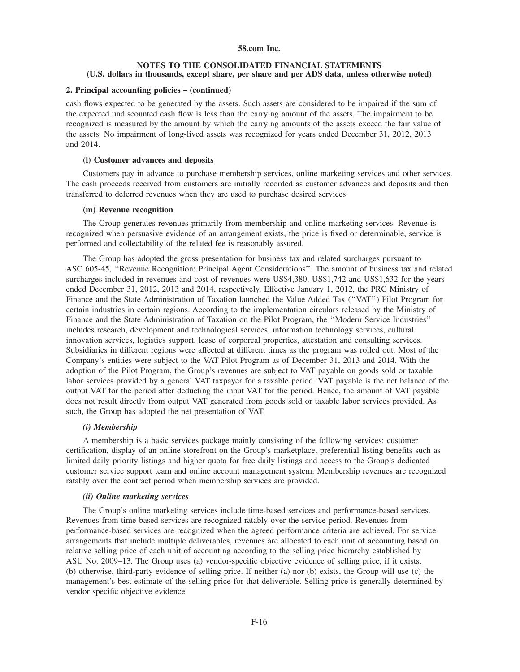# **NOTES TO THE CONSOLIDATED FINANCIAL STATEMENTS (U.S. dollars in thousands, except share, per share and per ADS data, unless otherwise noted)**

### **2. Principal accounting policies − (continued)**

cash flows expected to be generated by the assets. Such assets are considered to be impaired if the sum of the expected undiscounted cash flow is less than the carrying amount of the assets. The impairment to be recognized is measured by the amount by which the carrying amounts of the assets exceed the fair value of the assets. No impairment of long-lived assets was recognized for years ended December 31, 2012, 2013 and 2014.

#### **(l) Customer advances and deposits**

Customers pay in advance to purchase membership services, online marketing services and other services. The cash proceeds received from customers are initially recorded as customer advances and deposits and then transferred to deferred revenues when they are used to purchase desired services.

#### **(m) Revenue recognition**

The Group generates revenues primarily from membership and online marketing services. Revenue is recognized when persuasive evidence of an arrangement exists, the price is fixed or determinable, service is performed and collectability of the related fee is reasonably assured.

The Group has adopted the gross presentation for business tax and related surcharges pursuant to ASC 605-45, ''Revenue Recognition: Principal Agent Considerations''. The amount of business tax and related surcharges included in revenues and cost of revenues were US\$4,380, US\$1,742 and US\$1,632 for the years ended December 31, 2012, 2013 and 2014, respectively. Effective January 1, 2012, the PRC Ministry of Finance and the State Administration of Taxation launched the Value Added Tax (''VAT'') Pilot Program for certain industries in certain regions. According to the implementation circulars released by the Ministry of Finance and the State Administration of Taxation on the Pilot Program, the ''Modern Service Industries'' includes research, development and technological services, information technology services, cultural innovation services, logistics support, lease of corporeal properties, attestation and consulting services. Subsidiaries in different regions were affected at different times as the program was rolled out. Most of the Company's entities were subject to the VAT Pilot Program as of December 31, 2013 and 2014. With the adoption of the Pilot Program, the Group's revenues are subject to VAT payable on goods sold or taxable labor services provided by a general VAT taxpayer for a taxable period. VAT payable is the net balance of the output VAT for the period after deducting the input VAT for the period. Hence, the amount of VAT payable does not result directly from output VAT generated from goods sold or taxable labor services provided. As such, the Group has adopted the net presentation of VAT.

### *(i) Membership*

A membership is a basic services package mainly consisting of the following services: customer certification, display of an online storefront on the Group's marketplace, preferential listing benefits such as limited daily priority listings and higher quota for free daily listings and access to the Group's dedicated customer service support team and online account management system. Membership revenues are recognized ratably over the contract period when membership services are provided.

#### *(ii) Online marketing services*

The Group's online marketing services include time-based services and performance-based services. Revenues from time-based services are recognized ratably over the service period. Revenues from performance-based services are recognized when the agreed performance criteria are achieved. For service arrangements that include multiple deliverables, revenues are allocated to each unit of accounting based on relative selling price of each unit of accounting according to the selling price hierarchy established by ASU No. 2009–13. The Group uses (a) vendor-specific objective evidence of selling price, if it exists, (b) otherwise, third-party evidence of selling price. If neither (a) nor (b) exists, the Group will use (c) the management's best estimate of the selling price for that deliverable. Selling price is generally determined by vendor specific objective evidence.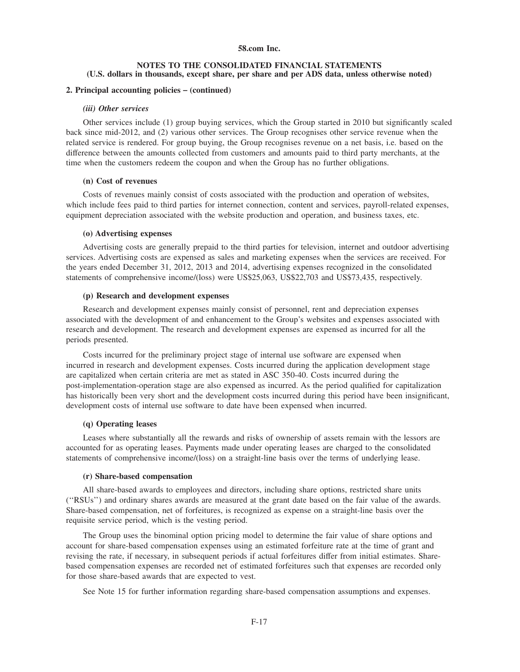# **NOTES TO THE CONSOLIDATED FINANCIAL STATEMENTS (U.S. dollars in thousands, except share, per share and per ADS data, unless otherwise noted)**

### **2. Principal accounting policies − (continued)**

### *(iii) Other services*

Other services include (1) group buying services, which the Group started in 2010 but significantly scaled back since mid-2012, and (2) various other services. The Group recognises other service revenue when the related service is rendered. For group buying, the Group recognises revenue on a net basis, i.e. based on the difference between the amounts collected from customers and amounts paid to third party merchants, at the time when the customers redeem the coupon and when the Group has no further obligations.

### **(n) Cost of revenues**

Costs of revenues mainly consist of costs associated with the production and operation of websites, which include fees paid to third parties for internet connection, content and services, payroll-related expenses, equipment depreciation associated with the website production and operation, and business taxes, etc.

### **(o) Advertising expenses**

Advertising costs are generally prepaid to the third parties for television, internet and outdoor advertising services. Advertising costs are expensed as sales and marketing expenses when the services are received. For the years ended December 31, 2012, 2013 and 2014, advertising expenses recognized in the consolidated statements of comprehensive income/(loss) were US\$25,063, US\$22,703 and US\$73,435, respectively.

## **(p) Research and development expenses**

Research and development expenses mainly consist of personnel, rent and depreciation expenses associated with the development of and enhancement to the Group's websites and expenses associated with research and development. The research and development expenses are expensed as incurred for all the periods presented.

Costs incurred for the preliminary project stage of internal use software are expensed when incurred in research and development expenses. Costs incurred during the application development stage are capitalized when certain criteria are met as stated in ASC 350-40. Costs incurred during the post-implementation-operation stage are also expensed as incurred. As the period qualified for capitalization has historically been very short and the development costs incurred during this period have been insignificant, development costs of internal use software to date have been expensed when incurred.

## **(q) Operating leases**

Leases where substantially all the rewards and risks of ownership of assets remain with the lessors are accounted for as operating leases. Payments made under operating leases are charged to the consolidated statements of comprehensive income/(loss) on a straight-line basis over the terms of underlying lease.

### **(r) Share-based compensation**

All share-based awards to employees and directors, including share options, restricted share units (''RSUs'') and ordinary shares awards are measured at the grant date based on the fair value of the awards. Share-based compensation, net of forfeitures, is recognized as expense on a straight-line basis over the requisite service period, which is the vesting period.

The Group uses the binominal option pricing model to determine the fair value of share options and account for share-based compensation expenses using an estimated forfeiture rate at the time of grant and revising the rate, if necessary, in subsequent periods if actual forfeitures differ from initial estimates. Sharebased compensation expenses are recorded net of estimated forfeitures such that expenses are recorded only for those share-based awards that are expected to vest.

See Note 15 for further information regarding share-based compensation assumptions and expenses.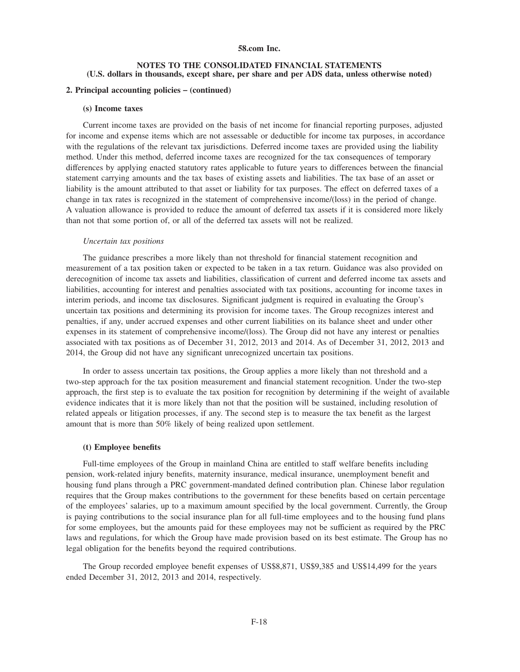# **NOTES TO THE CONSOLIDATED FINANCIAL STATEMENTS (U.S. dollars in thousands, except share, per share and per ADS data, unless otherwise noted)**

### **2. Principal accounting policies − (continued)**

#### **(s) Income taxes**

Current income taxes are provided on the basis of net income for financial reporting purposes, adjusted for income and expense items which are not assessable or deductible for income tax purposes, in accordance with the regulations of the relevant tax jurisdictions. Deferred income taxes are provided using the liability method. Under this method, deferred income taxes are recognized for the tax consequences of temporary differences by applying enacted statutory rates applicable to future years to differences between the financial statement carrying amounts and the tax bases of existing assets and liabilities. The tax base of an asset or liability is the amount attributed to that asset or liability for tax purposes. The effect on deferred taxes of a change in tax rates is recognized in the statement of comprehensive income/(loss) in the period of change. A valuation allowance is provided to reduce the amount of deferred tax assets if it is considered more likely than not that some portion of, or all of the deferred tax assets will not be realized.

#### *Uncertain tax positions*

The guidance prescribes a more likely than not threshold for financial statement recognition and measurement of a tax position taken or expected to be taken in a tax return. Guidance was also provided on derecognition of income tax assets and liabilities, classification of current and deferred income tax assets and liabilities, accounting for interest and penalties associated with tax positions, accounting for income taxes in interim periods, and income tax disclosures. Significant judgment is required in evaluating the Group's uncertain tax positions and determining its provision for income taxes. The Group recognizes interest and penalties, if any, under accrued expenses and other current liabilities on its balance sheet and under other expenses in its statement of comprehensive income/(loss). The Group did not have any interest or penalties associated with tax positions as of December 31, 2012, 2013 and 2014. As of December 31, 2012, 2013 and 2014, the Group did not have any significant unrecognized uncertain tax positions.

In order to assess uncertain tax positions, the Group applies a more likely than not threshold and a two-step approach for the tax position measurement and financial statement recognition. Under the two-step approach, the first step is to evaluate the tax position for recognition by determining if the weight of available evidence indicates that it is more likely than not that the position will be sustained, including resolution of related appeals or litigation processes, if any. The second step is to measure the tax benefit as the largest amount that is more than 50% likely of being realized upon settlement.

### **(t) Employee benefits**

Full-time employees of the Group in mainland China are entitled to staff welfare benefits including pension, work-related injury benefits, maternity insurance, medical insurance, unemployment benefit and housing fund plans through a PRC government-mandated defined contribution plan. Chinese labor regulation requires that the Group makes contributions to the government for these benefits based on certain percentage of the employees' salaries, up to a maximum amount specified by the local government. Currently, the Group is paying contributions to the social insurance plan for all full-time employees and to the housing fund plans for some employees, but the amounts paid for these employees may not be sufficient as required by the PRC laws and regulations, for which the Group have made provision based on its best estimate. The Group has no legal obligation for the benefits beyond the required contributions.

The Group recorded employee benefit expenses of US\$8,871, US\$9,385 and US\$14,499 for the years ended December 31, 2012, 2013 and 2014, respectively.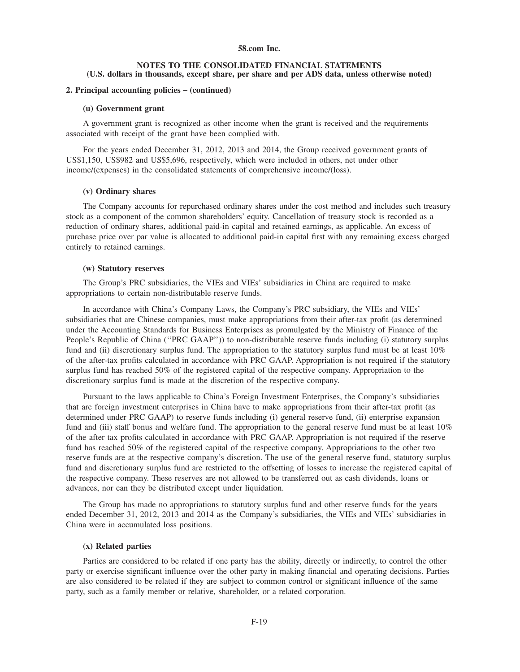# **NOTES TO THE CONSOLIDATED FINANCIAL STATEMENTS (U.S. dollars in thousands, except share, per share and per ADS data, unless otherwise noted)**

### **2. Principal accounting policies − (continued)**

### **(u) Government grant**

A government grant is recognized as other income when the grant is received and the requirements associated with receipt of the grant have been complied with.

For the years ended December 31, 2012, 2013 and 2014, the Group received government grants of US\$1,150, US\$982 and US\$5,696, respectively, which were included in others, net under other income/(expenses) in the consolidated statements of comprehensive income/(loss).

## **(v) Ordinary shares**

The Company accounts for repurchased ordinary shares under the cost method and includes such treasury stock as a component of the common shareholders' equity. Cancellation of treasury stock is recorded as a reduction of ordinary shares, additional paid-in capital and retained earnings, as applicable. An excess of purchase price over par value is allocated to additional paid-in capital first with any remaining excess charged entirely to retained earnings.

#### **(w) Statutory reserves**

The Group's PRC subsidiaries, the VIEs and VIEs' subsidiaries in China are required to make appropriations to certain non-distributable reserve funds.

In accordance with China's Company Laws, the Company's PRC subsidiary, the VIEs and VIEs' subsidiaries that are Chinese companies, must make appropriations from their after-tax profit (as determined under the Accounting Standards for Business Enterprises as promulgated by the Ministry of Finance of the People's Republic of China (''PRC GAAP'')) to non-distributable reserve funds including (i) statutory surplus fund and (ii) discretionary surplus fund. The appropriation to the statutory surplus fund must be at least 10% of the after-tax profits calculated in accordance with PRC GAAP. Appropriation is not required if the statutory surplus fund has reached 50% of the registered capital of the respective company. Appropriation to the discretionary surplus fund is made at the discretion of the respective company.

Pursuant to the laws applicable to China's Foreign Investment Enterprises, the Company's subsidiaries that are foreign investment enterprises in China have to make appropriations from their after-tax profit (as determined under PRC GAAP) to reserve funds including (i) general reserve fund, (ii) enterprise expansion fund and (iii) staff bonus and welfare fund. The appropriation to the general reserve fund must be at least 10% of the after tax profits calculated in accordance with PRC GAAP. Appropriation is not required if the reserve fund has reached 50% of the registered capital of the respective company. Appropriations to the other two reserve funds are at the respective company's discretion. The use of the general reserve fund, statutory surplus fund and discretionary surplus fund are restricted to the offsetting of losses to increase the registered capital of the respective company. These reserves are not allowed to be transferred out as cash dividends, loans or advances, nor can they be distributed except under liquidation.

The Group has made no appropriations to statutory surplus fund and other reserve funds for the years ended December 31, 2012, 2013 and 2014 as the Company's subsidiaries, the VIEs and VIEs' subsidiaries in China were in accumulated loss positions.

### **(x) Related parties**

Parties are considered to be related if one party has the ability, directly or indirectly, to control the other party or exercise significant influence over the other party in making financial and operating decisions. Parties are also considered to be related if they are subject to common control or significant influence of the same party, such as a family member or relative, shareholder, or a related corporation.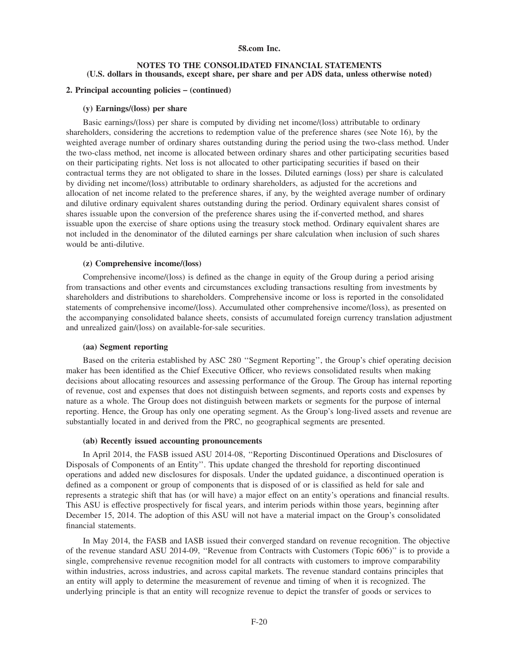# **NOTES TO THE CONSOLIDATED FINANCIAL STATEMENTS (U.S. dollars in thousands, except share, per share and per ADS data, unless otherwise noted)**

### **2. Principal accounting policies − (continued)**

### **(y) Earnings/(loss) per share**

Basic earnings/(loss) per share is computed by dividing net income/(loss) attributable to ordinary shareholders, considering the accretions to redemption value of the preference shares (see Note 16), by the weighted average number of ordinary shares outstanding during the period using the two-class method. Under the two-class method, net income is allocated between ordinary shares and other participating securities based on their participating rights. Net loss is not allocated to other participating securities if based on their contractual terms they are not obligated to share in the losses. Diluted earnings (loss) per share is calculated by dividing net income/(loss) attributable to ordinary shareholders, as adjusted for the accretions and allocation of net income related to the preference shares, if any, by the weighted average number of ordinary and dilutive ordinary equivalent shares outstanding during the period. Ordinary equivalent shares consist of shares issuable upon the conversion of the preference shares using the if-converted method, and shares issuable upon the exercise of share options using the treasury stock method. Ordinary equivalent shares are not included in the denominator of the diluted earnings per share calculation when inclusion of such shares would be anti-dilutive.

### **(z) Comprehensive income/(loss)**

Comprehensive income/(loss) is defined as the change in equity of the Group during a period arising from transactions and other events and circumstances excluding transactions resulting from investments by shareholders and distributions to shareholders. Comprehensive income or loss is reported in the consolidated statements of comprehensive income/(loss). Accumulated other comprehensive income/(loss), as presented on the accompanying consolidated balance sheets, consists of accumulated foreign currency translation adjustment and unrealized gain/(loss) on available-for-sale securities.

### **(aa) Segment reporting**

Based on the criteria established by ASC 280 ''Segment Reporting'', the Group's chief operating decision maker has been identified as the Chief Executive Officer, who reviews consolidated results when making decisions about allocating resources and assessing performance of the Group. The Group has internal reporting of revenue, cost and expenses that does not distinguish between segments, and reports costs and expenses by nature as a whole. The Group does not distinguish between markets or segments for the purpose of internal reporting. Hence, the Group has only one operating segment. As the Group's long-lived assets and revenue are substantially located in and derived from the PRC, no geographical segments are presented.

#### **(ab) Recently issued accounting pronouncements**

In April 2014, the FASB issued ASU 2014-08, ''Reporting Discontinued Operations and Disclosures of Disposals of Components of an Entity''. This update changed the threshold for reporting discontinued operations and added new disclosures for disposals. Under the updated guidance, a discontinued operation is defined as a component or group of components that is disposed of or is classified as held for sale and represents a strategic shift that has (or will have) a major effect on an entity's operations and financial results. This ASU is effective prospectively for fiscal years, and interim periods within those years, beginning after December 15, 2014. The adoption of this ASU will not have a material impact on the Group's consolidated financial statements.

In May 2014, the FASB and IASB issued their converged standard on revenue recognition. The objective of the revenue standard ASU 2014-09, ''Revenue from Contracts with Customers (Topic 606)'' is to provide a single, comprehensive revenue recognition model for all contracts with customers to improve comparability within industries, across industries, and across capital markets. The revenue standard contains principles that an entity will apply to determine the measurement of revenue and timing of when it is recognized. The underlying principle is that an entity will recognize revenue to depict the transfer of goods or services to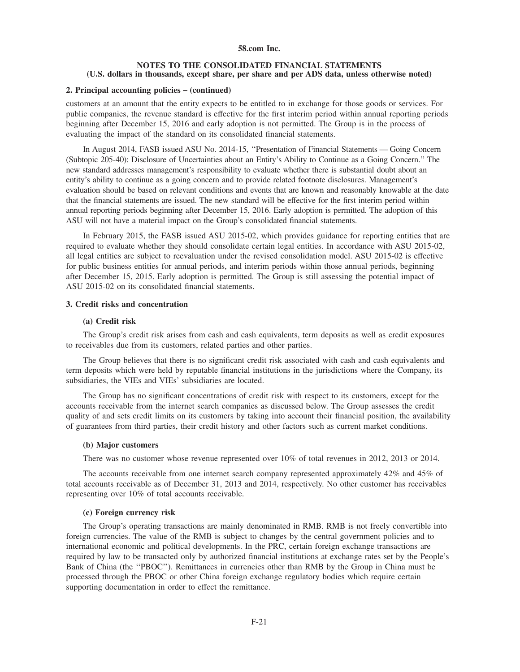# **NOTES TO THE CONSOLIDATED FINANCIAL STATEMENTS (U.S. dollars in thousands, except share, per share and per ADS data, unless otherwise noted)**

### **2. Principal accounting policies − (continued)**

customers at an amount that the entity expects to be entitled to in exchange for those goods or services. For public companies, the revenue standard is effective for the first interim period within annual reporting periods beginning after December 15, 2016 and early adoption is not permitted. The Group is in the process of evaluating the impact of the standard on its consolidated financial statements.

In August 2014, FASB issued ASU No. 2014-15, ''Presentation of Financial Statements — Going Concern (Subtopic 205-40): Disclosure of Uncertainties about an Entity's Ability to Continue as a Going Concern.'' The new standard addresses management's responsibility to evaluate whether there is substantial doubt about an entity's ability to continue as a going concern and to provide related footnote disclosures. Management's evaluation should be based on relevant conditions and events that are known and reasonably knowable at the date that the financial statements are issued. The new standard will be effective for the first interim period within annual reporting periods beginning after December 15, 2016. Early adoption is permitted. The adoption of this ASU will not have a material impact on the Group's consolidated financial statements.

In February 2015, the FASB issued ASU 2015-02, which provides guidance for reporting entities that are required to evaluate whether they should consolidate certain legal entities. In accordance with ASU 2015-02, all legal entities are subject to reevaluation under the revised consolidation model. ASU 2015-02 is effective for public business entities for annual periods, and interim periods within those annual periods, beginning after December 15, 2015. Early adoption is permitted. The Group is still assessing the potential impact of ASU 2015-02 on its consolidated financial statements.

### **3. Credit risks and concentration**

### **(a) Credit risk**

The Group's credit risk arises from cash and cash equivalents, term deposits as well as credit exposures to receivables due from its customers, related parties and other parties.

The Group believes that there is no significant credit risk associated with cash and cash equivalents and term deposits which were held by reputable financial institutions in the jurisdictions where the Company, its subsidiaries, the VIEs and VIEs' subsidiaries are located.

The Group has no significant concentrations of credit risk with respect to its customers, except for the accounts receivable from the internet search companies as discussed below. The Group assesses the credit quality of and sets credit limits on its customers by taking into account their financial position, the availability of guarantees from third parties, their credit history and other factors such as current market conditions.

#### **(b) Major customers**

There was no customer whose revenue represented over 10% of total revenues in 2012, 2013 or 2014.

The accounts receivable from one internet search company represented approximately 42% and 45% of total accounts receivable as of December 31, 2013 and 2014, respectively. No other customer has receivables representing over 10% of total accounts receivable.

### **(c) Foreign currency risk**

The Group's operating transactions are mainly denominated in RMB. RMB is not freely convertible into foreign currencies. The value of the RMB is subject to changes by the central government policies and to international economic and political developments. In the PRC, certain foreign exchange transactions are required by law to be transacted only by authorized financial institutions at exchange rates set by the People's Bank of China (the ''PBOC''). Remittances in currencies other than RMB by the Group in China must be processed through the PBOC or other China foreign exchange regulatory bodies which require certain supporting documentation in order to effect the remittance.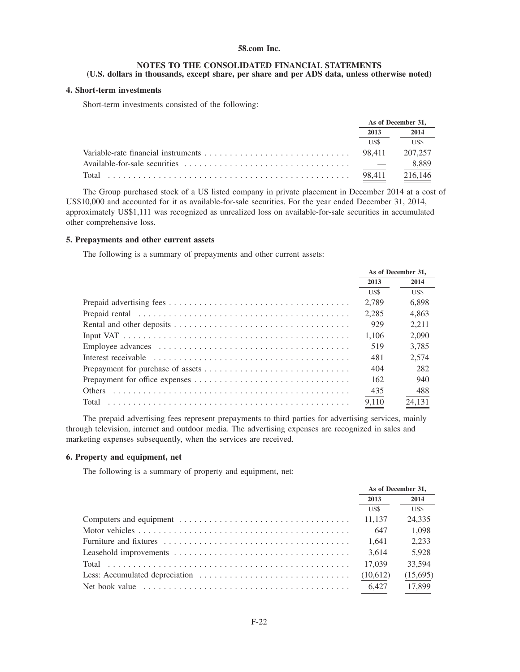# **NOTES TO THE CONSOLIDATED FINANCIAL STATEMENTS**

**(U.S. dollars in thousands, except share, per share and per ADS data, unless otherwise noted)**

# **4. Short-term investments**

Short-term investments consisted of the following:

| As of December 31, |                |
|--------------------|----------------|
| 2013               | 2014           |
| <b>USS</b>         | <b>USS</b>     |
|                    | 207.257        |
|                    | 8,889          |
|                    | 98,411 216,146 |

The Group purchased stock of a US listed company in private placement in December 2014 at a cost of US\$10,000 and accounted for it as available-for-sale securities. For the year ended December 31, 2014, approximately US\$1,111 was recognized as unrealized loss on available-for-sale securities in accumulated other comprehensive loss.

### **5. Prepayments and other current assets**

The following is a summary of prepayments and other current assets:

|                                                                                                           | As of December 31. |        |
|-----------------------------------------------------------------------------------------------------------|--------------------|--------|
|                                                                                                           | 2013               | 2014   |
|                                                                                                           | US\$               | US\$   |
|                                                                                                           | 2.789              | 6.898  |
|                                                                                                           | 2.285              | 4.863  |
|                                                                                                           | 929                | 2.211  |
|                                                                                                           | 1.106              | 2.090  |
|                                                                                                           | 519                | 3.785  |
| Interest receivable $\ldots \ldots \ldots \ldots \ldots \ldots \ldots \ldots \ldots \ldots \ldots \ldots$ | 481                | 2.574  |
|                                                                                                           | 404                | 282    |
|                                                                                                           | 162                | 940    |
| Others                                                                                                    | 435                | 488    |
| Total                                                                                                     | 9.110              | 24.131 |

The prepaid advertising fees represent prepayments to third parties for advertising services, mainly through television, internet and outdoor media. The advertising expenses are recognized in sales and marketing expenses subsequently, when the services are received.

## **6. Property and equipment, net**

The following is a summary of property and equipment, net:

| As of December 31, |          |  |
|--------------------|----------|--|
| 2013               | 2014     |  |
| US\$               | US\$     |  |
| 11,137             | 24.335   |  |
| 647                | 1.098    |  |
| 1.641              | 2.233    |  |
| 3,614              | 5,928    |  |
| 17.039             | 33.594   |  |
|                    | (15,695) |  |
| 6,427              | 17.899   |  |
|                    |          |  |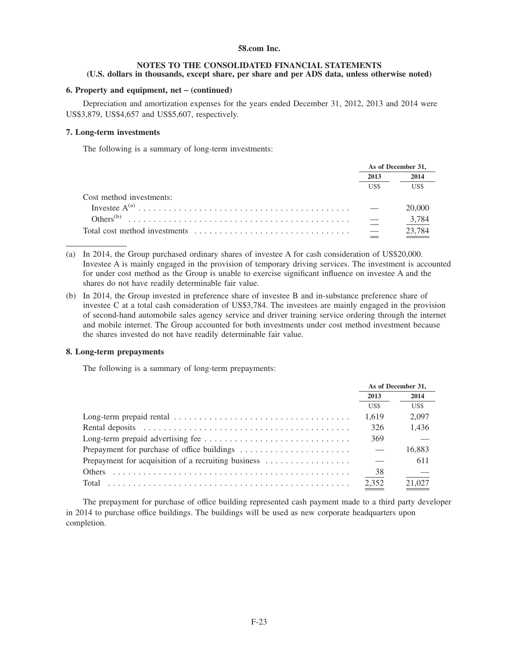# **NOTES TO THE CONSOLIDATED FINANCIAL STATEMENTS (U.S. dollars in thousands, except share, per share and per ADS data, unless otherwise noted)**

### **6. Property and equipment, net − (continued)**

Depreciation and amortization expenses for the years ended December 31, 2012, 2013 and 2014 were US\$3,879, US\$4,657 and US\$5,607, respectively.

### **7. Long-term investments**

The following is a summary of long-term investments:

|                          | As of December 31, |            |
|--------------------------|--------------------|------------|
|                          | 2013               | 2014       |
|                          | <b>USS</b>         | <b>USS</b> |
| Cost method investments: |                    |            |
|                          |                    | 20,000     |
| Others <sup>(b)</sup>    |                    | 3,784      |
|                          |                    | 23.784     |

(a) In 2014, the Group purchased ordinary shares of investee A for cash consideration of US\$20,000. Investee A is mainly engaged in the provision of temporary driving services. The investment is accounted for under cost method as the Group is unable to exercise significant influence on investee A and the shares do not have readily determinable fair value.

(b) In 2014, the Group invested in preference share of investee B and in-substance preference share of investee C at a total cash consideration of US\$3,784. The investees are mainly engaged in the provision of second-hand automobile sales agency service and driver training service ordering through the internet and mobile internet. The Group accounted for both investments under cost method investment because the shares invested do not have readily determinable fair value.

### **8. Long-term prepayments**

The following is a summary of long-term prepayments:

|                                                                                                    | As of December 31,       |        |
|----------------------------------------------------------------------------------------------------|--------------------------|--------|
|                                                                                                    | 2013<br>2014             |        |
|                                                                                                    | US\$                     | US\$   |
| Long-term prepaid rental $\dots \dots \dots \dots \dots \dots \dots \dots \dots \dots \dots \dots$ | 1,619                    | 2.097  |
|                                                                                                    | 326                      | 1.436  |
| Long-term prepaid advertising fee $\dots \dots \dots \dots \dots \dots \dots \dots \dots$          | 369                      |        |
|                                                                                                    | $\overline{\phantom{a}}$ | 16,883 |
| Prepayment for acquisition of a recruiting business                                                |                          | 611    |
|                                                                                                    | - 38                     |        |
|                                                                                                    | 2.352                    | 21,027 |

The prepayment for purchase of office building represented cash payment made to a third party developer in 2014 to purchase office buildings. The buildings will be used as new corporate headquarters upon completion.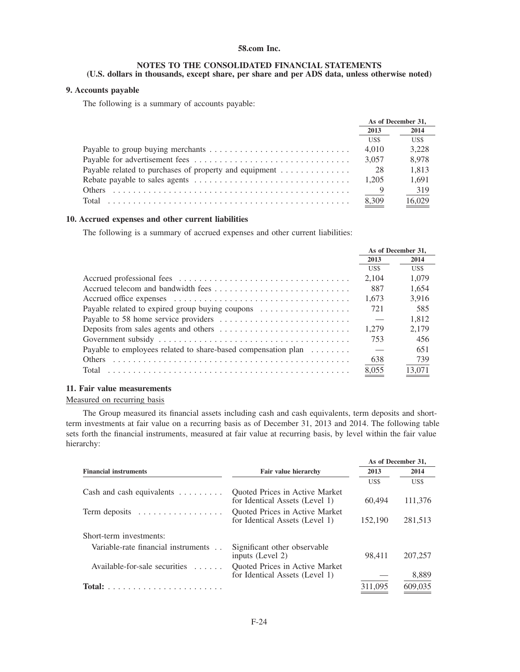# **NOTES TO THE CONSOLIDATED FINANCIAL STATEMENTS**

**(U.S. dollars in thousands, except share, per share and per ADS data, unless otherwise noted)**

# **9. Accounts payable**

The following is a summary of accounts payable:

|                                                        | As of December 31. |        |
|--------------------------------------------------------|--------------------|--------|
|                                                        | 2013               | 2014   |
|                                                        | US\$               | US\$   |
|                                                        | 4.010              | 3.228  |
|                                                        | 3.057              | 8.978  |
| Payable related to purchases of property and equipment | 28                 | 1.813  |
|                                                        | 1.205              | 1.691  |
| Others                                                 | $-9$               | 319    |
| Total                                                  | 8,309              | 16.029 |

# **10. Accrued expenses and other current liabilities**

The following is a summary of accrued expenses and other current liabilities:

|                                                               | As of December 31, |        |
|---------------------------------------------------------------|--------------------|--------|
|                                                               | 2013               | 2014   |
|                                                               | US\$               | US\$   |
|                                                               | 2.104              | 1.079  |
|                                                               | 887                | 1,654  |
|                                                               | 1.673              | 3.916  |
| Payable related to expired group buying coupons               | 721                | 585    |
|                                                               |                    | 1.812  |
|                                                               | 1.279              | 2.179  |
|                                                               | 753                | 456    |
| Payable to employees related to share-based compensation plan |                    | 651    |
| Others 1                                                      | 638                | 739    |
| Total                                                         | 8.055              | 13.071 |

## **11. Fair value measurements**

### Measured on recurring basis

The Group measured its financial assets including cash and cash equivalents, term deposits and shortterm investments at fair value on a recurring basis as of December 31, 2013 and 2014. The following table sets forth the financial instruments, measured at fair value at recurring basis, by level within the fair value hierarchy:

|                                               |                                                                         |         | As of December 31, |
|-----------------------------------------------|-------------------------------------------------------------------------|---------|--------------------|
| <b>Financial instruments</b>                  | Fair value hierarchy                                                    | 2013    | 2014               |
|                                               |                                                                         | US\$    | US\$               |
| Cash and cash equivalents $\dots \dots$       | Quoted Prices in Active Market<br>for Identical Assets (Level 1)        | 60.494  | 111,376            |
| Term deposits $\dots \dots \dots \dots \dots$ | <b>Ouoted Prices in Active Market</b><br>for Identical Assets (Level 1) | 152,190 | 281,513            |
| Short-term investments:                       |                                                                         |         |                    |
| Variable-rate financial instruments           | Significant other observable<br>inputs (Level 2)                        | 98.411  | 207,257            |
| Available-for-sale securities                 | <b>Ouoted Prices in Active Market</b><br>for Identical Assets (Level 1) |         | 8,889              |
| <b>Total:</b>                                 |                                                                         | 311,095 | 609,035            |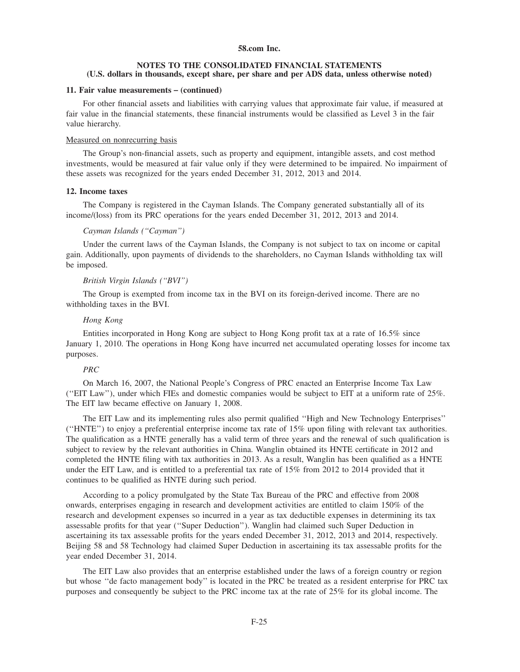### **NOTES TO THE CONSOLIDATED FINANCIAL STATEMENTS (U.S. dollars in thousands, except share, per share and per ADS data, unless otherwise noted)**

#### **11. Fair value measurements − (continued)**

For other financial assets and liabilities with carrying values that approximate fair value, if measured at fair value in the financial statements, these financial instruments would be classified as Level 3 in the fair value hierarchy.

### Measured on nonrecurring basis

The Group's non-financial assets, such as property and equipment, intangible assets, and cost method investments, would be measured at fair value only if they were determined to be impaired. No impairment of these assets was recognized for the years ended December 31, 2012, 2013 and 2014.

### **12. Income taxes**

The Company is registered in the Cayman Islands. The Company generated substantially all of its income/(loss) from its PRC operations for the years ended December 31, 2012, 2013 and 2014.

### *Cayman Islands (''Cayman'')*

Under the current laws of the Cayman Islands, the Company is not subject to tax on income or capital gain. Additionally, upon payments of dividends to the shareholders, no Cayman Islands withholding tax will be imposed.

### *British Virgin Islands (''BVI'')*

The Group is exempted from income tax in the BVI on its foreign-derived income. There are no withholding taxes in the BVI.

### *Hong Kong*

Entities incorporated in Hong Kong are subject to Hong Kong profit tax at a rate of 16.5% since January 1, 2010. The operations in Hong Kong have incurred net accumulated operating losses for income tax purposes.

### *PRC*

On March 16, 2007, the National People's Congress of PRC enacted an Enterprise Income Tax Law (''EIT Law''), under which FIEs and domestic companies would be subject to EIT at a uniform rate of 25%. The EIT law became effective on January 1, 2008.

The EIT Law and its implementing rules also permit qualified ''High and New Technology Enterprises'' (''HNTE'') to enjoy a preferential enterprise income tax rate of 15% upon filing with relevant tax authorities. The qualification as a HNTE generally has a valid term of three years and the renewal of such qualification is subject to review by the relevant authorities in China. Wanglin obtained its HNTE certificate in 2012 and completed the HNTE filing with tax authorities in 2013. As a result, Wanglin has been qualified as a HNTE under the EIT Law, and is entitled to a preferential tax rate of 15% from 2012 to 2014 provided that it continues to be qualified as HNTE during such period.

According to a policy promulgated by the State Tax Bureau of the PRC and effective from 2008 onwards, enterprises engaging in research and development activities are entitled to claim 150% of the research and development expenses so incurred in a year as tax deductible expenses in determining its tax assessable profits for that year (''Super Deduction''). Wanglin had claimed such Super Deduction in ascertaining its tax assessable profits for the years ended December 31, 2012, 2013 and 2014, respectively. Beijing 58 and 58 Technology had claimed Super Deduction in ascertaining its tax assessable profits for the year ended December 31, 2014.

The EIT Law also provides that an enterprise established under the laws of a foreign country or region but whose ''de facto management body'' is located in the PRC be treated as a resident enterprise for PRC tax purposes and consequently be subject to the PRC income tax at the rate of 25% for its global income. The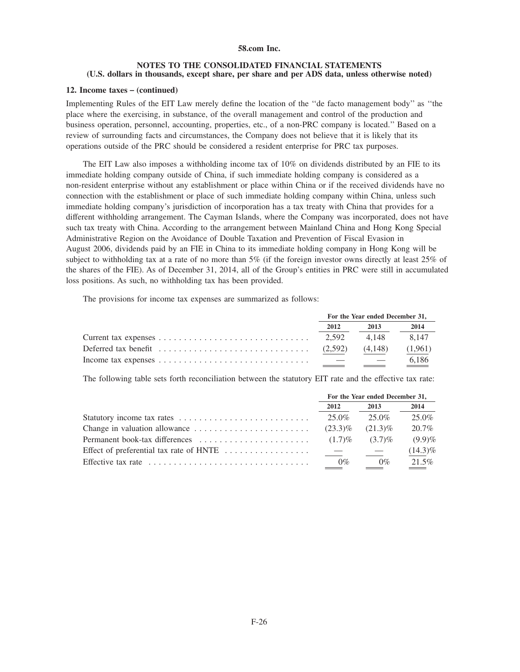## **NOTES TO THE CONSOLIDATED FINANCIAL STATEMENTS (U.S. dollars in thousands, except share, per share and per ADS data, unless otherwise noted)**

### **12. Income taxes − (continued)**

Implementing Rules of the EIT Law merely define the location of the ''de facto management body'' as ''the place where the exercising, in substance, of the overall management and control of the production and business operation, personnel, accounting, properties, etc., of a non-PRC company is located.'' Based on a review of surrounding facts and circumstances, the Company does not believe that it is likely that its operations outside of the PRC should be considered a resident enterprise for PRC tax purposes.

The EIT Law also imposes a withholding income tax of 10% on dividends distributed by an FIE to its immediate holding company outside of China, if such immediate holding company is considered as a non-resident enterprise without any establishment or place within China or if the received dividends have no connection with the establishment or place of such immediate holding company within China, unless such immediate holding company's jurisdiction of incorporation has a tax treaty with China that provides for a different withholding arrangement. The Cayman Islands, where the Company was incorporated, does not have such tax treaty with China. According to the arrangement between Mainland China and Hong Kong Special Administrative Region on the Avoidance of Double Taxation and Prevention of Fiscal Evasion in August 2006, dividends paid by an FIE in China to its immediate holding company in Hong Kong will be subject to withholding tax at a rate of no more than 5% (if the foreign investor owns directly at least 25% of the shares of the FIE). As of December 31, 2014, all of the Group's entities in PRC were still in accumulated loss positions. As such, no withholding tax has been provided.

The provisions for income tax expenses are summarized as follows:

|                                                                                                       | For the Year ended December 31, |      |                              |  |
|-------------------------------------------------------------------------------------------------------|---------------------------------|------|------------------------------|--|
|                                                                                                       | 2012                            | 2013 | 2014                         |  |
|                                                                                                       |                                 |      | 8.147                        |  |
| Deferred tax benefit $\ldots \ldots \ldots \ldots \ldots \ldots \ldots \ldots \ldots$ (2,592) (4,148) |                                 |      | (1,961)                      |  |
| Income tax expenses $\dots \dots \dots \dots \dots \dots \dots \dots \dots \dots \dots$               |                                 |      | $\underline{\frac{6,186}{}}$ |  |

The following table sets forth reconciliation between the statutory EIT rate and the effective tax rate:

|                                                                         | For the Year ended December 31, |            |            |  |
|-------------------------------------------------------------------------|---------------------------------|------------|------------|--|
|                                                                         | 2012                            | 2013       | 2014       |  |
|                                                                         | 25.0%                           | 25.0%      | 25.0%      |  |
|                                                                         | $(23.3)\%$                      | $(21.3)\%$ | 20.7%      |  |
|                                                                         | $(1.7)\%$                       | $(3.7)\%$  | $(9.9)\%$  |  |
| Effect of preferential tax rate of HNTE $\dots \dots \dots \dots \dots$ |                                 |            | $(14.3)\%$ |  |
| Effective tax rate                                                      | $0\%$                           | $0\%$      | 21.5%      |  |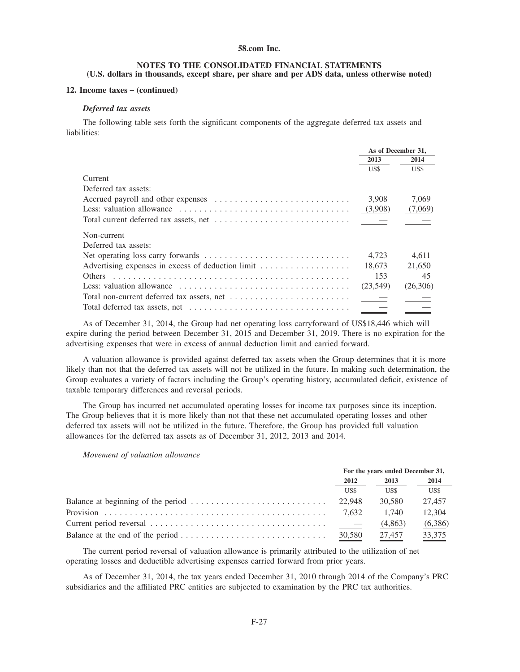### **NOTES TO THE CONSOLIDATED FINANCIAL STATEMENTS (U.S. dollars in thousands, except share, per share and per ADS data, unless otherwise noted)**

#### **12. Income taxes − (continued)**

### *Deferred tax assets*

The following table sets forth the significant components of the aggregate deferred tax assets and liabilities:

|                                                                                                     | As of December 31. |          |
|-----------------------------------------------------------------------------------------------------|--------------------|----------|
|                                                                                                     | 2013               | 2014     |
|                                                                                                     | US\$               | US\$     |
| Current                                                                                             |                    |          |
| Deferred tax assets:                                                                                |                    |          |
|                                                                                                     | 3,908              | 7,069    |
|                                                                                                     | (3,908)            | (7,069)  |
|                                                                                                     |                    |          |
| Non-current                                                                                         |                    |          |
| Deferred tax assets:                                                                                |                    |          |
|                                                                                                     | 4.723              | 4,611    |
|                                                                                                     | 18.673             | 21,650   |
| Others 1                                                                                            | 153                | 45       |
| Less: valuation allowance $\dots \dots \dots \dots \dots \dots \dots \dots \dots \dots \dots \dots$ | (23,549)           | (26,306) |
|                                                                                                     |                    |          |
|                                                                                                     |                    |          |

As of December 31, 2014, the Group had net operating loss carryforward of US\$18,446 which will expire during the period between December 31, 2015 and December 31, 2019. There is no expiration for the advertising expenses that were in excess of annual deduction limit and carried forward.

A valuation allowance is provided against deferred tax assets when the Group determines that it is more likely than not that the deferred tax assets will not be utilized in the future. In making such determination, the Group evaluates a variety of factors including the Group's operating history, accumulated deficit, existence of taxable temporary differences and reversal periods.

The Group has incurred net accumulated operating losses for income tax purposes since its inception. The Group believes that it is more likely than not that these net accumulated operating losses and other deferred tax assets will not be utilized in the future. Therefore, the Group has provided full valuation allowances for the deferred tax assets as of December 31, 2012, 2013 and 2014.

### *Movement of valuation allowance*

| For the years ended December 31, |         |         |
|----------------------------------|---------|---------|
| 2012                             | 2013    | 2014    |
| US\$                             | US\$    | US\$    |
|                                  | 30.580  | 27.457  |
| 7.632                            | 1.740   | 12.304  |
| $\sim$ $-$                       | (4,863) | (6,386) |
| 30,580                           | 27.457  | 33,375  |

The current period reversal of valuation allowance is primarily attributed to the utilization of net operating losses and deductible advertising expenses carried forward from prior years.

As of December 31, 2014, the tax years ended December 31, 2010 through 2014 of the Company's PRC subsidiaries and the affiliated PRC entities are subjected to examination by the PRC tax authorities.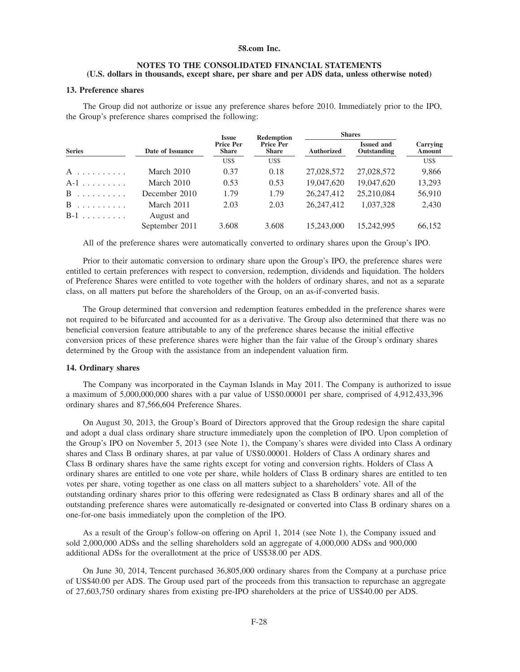### **NOTES TO THE CONSOLIDATED FINANCIAL STATEMENTS (U.S. dollars in thousands, except share, per share and per ADS data, unless otherwise noted)**

### **13. Preference shares**

The Group did not authorize or issue any preference shares before 2010. Immediately prior to the IPO, the Group's preference shares comprised the following:

|               |                  | <b>Issue</b>                     | Redemption                       | <b>Shares</b>     |                                  |                    |  |
|---------------|------------------|----------------------------------|----------------------------------|-------------------|----------------------------------|--------------------|--|
| <b>Series</b> | Date of Issuance | <b>Price Per</b><br><b>Share</b> | <b>Price Per</b><br><b>Share</b> | <b>Authorized</b> | <b>Issued and</b><br>Outstanding | Carrying<br>Amount |  |
|               |                  | US\$                             | US\$                             |                   |                                  | US\$               |  |
| $A$           | March 2010       | 0.37                             | 0.18                             | 27,028,572        | 27,028,572                       | 9,866              |  |
| $A-1$         | March 2010       | 0.53                             | 0.53                             | 19,047,620        | 19,047,620                       | 13,293             |  |
| $B$           | December 2010    | 1.79                             | 1.79                             | 26, 247, 412      | 25,210,084                       | 56,910             |  |
| $B$           | March 2011       | 2.03                             | 2.03                             | 26, 247, 412      | 1.037.328                        | 2,430              |  |
| $B-1$         | August and       |                                  |                                  |                   |                                  |                    |  |
|               | September 2011   | 3.608                            | 3.608                            | 15,243,000        | 15.242.995                       | 66.152             |  |

All of the preference shares were automatically converted to ordinary shares upon the Group's IPO.

Prior to their automatic conversion to ordinary share upon the Group's IPO, the preference shares were entitled to certain preferences with respect to conversion, redemption, dividends and liquidation. The holders of Preference Shares were entitled to vote together with the holders of ordinary shares, and not as a separate class, on all matters put before the shareholders of the Group, on an as-if-converted basis.

The Group determined that conversion and redemption features embedded in the preference shares were not required to be bifurcated and accounted for as a derivative. The Group also determined that there was no beneficial conversion feature attributable to any of the preference shares because the initial effective conversion prices of these preference shares were higher than the fair value of the Group's ordinary shares determined by the Group with the assistance from an independent valuation firm.

### **14. Ordinary shares**

The Company was incorporated in the Cayman Islands in May 2011. The Company is authorized to issue a maximum of 5,000,000,000 shares with a par value of US\$0.00001 per share, comprised of 4,912,433,396 ordinary shares and 87,566,604 Preference Shares.

On August 30, 2013, the Group's Board of Directors approved that the Group redesign the share capital and adopt a dual class ordinary share structure immediately upon the completion of IPO. Upon completion of the Group's IPO on November 5, 2013 (see Note 1), the Company's shares were divided into Class A ordinary shares and Class B ordinary shares, at par value of US\$0.00001. Holders of Class A ordinary shares and Class B ordinary shares have the same rights except for voting and conversion rights. Holders of Class A ordinary shares are entitled to one vote per share, while holders of Class B ordinary shares are entitled to ten votes per share, voting together as one class on all matters subject to a shareholders' vote. All of the outstanding ordinary shares prior to this offering were redesignated as Class B ordinary shares and all of the outstanding preference shares were automatically re-designated or converted into Class B ordinary shares on a one-for-one basis immediately upon the completion of the IPO.

As a result of the Group's follow-on offering on April 1, 2014 (see Note 1), the Company issued and sold 2,000,000 ADSs and the selling shareholders sold an aggregate of 4,000,000 ADSs and 900,000 additional ADSs for the overallotment at the price of US\$38.00 per ADS.

On June 30, 2014, Tencent purchased 36,805,000 ordinary shares from the Company at a purchase price of US\$40.00 per ADS. The Group used part of the proceeds from this transaction to repurchase an aggregate of 27,603,750 ordinary shares from existing pre-IPO shareholders at the price of US\$40.00 per ADS.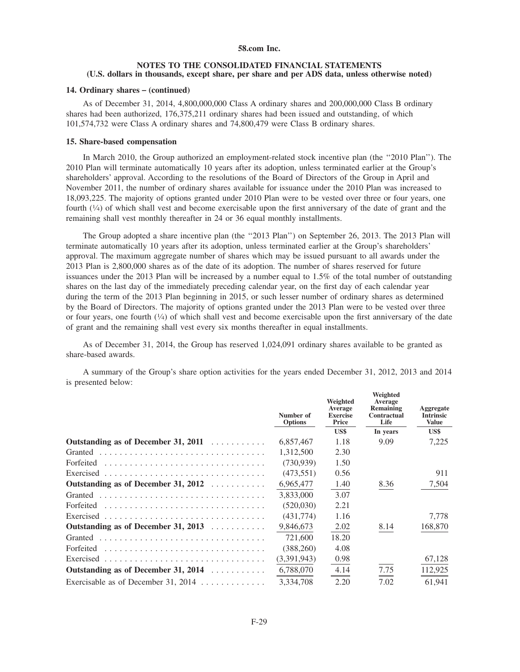# **NOTES TO THE CONSOLIDATED FINANCIAL STATEMENTS (U.S. dollars in thousands, except share, per share and per ADS data, unless otherwise noted)**

### **14. Ordinary shares − (continued)**

As of December 31, 2014, 4,800,000,000 Class A ordinary shares and 200,000,000 Class B ordinary shares had been authorized, 176,375,211 ordinary shares had been issued and outstanding, of which 101,574,732 were Class A ordinary shares and 74,800,479 were Class B ordinary shares.

### **15. Share-based compensation**

In March 2010, the Group authorized an employment-related stock incentive plan (the ''2010 Plan''). The 2010 Plan will terminate automatically 10 years after its adoption, unless terminated earlier at the Group's shareholders' approval. According to the resolutions of the Board of Directors of the Group in April and November 2011, the number of ordinary shares available for issuance under the 2010 Plan was increased to 18,093,225. The majority of options granted under 2010 Plan were to be vested over three or four years, one fourth (1⁄4) of which shall vest and become exercisable upon the first anniversary of the date of grant and the remaining shall vest monthly thereafter in 24 or 36 equal monthly installments.

The Group adopted a share incentive plan (the "2013 Plan") on September 26, 2013. The 2013 Plan will terminate automatically 10 years after its adoption, unless terminated earlier at the Group's shareholders' approval. The maximum aggregate number of shares which may be issued pursuant to all awards under the 2013 Plan is 2,800,000 shares as of the date of its adoption. The number of shares reserved for future issuances under the 2013 Plan will be increased by a number equal to 1.5% of the total number of outstanding shares on the last day of the immediately preceding calendar year, on the first day of each calendar year during the term of the 2013 Plan beginning in 2015, or such lesser number of ordinary shares as determined by the Board of Directors. The majority of options granted under the 2013 Plan were to be vested over three or four years, one fourth  $(1/4)$  of which shall vest and become exercisable upon the first anniversary of the date of grant and the remaining shall vest every six months thereafter in equal installments.

As of December 31, 2014, the Group has reserved 1,024,091 ordinary shares available to be granted as share-based awards.

A summary of the Group's share option activities for the years ended December 31, 2012, 2013 and 2014 is presented below:

|                                              | Number of<br><b>Options</b> | Weighted<br>Average<br><b>Exercise</b><br>Price | Weighted<br>Average<br>Remaining<br>Contractual<br>Life | Aggregate<br><b>Intrinsic</b><br><b>Value</b> |
|----------------------------------------------|-----------------------------|-------------------------------------------------|---------------------------------------------------------|-----------------------------------------------|
|                                              |                             | US\$                                            | In years                                                | US\$                                          |
| Outstanding as of December 31, 2011 $\ldots$ | 6,857,467                   | 1.18                                            | 9.09                                                    | 7,225                                         |
| Granted                                      | 1,312,500                   | 2.30                                            |                                                         |                                               |
|                                              | (730, 939)                  | 1.50                                            |                                                         |                                               |
|                                              | (473, 551)                  | 0.56                                            |                                                         | 911                                           |
| Outstanding as of December 31, $2012$        | 6,965,477                   | 1.40                                            | 8.36                                                    | 7,504                                         |
|                                              | 3,833,000                   | 3.07                                            |                                                         |                                               |
| Forfeited                                    | (520,030)                   | 2.21                                            |                                                         |                                               |
|                                              | (431,774)                   | 1.16                                            |                                                         | 7,778                                         |
| Outstanding as of December 31, 2013          | 9,846,673                   | 2.02                                            | 8.14                                                    | 168,870                                       |
| Granted                                      | 721,600                     | 18.20                                           |                                                         |                                               |
| Forfeited                                    | (388, 260)                  | 4.08                                            |                                                         |                                               |
|                                              | (3,391,943)                 | 0.98                                            |                                                         | 67,128                                        |
| Outstanding as of December 31, 2014 $\ldots$ | 6,788,070                   | 4.14                                            | 7.75                                                    | 112,925                                       |
| Exercisable as of December 31, 2014          | 3,334,708                   | 2.20                                            | 7.02                                                    | 61,941                                        |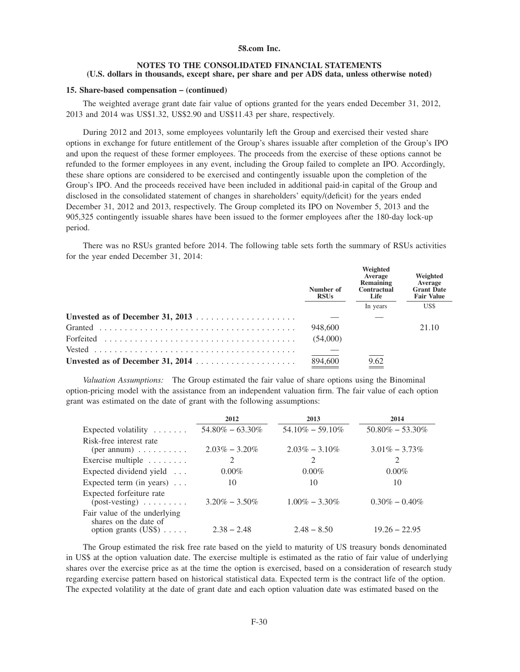### **NOTES TO THE CONSOLIDATED FINANCIAL STATEMENTS (U.S. dollars in thousands, except share, per share and per ADS data, unless otherwise noted)**

### **15. Share-based compensation − (continued)**

The weighted average grant date fair value of options granted for the years ended December 31, 2012, 2013 and 2014 was US\$1.32, US\$2.90 and US\$11.43 per share, respectively.

During 2012 and 2013, some employees voluntarily left the Group and exercised their vested share options in exchange for future entitlement of the Group's shares issuable after completion of the Group's IPO and upon the request of these former employees. The proceeds from the exercise of these options cannot be refunded to the former employees in any event, including the Group failed to complete an IPO. Accordingly, these share options are considered to be exercised and contingently issuable upon the completion of the Group's IPO. And the proceeds received have been included in additional paid-in capital of the Group and disclosed in the consolidated statement of changes in shareholders' equity/(deficit) for the years ended December 31, 2012 and 2013, respectively. The Group completed its IPO on November 5, 2013 and the 905,325 contingently issuable shares have been issued to the former employees after the 180-day lock-up period.

There was no RSUs granted before 2014. The following table sets forth the summary of RSUs activities for the year ended December 31, 2014:

|           | Number of<br><b>RSUs</b> | Weighted<br>Average<br><b>Remaining</b><br><b>Contractual</b><br>Life | Weighted<br>Average<br><b>Grant Date</b><br><b>Fair Value</b> |
|-----------|--------------------------|-----------------------------------------------------------------------|---------------------------------------------------------------|
|           |                          | In years                                                              | US\$                                                          |
|           |                          |                                                                       |                                                               |
| Granted   | 948,600                  |                                                                       | 21.10                                                         |
| Forfeited | (54,000)                 |                                                                       |                                                               |
| Vested    |                          |                                                                       |                                                               |
|           | 894,600                  | 9.62                                                                  |                                                               |

*Valuation Assumptions:* The Group estimated the fair value of share options using the Binominal option-pricing model with the assistance from an independent valuation firm. The fair value of each option grant was estimated on the date of grant with the following assumptions:

|                                                                                | 2012                | 2013                        | 2014                |
|--------------------------------------------------------------------------------|---------------------|-----------------------------|---------------------|
| Expected volatility $\dots \dots$                                              | $54.80\% - 63.30\%$ | $54.10\% - 59.10\%$         | $50.80\% - 53.30\%$ |
| Risk-free interest rate<br>(per annum) $\ldots \ldots \ldots$                  | $2.03\% - 3.20\%$   | $2.03\% - 3.10\%$           | $3.01\% - 3.73\%$   |
| Exercise multiple $\dots \dots$                                                | 2                   | $\mathcal{D}_{\mathcal{L}}$ | 2                   |
| Expected dividend yield                                                        | $0.00\%$            | $0.00\%$                    | $0.00\%$            |
| Expected term (in years) $\dots$                                               | 10                  | 10                          | 10                  |
| Expected forfeiture rate<br>$-post\text{-}vesting) \dots \dots \dots$          | $3.20\% - 3.50\%$   | $1.00\% - 3.30\%$           | $0.30\% - 0.40\%$   |
| Fair value of the underlying<br>shares on the date of<br>option grants $(USS)$ | $2.38 - 2.48$       | $2.48 - 8.50$               | $19.26 - 22.95$     |

The Group estimated the risk free rate based on the yield to maturity of US treasury bonds denominated in US\$ at the option valuation date. The exercise multiple is estimated as the ratio of fair value of underlying shares over the exercise price as at the time the option is exercised, based on a consideration of research study regarding exercise pattern based on historical statistical data. Expected term is the contract life of the option. The expected volatility at the date of grant date and each option valuation date was estimated based on the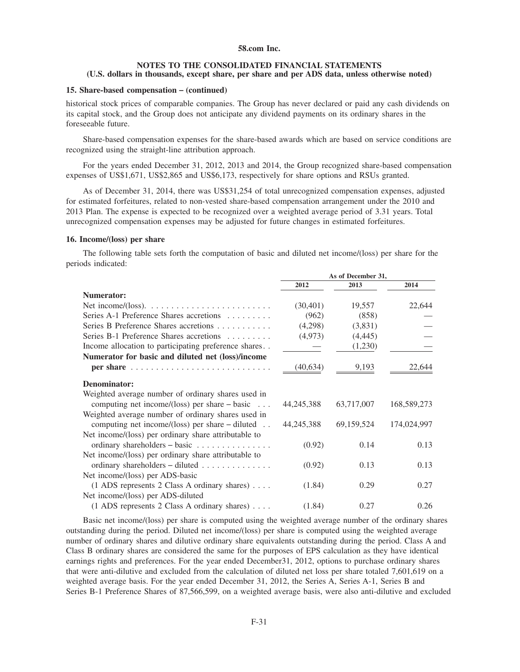### **NOTES TO THE CONSOLIDATED FINANCIAL STATEMENTS (U.S. dollars in thousands, except share, per share and per ADS data, unless otherwise noted)**

### **15. Share-based compensation − (continued)**

historical stock prices of comparable companies. The Group has never declared or paid any cash dividends on its capital stock, and the Group does not anticipate any dividend payments on its ordinary shares in the foreseeable future.

Share-based compensation expenses for the share-based awards which are based on service conditions are recognized using the straight-line attribution approach.

For the years ended December 31, 2012, 2013 and 2014, the Group recognized share-based compensation expenses of US\$1,671, US\$2,865 and US\$6,173, respectively for share options and RSUs granted.

As of December 31, 2014, there was US\$31,254 of total unrecognized compensation expenses, adjusted for estimated forfeitures, related to non-vested share-based compensation arrangement under the 2010 and 2013 Plan. The expense is expected to be recognized over a weighted average period of 3.31 years. Total unrecognized compensation expenses may be adjusted for future changes in estimated forfeitures.

### **16. Income/(loss) per share**

The following table sets forth the computation of basic and diluted net income/(loss) per share for the periods indicated:

**As of December 31,**

|                                                                            | As of December 31, |            |             |  |
|----------------------------------------------------------------------------|--------------------|------------|-------------|--|
|                                                                            | 2012               | 2013       | 2014        |  |
| <b>Numerator:</b>                                                          |                    |            |             |  |
| Net income/(loss). $\dots \dots \dots \dots \dots \dots \dots \dots \dots$ | (30, 401)          | 19,557     | 22,644      |  |
| Series A-1 Preference Shares accretions                                    | (962)              | (858)      |             |  |
| Series B Preference Shares accretions                                      | (4,298)            | (3,831)    |             |  |
| Series B-1 Preference Shares accretions                                    | (4,973)            | (4, 445)   |             |  |
| Income allocation to participating preference shares                       |                    | (1,230)    |             |  |
| Numerator for basic and diluted net (loss)/income                          |                    |            |             |  |
|                                                                            | (40, 634)          | 9,193      | 22,644      |  |
| Denominator:                                                               |                    |            |             |  |
| Weighted average number of ordinary shares used in                         |                    |            |             |  |
| computing net income/(loss) per share $-$ basic                            | 44, 245, 388       | 63,717,007 | 168,589,273 |  |
| Weighted average number of ordinary shares used in                         |                    |            |             |  |
| computing net income/(loss) per share $-$ diluted                          | 44, 245, 388       | 69,159,524 | 174,024,997 |  |
| Net income/(loss) per ordinary share attributable to                       |                    |            |             |  |
| ordinary shareholders $-$ basic                                            | (0.92)             | 0.14       | 0.13        |  |
| Net income/(loss) per ordinary share attributable to                       |                    |            |             |  |
| ordinary shareholders – diluted                                            | (0.92)             | 0.13       | 0.13        |  |
| Net income/(loss) per ADS-basic                                            |                    |            |             |  |
| $(1$ ADS represents 2 Class A ordinary shares)                             | (1.84)             | 0.29       | 0.27        |  |
| Net income/(loss) per ADS-diluted                                          |                    |            |             |  |
| $(1$ ADS represents 2 Class A ordinary shares)                             | (1.84)             | 0.27       | 0.26        |  |

Basic net income/(loss) per share is computed using the weighted average number of the ordinary shares outstanding during the period. Diluted net income/(loss) per share is computed using the weighted average number of ordinary shares and dilutive ordinary share equivalents outstanding during the period. Class A and Class B ordinary shares are considered the same for the purposes of EPS calculation as they have identical earnings rights and preferences. For the year ended December31, 2012, options to purchase ordinary shares that were anti-dilutive and excluded from the calculation of diluted net loss per share totaled 7,601,619 on a weighted average basis. For the year ended December 31, 2012, the Series A, Series A-1, Series B and Series B-1 Preference Shares of 87,566,599, on a weighted average basis, were also anti-dilutive and excluded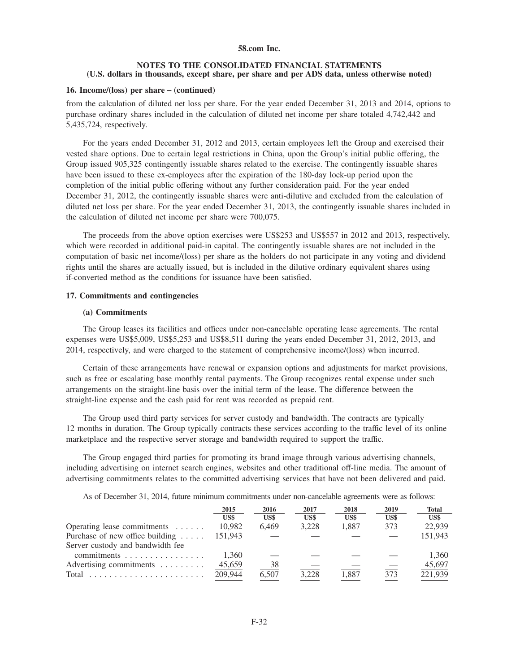### **NOTES TO THE CONSOLIDATED FINANCIAL STATEMENTS (U.S. dollars in thousands, except share, per share and per ADS data, unless otherwise noted)**

### **16. Income/(loss) per share − (continued)**

from the calculation of diluted net loss per share. For the year ended December 31, 2013 and 2014, options to purchase ordinary shares included in the calculation of diluted net income per share totaled 4,742,442 and 5,435,724, respectively.

For the years ended December 31, 2012 and 2013, certain employees left the Group and exercised their vested share options. Due to certain legal restrictions in China, upon the Group's initial public offering, the Group issued 905,325 contingently issuable shares related to the exercise. The contingently issuable shares have been issued to these ex-employees after the expiration of the 180-day lock-up period upon the completion of the initial public offering without any further consideration paid. For the year ended December 31, 2012, the contingently issuable shares were anti-dilutive and excluded from the calculation of diluted net loss per share. For the year ended December 31, 2013, the contingently issuable shares included in the calculation of diluted net income per share were 700,075.

The proceeds from the above option exercises were US\$253 and US\$557 in 2012 and 2013, respectively, which were recorded in additional paid-in capital. The contingently issuable shares are not included in the computation of basic net income/(loss) per share as the holders do not participate in any voting and dividend rights until the shares are actually issued, but is included in the dilutive ordinary equivalent shares using if-converted method as the conditions for issuance have been satisfied.

### **17. Commitments and contingencies**

# **(a) Commitments**

The Group leases its facilities and offices under non-cancelable operating lease agreements. The rental expenses were US\$5,009, US\$5,253 and US\$8,511 during the years ended December 31, 2012, 2013, and 2014, respectively, and were charged to the statement of comprehensive income/(loss) when incurred.

Certain of these arrangements have renewal or expansion options and adjustments for market provisions, such as free or escalating base monthly rental payments. The Group recognizes rental expense under such arrangements on the straight-line basis over the initial term of the lease. The difference between the straight-line expense and the cash paid for rent was recorded as prepaid rent.

The Group used third party services for server custody and bandwidth. The contracts are typically 12 months in duration. The Group typically contracts these services according to the traffic level of its online marketplace and the respective server storage and bandwidth required to support the traffic.

The Group engaged third parties for promoting its brand image through various advertising channels, including advertising on internet search engines, websites and other traditional off-line media. The amount of advertising commitments relates to the committed advertising services that have not been delivered and paid.

As of December 31, 2014, future minimum commitments under non-cancelable agreements were as follows:

|                                                   | 2015    | 2016           | 2017  | 2018         | 2019 | Total               |
|---------------------------------------------------|---------|----------------|-------|--------------|------|---------------------|
|                                                   | US\$    | US\$           | US\$  | US\$         | US\$ | US\$                |
| Operating lease commitments $\dots$               | 10,982  | 6.469          | 3.228 | 1.887        | 373  | 22,939              |
| Purchase of new office building                   | 151.943 |                |       |              |      | 151,943             |
| Server custody and bandwidth fee                  |         |                |       |              |      |                     |
| commitments $\dots \dots \dots \dots \dots$       | 1.360   |                |       |              |      | 1.360               |
| Advertising commitments                           | 45,659  | $\frac{38}{2}$ |       |              |      | 45,697              |
| Total $\ldots \ldots \ldots \ldots \ldots \ldots$ | 209,944 | 6,507          | 3,228 | <u>1,887</u> | 373  | $\frac{221,939}{2}$ |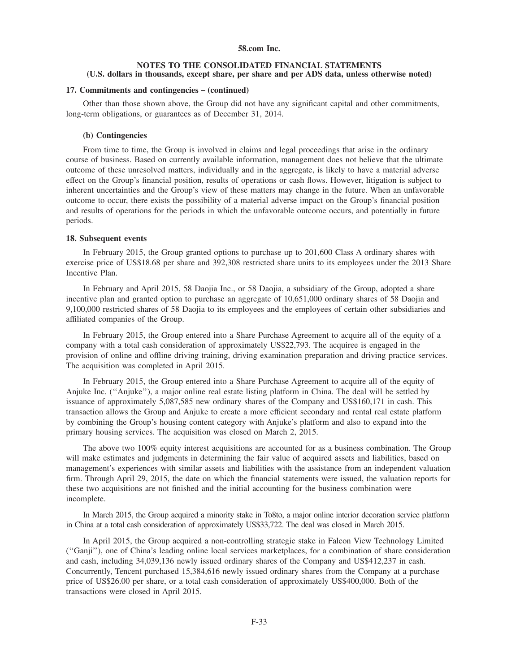### **NOTES TO THE CONSOLIDATED FINANCIAL STATEMENTS (U.S. dollars in thousands, except share, per share and per ADS data, unless otherwise noted)**

### **17. Commitments and contingencies − (continued)**

Other than those shown above, the Group did not have any significant capital and other commitments, long-term obligations, or guarantees as of December 31, 2014.

### **(b) Contingencies**

From time to time, the Group is involved in claims and legal proceedings that arise in the ordinary course of business. Based on currently available information, management does not believe that the ultimate outcome of these unresolved matters, individually and in the aggregate, is likely to have a material adverse effect on the Group's financial position, results of operations or cash flows. However, litigation is subject to inherent uncertainties and the Group's view of these matters may change in the future. When an unfavorable outcome to occur, there exists the possibility of a material adverse impact on the Group's financial position and results of operations for the periods in which the unfavorable outcome occurs, and potentially in future periods.

### **18. Subsequent events**

In February 2015, the Group granted options to purchase up to 201,600 Class A ordinary shares with exercise price of US\$18.68 per share and 392,308 restricted share units to its employees under the 2013 Share Incentive Plan.

In February and April 2015, 58 Daojia Inc., or 58 Daojia, a subsidiary of the Group, adopted a share incentive plan and granted option to purchase an aggregate of 10,651,000 ordinary shares of 58 Daojia and 9,100,000 restricted shares of 58 Daojia to its employees and the employees of certain other subsidiaries and affiliated companies of the Group.

In February 2015, the Group entered into a Share Purchase Agreement to acquire all of the equity of a company with a total cash consideration of approximately US\$22,793. The acquiree is engaged in the provision of online and offline driving training, driving examination preparation and driving practice services. The acquisition was completed in April 2015.

In February 2015, the Group entered into a Share Purchase Agreement to acquire all of the equity of Anjuke Inc. (''Anjuke''), a major online real estate listing platform in China. The deal will be settled by issuance of approximately 5,087,585 new ordinary shares of the Company and US\$160,171 in cash. This transaction allows the Group and Anjuke to create a more efficient secondary and rental real estate platform by combining the Group's housing content category with Anjuke's platform and also to expand into the primary housing services. The acquisition was closed on March 2, 2015.

The above two 100% equity interest acquisitions are accounted for as a business combination. The Group will make estimates and judgments in determining the fair value of acquired assets and liabilities, based on management's experiences with similar assets and liabilities with the assistance from an independent valuation firm. Through April 29, 2015, the date on which the financial statements were issued, the valuation reports for these two acquisitions are not finished and the initial accounting for the business combination were incomplete.

In March 2015, the Group acquired a minority stake in To8to, a major online interior decoration service platform in China at a total cash consideration of approximately US\$33,722. The deal was closed in March 2015.

In April 2015, the Group acquired a non-controlling strategic stake in Falcon View Technology Limited (''Ganji''), one of China's leading online local services marketplaces, for a combination of share consideration and cash, including 34,039,136 newly issued ordinary shares of the Company and US\$412,237 in cash. Concurrently, Tencent purchased 15,384,616 newly issued ordinary shares from the Company at a purchase price of US\$26.00 per share, or a total cash consideration of approximately US\$400,000. Both of the transactions were closed in April 2015.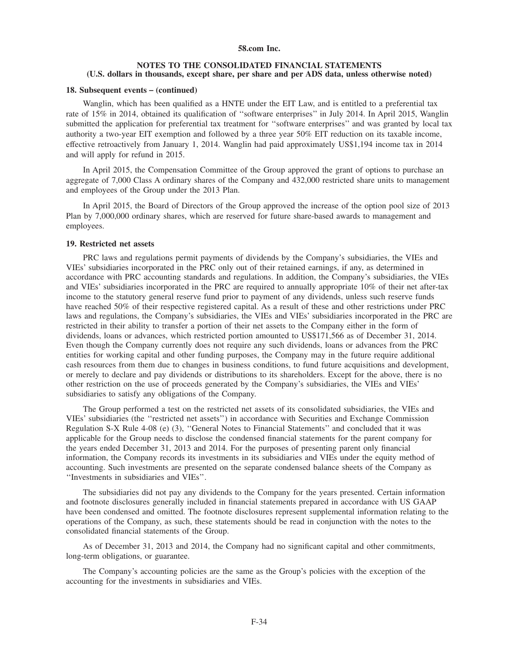### **NOTES TO THE CONSOLIDATED FINANCIAL STATEMENTS (U.S. dollars in thousands, except share, per share and per ADS data, unless otherwise noted)**

### **18. Subsequent events − (continued)**

Wanglin, which has been qualified as a HNTE under the EIT Law, and is entitled to a preferential tax rate of 15% in 2014, obtained its qualification of ''software enterprises'' in July 2014. In April 2015, Wanglin submitted the application for preferential tax treatment for ''software enterprises'' and was granted by local tax authority a two-year EIT exemption and followed by a three year 50% EIT reduction on its taxable income, effective retroactively from January 1, 2014. Wanglin had paid approximately US\$1,194 income tax in 2014 and will apply for refund in 2015.

In April 2015, the Compensation Committee of the Group approved the grant of options to purchase an aggregate of 7,000 Class A ordinary shares of the Company and 432,000 restricted share units to management and employees of the Group under the 2013 Plan.

In April 2015, the Board of Directors of the Group approved the increase of the option pool size of 2013 Plan by 7,000,000 ordinary shares, which are reserved for future share-based awards to management and employees.

### **19. Restricted net assets**

PRC laws and regulations permit payments of dividends by the Company's subsidiaries, the VIEs and VIEs' subsidiaries incorporated in the PRC only out of their retained earnings, if any, as determined in accordance with PRC accounting standards and regulations. In addition, the Company's subsidiaries, the VIEs and VIEs' subsidiaries incorporated in the PRC are required to annually appropriate 10% of their net after-tax income to the statutory general reserve fund prior to payment of any dividends, unless such reserve funds have reached 50% of their respective registered capital. As a result of these and other restrictions under PRC laws and regulations, the Company's subsidiaries, the VIEs and VIEs' subsidiaries incorporated in the PRC are restricted in their ability to transfer a portion of their net assets to the Company either in the form of dividends, loans or advances, which restricted portion amounted to US\$171,566 as of December 31, 2014. Even though the Company currently does not require any such dividends, loans or advances from the PRC entities for working capital and other funding purposes, the Company may in the future require additional cash resources from them due to changes in business conditions, to fund future acquisitions and development, or merely to declare and pay dividends or distributions to its shareholders. Except for the above, there is no other restriction on the use of proceeds generated by the Company's subsidiaries, the VIEs and VIEs' subsidiaries to satisfy any obligations of the Company.

The Group performed a test on the restricted net assets of its consolidated subsidiaries, the VIEs and VIEs' subsidiaries (the ''restricted net assets'') in accordance with Securities and Exchange Commission Regulation S-X Rule 4-08 (e) (3), ''General Notes to Financial Statements'' and concluded that it was applicable for the Group needs to disclose the condensed financial statements for the parent company for the years ended December 31, 2013 and 2014. For the purposes of presenting parent only financial information, the Company records its investments in its subsidiaries and VIEs under the equity method of accounting. Such investments are presented on the separate condensed balance sheets of the Company as ''Investments in subsidiaries and VIEs''.

The subsidiaries did not pay any dividends to the Company for the years presented. Certain information and footnote disclosures generally included in financial statements prepared in accordance with US GAAP have been condensed and omitted. The footnote disclosures represent supplemental information relating to the operations of the Company, as such, these statements should be read in conjunction with the notes to the consolidated financial statements of the Group.

As of December 31, 2013 and 2014, the Company had no significant capital and other commitments, long-term obligations, or guarantee.

The Company's accounting policies are the same as the Group's policies with the exception of the accounting for the investments in subsidiaries and VIEs.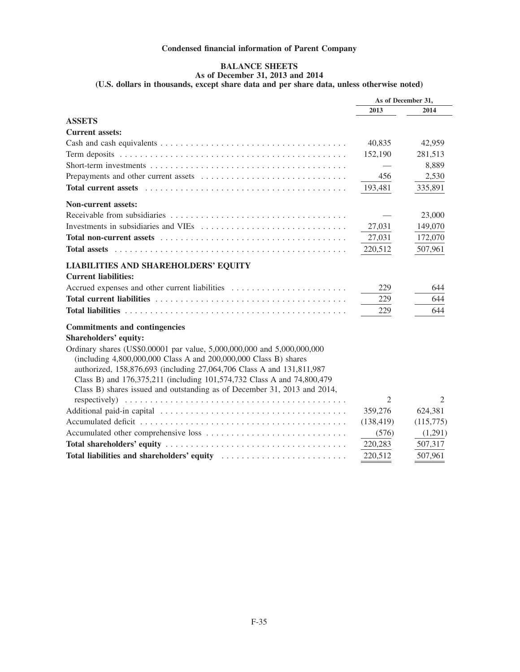# **Condensed financial information of Parent Company**

# **BALANCE SHEETS**

### **As of December 31, 2013 and 2014 (U.S. dollars in thousands, except share data and per share data, unless otherwise noted)**

|                                                                                                                                                                                                                                | As of December 31, |                |
|--------------------------------------------------------------------------------------------------------------------------------------------------------------------------------------------------------------------------------|--------------------|----------------|
|                                                                                                                                                                                                                                | 2013               | 2014           |
| <b>ASSETS</b>                                                                                                                                                                                                                  |                    |                |
| <b>Current assets:</b>                                                                                                                                                                                                         |                    |                |
|                                                                                                                                                                                                                                | 40,835             | 42,959         |
|                                                                                                                                                                                                                                | 152,190            | 281,513        |
| Short-term investments $\ldots \ldots \ldots \ldots \ldots \ldots \ldots \ldots \ldots \ldots \ldots \ldots \ldots$                                                                                                            |                    | 8,889          |
|                                                                                                                                                                                                                                | 456                | 2,530          |
|                                                                                                                                                                                                                                | 193,481            | 335,891        |
| Non-current assets:                                                                                                                                                                                                            |                    |                |
|                                                                                                                                                                                                                                |                    | 23,000         |
|                                                                                                                                                                                                                                | 27,031             | 149,070        |
|                                                                                                                                                                                                                                | 27,031             | 172,070        |
| Total assets experience in the contract of the contract of the contract of the contract of the contract of the contract of the contract of the contract of the contract of the contract of the contract of the contract of the | 220,512            | 507,961        |
| <b>LIABILITIES AND SHAREHOLDERS' EQUITY</b>                                                                                                                                                                                    |                    |                |
| <b>Current liabilities:</b>                                                                                                                                                                                                    |                    |                |
|                                                                                                                                                                                                                                | 229                | 644            |
|                                                                                                                                                                                                                                | 229                | 644            |
|                                                                                                                                                                                                                                | 229                | 644            |
| <b>Commitments and contingencies</b>                                                                                                                                                                                           |                    |                |
| Shareholders' equity:                                                                                                                                                                                                          |                    |                |
| Ordinary shares (US\$0.00001 par value, 5,000,000,000 and 5,000,000,000                                                                                                                                                        |                    |                |
| (including 4,800,000,000 Class A and 200,000,000 Class B) shares                                                                                                                                                               |                    |                |
| authorized, 158,876,693 (including 27,064,706 Class A and 131,811,987                                                                                                                                                          |                    |                |
| Class B) and 176,375,211 (including 101,574,732 Class A and 74,800,479<br>Class B) shares issued and outstanding as of December 31, 2013 and 2014,                                                                             |                    |                |
| respectively)                                                                                                                                                                                                                  | $\overline{c}$     | $\overline{2}$ |
|                                                                                                                                                                                                                                | 359,276            | 624,381        |
|                                                                                                                                                                                                                                | (138, 419)         | (115,775)      |
|                                                                                                                                                                                                                                | (576)              | (1,291)        |
|                                                                                                                                                                                                                                | 220,283            | 507,317        |
|                                                                                                                                                                                                                                | 220,512            | 507,961        |
|                                                                                                                                                                                                                                |                    |                |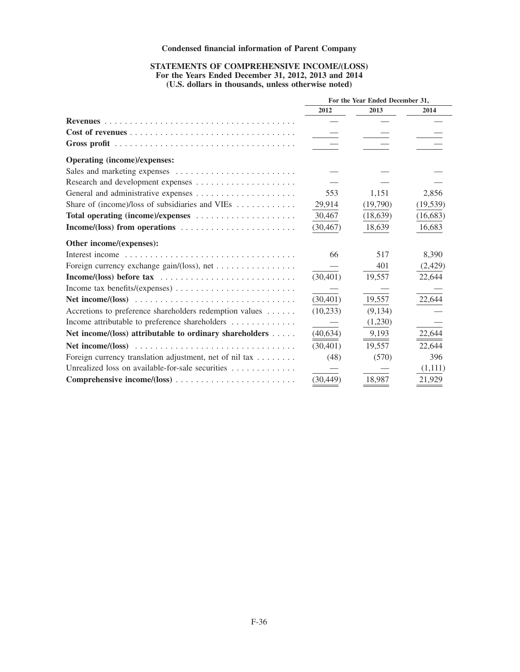# **Condensed financial information of Parent Company**

### **STATEMENTS OF COMPREHENSIVE INCOME/(LOSS) For the Years Ended December 31, 2012, 2013 and 2014 (U.S. dollars in thousands, unless otherwise noted)**

|                                                                                             | For the Year Ended December 31, |          |           |
|---------------------------------------------------------------------------------------------|---------------------------------|----------|-----------|
|                                                                                             | 2012                            | 2013     | 2014      |
|                                                                                             |                                 |          |           |
|                                                                                             |                                 |          |           |
|                                                                                             |                                 |          |           |
| <b>Operating (income)/expenses:</b>                                                         |                                 |          |           |
|                                                                                             |                                 |          |           |
|                                                                                             |                                 |          |           |
|                                                                                             | 553                             | 1.151    | 2,856     |
| Share of (income)/loss of subsidiaries and VIEs                                             | 29,914                          | (19,790) | (19, 539) |
| Total operating (income)/expenses                                                           | 30,467                          | (18,639) | (16,683)  |
|                                                                                             | (30, 467)                       | 18,639   | 16,683    |
| Other income/(expenses):                                                                    |                                 |          |           |
|                                                                                             | 66                              | 517      | 8,390     |
| Foreign currency exchange gain/(loss), net                                                  |                                 | 401      | (2,429)   |
|                                                                                             | (30, 401)                       | 19,557   | 22,644    |
| Income tax benefits/(expenses) $\dots \dots \dots \dots \dots \dots \dots \dots$            |                                 |          |           |
| Net income/(loss) $\dots \dots \dots \dots \dots \dots \dots \dots \dots \dots \dots \dots$ | (30, 401)                       | 19,557   | 22,644    |
| Accretions to preference shareholders redemption values                                     | (10,233)                        | (9,134)  |           |
| Income attributable to preference shareholders                                              |                                 | (1,230)  |           |
| Net income/(loss) attributable to ordinary shareholders                                     | (40, 634)                       | 9,193    | 22,644    |
| Net income/(loss) $\dots \dots \dots \dots \dots \dots \dots \dots \dots \dots \dots \dots$ | (30, 401)                       | 19,557   | 22,644    |
| Foreign currency translation adjustment, net of nil tax                                     | (48)                            | (570)    | 396       |
| Unrealized loss on available-for-sale securities $\dots \dots \dots$                        |                                 |          | (1,111)   |
|                                                                                             | (30, 449)                       | 18,987   | 21,929    |